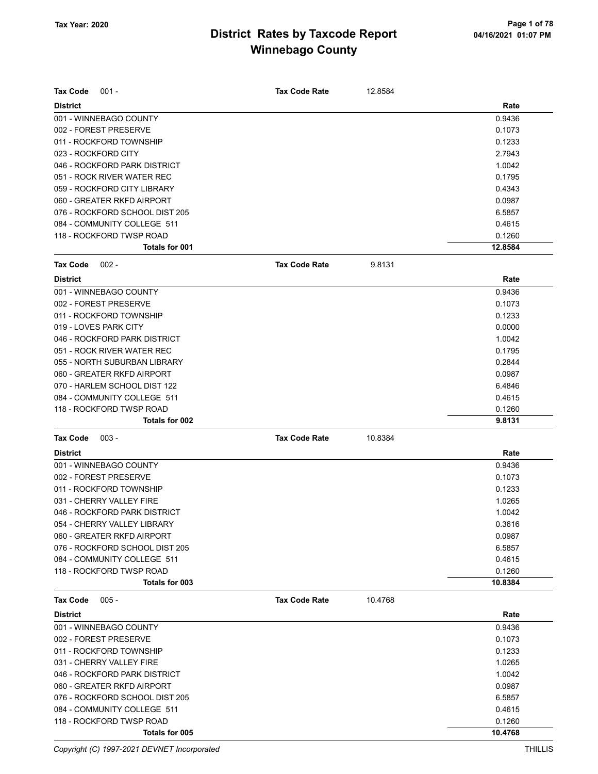| <b>Tax Code</b><br>$001 -$     | <b>Tax Code Rate</b> | 12.8584 |         |
|--------------------------------|----------------------|---------|---------|
| <b>District</b>                |                      |         | Rate    |
| 001 - WINNEBAGO COUNTY         |                      |         | 0.9436  |
| 002 - FOREST PRESERVE          |                      |         | 0.1073  |
| 011 - ROCKFORD TOWNSHIP        |                      |         | 0.1233  |
| 023 - ROCKFORD CITY            |                      |         | 2.7943  |
| 046 - ROCKFORD PARK DISTRICT   |                      |         | 1.0042  |
| 051 - ROCK RIVER WATER REC     |                      |         | 0.1795  |
| 059 - ROCKFORD CITY LIBRARY    |                      |         | 0.4343  |
| 060 - GREATER RKFD AIRPORT     |                      |         | 0.0987  |
| 076 - ROCKFORD SCHOOL DIST 205 |                      |         | 6.5857  |
| 084 - COMMUNITY COLLEGE 511    |                      |         | 0.4615  |
| 118 - ROCKFORD TWSP ROAD       |                      |         | 0.1260  |
| Totals for 001                 |                      |         | 12.8584 |
| <b>Tax Code</b><br>$002 -$     | <b>Tax Code Rate</b> | 9.8131  |         |
| <b>District</b>                |                      |         | Rate    |
| 001 - WINNEBAGO COUNTY         |                      |         | 0.9436  |
| 002 - FOREST PRESERVE          |                      |         | 0.1073  |
| 011 - ROCKFORD TOWNSHIP        |                      |         | 0.1233  |
| 019 - LOVES PARK CITY          |                      |         | 0.0000  |
| 046 - ROCKFORD PARK DISTRICT   |                      |         | 1.0042  |
| 051 - ROCK RIVER WATER REC     |                      |         | 0.1795  |
| 055 - NORTH SUBURBAN LIBRARY   |                      |         | 0.2844  |
| 060 - GREATER RKFD AIRPORT     |                      |         | 0.0987  |
| 070 - HARLEM SCHOOL DIST 122   |                      |         | 6.4846  |
| 084 - COMMUNITY COLLEGE 511    |                      |         | 0.4615  |
| 118 - ROCKFORD TWSP ROAD       |                      |         | 0.1260  |
| Totals for 002                 |                      |         | 9.8131  |
| <b>Tax Code</b><br>$003 -$     | <b>Tax Code Rate</b> | 10.8384 |         |
| <b>District</b>                |                      |         | Rate    |
| 001 - WINNEBAGO COUNTY         |                      |         | 0.9436  |
| 002 - FOREST PRESERVE          |                      |         | 0.1073  |
| 011 - ROCKFORD TOWNSHIP        |                      |         | 0.1233  |
| 031 - CHERRY VALLEY FIRE       |                      |         | 1.0265  |
| 046 - ROCKFORD PARK DISTRICT   |                      |         | 1.0042  |
| 054 - CHERRY VALLEY LIBRARY    |                      |         | 0.3616  |
| 060 - GREATER RKFD AIRPORT     |                      |         | 0.0987  |
| 076 - ROCKFORD SCHOOL DIST 205 |                      |         | 6.5857  |
| 084 - COMMUNITY COLLEGE 511    |                      |         | 0.4615  |
| 118 - ROCKFORD TWSP ROAD       |                      |         | 0.1260  |
| Totals for 003                 |                      |         | 10.8384 |
| $005 -$<br><b>Tax Code</b>     | <b>Tax Code Rate</b> | 10.4768 |         |
| <b>District</b>                |                      |         | Rate    |
| 001 - WINNEBAGO COUNTY         |                      |         | 0.9436  |
| 002 - FOREST PRESERVE          |                      |         | 0.1073  |
| 011 - ROCKFORD TOWNSHIP        |                      |         | 0.1233  |
| 031 - CHERRY VALLEY FIRE       |                      |         | 1.0265  |
| 046 - ROCKFORD PARK DISTRICT   |                      |         | 1.0042  |
| 060 - GREATER RKFD AIRPORT     |                      |         | 0.0987  |
| 076 - ROCKFORD SCHOOL DIST 205 |                      |         | 6.5857  |
| 084 - COMMUNITY COLLEGE 511    |                      |         | 0.4615  |
| 118 - ROCKFORD TWSP ROAD       |                      |         | 0.1260  |
| Totals for 005                 |                      |         | 10.4768 |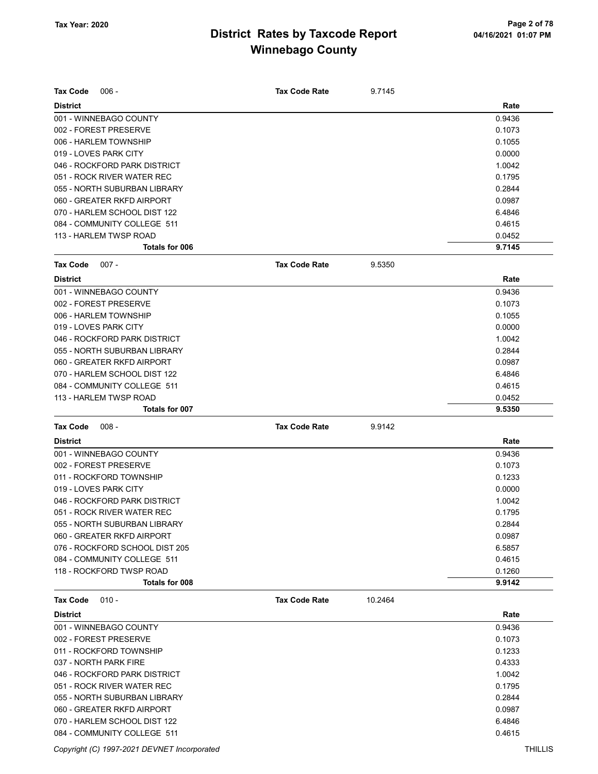| <b>Tax Code</b><br>$006 -$               | <b>Tax Code Rate</b> | 9.7145  |                  |
|------------------------------------------|----------------------|---------|------------------|
| <b>District</b>                          |                      |         | Rate             |
| 001 - WINNEBAGO COUNTY                   |                      |         | 0.9436           |
| 002 - FOREST PRESERVE                    |                      |         | 0.1073           |
| 006 - HARLEM TOWNSHIP                    |                      |         | 0.1055           |
| 019 - LOVES PARK CITY                    |                      |         | 0.0000           |
| 046 - ROCKFORD PARK DISTRICT             |                      |         | 1.0042           |
| 051 - ROCK RIVER WATER REC               |                      |         | 0.1795           |
| 055 - NORTH SUBURBAN LIBRARY             |                      |         | 0.2844           |
| 060 - GREATER RKFD AIRPORT               |                      |         | 0.0987           |
| 070 - HARLEM SCHOOL DIST 122             |                      |         | 6.4846           |
| 084 - COMMUNITY COLLEGE 511              |                      |         | 0.4615           |
| 113 - HARLEM TWSP ROAD<br>Totals for 006 |                      |         | 0.0452<br>9.7145 |
|                                          |                      |         |                  |
| $007 -$<br>Tax Code                      | <b>Tax Code Rate</b> | 9.5350  |                  |
| <b>District</b>                          |                      |         | Rate             |
| 001 - WINNEBAGO COUNTY                   |                      |         | 0.9436           |
| 002 - FOREST PRESERVE                    |                      |         | 0.1073           |
| 006 - HARLEM TOWNSHIP                    |                      |         | 0.1055           |
| 019 - LOVES PARK CITY                    |                      |         | 0.0000           |
| 046 - ROCKFORD PARK DISTRICT             |                      |         | 1.0042           |
| 055 - NORTH SUBURBAN LIBRARY             |                      |         | 0.2844           |
| 060 - GREATER RKFD AIRPORT               |                      |         | 0.0987           |
| 070 - HARLEM SCHOOL DIST 122             |                      |         | 6.4846           |
| 084 - COMMUNITY COLLEGE 511              |                      |         | 0.4615           |
| 113 - HARLEM TWSP ROAD                   |                      |         | 0.0452           |
| Totals for 007                           |                      |         | 9.5350           |
|                                          |                      |         |                  |
| <b>Tax Code</b><br>$008 -$               | <b>Tax Code Rate</b> | 9.9142  |                  |
| <b>District</b>                          |                      |         | Rate             |
| 001 - WINNEBAGO COUNTY                   |                      |         | 0.9436           |
| 002 - FOREST PRESERVE                    |                      |         | 0.1073           |
| 011 - ROCKFORD TOWNSHIP                  |                      |         | 0.1233           |
| 019 - LOVES PARK CITY                    |                      |         | 0.0000           |
| 046 - ROCKFORD PARK DISTRICT             |                      |         | 1.0042           |
| 051 - ROCK RIVER WATER REC               |                      |         | 0.1795           |
| 055 - NORTH SUBURBAN LIBRARY             |                      |         | 0.2844           |
| 060 - GREATER RKFD AIRPORT               |                      |         | 0.0987           |
| 076 - ROCKFORD SCHOOL DIST 205           |                      |         | 6.5857           |
| 084 - COMMUNITY COLLEGE 511              |                      |         | 0.4615           |
| 118 - ROCKFORD TWSP ROAD                 |                      |         | 0.1260           |
| Totals for 008                           |                      |         | 9.9142           |
| $010 -$<br>Tax Code                      | <b>Tax Code Rate</b> | 10.2464 |                  |
| <b>District</b>                          |                      |         | Rate             |
| 001 - WINNEBAGO COUNTY                   |                      |         | 0.9436           |
| 002 - FOREST PRESERVE                    |                      |         | 0.1073           |
| 011 - ROCKFORD TOWNSHIP                  |                      |         | 0.1233           |
| 037 - NORTH PARK FIRE                    |                      |         | 0.4333           |
| 046 - ROCKFORD PARK DISTRICT             |                      |         | 1.0042           |
| 051 - ROCK RIVER WATER REC               |                      |         | 0.1795           |
| 055 - NORTH SUBURBAN LIBRARY             |                      |         | 0.2844           |
| 060 - GREATER RKFD AIRPORT               |                      |         | 0.0987           |

084 - COMMUNITY COLLEGE 511 **0.4615** 

Copyright (C) 1997-2021 DEVNET Incorporated THILLIS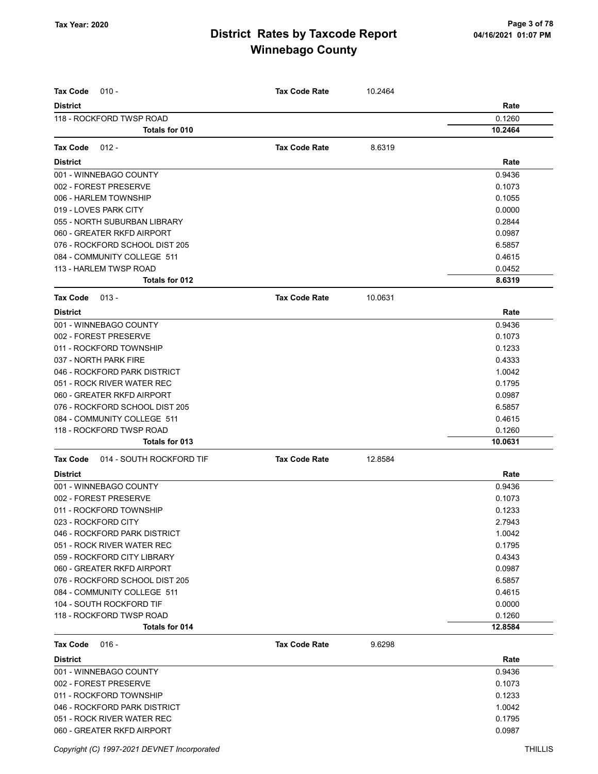| <b>Tax Code</b><br>$010 -$                  | <b>Tax Code Rate</b> | 10.2464 |                |
|---------------------------------------------|----------------------|---------|----------------|
| <b>District</b>                             |                      |         |                |
| 118 - ROCKFORD TWSP ROAD                    |                      |         | Rate<br>0.1260 |
| <b>Totals for 010</b>                       |                      |         | 10.2464        |
|                                             |                      |         |                |
| <b>Tax Code</b><br>$012 -$                  | <b>Tax Code Rate</b> | 8.6319  |                |
| <b>District</b>                             |                      |         | Rate           |
| 001 - WINNEBAGO COUNTY                      |                      |         | 0.9436         |
| 002 - FOREST PRESERVE                       |                      |         | 0.1073         |
| 006 - HARLEM TOWNSHIP                       |                      |         | 0.1055         |
| 019 - LOVES PARK CITY                       |                      |         | 0.0000         |
| 055 - NORTH SUBURBAN LIBRARY                |                      |         | 0.2844         |
| 060 - GREATER RKFD AIRPORT                  |                      |         | 0.0987         |
| 076 - ROCKFORD SCHOOL DIST 205              |                      |         | 6.5857         |
| 084 - COMMUNITY COLLEGE 511                 |                      |         | 0.4615         |
| 113 - HARLEM TWSP ROAD                      |                      |         | 0.0452         |
| Totals for 012                              |                      |         | 8.6319         |
| <b>Tax Code</b><br>$013 -$                  | <b>Tax Code Rate</b> | 10.0631 |                |
| <b>District</b>                             |                      |         | Rate           |
| 001 - WINNEBAGO COUNTY                      |                      |         | 0.9436         |
| 002 - FOREST PRESERVE                       |                      |         | 0.1073         |
| 011 - ROCKFORD TOWNSHIP                     |                      |         | 0.1233         |
| 037 - NORTH PARK FIRE                       |                      |         | 0.4333         |
| 046 - ROCKFORD PARK DISTRICT                |                      |         | 1.0042         |
| 051 - ROCK RIVER WATER REC                  |                      |         | 0.1795         |
| 060 - GREATER RKFD AIRPORT                  |                      |         | 0.0987         |
| 076 - ROCKFORD SCHOOL DIST 205              |                      |         | 6.5857         |
| 084 - COMMUNITY COLLEGE 511                 |                      |         | 0.4615         |
| 118 - ROCKFORD TWSP ROAD                    |                      |         | 0.1260         |
| Totals for 013                              |                      |         | 10.0631        |
| 014 - SOUTH ROCKFORD TIF<br><b>Tax Code</b> | <b>Tax Code Rate</b> | 12.8584 |                |
| <b>District</b>                             |                      |         | Rate           |
| 001 - WINNEBAGO COUNTY                      |                      |         | 0.9436         |
| 002 - FOREST PRESERVE                       |                      |         | 0.1073         |
| 011 - ROCKFORD TOWNSHIP                     |                      |         | 0.1233         |
| 023 - ROCKFORD CITY                         |                      |         | 2.7943         |
| 046 - ROCKFORD PARK DISTRICT                |                      |         | 1.0042         |
| 051 - ROCK RIVER WATER REC                  |                      |         | 0.1795         |
| 059 - ROCKFORD CITY LIBRARY                 |                      |         | 0.4343         |
| 060 - GREATER RKFD AIRPORT                  |                      |         | 0.0987         |
| 076 - ROCKFORD SCHOOL DIST 205              |                      |         | 6.5857         |
| 084 - COMMUNITY COLLEGE 511                 |                      |         | 0.4615         |
| 104 - SOUTH ROCKFORD TIF                    |                      |         | 0.0000         |
| 118 - ROCKFORD TWSP ROAD                    |                      |         | 0.1260         |
| <b>Totals for 014</b>                       |                      |         | 12.8584        |
| Tax Code<br>$016 -$                         | <b>Tax Code Rate</b> | 9.6298  |                |
| <b>District</b>                             |                      |         | Rate           |
| 001 - WINNEBAGO COUNTY                      |                      |         | 0.9436         |
| 002 - FOREST PRESERVE                       |                      |         | 0.1073         |
| 011 - ROCKFORD TOWNSHIP                     |                      |         | 0.1233         |
| 046 - ROCKFORD PARK DISTRICT                |                      |         | 1.0042         |
| 051 - ROCK RIVER WATER REC                  |                      |         | 0.1795         |
| 060 - GREATER RKFD AIRPORT                  |                      |         | 0.0987         |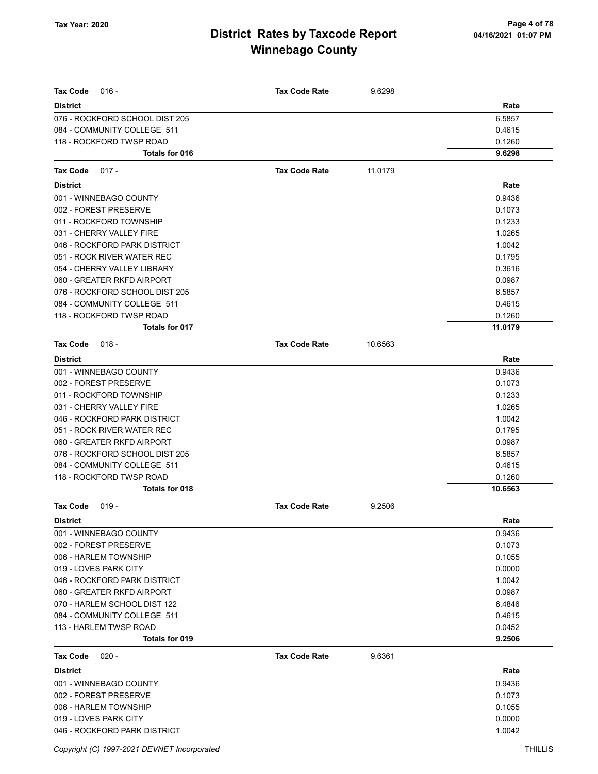| <b>Tax Code</b><br>$016 -$                        | <b>Tax Code Rate</b> | 9.6298  |                |
|---------------------------------------------------|----------------------|---------|----------------|
| <b>District</b><br>076 - ROCKFORD SCHOOL DIST 205 |                      |         | Rate<br>6.5857 |
| 084 - COMMUNITY COLLEGE 511                       |                      |         | 0.4615         |
| 118 - ROCKFORD TWSP ROAD                          |                      |         | 0.1260         |
| <b>Totals for 016</b>                             |                      |         | 9.6298         |
|                                                   |                      |         |                |
| $017 -$<br>Tax Code                               | <b>Tax Code Rate</b> | 11.0179 |                |
| <b>District</b>                                   |                      |         | Rate           |
| 001 - WINNEBAGO COUNTY                            |                      |         | 0.9436         |
| 002 - FOREST PRESERVE                             |                      |         | 0.1073         |
| 011 - ROCKFORD TOWNSHIP                           |                      |         | 0.1233         |
| 031 - CHERRY VALLEY FIRE                          |                      |         | 1.0265         |
| 046 - ROCKFORD PARK DISTRICT                      |                      |         | 1.0042         |
| 051 - ROCK RIVER WATER REC                        |                      |         | 0.1795         |
| 054 - CHERRY VALLEY LIBRARY                       |                      |         | 0.3616         |
| 060 - GREATER RKFD AIRPORT                        |                      |         | 0.0987         |
| 076 - ROCKFORD SCHOOL DIST 205                    |                      |         | 6.5857         |
| 084 - COMMUNITY COLLEGE 511                       |                      |         | 0.4615         |
| 118 - ROCKFORD TWSP ROAD                          |                      |         | 0.1260         |
| <b>Totals for 017</b>                             |                      |         | 11.0179        |
| Tax Code<br>$018 -$                               | <b>Tax Code Rate</b> | 10.6563 |                |
| <b>District</b>                                   |                      |         | Rate           |
| 001 - WINNEBAGO COUNTY                            |                      |         | 0.9436         |
| 002 - FOREST PRESERVE                             |                      |         | 0.1073         |
| 011 - ROCKFORD TOWNSHIP                           |                      |         | 0.1233         |
| 031 - CHERRY VALLEY FIRE                          |                      |         | 1.0265         |
| 046 - ROCKFORD PARK DISTRICT                      |                      |         | 1.0042         |
| 051 - ROCK RIVER WATER REC                        |                      |         | 0.1795         |
| 060 - GREATER RKFD AIRPORT                        |                      |         | 0.0987         |
| 076 - ROCKFORD SCHOOL DIST 205                    |                      |         | 6.5857         |
| 084 - COMMUNITY COLLEGE 511                       |                      |         | 0.4615         |
| 118 - ROCKFORD TWSP ROAD                          |                      |         | 0.1260         |
| Totals for 018                                    |                      |         | 10.6563        |
| Tax Code<br>$019 -$                               | <b>Tax Code Rate</b> | 9.2506  |                |
| District                                          |                      |         | Rate           |
| 001 - WINNEBAGO COUNTY                            |                      |         | 0.9436         |
| 002 - FOREST PRESERVE                             |                      |         | 0.1073         |
| 006 - HARLEM TOWNSHIP                             |                      |         | 0.1055         |
| 019 - LOVES PARK CITY                             |                      |         | 0.0000         |
| 046 - ROCKFORD PARK DISTRICT                      |                      |         | 1.0042         |
| 060 - GREATER RKFD AIRPORT                        |                      |         | 0.0987         |
| 070 - HARLEM SCHOOL DIST 122                      |                      |         | 6.4846         |
| 084 - COMMUNITY COLLEGE 511                       |                      |         | 0.4615         |
| 113 - HARLEM TWSP ROAD                            |                      |         | 0.0452         |
| <b>Totals for 019</b>                             |                      |         | 9.2506         |
| $020 -$<br>Tax Code                               | <b>Tax Code Rate</b> | 9.6361  |                |
| <b>District</b>                                   |                      |         | Rate           |
| 001 - WINNEBAGO COUNTY                            |                      |         | 0.9436         |
| 002 - FOREST PRESERVE                             |                      |         | 0.1073         |
| 006 - HARLEM TOWNSHIP                             |                      |         | 0.1055         |
| 019 - LOVES PARK CITY                             |                      |         | 0.0000         |
| 046 - ROCKFORD PARK DISTRICT                      |                      |         | 1.0042         |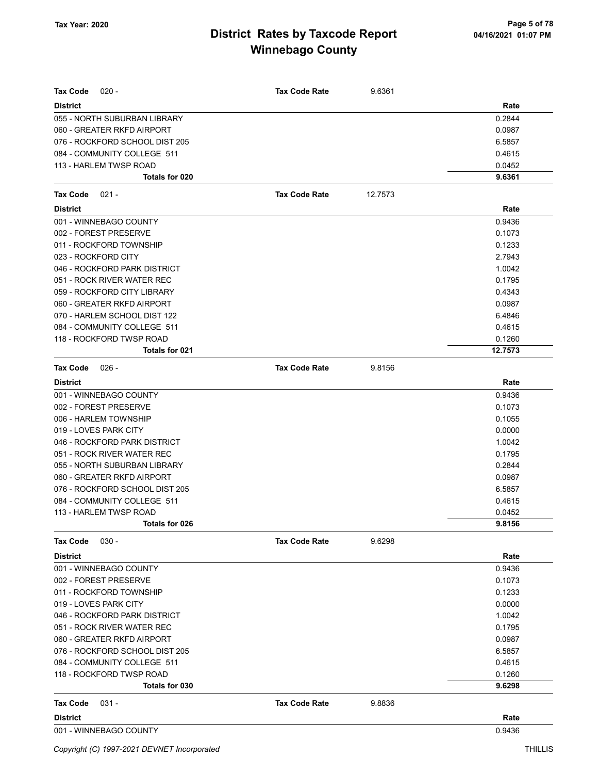| <b>Tax Code</b><br>$020 -$     | <b>Tax Code Rate</b> | 9.6361  |         |
|--------------------------------|----------------------|---------|---------|
| <b>District</b>                |                      |         | Rate    |
| 055 - NORTH SUBURBAN LIBRARY   |                      |         | 0.2844  |
| 060 - GREATER RKFD AIRPORT     |                      |         | 0.0987  |
| 076 - ROCKFORD SCHOOL DIST 205 |                      |         | 6.5857  |
| 084 - COMMUNITY COLLEGE 511    |                      |         | 0.4615  |
| 113 - HARLEM TWSP ROAD         |                      |         | 0.0452  |
| Totals for 020                 |                      |         | 9.6361  |
| <b>Tax Code</b><br>$021 -$     | <b>Tax Code Rate</b> | 12.7573 |         |
| <b>District</b>                |                      |         | Rate    |
| 001 - WINNEBAGO COUNTY         |                      |         | 0.9436  |
| 002 - FOREST PRESERVE          |                      |         | 0.1073  |
| 011 - ROCKFORD TOWNSHIP        |                      |         | 0.1233  |
| 023 - ROCKFORD CITY            |                      |         | 2.7943  |
| 046 - ROCKFORD PARK DISTRICT   |                      |         | 1.0042  |
| 051 - ROCK RIVER WATER REC     |                      |         | 0.1795  |
| 059 - ROCKFORD CITY LIBRARY    |                      |         | 0.4343  |
| 060 - GREATER RKFD AIRPORT     |                      |         | 0.0987  |
| 070 - HARLEM SCHOOL DIST 122   |                      |         | 6.4846  |
| 084 - COMMUNITY COLLEGE 511    |                      |         | 0.4615  |
| 118 - ROCKFORD TWSP ROAD       |                      |         | 0.1260  |
| <b>Totals for 021</b>          |                      |         | 12.7573 |
| <b>Tax Code</b><br>026 -       | <b>Tax Code Rate</b> | 9.8156  |         |
| <b>District</b>                |                      |         | Rate    |
| 001 - WINNEBAGO COUNTY         |                      |         | 0.9436  |
| 002 - FOREST PRESERVE          |                      |         | 0.1073  |
| 006 - HARLEM TOWNSHIP          |                      |         | 0.1055  |
| 019 - LOVES PARK CITY          |                      |         | 0.0000  |
| 046 - ROCKFORD PARK DISTRICT   |                      |         | 1.0042  |
| 051 - ROCK RIVER WATER REC     |                      |         | 0.1795  |
| 055 - NORTH SUBURBAN LIBRARY   |                      |         | 0.2844  |
| 060 - GREATER RKFD AIRPORT     |                      |         | 0.0987  |
| 076 - ROCKFORD SCHOOL DIST 205 |                      |         | 6.5857  |
| 084 - COMMUNITY COLLEGE 511    |                      |         | 0.4615  |
| 113 - HARLEM TWSP ROAD         |                      |         | 0.0452  |
| Totals for 026                 |                      |         | 9.8156  |
| $030 -$<br><b>Tax Code</b>     | <b>Tax Code Rate</b> | 9.6298  |         |
| <b>District</b>                |                      |         | Rate    |
| 001 - WINNEBAGO COUNTY         |                      |         | 0.9436  |
| 002 - FOREST PRESERVE          |                      |         | 0.1073  |
| 011 - ROCKFORD TOWNSHIP        |                      |         | 0.1233  |
| 019 - LOVES PARK CITY          |                      |         | 0.0000  |
| 046 - ROCKFORD PARK DISTRICT   |                      |         | 1.0042  |
| 051 - ROCK RIVER WATER REC     |                      |         | 0.1795  |
| 060 - GREATER RKFD AIRPORT     |                      |         | 0.0987  |
| 076 - ROCKFORD SCHOOL DIST 205 |                      |         | 6.5857  |
| 084 - COMMUNITY COLLEGE 511    |                      |         | 0.4615  |
| 118 - ROCKFORD TWSP ROAD       |                      |         | 0.1260  |
| Totals for 030                 |                      |         | 9.6298  |
| Tax Code<br>$031 -$            | <b>Tax Code Rate</b> | 9.8836  |         |
| <b>District</b>                |                      |         | Rate    |
| 001 - WINNEBAGO COUNTY         |                      |         | 0.9436  |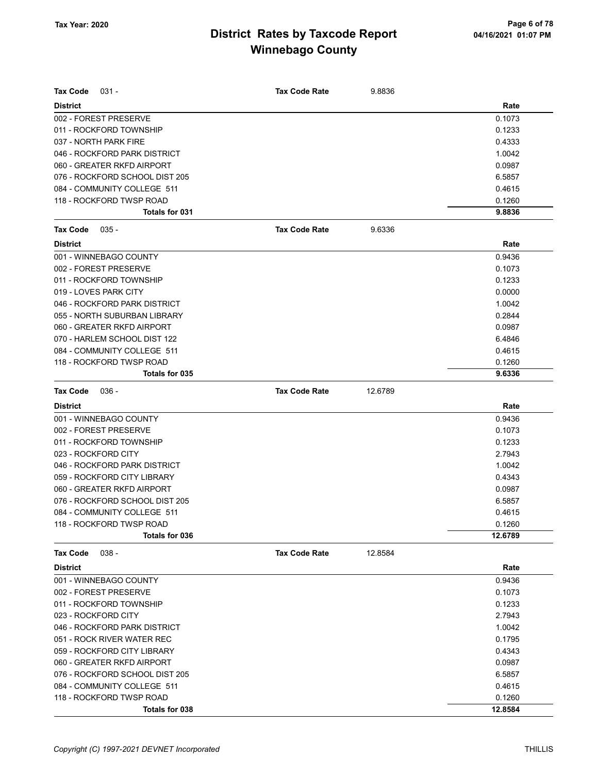| Tax Code<br>$031 -$            | <b>Tax Code Rate</b> | 9.8836  |         |
|--------------------------------|----------------------|---------|---------|
| <b>District</b>                |                      |         | Rate    |
| 002 - FOREST PRESERVE          |                      |         | 0.1073  |
| 011 - ROCKFORD TOWNSHIP        |                      |         | 0.1233  |
| 037 - NORTH PARK FIRE          |                      |         | 0.4333  |
| 046 - ROCKFORD PARK DISTRICT   |                      |         | 1.0042  |
| 060 - GREATER RKFD AIRPORT     |                      |         | 0.0987  |
| 076 - ROCKFORD SCHOOL DIST 205 |                      |         | 6.5857  |
| 084 - COMMUNITY COLLEGE 511    |                      |         | 0.4615  |
| 118 - ROCKFORD TWSP ROAD       |                      |         | 0.1260  |
| Totals for 031                 |                      |         | 9.8836  |
| Tax Code<br>$035 -$            | <b>Tax Code Rate</b> | 9.6336  |         |
| <b>District</b>                |                      |         | Rate    |
| 001 - WINNEBAGO COUNTY         |                      |         | 0.9436  |
| 002 - FOREST PRESERVE          |                      |         | 0.1073  |
| 011 - ROCKFORD TOWNSHIP        |                      |         | 0.1233  |
| 019 - LOVES PARK CITY          |                      |         | 0.0000  |
| 046 - ROCKFORD PARK DISTRICT   |                      |         | 1.0042  |
| 055 - NORTH SUBURBAN LIBRARY   |                      |         | 0.2844  |
| 060 - GREATER RKFD AIRPORT     |                      |         | 0.0987  |
| 070 - HARLEM SCHOOL DIST 122   |                      |         | 6.4846  |
| 084 - COMMUNITY COLLEGE 511    |                      |         | 0.4615  |
| 118 - ROCKFORD TWSP ROAD       |                      |         | 0.1260  |
| Totals for 035                 |                      |         | 9.6336  |
| Tax Code<br>$036 -$            | <b>Tax Code Rate</b> | 12.6789 |         |
| <b>District</b>                |                      |         | Rate    |
| 001 - WINNEBAGO COUNTY         |                      |         | 0.9436  |
| 002 - FOREST PRESERVE          |                      |         | 0.1073  |
| 011 - ROCKFORD TOWNSHIP        |                      |         | 0.1233  |
| 023 - ROCKFORD CITY            |                      |         | 2.7943  |
| 046 - ROCKFORD PARK DISTRICT   |                      |         | 1.0042  |
| 059 - ROCKFORD CITY LIBRARY    |                      |         | 0.4343  |
| 060 - GREATER RKFD AIRPORT     |                      |         | 0.0987  |
| 076 - ROCKFORD SCHOOL DIST 205 |                      |         | 6.5857  |
| 084 - COMMUNITY COLLEGE 511    |                      |         | 0.4615  |
| 118 - ROCKFORD TWSP ROAD       |                      |         | 0.1260  |
| Totals for 036                 |                      |         | 12.6789 |
| $038 -$<br><b>Tax Code</b>     | <b>Tax Code Rate</b> | 12.8584 |         |
| <b>District</b>                |                      |         | Rate    |
| 001 - WINNEBAGO COUNTY         |                      |         | 0.9436  |
| 002 - FOREST PRESERVE          |                      |         | 0.1073  |
| 011 - ROCKFORD TOWNSHIP        |                      |         | 0.1233  |
| 023 - ROCKFORD CITY            |                      |         | 2.7943  |
| 046 - ROCKFORD PARK DISTRICT   |                      |         | 1.0042  |
| 051 - ROCK RIVER WATER REC     |                      |         | 0.1795  |
| 059 - ROCKFORD CITY LIBRARY    |                      |         | 0.4343  |
| 060 - GREATER RKFD AIRPORT     |                      |         | 0.0987  |
| 076 - ROCKFORD SCHOOL DIST 205 |                      |         | 6.5857  |
| 084 - COMMUNITY COLLEGE 511    |                      |         | 0.4615  |
| 118 - ROCKFORD TWSP ROAD       |                      |         | 0.1260  |
| Totals for 038                 |                      |         | 12.8584 |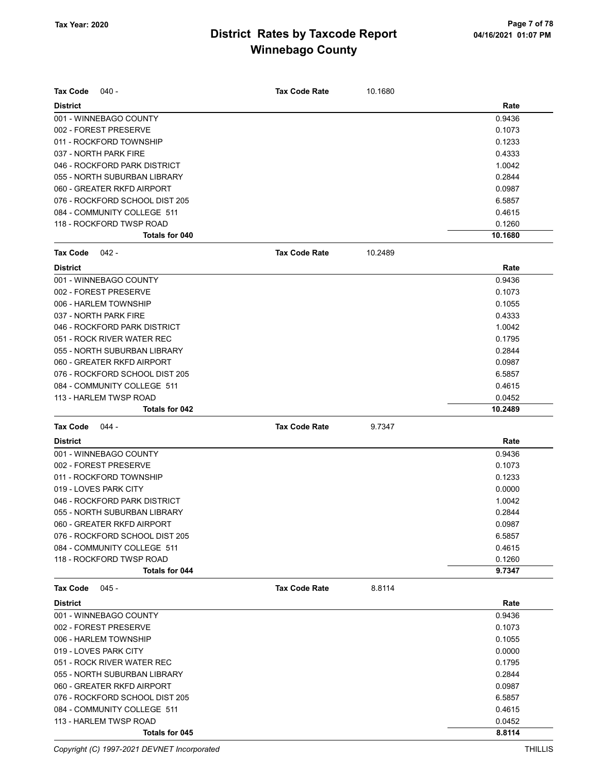| Tax Code<br>040 -                                 | <b>Tax Code Rate</b> | 10.1680 |                  |
|---------------------------------------------------|----------------------|---------|------------------|
| <b>District</b>                                   |                      |         | Rate             |
| 001 - WINNEBAGO COUNTY                            |                      |         | 0.9436           |
| 002 - FOREST PRESERVE                             |                      |         | 0.1073           |
| 011 - ROCKFORD TOWNSHIP                           |                      |         | 0.1233           |
| 037 - NORTH PARK FIRE                             |                      |         | 0.4333           |
| 046 - ROCKFORD PARK DISTRICT                      |                      |         | 1.0042           |
| 055 - NORTH SUBURBAN LIBRARY                      |                      |         | 0.2844           |
| 060 - GREATER RKFD AIRPORT                        |                      |         | 0.0987           |
| 076 - ROCKFORD SCHOOL DIST 205                    |                      |         | 6.5857           |
| 084 - COMMUNITY COLLEGE 511                       |                      |         | 0.4615           |
| 118 - ROCKFORD TWSP ROAD                          |                      |         | 0.1260           |
| Totals for 040                                    |                      |         | 10.1680          |
| <b>Tax Code</b><br>$042 -$                        | <b>Tax Code Rate</b> | 10.2489 |                  |
| <b>District</b>                                   |                      |         | Rate             |
| 001 - WINNEBAGO COUNTY                            |                      |         | 0.9436           |
| 002 - FOREST PRESERVE                             |                      |         | 0.1073           |
| 006 - HARLEM TOWNSHIP                             |                      |         | 0.1055           |
| 037 - NORTH PARK FIRE                             |                      |         | 0.4333           |
| 046 - ROCKFORD PARK DISTRICT                      |                      |         | 1.0042           |
| 051 - ROCK RIVER WATER REC                        |                      |         | 0.1795           |
| 055 - NORTH SUBURBAN LIBRARY                      |                      |         | 0.2844           |
| 060 - GREATER RKFD AIRPORT                        |                      |         | 0.0987           |
| 076 - ROCKFORD SCHOOL DIST 205                    |                      |         | 6.5857           |
| 084 - COMMUNITY COLLEGE 511                       |                      |         | 0.4615           |
| 113 - HARLEM TWSP ROAD                            |                      |         | 0.0452           |
| Totals for 042                                    |                      |         | 10.2489          |
|                                                   |                      |         |                  |
|                                                   |                      |         |                  |
| <b>Tax Code</b><br>044 -                          | <b>Tax Code Rate</b> | 9.7347  |                  |
| <b>District</b>                                   |                      |         | Rate             |
| 001 - WINNEBAGO COUNTY                            |                      |         | 0.9436           |
| 002 - FOREST PRESERVE                             |                      |         | 0.1073           |
| 011 - ROCKFORD TOWNSHIP                           |                      |         | 0.1233           |
| 019 - LOVES PARK CITY                             |                      |         | 0.0000           |
| 046 - ROCKFORD PARK DISTRICT                      |                      |         | 1.0042           |
| 055 - NORTH SUBURBAN LIBRARY                      |                      |         | 0.2844           |
| 060 - GREATER RKFD AIRPORT                        |                      |         | 0.0987           |
| 076 - ROCKFORD SCHOOL DIST 205                    |                      |         | 6.5857           |
| 084 - COMMUNITY COLLEGE 511                       |                      |         | 0.4615           |
| 118 - ROCKFORD TWSP ROAD<br><b>Totals for 044</b> |                      |         | 0.1260           |
|                                                   |                      |         | 9.7347           |
| <b>Tax Code</b><br>045 -                          | <b>Tax Code Rate</b> | 8.8114  |                  |
| <b>District</b>                                   |                      |         | Rate             |
| 001 - WINNEBAGO COUNTY                            |                      |         | 0.9436           |
| 002 - FOREST PRESERVE                             |                      |         | 0.1073           |
| 006 - HARLEM TOWNSHIP                             |                      |         | 0.1055           |
| 019 - LOVES PARK CITY                             |                      |         | 0.0000           |
| 051 - ROCK RIVER WATER REC                        |                      |         | 0.1795           |
| 055 - NORTH SUBURBAN LIBRARY                      |                      |         | 0.2844           |
| 060 - GREATER RKFD AIRPORT                        |                      |         | 0.0987           |
| 076 - ROCKFORD SCHOOL DIST 205                    |                      |         | 6.5857           |
| 084 - COMMUNITY COLLEGE 511                       |                      |         | 0.4615           |
| 113 - HARLEM TWSP ROAD<br><b>Totals for 045</b>   |                      |         | 0.0452<br>8.8114 |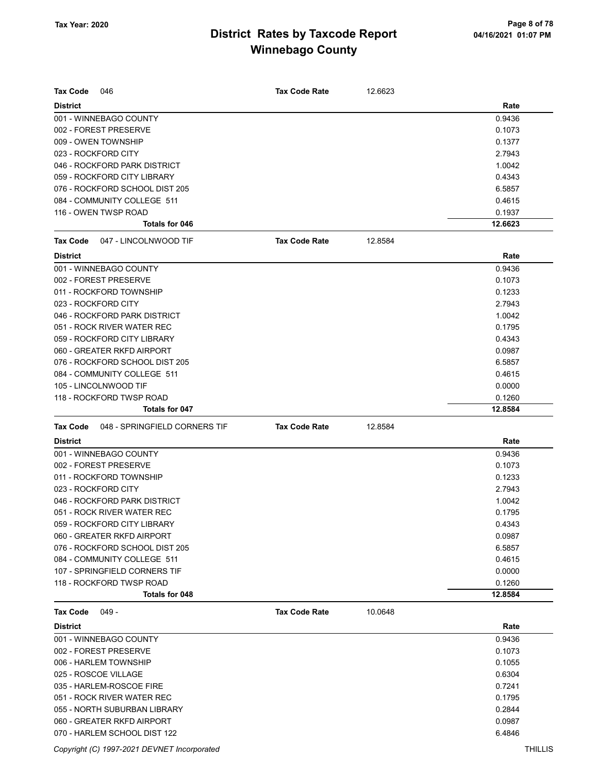| <b>Tax Code</b><br>046                           | <b>Tax Code Rate</b> | 12.6623 |         |
|--------------------------------------------------|----------------------|---------|---------|
| <b>District</b>                                  |                      |         | Rate    |
| 001 - WINNEBAGO COUNTY                           |                      |         | 0.9436  |
| 002 - FOREST PRESERVE                            |                      |         | 0.1073  |
| 009 - OWEN TOWNSHIP                              |                      |         | 0.1377  |
| 023 - ROCKFORD CITY                              |                      |         | 2.7943  |
| 046 - ROCKFORD PARK DISTRICT                     |                      |         | 1.0042  |
| 059 - ROCKFORD CITY LIBRARY                      |                      |         | 0.4343  |
| 076 - ROCKFORD SCHOOL DIST 205                   |                      |         | 6.5857  |
| 084 - COMMUNITY COLLEGE 511                      |                      |         | 0.4615  |
| 116 - OWEN TWSP ROAD                             |                      |         | 0.1937  |
| <b>Totals for 046</b>                            |                      |         | 12.6623 |
| <b>Tax Code</b><br>047 - LINCOLNWOOD TIF         | <b>Tax Code Rate</b> | 12.8584 |         |
| <b>District</b>                                  |                      |         | Rate    |
| 001 - WINNEBAGO COUNTY                           |                      |         | 0.9436  |
| 002 - FOREST PRESERVE                            |                      |         | 0.1073  |
| 011 - ROCKFORD TOWNSHIP                          |                      |         | 0.1233  |
| 023 - ROCKFORD CITY                              |                      |         | 2.7943  |
| 046 - ROCKFORD PARK DISTRICT                     |                      |         | 1.0042  |
| 051 - ROCK RIVER WATER REC                       |                      |         | 0.1795  |
| 059 - ROCKFORD CITY LIBRARY                      |                      |         | 0.4343  |
| 060 - GREATER RKFD AIRPORT                       |                      |         | 0.0987  |
| 076 - ROCKFORD SCHOOL DIST 205                   |                      |         | 6.5857  |
| 084 - COMMUNITY COLLEGE 511                      |                      |         | 0.4615  |
| 105 - LINCOLNWOOD TIF                            |                      |         | 0.0000  |
| 118 - ROCKFORD TWSP ROAD                         |                      |         | 0.1260  |
| Totals for 047                                   |                      |         | 12.8584 |
| <b>Tax Code</b><br>048 - SPRINGFIELD CORNERS TIF | <b>Tax Code Rate</b> | 12.8584 |         |
| <b>District</b>                                  |                      |         | Rate    |
| 001 - WINNEBAGO COUNTY                           |                      |         | 0.9436  |
| 002 - FOREST PRESERVE                            |                      |         | 0.1073  |
| 011 - ROCKFORD TOWNSHIP                          |                      |         | 0.1233  |
| 023 - ROCKFORD CITY                              |                      |         | 2.7943  |
| 046 - ROCKFORD PARK DISTRICT                     |                      |         | 1.0042  |
| 051 - ROCK RIVER WATER REC                       |                      |         | 0.1795  |
| 059 - ROCKFORD CITY LIBRARY                      |                      |         | 0.4343  |
| 060 - GREATER RKFD AIRPORT                       |                      |         | 0.0987  |
| 076 - ROCKFORD SCHOOL DIST 205                   |                      |         | 6.5857  |
| 084 - COMMUNITY COLLEGE 511                      |                      |         | 0.4615  |
| 107 - SPRINGFIELD CORNERS TIF                    |                      |         | 0.0000  |
| 118 - ROCKFORD TWSP ROAD                         |                      |         | 0.1260  |
| Totals for 048                                   |                      |         | 12.8584 |
| $049 -$<br><b>Tax Code</b>                       | <b>Tax Code Rate</b> | 10.0648 |         |
| <b>District</b>                                  |                      |         | Rate    |
| 001 - WINNEBAGO COUNTY                           |                      |         | 0.9436  |
| 002 - FOREST PRESERVE                            |                      |         | 0.1073  |
| 006 - HARLEM TOWNSHIP                            |                      |         | 0.1055  |
| 025 - ROSCOE VILLAGE                             |                      |         | 0.6304  |
| 035 - HARLEM-ROSCOE FIRE                         |                      |         | 0.7241  |
|                                                  |                      |         |         |
| 051 - ROCK RIVER WATER REC                       |                      |         | 0.1795  |
| 055 - NORTH SUBURBAN LIBRARY                     |                      |         | 0.2844  |
| 060 - GREATER RKFD AIRPORT                       |                      |         | 0.0987  |
| 070 - HARLEM SCHOOL DIST 122                     |                      |         | 6.4846  |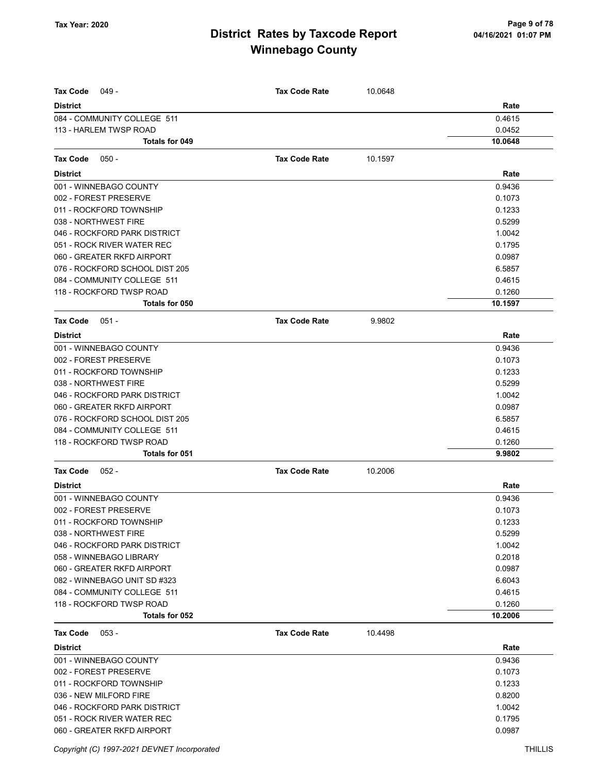| <b>Tax Code</b><br>049 -                                | <b>Tax Code Rate</b> | 10.0648 |                   |
|---------------------------------------------------------|----------------------|---------|-------------------|
| <b>District</b>                                         |                      |         | Rate              |
| 084 - COMMUNITY COLLEGE 511                             |                      |         | 0.4615            |
| 113 - HARLEM TWSP ROAD                                  |                      |         | 0.0452            |
| Totals for 049                                          |                      |         | 10.0648           |
| <b>Tax Code</b><br>$050 -$                              | <b>Tax Code Rate</b> | 10.1597 |                   |
| <b>District</b>                                         |                      |         | Rate              |
| 001 - WINNEBAGO COUNTY                                  |                      |         | 0.9436            |
| 002 - FOREST PRESERVE                                   |                      |         | 0.1073            |
| 011 - ROCKFORD TOWNSHIP                                 |                      |         | 0.1233            |
| 038 - NORTHWEST FIRE                                    |                      |         | 0.5299            |
|                                                         |                      |         |                   |
| 046 - ROCKFORD PARK DISTRICT                            |                      |         | 1.0042            |
| 051 - ROCK RIVER WATER REC                              |                      |         | 0.1795            |
| 060 - GREATER RKFD AIRPORT                              |                      |         | 0.0987            |
| 076 - ROCKFORD SCHOOL DIST 205                          |                      |         | 6.5857            |
| 084 - COMMUNITY COLLEGE 511<br>118 - ROCKFORD TWSP ROAD |                      |         | 0.4615            |
| Totals for 050                                          |                      |         | 0.1260<br>10.1597 |
|                                                         |                      |         |                   |
| <b>Tax Code</b><br>$051 -$                              | <b>Tax Code Rate</b> | 9.9802  |                   |
| <b>District</b>                                         |                      |         | Rate              |
| 001 - WINNEBAGO COUNTY                                  |                      |         | 0.9436            |
| 002 - FOREST PRESERVE                                   |                      |         | 0.1073            |
| 011 - ROCKFORD TOWNSHIP                                 |                      |         | 0.1233            |
| 038 - NORTHWEST FIRE                                    |                      |         | 0.5299            |
| 046 - ROCKFORD PARK DISTRICT                            |                      |         | 1.0042            |
| 060 - GREATER RKFD AIRPORT                              |                      |         | 0.0987            |
| 076 - ROCKFORD SCHOOL DIST 205                          |                      |         | 6.5857            |
| 084 - COMMUNITY COLLEGE 511                             |                      |         | 0.4615            |
| 118 - ROCKFORD TWSP ROAD                                |                      |         | 0.1260            |
| Totals for 051                                          |                      |         | 9.9802            |
| <b>Tax Code</b><br>$052 -$                              | <b>Tax Code Rate</b> | 10.2006 |                   |
| <b>District</b>                                         |                      |         | Rate              |
| 001 - WINNEBAGO COUNTY                                  |                      |         | 0.9436            |
| 002 - FOREST PRESERVE                                   |                      |         | 0.1073            |
| 011 - ROCKFORD TOWNSHIP                                 |                      |         | 0.1233            |
| 038 - NORTHWEST FIRE                                    |                      |         | 0.5299            |
| 046 - ROCKFORD PARK DISTRICT                            |                      |         | 1.0042            |
| 058 - WINNEBAGO LIBRARY                                 |                      |         | 0.2018            |
| 060 - GREATER RKFD AIRPORT                              |                      |         | 0.0987            |
| 082 - WINNEBAGO UNIT SD #323                            |                      |         | 6.6043            |
| 084 - COMMUNITY COLLEGE 511                             |                      |         | 0.4615            |
| 118 - ROCKFORD TWSP ROAD                                |                      |         | 0.1260            |
| Totals for 052                                          |                      |         | 10.2006           |
| <b>Tax Code</b><br>$053 -$                              | <b>Tax Code Rate</b> | 10.4498 |                   |
| <b>District</b>                                         |                      |         | Rate              |
| 001 - WINNEBAGO COUNTY                                  |                      |         | 0.9436            |
| 002 - FOREST PRESERVE                                   |                      |         | 0.1073            |
| 011 - ROCKFORD TOWNSHIP                                 |                      |         | 0.1233            |
| 036 - NEW MILFORD FIRE                                  |                      |         | 0.8200            |
| 046 - ROCKFORD PARK DISTRICT                            |                      |         | 1.0042            |
| 051 - ROCK RIVER WATER REC                              |                      |         | 0.1795            |
| 060 - GREATER RKFD AIRPORT                              |                      |         | 0.0987            |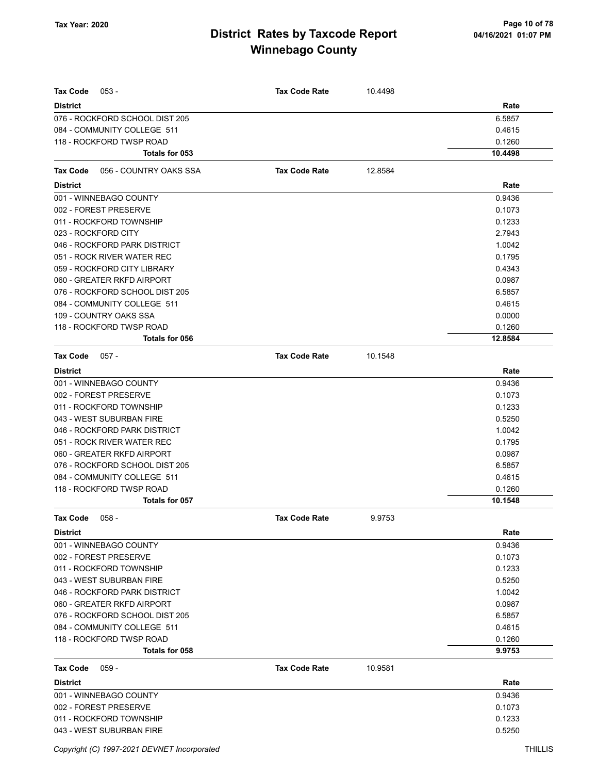| Tax Code<br>$053 -$                                           | <b>Tax Code Rate</b> | 10.4498 |                  |
|---------------------------------------------------------------|----------------------|---------|------------------|
|                                                               |                      |         |                  |
| <b>District</b>                                               |                      |         | Rate             |
| 076 - ROCKFORD SCHOOL DIST 205<br>084 - COMMUNITY COLLEGE 511 |                      |         | 6.5857<br>0.4615 |
| 118 - ROCKFORD TWSP ROAD                                      |                      |         | 0.1260           |
| Totals for 053                                                |                      |         | 10.4498          |
| 056 - COUNTRY OAKS SSA<br><b>Tax Code</b>                     | <b>Tax Code Rate</b> | 12.8584 |                  |
|                                                               |                      |         |                  |
| <b>District</b>                                               |                      |         | Rate             |
| 001 - WINNEBAGO COUNTY                                        |                      |         | 0.9436           |
| 002 - FOREST PRESERVE                                         |                      |         | 0.1073           |
| 011 - ROCKFORD TOWNSHIP<br>023 - ROCKFORD CITY                |                      |         | 0.1233<br>2.7943 |
| 046 - ROCKFORD PARK DISTRICT                                  |                      |         | 1.0042           |
| 051 - ROCK RIVER WATER REC                                    |                      |         | 0.1795           |
| 059 - ROCKFORD CITY LIBRARY                                   |                      |         | 0.4343           |
| 060 - GREATER RKFD AIRPORT                                    |                      |         | 0.0987           |
| 076 - ROCKFORD SCHOOL DIST 205                                |                      |         | 6.5857           |
| 084 - COMMUNITY COLLEGE 511                                   |                      |         | 0.4615           |
| 109 - COUNTRY OAKS SSA                                        |                      |         | 0.0000           |
| 118 - ROCKFORD TWSP ROAD                                      |                      |         | 0.1260           |
| Totals for 056                                                |                      |         | 12.8584          |
| <b>Tax Code</b><br>$057 -$                                    | <b>Tax Code Rate</b> | 10.1548 |                  |
| <b>District</b>                                               |                      |         | Rate             |
| 001 - WINNEBAGO COUNTY                                        |                      |         | 0.9436           |
| 002 - FOREST PRESERVE                                         |                      |         | 0.1073           |
| 011 - ROCKFORD TOWNSHIP                                       |                      |         | 0.1233           |
| 043 - WEST SUBURBAN FIRE                                      |                      |         | 0.5250           |
| 046 - ROCKFORD PARK DISTRICT                                  |                      |         | 1.0042           |
| 051 - ROCK RIVER WATER REC                                    |                      |         | 0.1795           |
| 060 - GREATER RKFD AIRPORT                                    |                      |         | 0.0987           |
| 076 - ROCKFORD SCHOOL DIST 205                                |                      |         | 6.5857           |
| 084 - COMMUNITY COLLEGE 511                                   |                      |         | 0.4615           |
| 118 - ROCKFORD TWSP ROAD                                      |                      |         | 0.1260           |
| Totals for 057                                                |                      |         | 10.1548          |
| Tax Code 058 -                                                | <b>Tax Code Rate</b> | 9.9753  |                  |
| <b>District</b>                                               |                      |         | Rate             |
| 001 - WINNEBAGO COUNTY                                        |                      |         | 0.9436           |
| 002 - FOREST PRESERVE                                         |                      |         | 0.1073           |
| 011 - ROCKFORD TOWNSHIP                                       |                      |         | 0.1233           |
| 043 - WEST SUBURBAN FIRE                                      |                      |         | 0.5250           |
| 046 - ROCKFORD PARK DISTRICT                                  |                      |         | 1.0042           |
| 060 - GREATER RKFD AIRPORT                                    |                      |         | 0.0987           |
| 076 - ROCKFORD SCHOOL DIST 205                                |                      |         | 6.5857           |
| 084 - COMMUNITY COLLEGE 511                                   |                      |         | 0.4615           |
| 118 - ROCKFORD TWSP ROAD                                      |                      |         | 0.1260           |
| Totals for 058                                                |                      |         | 9.9753           |
| Tax Code<br>$059 -$                                           | <b>Tax Code Rate</b> | 10.9581 |                  |
| <b>District</b>                                               |                      |         | Rate             |
| 001 - WINNEBAGO COUNTY                                        |                      |         | 0.9436           |
| 002 - FOREST PRESERVE                                         |                      |         | 0.1073           |
| 011 - ROCKFORD TOWNSHIP                                       |                      |         | 0.1233           |
| 043 - WEST SUBURBAN FIRE                                      |                      |         | 0.5250           |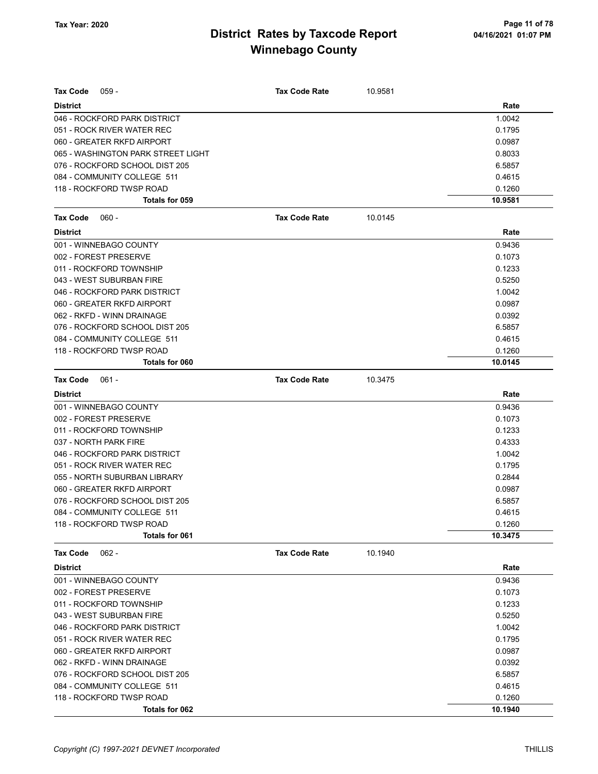| Tax Code<br>$059 -$                | <b>Tax Code Rate</b> | 10.9581 |         |
|------------------------------------|----------------------|---------|---------|
| <b>District</b>                    |                      |         | Rate    |
| 046 - ROCKFORD PARK DISTRICT       |                      |         | 1.0042  |
| 051 - ROCK RIVER WATER REC         |                      |         | 0.1795  |
| 060 - GREATER RKFD AIRPORT         |                      |         | 0.0987  |
| 065 - WASHINGTON PARK STREET LIGHT |                      |         | 0.8033  |
| 076 - ROCKFORD SCHOOL DIST 205     |                      |         | 6.5857  |
| 084 - COMMUNITY COLLEGE 511        |                      |         | 0.4615  |
| 118 - ROCKFORD TWSP ROAD           |                      |         | 0.1260  |
| Totals for 059                     |                      |         | 10.9581 |
| <b>Tax Code</b><br>$060 -$         | <b>Tax Code Rate</b> | 10.0145 |         |
| <b>District</b>                    |                      |         | Rate    |
| 001 - WINNEBAGO COUNTY             |                      |         | 0.9436  |
| 002 - FOREST PRESERVE              |                      |         | 0.1073  |
| 011 - ROCKFORD TOWNSHIP            |                      |         | 0.1233  |
| 043 - WEST SUBURBAN FIRE           |                      |         | 0.5250  |
| 046 - ROCKFORD PARK DISTRICT       |                      |         | 1.0042  |
| 060 - GREATER RKFD AIRPORT         |                      |         | 0.0987  |
| 062 - RKFD - WINN DRAINAGE         |                      |         | 0.0392  |
| 076 - ROCKFORD SCHOOL DIST 205     |                      |         | 6.5857  |
| 084 - COMMUNITY COLLEGE 511        |                      |         | 0.4615  |
| 118 - ROCKFORD TWSP ROAD           |                      |         | 0.1260  |
| Totals for 060                     |                      |         | 10.0145 |
| <b>Tax Code</b><br>$061 -$         | <b>Tax Code Rate</b> | 10.3475 |         |
| <b>District</b>                    |                      |         | Rate    |
| 001 - WINNEBAGO COUNTY             |                      |         | 0.9436  |
| 002 - FOREST PRESERVE              |                      |         | 0.1073  |
| 011 - ROCKFORD TOWNSHIP            |                      |         | 0.1233  |
| 037 - NORTH PARK FIRE              |                      |         | 0.4333  |
| 046 - ROCKFORD PARK DISTRICT       |                      |         | 1.0042  |
| 051 - ROCK RIVER WATER REC         |                      |         | 0.1795  |
| 055 - NORTH SUBURBAN LIBRARY       |                      |         | 0.2844  |
| 060 - GREATER RKFD AIRPORT         |                      |         | 0.0987  |
| 076 - ROCKFORD SCHOOL DIST 205     |                      |         | 6.5857  |
| 084 - COMMUNITY COLLEGE 511        |                      |         | 0.4615  |
| 118 - ROCKFORD TWSP ROAD           |                      |         | 0.1260  |
| <b>Totals for 061</b>              |                      |         | 10.3475 |
| $062 -$<br>Tax Code                | <b>Tax Code Rate</b> | 10.1940 |         |
| <b>District</b>                    |                      |         | Rate    |
| 001 - WINNEBAGO COUNTY             |                      |         | 0.9436  |
| 002 - FOREST PRESERVE              |                      |         | 0.1073  |
| 011 - ROCKFORD TOWNSHIP            |                      |         | 0.1233  |
| 043 - WEST SUBURBAN FIRE           |                      |         | 0.5250  |
| 046 - ROCKFORD PARK DISTRICT       |                      |         | 1.0042  |
| 051 - ROCK RIVER WATER REC         |                      |         | 0.1795  |
| 060 - GREATER RKFD AIRPORT         |                      |         | 0.0987  |
| 062 - RKFD - WINN DRAINAGE         |                      |         | 0.0392  |
| 076 - ROCKFORD SCHOOL DIST 205     |                      |         | 6.5857  |
| 084 - COMMUNITY COLLEGE 511        |                      |         | 0.4615  |
| 118 - ROCKFORD TWSP ROAD           |                      |         | 0.1260  |
| Totals for 062                     |                      |         | 10.1940 |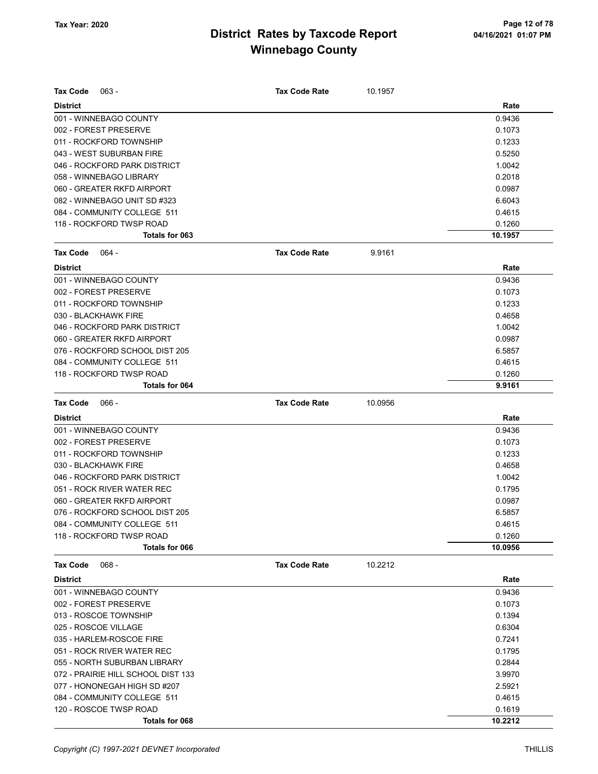| <b>Tax Code</b><br>$063 -$         | <b>Tax Code Rate</b> | 10.1957 |         |
|------------------------------------|----------------------|---------|---------|
| <b>District</b>                    |                      |         | Rate    |
| 001 - WINNEBAGO COUNTY             |                      |         | 0.9436  |
| 002 - FOREST PRESERVE              |                      |         | 0.1073  |
| 011 - ROCKFORD TOWNSHIP            |                      |         | 0.1233  |
| 043 - WEST SUBURBAN FIRE           |                      |         | 0.5250  |
| 046 - ROCKFORD PARK DISTRICT       |                      |         | 1.0042  |
| 058 - WINNEBAGO LIBRARY            |                      |         | 0.2018  |
| 060 - GREATER RKFD AIRPORT         |                      |         | 0.0987  |
| 082 - WINNEBAGO UNIT SD #323       |                      |         | 6.6043  |
| 084 - COMMUNITY COLLEGE 511        |                      |         | 0.4615  |
| 118 - ROCKFORD TWSP ROAD           |                      |         | 0.1260  |
| Totals for 063                     |                      |         | 10.1957 |
| <b>Tax Code</b><br>064 -           | <b>Tax Code Rate</b> | 9.9161  |         |
| <b>District</b>                    |                      |         | Rate    |
| 001 - WINNEBAGO COUNTY             |                      |         | 0.9436  |
| 002 - FOREST PRESERVE              |                      |         | 0.1073  |
| 011 - ROCKFORD TOWNSHIP            |                      |         | 0.1233  |
| 030 - BLACKHAWK FIRE               |                      |         | 0.4658  |
| 046 - ROCKFORD PARK DISTRICT       |                      |         | 1.0042  |
| 060 - GREATER RKFD AIRPORT         |                      |         | 0.0987  |
| 076 - ROCKFORD SCHOOL DIST 205     |                      |         | 6.5857  |
| 084 - COMMUNITY COLLEGE 511        |                      |         | 0.4615  |
| 118 - ROCKFORD TWSP ROAD           |                      |         | 0.1260  |
| <b>Totals for 064</b>              |                      |         | 9.9161  |
| $066 -$<br><b>Tax Code</b>         | <b>Tax Code Rate</b> | 10.0956 |         |
| <b>District</b>                    |                      |         | Rate    |
| 001 - WINNEBAGO COUNTY             |                      |         | 0.9436  |
| 002 - FOREST PRESERVE              |                      |         | 0.1073  |
| 011 - ROCKFORD TOWNSHIP            |                      |         | 0.1233  |
| 030 - BLACKHAWK FIRE               |                      |         | 0.4658  |
| 046 - ROCKFORD PARK DISTRICT       |                      |         | 1.0042  |
| 051 - ROCK RIVER WATER REC         |                      |         | 0.1795  |
| 060 - GREATER RKFD AIRPORT         |                      |         | 0.0987  |
| 076 - ROCKFORD SCHOOL DIST 205     |                      |         | 6.5857  |
| 084 - COMMUNITY COLLEGE 511        |                      |         | 0.4615  |
| 118 - ROCKFORD TWSP ROAD           |                      |         | 0.1260  |
| Totals for 066                     |                      |         | 10.0956 |
| <b>Tax Code</b><br>$068 -$         | <b>Tax Code Rate</b> | 10.2212 |         |
| <b>District</b>                    |                      |         | Rate    |
| 001 - WINNEBAGO COUNTY             |                      |         | 0.9436  |
| 002 - FOREST PRESERVE              |                      |         | 0.1073  |
| 013 - ROSCOE TOWNSHIP              |                      |         | 0.1394  |
| 025 - ROSCOE VILLAGE               |                      |         | 0.6304  |
| 035 - HARLEM-ROSCOE FIRE           |                      |         | 0.7241  |
| 051 - ROCK RIVER WATER REC         |                      |         | 0.1795  |
| 055 - NORTH SUBURBAN LIBRARY       |                      |         | 0.2844  |
| 072 - PRAIRIE HILL SCHOOL DIST 133 |                      |         | 3.9970  |
| 077 - HONONEGAH HIGH SD #207       |                      |         | 2.5921  |
| 084 - COMMUNITY COLLEGE 511        |                      |         | 0.4615  |
| 120 - ROSCOE TWSP ROAD             |                      |         | 0.1619  |
| Totals for 068                     |                      |         | 10.2212 |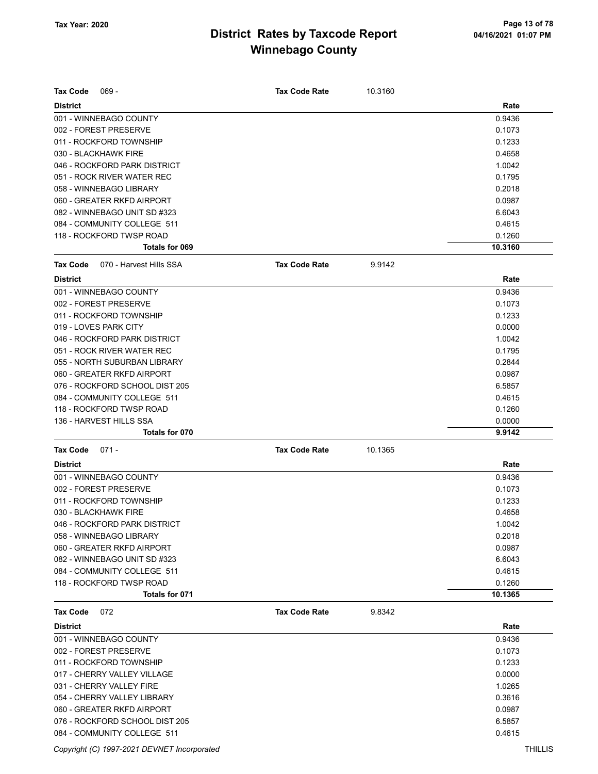| <b>Tax Code</b><br>$069 -$                 | <b>Tax Code Rate</b> | 10.3160 |         |
|--------------------------------------------|----------------------|---------|---------|
| <b>District</b>                            |                      |         | Rate    |
| 001 - WINNEBAGO COUNTY                     |                      |         | 0.9436  |
| 002 - FOREST PRESERVE                      |                      |         | 0.1073  |
| 011 - ROCKFORD TOWNSHIP                    |                      |         | 0.1233  |
| 030 - BLACKHAWK FIRE                       |                      |         | 0.4658  |
| 046 - ROCKFORD PARK DISTRICT               |                      |         | 1.0042  |
| 051 - ROCK RIVER WATER REC                 |                      |         | 0.1795  |
| 058 - WINNEBAGO LIBRARY                    |                      |         | 0.2018  |
| 060 - GREATER RKFD AIRPORT                 |                      |         | 0.0987  |
| 082 - WINNEBAGO UNIT SD #323               |                      |         | 6.6043  |
| 084 - COMMUNITY COLLEGE 511                |                      |         | 0.4615  |
| 118 - ROCKFORD TWSP ROAD                   |                      |         | 0.1260  |
| Totals for 069                             |                      |         | 10.3160 |
| <b>Tax Code</b><br>070 - Harvest Hills SSA | <b>Tax Code Rate</b> | 9.9142  |         |
| <b>District</b>                            |                      |         | Rate    |
| 001 - WINNEBAGO COUNTY                     |                      |         | 0.9436  |
| 002 - FOREST PRESERVE                      |                      |         | 0.1073  |
| 011 - ROCKFORD TOWNSHIP                    |                      |         | 0.1233  |
| 019 - LOVES PARK CITY                      |                      |         | 0.0000  |
| 046 - ROCKFORD PARK DISTRICT               |                      |         | 1.0042  |
| 051 - ROCK RIVER WATER REC                 |                      |         | 0.1795  |
| 055 - NORTH SUBURBAN LIBRARY               |                      |         | 0.2844  |
| 060 - GREATER RKFD AIRPORT                 |                      |         | 0.0987  |
| 076 - ROCKFORD SCHOOL DIST 205             |                      |         | 6.5857  |
| 084 - COMMUNITY COLLEGE 511                |                      |         | 0.4615  |
| 118 - ROCKFORD TWSP ROAD                   |                      |         | 0.1260  |
| 136 - HARVEST HILLS SSA                    |                      |         | 0.0000  |
| <b>Totals for 070</b>                      |                      |         | 9.9142  |
| <b>Tax Code</b><br>$071 -$                 | <b>Tax Code Rate</b> | 10.1365 |         |
| <b>District</b>                            |                      |         | Rate    |
| 001 - WINNEBAGO COUNTY                     |                      |         | 0.9436  |
| 002 - FOREST PRESERVE                      |                      |         | 0.1073  |
| 011 - ROCKFORD TOWNSHIP                    |                      |         | 0.1233  |
| 030 - BLACKHAWK FIRE                       |                      |         | 0.4658  |
| 046 - ROCKFORD PARK DISTRICT               |                      |         | 1.0042  |
| 058 - WINNEBAGO LIBRARY                    |                      |         | 0.2018  |
| 060 - GREATER RKFD AIRPORT                 |                      |         | 0.0987  |
| 082 - WINNEBAGO UNIT SD #323               |                      |         | 6.6043  |
| 084 - COMMUNITY COLLEGE 511                |                      |         | 0.4615  |
| 118 - ROCKFORD TWSP ROAD                   |                      |         | 0.1260  |
| Totals for 071                             |                      |         | 10.1365 |
| <b>Tax Code</b><br>072                     | <b>Tax Code Rate</b> | 9.8342  |         |
| <b>District</b>                            |                      |         | Rate    |
| 001 - WINNEBAGO COUNTY                     |                      |         | 0.9436  |
| 002 - FOREST PRESERVE                      |                      |         | 0.1073  |
| 011 - ROCKFORD TOWNSHIP                    |                      |         | 0.1233  |
| 017 - CHERRY VALLEY VILLAGE                |                      |         | 0.0000  |
| 031 - CHERRY VALLEY FIRE                   |                      |         | 1.0265  |
| 054 - CHERRY VALLEY LIBRARY                |                      |         | 0.3616  |
| 060 - GREATER RKFD AIRPORT                 |                      |         | 0.0987  |
| 076 - ROCKFORD SCHOOL DIST 205             |                      |         | 6.5857  |
| 084 - COMMUNITY COLLEGE 511                |                      |         | 0.4615  |

Copyright (C) 1997-2021 DEVNET Incorporated THILLIS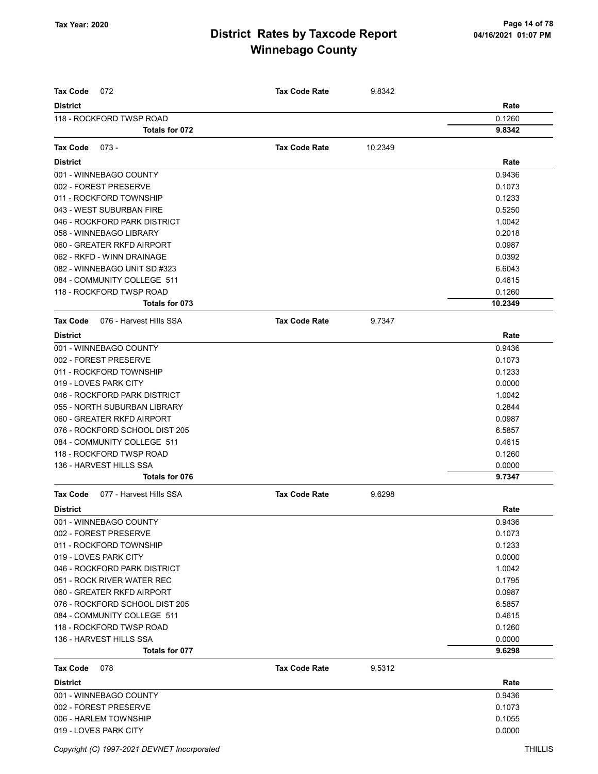| <b>Tax Code</b><br>072                     | <b>Tax Code Rate</b> | 9.8342  |         |
|--------------------------------------------|----------------------|---------|---------|
| <b>District</b>                            |                      |         | Rate    |
| 118 - ROCKFORD TWSP ROAD                   |                      |         | 0.1260  |
| Totals for 072                             |                      |         | 9.8342  |
| <b>Tax Code</b><br>$073 -$                 | <b>Tax Code Rate</b> |         |         |
|                                            |                      | 10.2349 |         |
| <b>District</b>                            |                      |         | Rate    |
| 001 - WINNEBAGO COUNTY                     |                      |         | 0.9436  |
| 002 - FOREST PRESERVE                      |                      |         | 0.1073  |
| 011 - ROCKFORD TOWNSHIP                    |                      |         | 0.1233  |
| 043 - WEST SUBURBAN FIRE                   |                      |         | 0.5250  |
| 046 - ROCKFORD PARK DISTRICT               |                      |         | 1.0042  |
| 058 - WINNEBAGO LIBRARY                    |                      |         | 0.2018  |
| 060 - GREATER RKFD AIRPORT                 |                      |         | 0.0987  |
| 062 - RKFD - WINN DRAINAGE                 |                      |         | 0.0392  |
| 082 - WINNEBAGO UNIT SD #323               |                      |         | 6.6043  |
| 084 - COMMUNITY COLLEGE 511                |                      |         | 0.4615  |
| 118 - ROCKFORD TWSP ROAD                   |                      |         | 0.1260  |
| Totals for 073                             |                      |         | 10.2349 |
| 076 - Harvest Hills SSA<br><b>Tax Code</b> | <b>Tax Code Rate</b> | 9.7347  |         |
| <b>District</b>                            |                      |         | Rate    |
| 001 - WINNEBAGO COUNTY                     |                      |         | 0.9436  |
| 002 - FOREST PRESERVE                      |                      |         | 0.1073  |
| 011 - ROCKFORD TOWNSHIP                    |                      |         | 0.1233  |
| 019 - LOVES PARK CITY                      |                      |         | 0.0000  |
| 046 - ROCKFORD PARK DISTRICT               |                      |         | 1.0042  |
| 055 - NORTH SUBURBAN LIBRARY               |                      |         | 0.2844  |
| 060 - GREATER RKFD AIRPORT                 |                      |         | 0.0987  |
| 076 - ROCKFORD SCHOOL DIST 205             |                      |         | 6.5857  |
| 084 - COMMUNITY COLLEGE 511                |                      |         | 0.4615  |
| 118 - ROCKFORD TWSP ROAD                   |                      |         | 0.1260  |
| 136 - HARVEST HILLS SSA                    |                      |         | 0.0000  |
| Totals for 076                             |                      |         | 9.7347  |
| 077 - Harvest Hills SSA<br>Tax Code        | <b>Tax Code Rate</b> | 9.6298  |         |
| <b>District</b>                            |                      |         | Rate    |
| 001 - WINNEBAGO COUNTY                     |                      |         | 0.9436  |
| 002 - FOREST PRESERVE                      |                      |         | 0.1073  |
| 011 - ROCKFORD TOWNSHIP                    |                      |         | 0.1233  |
| 019 - LOVES PARK CITY                      |                      |         | 0.0000  |
| 046 - ROCKFORD PARK DISTRICT               |                      |         | 1.0042  |
| 051 - ROCK RIVER WATER REC                 |                      |         | 0.1795  |
| 060 - GREATER RKFD AIRPORT                 |                      |         | 0.0987  |
| 076 - ROCKFORD SCHOOL DIST 205             |                      |         | 6.5857  |
| 084 - COMMUNITY COLLEGE 511                |                      |         | 0.4615  |
| 118 - ROCKFORD TWSP ROAD                   |                      |         | 0.1260  |
| 136 - HARVEST HILLS SSA                    |                      |         | 0.0000  |
| Totals for 077                             |                      |         | 9.6298  |
| Tax Code<br>078                            | <b>Tax Code Rate</b> | 9.5312  |         |
| <b>District</b>                            |                      |         | Rate    |
| 001 - WINNEBAGO COUNTY                     |                      |         | 0.9436  |
| 002 - FOREST PRESERVE                      |                      |         | 0.1073  |
| 006 - HARLEM TOWNSHIP                      |                      |         | 0.1055  |
| 019 - LOVES PARK CITY                      |                      |         | 0.0000  |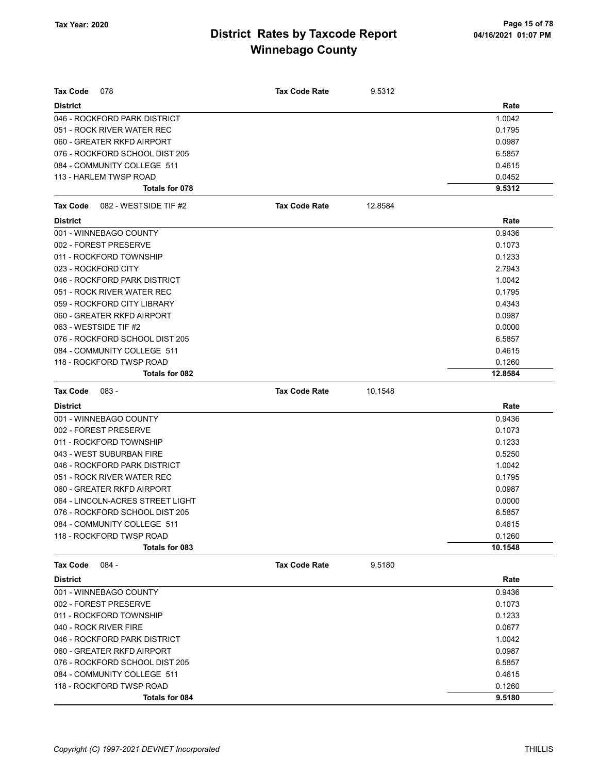| <b>Tax Code</b><br>078            | <b>Tax Code Rate</b> | 9.5312  |         |
|-----------------------------------|----------------------|---------|---------|
| <b>District</b>                   |                      |         | Rate    |
| 046 - ROCKFORD PARK DISTRICT      |                      |         | 1.0042  |
| 051 - ROCK RIVER WATER REC        |                      |         | 0.1795  |
| 060 - GREATER RKFD AIRPORT        |                      |         | 0.0987  |
| 076 - ROCKFORD SCHOOL DIST 205    |                      |         | 6.5857  |
| 084 - COMMUNITY COLLEGE 511       |                      |         | 0.4615  |
| 113 - HARLEM TWSP ROAD            |                      |         | 0.0452  |
| Totals for 078                    |                      |         | 9.5312  |
| Tax Code<br>082 - WESTSIDE TIF #2 | <b>Tax Code Rate</b> | 12.8584 |         |
| <b>District</b>                   |                      |         | Rate    |
| 001 - WINNEBAGO COUNTY            |                      |         | 0.9436  |
| 002 - FOREST PRESERVE             |                      |         | 0.1073  |
| 011 - ROCKFORD TOWNSHIP           |                      |         | 0.1233  |
| 023 - ROCKFORD CITY               |                      |         | 2.7943  |
| 046 - ROCKFORD PARK DISTRICT      |                      |         | 1.0042  |
| 051 - ROCK RIVER WATER REC        |                      |         | 0.1795  |
| 059 - ROCKFORD CITY LIBRARY       |                      |         | 0.4343  |
| 060 - GREATER RKFD AIRPORT        |                      |         | 0.0987  |
| 063 - WESTSIDE TIF #2             |                      |         | 0.0000  |
| 076 - ROCKFORD SCHOOL DIST 205    |                      |         | 6.5857  |
| 084 - COMMUNITY COLLEGE 511       |                      |         | 0.4615  |
| 118 - ROCKFORD TWSP ROAD          |                      |         | 0.1260  |
| Totals for 082                    |                      |         | 12.8584 |
| <b>Tax Code</b><br>$083 -$        | <b>Tax Code Rate</b> | 10.1548 |         |
| <b>District</b>                   |                      |         | Rate    |
| 001 - WINNEBAGO COUNTY            |                      |         | 0.9436  |
| 002 - FOREST PRESERVE             |                      |         | 0.1073  |
| 011 - ROCKFORD TOWNSHIP           |                      |         | 0.1233  |
| 043 - WEST SUBURBAN FIRE          |                      |         | 0.5250  |
| 046 - ROCKFORD PARK DISTRICT      |                      |         | 1.0042  |
| 051 - ROCK RIVER WATER REC        |                      |         | 0.1795  |
| 060 - GREATER RKFD AIRPORT        |                      |         | 0.0987  |
| 064 - LINCOLN-ACRES STREET LIGHT  |                      |         | 0.0000  |
| 076 - ROCKFORD SCHOOL DIST 205    |                      |         | 6.5857  |
| 084 - COMMUNITY COLLEGE 511       |                      |         | 0.4615  |
| 118 - ROCKFORD TWSP ROAD          |                      |         | 0.1260  |
| Totals for 083                    |                      |         | 10.1548 |
| $084 -$<br>Tax Code               | <b>Tax Code Rate</b> | 9.5180  |         |
| <b>District</b>                   |                      |         | Rate    |
| 001 - WINNEBAGO COUNTY            |                      |         | 0.9436  |
| 002 - FOREST PRESERVE             |                      |         | 0.1073  |
| 011 - ROCKFORD TOWNSHIP           |                      |         | 0.1233  |
| 040 - ROCK RIVER FIRE             |                      |         | 0.0677  |
| 046 - ROCKFORD PARK DISTRICT      |                      |         | 1.0042  |
| 060 - GREATER RKFD AIRPORT        |                      |         | 0.0987  |
| 076 - ROCKFORD SCHOOL DIST 205    |                      |         | 6.5857  |
| 084 - COMMUNITY COLLEGE 511       |                      |         | 0.4615  |
| 118 - ROCKFORD TWSP ROAD          |                      |         | 0.1260  |
| Totals for 084                    |                      |         | 9.5180  |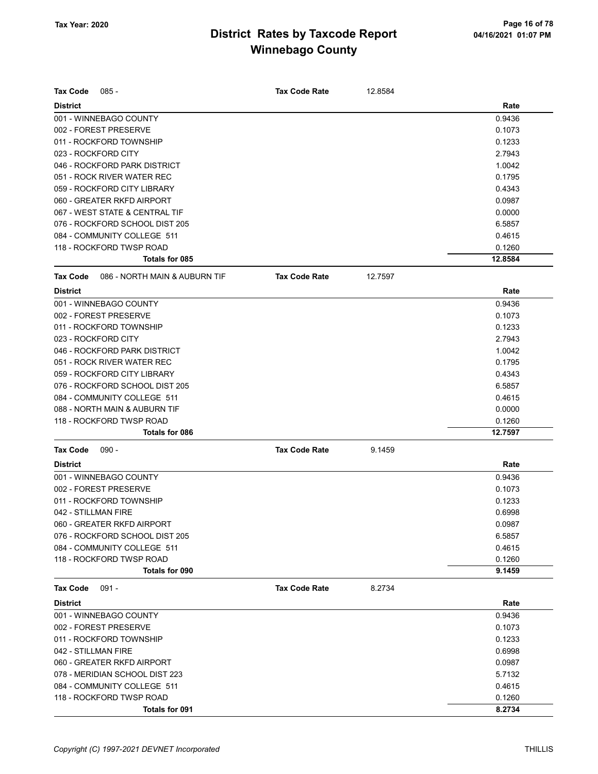| <b>Tax Code</b><br>$085 -$                       | <b>Tax Code Rate</b> | 12.8584 |         |
|--------------------------------------------------|----------------------|---------|---------|
| <b>District</b>                                  |                      |         | Rate    |
| 001 - WINNEBAGO COUNTY                           |                      |         | 0.9436  |
| 002 - FOREST PRESERVE                            |                      |         | 0.1073  |
| 011 - ROCKFORD TOWNSHIP                          |                      |         | 0.1233  |
| 023 - ROCKFORD CITY                              |                      |         | 2.7943  |
| 046 - ROCKFORD PARK DISTRICT                     |                      |         | 1.0042  |
| 051 - ROCK RIVER WATER REC                       |                      |         | 0.1795  |
| 059 - ROCKFORD CITY LIBRARY                      |                      |         | 0.4343  |
| 060 - GREATER RKFD AIRPORT                       |                      |         | 0.0987  |
| 067 - WEST STATE & CENTRAL TIF                   |                      |         | 0.0000  |
| 076 - ROCKFORD SCHOOL DIST 205                   |                      |         | 6.5857  |
| 084 - COMMUNITY COLLEGE 511                      |                      |         | 0.4615  |
| 118 - ROCKFORD TWSP ROAD                         |                      |         | 0.1260  |
| Totals for 085                                   |                      |         | 12.8584 |
| 086 - NORTH MAIN & AUBURN TIF<br><b>Tax Code</b> | <b>Tax Code Rate</b> | 12.7597 |         |
| <b>District</b>                                  |                      |         | Rate    |
| 001 - WINNEBAGO COUNTY                           |                      |         | 0.9436  |
| 002 - FOREST PRESERVE                            |                      |         | 0.1073  |
| 011 - ROCKFORD TOWNSHIP                          |                      |         | 0.1233  |
| 023 - ROCKFORD CITY                              |                      |         | 2.7943  |
| 046 - ROCKFORD PARK DISTRICT                     |                      |         | 1.0042  |
| 051 - ROCK RIVER WATER REC                       |                      |         | 0.1795  |
| 059 - ROCKFORD CITY LIBRARY                      |                      |         | 0.4343  |
| 076 - ROCKFORD SCHOOL DIST 205                   |                      |         | 6.5857  |
| 084 - COMMUNITY COLLEGE 511                      |                      |         | 0.4615  |
| 088 - NORTH MAIN & AUBURN TIF                    |                      |         | 0.0000  |
| 118 - ROCKFORD TWSP ROAD                         |                      |         | 0.1260  |
| Totals for 086                                   |                      |         | 12.7597 |
| $090 -$<br><b>Tax Code</b>                       | <b>Tax Code Rate</b> | 9.1459  |         |
| <b>District</b>                                  |                      |         | Rate    |
| 001 - WINNEBAGO COUNTY                           |                      |         | 0.9436  |
| 002 - FOREST PRESERVE                            |                      |         | 0.1073  |
| 011 - ROCKFORD TOWNSHIP                          |                      |         | 0.1233  |
| 042 - STILLMAN FIRE                              |                      |         | 0.6998  |
| 060 - GREATER RKFD AIRPORT                       |                      |         | 0.0987  |
| 076 - ROCKFORD SCHOOL DIST 205                   |                      |         | 6.5857  |
| 084 - COMMUNITY COLLEGE 511                      |                      |         | 0.4615  |
| 118 - ROCKFORD TWSP ROAD                         |                      |         | 0.1260  |
| Totals for 090                                   |                      |         | 9.1459  |
| $091 -$<br><b>Tax Code</b>                       | <b>Tax Code Rate</b> | 8.2734  |         |
| <b>District</b>                                  |                      |         | Rate    |
| 001 - WINNEBAGO COUNTY                           |                      |         | 0.9436  |
| 002 - FOREST PRESERVE                            |                      |         | 0.1073  |
| 011 - ROCKFORD TOWNSHIP                          |                      |         | 0.1233  |
| 042 - STILLMAN FIRE                              |                      |         | 0.6998  |
| 060 - GREATER RKFD AIRPORT                       |                      |         | 0.0987  |
| 078 - MERIDIAN SCHOOL DIST 223                   |                      |         | 5.7132  |
| 084 - COMMUNITY COLLEGE 511                      |                      |         | 0.4615  |
| 118 - ROCKFORD TWSP ROAD                         |                      |         | 0.1260  |
| Totals for 091                                   |                      |         | 8.2734  |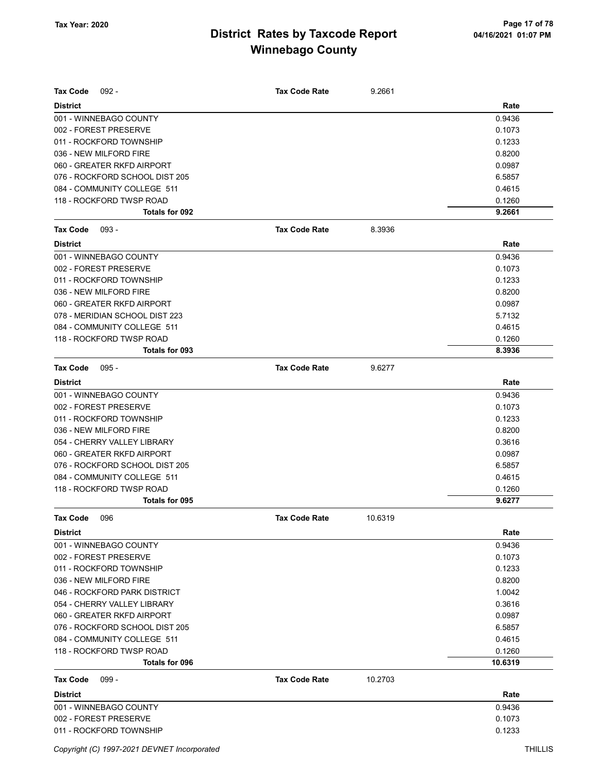| <b>Tax Code</b><br>$092 -$     | <b>Tax Code Rate</b> | 9.2661  |         |
|--------------------------------|----------------------|---------|---------|
| <b>District</b>                |                      |         | Rate    |
| 001 - WINNEBAGO COUNTY         |                      |         | 0.9436  |
| 002 - FOREST PRESERVE          |                      |         | 0.1073  |
| 011 - ROCKFORD TOWNSHIP        |                      |         | 0.1233  |
| 036 - NEW MILFORD FIRE         |                      |         | 0.8200  |
| 060 - GREATER RKFD AIRPORT     |                      |         | 0.0987  |
| 076 - ROCKFORD SCHOOL DIST 205 |                      |         | 6.5857  |
| 084 - COMMUNITY COLLEGE 511    |                      |         | 0.4615  |
| 118 - ROCKFORD TWSP ROAD       |                      |         | 0.1260  |
| Totals for 092                 |                      |         | 9.2661  |
| <b>Tax Code</b><br>$093 -$     | <b>Tax Code Rate</b> | 8.3936  |         |
| <b>District</b>                |                      |         | Rate    |
| 001 - WINNEBAGO COUNTY         |                      |         | 0.9436  |
| 002 - FOREST PRESERVE          |                      |         | 0.1073  |
| 011 - ROCKFORD TOWNSHIP        |                      |         | 0.1233  |
| 036 - NEW MILFORD FIRE         |                      |         | 0.8200  |
| 060 - GREATER RKFD AIRPORT     |                      |         | 0.0987  |
| 078 - MERIDIAN SCHOOL DIST 223 |                      |         | 5.7132  |
| 084 - COMMUNITY COLLEGE 511    |                      |         | 0.4615  |
| 118 - ROCKFORD TWSP ROAD       |                      |         | 0.1260  |
| Totals for 093                 |                      |         | 8.3936  |
| <b>Tax Code</b><br>$095 -$     | <b>Tax Code Rate</b> | 9.6277  |         |
| <b>District</b>                |                      |         | Rate    |
| 001 - WINNEBAGO COUNTY         |                      |         | 0.9436  |
| 002 - FOREST PRESERVE          |                      |         | 0.1073  |
| 011 - ROCKFORD TOWNSHIP        |                      |         | 0.1233  |
| 036 - NEW MILFORD FIRE         |                      |         | 0.8200  |
| 054 - CHERRY VALLEY LIBRARY    |                      |         | 0.3616  |
| 060 - GREATER RKFD AIRPORT     |                      |         | 0.0987  |
| 076 - ROCKFORD SCHOOL DIST 205 |                      |         | 6.5857  |
| 084 - COMMUNITY COLLEGE 511    |                      |         | 0.4615  |
| 118 - ROCKFORD TWSP ROAD       |                      |         | 0.1260  |
| Totals for 095                 |                      |         | 9.6277  |
| 096<br>Tax Code                | <b>Tax Code Rate</b> | 10.6319 |         |
| <b>District</b>                |                      |         | Rate    |
| 001 - WINNEBAGO COUNTY         |                      |         | 0.9436  |
| 002 - FOREST PRESERVE          |                      |         | 0.1073  |
| 011 - ROCKFORD TOWNSHIP        |                      |         | 0.1233  |
| 036 - NEW MILFORD FIRE         |                      |         | 0.8200  |
| 046 - ROCKFORD PARK DISTRICT   |                      |         | 1.0042  |
| 054 - CHERRY VALLEY LIBRARY    |                      |         | 0.3616  |
| 060 - GREATER RKFD AIRPORT     |                      |         | 0.0987  |
| 076 - ROCKFORD SCHOOL DIST 205 |                      |         | 6.5857  |
| 084 - COMMUNITY COLLEGE 511    |                      |         | 0.4615  |
| 118 - ROCKFORD TWSP ROAD       |                      |         | 0.1260  |
| Totals for 096                 |                      |         | 10.6319 |
| <b>Tax Code</b><br>$099 -$     | <b>Tax Code Rate</b> | 10.2703 |         |
| <b>District</b>                |                      |         | Rate    |
| 001 - WINNEBAGO COUNTY         |                      |         | 0.9436  |
| 002 - FOREST PRESERVE          |                      |         | 0.1073  |
| 011 - ROCKFORD TOWNSHIP        |                      |         | 0.1233  |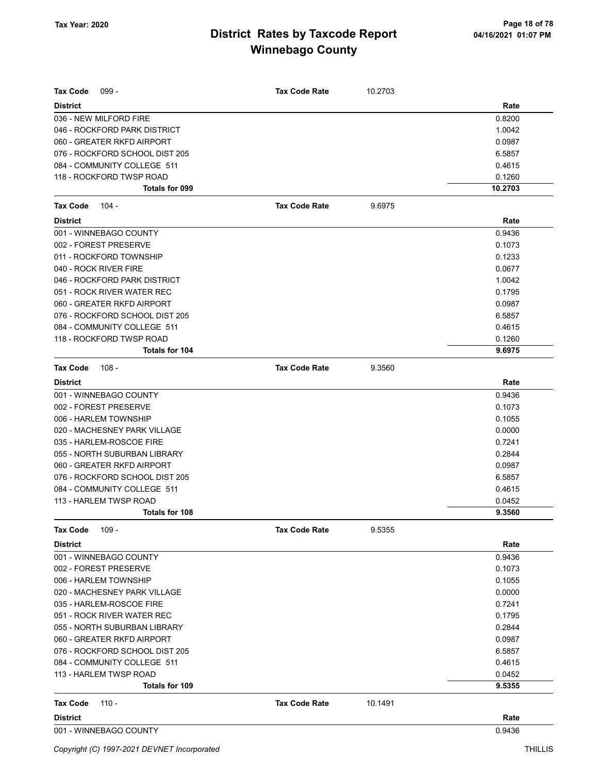| <b>Tax Code</b><br>$099 -$     | <b>Tax Code Rate</b> | 10.2703 |         |
|--------------------------------|----------------------|---------|---------|
| <b>District</b>                |                      |         | Rate    |
| 036 - NEW MILFORD FIRE         |                      |         | 0.8200  |
| 046 - ROCKFORD PARK DISTRICT   |                      |         | 1.0042  |
| 060 - GREATER RKFD AIRPORT     |                      |         | 0.0987  |
| 076 - ROCKFORD SCHOOL DIST 205 |                      |         | 6.5857  |
| 084 - COMMUNITY COLLEGE 511    |                      |         | 0.4615  |
| 118 - ROCKFORD TWSP ROAD       |                      |         | 0.1260  |
| Totals for 099                 |                      |         | 10.2703 |
| <b>Tax Code</b><br>$104 -$     | <b>Tax Code Rate</b> | 9.6975  |         |
| <b>District</b>                |                      |         | Rate    |
| 001 - WINNEBAGO COUNTY         |                      |         | 0.9436  |
| 002 - FOREST PRESERVE          |                      |         | 0.1073  |
| 011 - ROCKFORD TOWNSHIP        |                      |         | 0.1233  |
| 040 - ROCK RIVER FIRE          |                      |         | 0.0677  |
| 046 - ROCKFORD PARK DISTRICT   |                      |         | 1.0042  |
| 051 - ROCK RIVER WATER REC     |                      |         | 0.1795  |
| 060 - GREATER RKFD AIRPORT     |                      |         | 0.0987  |
| 076 - ROCKFORD SCHOOL DIST 205 |                      |         | 6.5857  |
| 084 - COMMUNITY COLLEGE 511    |                      |         | 0.4615  |
| 118 - ROCKFORD TWSP ROAD       |                      |         | 0.1260  |
| Totals for 104                 |                      |         | 9.6975  |
| <b>Tax Code</b><br>108 -       | <b>Tax Code Rate</b> | 9.3560  |         |
| <b>District</b>                |                      |         | Rate    |
| 001 - WINNEBAGO COUNTY         |                      |         | 0.9436  |
| 002 - FOREST PRESERVE          |                      |         | 0.1073  |
| 006 - HARLEM TOWNSHIP          |                      |         | 0.1055  |
| 020 - MACHESNEY PARK VILLAGE   |                      |         | 0.0000  |
| 035 - HARLEM-ROSCOE FIRE       |                      |         | 0.7241  |
| 055 - NORTH SUBURBAN LIBRARY   |                      |         | 0.2844  |
| 060 - GREATER RKFD AIRPORT     |                      |         | 0.0987  |
| 076 - ROCKFORD SCHOOL DIST 205 |                      |         | 6.5857  |
| 084 - COMMUNITY COLLEGE 511    |                      |         | 0.4615  |
| 113 - HARLEM TWSP ROAD         |                      |         | 0.0452  |
| Totals for 108                 |                      |         | 9.3560  |
| Tax Code<br>$109 -$            | <b>Tax Code Rate</b> | 9.5355  |         |
| <b>District</b>                |                      |         | Rate    |
| 001 - WINNEBAGO COUNTY         |                      |         | 0.9436  |
| 002 - FOREST PRESERVE          |                      |         | 0.1073  |
| 006 - HARLEM TOWNSHIP          |                      |         | 0.1055  |
| 020 - MACHESNEY PARK VILLAGE   |                      |         | 0.0000  |
| 035 - HARLEM-ROSCOE FIRE       |                      |         | 0.7241  |
| 051 - ROCK RIVER WATER REC     |                      |         | 0.1795  |
| 055 - NORTH SUBURBAN LIBRARY   |                      |         | 0.2844  |
| 060 - GREATER RKFD AIRPORT     |                      |         | 0.0987  |
| 076 - ROCKFORD SCHOOL DIST 205 |                      |         | 6.5857  |
| 084 - COMMUNITY COLLEGE 511    |                      |         | 0.4615  |
| 113 - HARLEM TWSP ROAD         |                      |         | 0.0452  |
| Totals for 109                 |                      |         | 9.5355  |
| Tax Code<br>$110 -$            | <b>Tax Code Rate</b> | 10.1491 |         |
| <b>District</b>                |                      |         | Rate    |
| 001 - WINNEBAGO COUNTY         |                      |         | 0.9436  |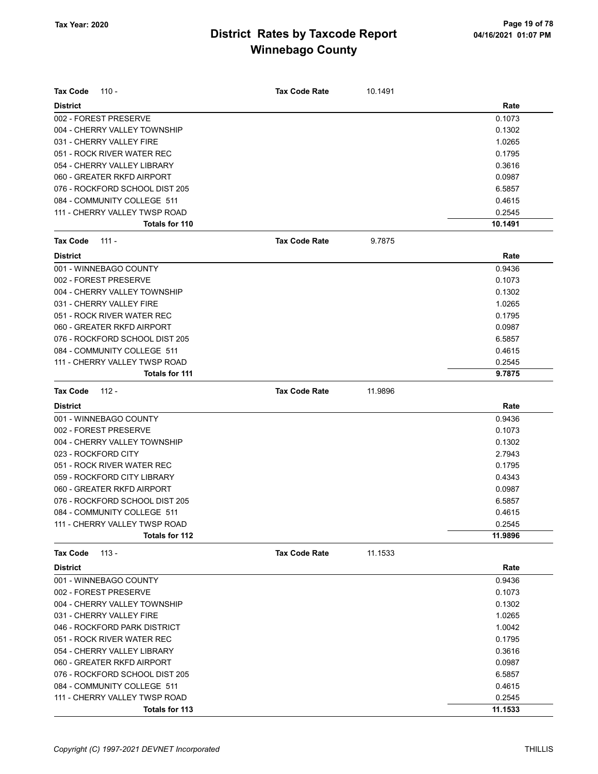| Tax Code<br>$110 -$            | <b>Tax Code Rate</b> | 10.1491 |         |
|--------------------------------|----------------------|---------|---------|
| <b>District</b>                |                      |         | Rate    |
| 002 - FOREST PRESERVE          |                      |         | 0.1073  |
| 004 - CHERRY VALLEY TOWNSHIP   |                      |         | 0.1302  |
| 031 - CHERRY VALLEY FIRE       |                      |         | 1.0265  |
| 051 - ROCK RIVER WATER REC     |                      |         | 0.1795  |
| 054 - CHERRY VALLEY LIBRARY    |                      |         | 0.3616  |
| 060 - GREATER RKFD AIRPORT     |                      |         | 0.0987  |
| 076 - ROCKFORD SCHOOL DIST 205 |                      |         | 6.5857  |
| 084 - COMMUNITY COLLEGE 511    |                      |         | 0.4615  |
| 111 - CHERRY VALLEY TWSP ROAD  |                      |         | 0.2545  |
| Totals for 110                 |                      |         | 10.1491 |
| Tax Code<br>111 -              | <b>Tax Code Rate</b> | 9.7875  |         |
| <b>District</b>                |                      |         | Rate    |
| 001 - WINNEBAGO COUNTY         |                      |         | 0.9436  |
| 002 - FOREST PRESERVE          |                      |         | 0.1073  |
| 004 - CHERRY VALLEY TOWNSHIP   |                      |         | 0.1302  |
| 031 - CHERRY VALLEY FIRE       |                      |         | 1.0265  |
| 051 - ROCK RIVER WATER REC     |                      |         | 0.1795  |
| 060 - GREATER RKFD AIRPORT     |                      |         | 0.0987  |
| 076 - ROCKFORD SCHOOL DIST 205 |                      |         | 6.5857  |
| 084 - COMMUNITY COLLEGE 511    |                      |         | 0.4615  |
| 111 - CHERRY VALLEY TWSP ROAD  |                      |         | 0.2545  |
| Totals for 111                 |                      |         | 9.7875  |
| Tax Code<br>112 -              | <b>Tax Code Rate</b> | 11.9896 |         |
| <b>District</b>                |                      |         | Rate    |
| 001 - WINNEBAGO COUNTY         |                      |         | 0.9436  |
| 002 - FOREST PRESERVE          |                      |         | 0.1073  |
| 004 - CHERRY VALLEY TOWNSHIP   |                      |         | 0.1302  |
| 023 - ROCKFORD CITY            |                      |         | 2.7943  |
| 051 - ROCK RIVER WATER REC     |                      |         | 0.1795  |
| 059 - ROCKFORD CITY LIBRARY    |                      |         | 0.4343  |
| 060 - GREATER RKFD AIRPORT     |                      |         | 0.0987  |
| 076 - ROCKFORD SCHOOL DIST 205 |                      |         | 6.5857  |
| 084 - COMMUNITY COLLEGE 511    |                      |         | 0.4615  |
| 111 - CHERRY VALLEY TWSP ROAD  |                      |         | 0.2545  |
| Totals for 112                 |                      |         | 11.9896 |
| $113 -$<br>Tax Code            | <b>Tax Code Rate</b> | 11.1533 |         |
| <b>District</b>                |                      |         | Rate    |
| 001 - WINNEBAGO COUNTY         |                      |         | 0.9436  |
| 002 - FOREST PRESERVE          |                      |         | 0.1073  |
| 004 - CHERRY VALLEY TOWNSHIP   |                      |         | 0.1302  |
| 031 - CHERRY VALLEY FIRE       |                      |         | 1.0265  |
| 046 - ROCKFORD PARK DISTRICT   |                      |         | 1.0042  |
| 051 - ROCK RIVER WATER REC     |                      |         | 0.1795  |
| 054 - CHERRY VALLEY LIBRARY    |                      |         | 0.3616  |
| 060 - GREATER RKFD AIRPORT     |                      |         | 0.0987  |
| 076 - ROCKFORD SCHOOL DIST 205 |                      |         | 6.5857  |
| 084 - COMMUNITY COLLEGE 511    |                      |         | 0.4615  |
| 111 - CHERRY VALLEY TWSP ROAD  |                      |         | 0.2545  |
| Totals for 113                 |                      |         | 11.1533 |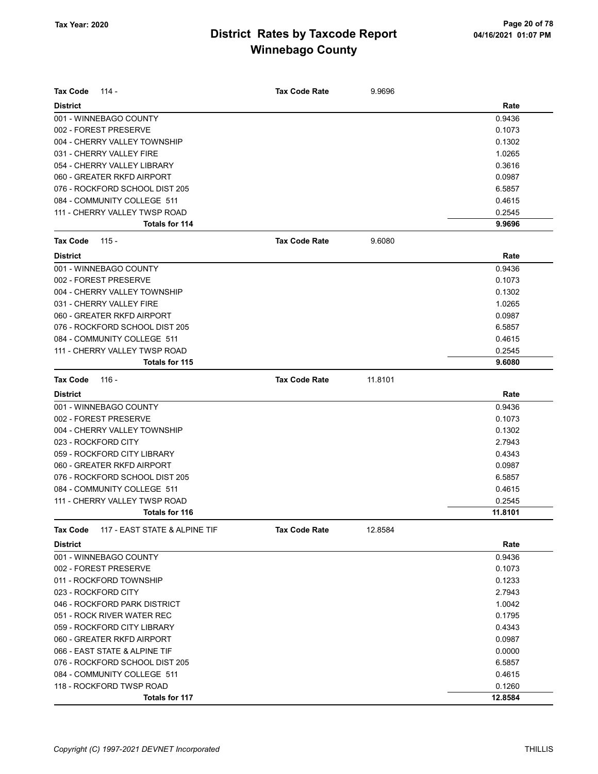| <b>Tax Code</b><br>$114 -$                       | <b>Tax Code Rate</b> | 9.9696  |         |
|--------------------------------------------------|----------------------|---------|---------|
| <b>District</b>                                  |                      |         | Rate    |
| 001 - WINNEBAGO COUNTY                           |                      |         | 0.9436  |
| 002 - FOREST PRESERVE                            |                      |         | 0.1073  |
| 004 - CHERRY VALLEY TOWNSHIP                     |                      |         | 0.1302  |
| 031 - CHERRY VALLEY FIRE                         |                      |         | 1.0265  |
| 054 - CHERRY VALLEY LIBRARY                      |                      |         | 0.3616  |
| 060 - GREATER RKFD AIRPORT                       |                      |         | 0.0987  |
| 076 - ROCKFORD SCHOOL DIST 205                   |                      |         | 6.5857  |
| 084 - COMMUNITY COLLEGE 511                      |                      |         | 0.4615  |
| 111 - CHERRY VALLEY TWSP ROAD                    |                      |         | 0.2545  |
| Totals for 114                                   |                      |         | 9.9696  |
| <b>Tax Code</b><br>$115 -$                       | <b>Tax Code Rate</b> | 9.6080  |         |
| <b>District</b>                                  |                      |         | Rate    |
| 001 - WINNEBAGO COUNTY                           |                      |         | 0.9436  |
| 002 - FOREST PRESERVE                            |                      |         | 0.1073  |
| 004 - CHERRY VALLEY TOWNSHIP                     |                      |         | 0.1302  |
| 031 - CHERRY VALLEY FIRE                         |                      |         | 1.0265  |
| 060 - GREATER RKFD AIRPORT                       |                      |         | 0.0987  |
| 076 - ROCKFORD SCHOOL DIST 205                   |                      |         | 6.5857  |
| 084 - COMMUNITY COLLEGE 511                      |                      |         | 0.4615  |
| 111 - CHERRY VALLEY TWSP ROAD                    |                      |         | 0.2545  |
| <b>Totals for 115</b>                            |                      |         | 9.6080  |
| <b>Tax Code</b><br>$116 -$                       | <b>Tax Code Rate</b> | 11.8101 |         |
| <b>District</b>                                  |                      |         | Rate    |
| 001 - WINNEBAGO COUNTY                           |                      |         | 0.9436  |
| 002 - FOREST PRESERVE                            |                      |         | 0.1073  |
| 004 - CHERRY VALLEY TOWNSHIP                     |                      |         | 0.1302  |
| 023 - ROCKFORD CITY                              |                      |         | 2.7943  |
| 059 - ROCKFORD CITY LIBRARY                      |                      |         | 0.4343  |
| 060 - GREATER RKFD AIRPORT                       |                      |         | 0.0987  |
| 076 - ROCKFORD SCHOOL DIST 205                   |                      |         | 6.5857  |
| 084 - COMMUNITY COLLEGE 511                      |                      |         | 0.4615  |
| 111 - CHERRY VALLEY TWSP ROAD                    |                      |         | 0.2545  |
| <b>Totals for 116</b>                            |                      |         | 11.8101 |
| 117 - EAST STATE & ALPINE TIF<br><b>Tax Code</b> | <b>Tax Code Rate</b> | 12.8584 |         |
| <b>District</b>                                  |                      |         | Rate    |
| 001 - WINNEBAGO COUNTY                           |                      |         | 0.9436  |
| 002 - FOREST PRESERVE                            |                      |         | 0.1073  |
| 011 - ROCKFORD TOWNSHIP                          |                      |         | 0.1233  |
| 023 - ROCKFORD CITY                              |                      |         | 2.7943  |
| 046 - ROCKFORD PARK DISTRICT                     |                      |         | 1.0042  |
| 051 - ROCK RIVER WATER REC                       |                      |         | 0.1795  |
| 059 - ROCKFORD CITY LIBRARY                      |                      |         | 0.4343  |
| 060 - GREATER RKFD AIRPORT                       |                      |         | 0.0987  |
| 066 - EAST STATE & ALPINE TIF                    |                      |         | 0.0000  |
| 076 - ROCKFORD SCHOOL DIST 205                   |                      |         | 6.5857  |
| 084 - COMMUNITY COLLEGE 511                      |                      |         | 0.4615  |
| 118 - ROCKFORD TWSP ROAD                         |                      |         | 0.1260  |
| Totals for 117                                   |                      |         | 12.8584 |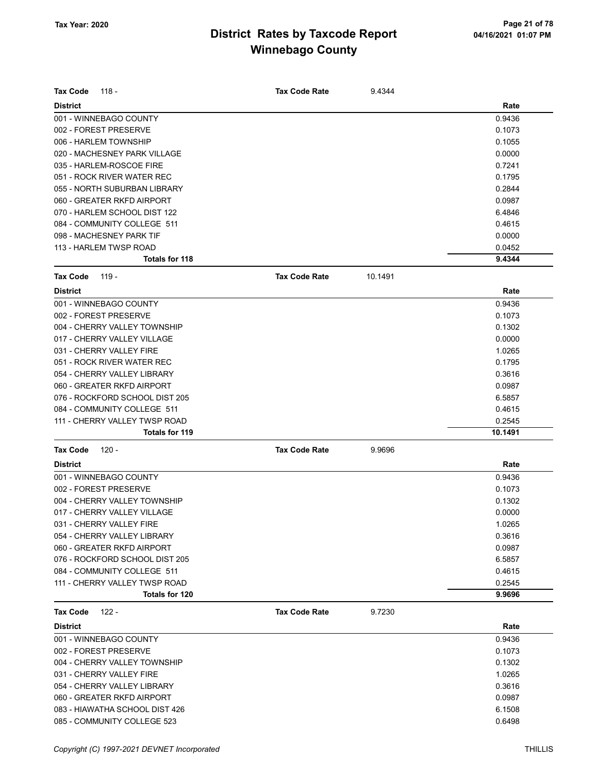| <b>Tax Code</b><br>118 -       | <b>Tax Code Rate</b> | 9.4344  |         |
|--------------------------------|----------------------|---------|---------|
| <b>District</b>                |                      |         | Rate    |
| 001 - WINNEBAGO COUNTY         |                      |         | 0.9436  |
| 002 - FOREST PRESERVE          |                      |         | 0.1073  |
| 006 - HARLEM TOWNSHIP          |                      |         | 0.1055  |
| 020 - MACHESNEY PARK VILLAGE   |                      |         | 0.0000  |
| 035 - HARLEM-ROSCOE FIRE       |                      |         | 0.7241  |
| 051 - ROCK RIVER WATER REC     |                      |         | 0.1795  |
| 055 - NORTH SUBURBAN LIBRARY   |                      |         | 0.2844  |
| 060 - GREATER RKFD AIRPORT     |                      |         | 0.0987  |
| 070 - HARLEM SCHOOL DIST 122   |                      |         | 6.4846  |
| 084 - COMMUNITY COLLEGE 511    |                      |         | 0.4615  |
| 098 - MACHESNEY PARK TIF       |                      |         | 0.0000  |
| 113 - HARLEM TWSP ROAD         |                      |         | 0.0452  |
| Totals for 118                 |                      |         | 9.4344  |
| <b>Tax Code</b><br>119 -       | <b>Tax Code Rate</b> | 10.1491 |         |
| <b>District</b>                |                      |         | Rate    |
| 001 - WINNEBAGO COUNTY         |                      |         | 0.9436  |
| 002 - FOREST PRESERVE          |                      |         | 0.1073  |
| 004 - CHERRY VALLEY TOWNSHIP   |                      |         | 0.1302  |
| 017 - CHERRY VALLEY VILLAGE    |                      |         | 0.0000  |
| 031 - CHERRY VALLEY FIRE       |                      |         | 1.0265  |
| 051 - ROCK RIVER WATER REC     |                      |         | 0.1795  |
| 054 - CHERRY VALLEY LIBRARY    |                      |         | 0.3616  |
| 060 - GREATER RKFD AIRPORT     |                      |         | 0.0987  |
| 076 - ROCKFORD SCHOOL DIST 205 |                      |         | 6.5857  |
| 084 - COMMUNITY COLLEGE 511    |                      |         | 0.4615  |
| 111 - CHERRY VALLEY TWSP ROAD  |                      |         | 0.2545  |
| Totals for 119                 |                      |         | 10.1491 |
| <b>Tax Code</b><br>120 -       | <b>Tax Code Rate</b> | 9.9696  |         |
| <b>District</b>                |                      |         | Rate    |
| 001 - WINNEBAGO COUNTY         |                      |         | 0.9436  |
| 002 - FOREST PRESERVE          |                      |         | 0.1073  |
| 004 - CHERRY VALLEY TOWNSHIP   |                      |         | 0.1302  |
| 017 - CHERRY VALLEY VILLAGE    |                      |         | 0.0000  |
| 031 - CHERRY VALLEY FIRE       |                      |         | 1.0265  |
| 054 - CHERRY VALLEY LIBRARY    |                      |         | 0.3616  |
| 060 - GREATER RKFD AIRPORT     |                      |         | 0.0987  |
| 076 - ROCKFORD SCHOOL DIST 205 |                      |         | 6.5857  |
| 084 - COMMUNITY COLLEGE 511    |                      |         | 0.4615  |
| 111 - CHERRY VALLEY TWSP ROAD  |                      |         | 0.2545  |
| Totals for 120                 |                      |         | 9.9696  |
| $122 -$<br><b>Tax Code</b>     | <b>Tax Code Rate</b> | 9.7230  |         |
| <b>District</b>                |                      |         | Rate    |
| 001 - WINNEBAGO COUNTY         |                      |         | 0.9436  |
| 002 - FOREST PRESERVE          |                      |         | 0.1073  |
| 004 - CHERRY VALLEY TOWNSHIP   |                      |         | 0.1302  |
| 031 - CHERRY VALLEY FIRE       |                      |         | 1.0265  |
| 054 - CHERRY VALLEY LIBRARY    |                      |         | 0.3616  |
| 060 - GREATER RKFD AIRPORT     |                      |         | 0.0987  |
| 083 - HIAWATHA SCHOOL DIST 426 |                      |         | 6.1508  |
| 085 - COMMUNITY COLLEGE 523    |                      |         | 0.6498  |
|                                |                      |         |         |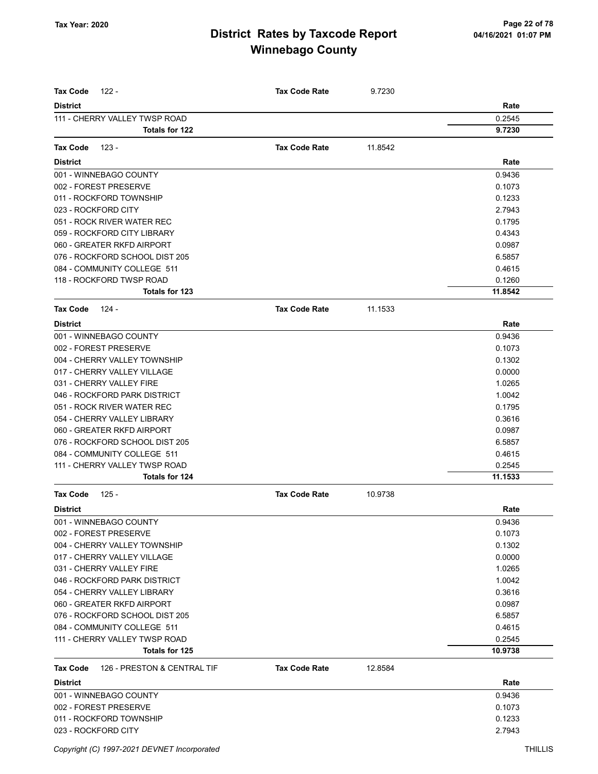| <b>Tax Code</b><br>$122 -$                     | <b>Tax Code Rate</b> | 9.7230  |         |
|------------------------------------------------|----------------------|---------|---------|
| <b>District</b>                                |                      |         | Rate    |
| 111 - CHERRY VALLEY TWSP ROAD                  |                      |         | 0.2545  |
| <b>Totals for 122</b>                          |                      |         | 9.7230  |
|                                                |                      |         |         |
| <b>Tax Code</b><br>123 -                       | <b>Tax Code Rate</b> | 11.8542 |         |
| <b>District</b>                                |                      |         | Rate    |
| 001 - WINNEBAGO COUNTY                         |                      |         | 0.9436  |
| 002 - FOREST PRESERVE                          |                      |         | 0.1073  |
| 011 - ROCKFORD TOWNSHIP                        |                      |         | 0.1233  |
| 023 - ROCKFORD CITY                            |                      |         | 2.7943  |
| 051 - ROCK RIVER WATER REC                     |                      |         | 0.1795  |
| 059 - ROCKFORD CITY LIBRARY                    |                      |         | 0.4343  |
| 060 - GREATER RKFD AIRPORT                     |                      |         | 0.0987  |
| 076 - ROCKFORD SCHOOL DIST 205                 |                      |         | 6.5857  |
| 084 - COMMUNITY COLLEGE 511                    |                      |         | 0.4615  |
| 118 - ROCKFORD TWSP ROAD                       |                      |         | 0.1260  |
| <b>Totals for 123</b>                          |                      |         | 11.8542 |
| <b>Tax Code</b><br>$124 -$                     | <b>Tax Code Rate</b> | 11.1533 |         |
| <b>District</b>                                |                      |         | Rate    |
| 001 - WINNEBAGO COUNTY                         |                      |         | 0.9436  |
| 002 - FOREST PRESERVE                          |                      |         | 0.1073  |
| 004 - CHERRY VALLEY TOWNSHIP                   |                      |         | 0.1302  |
| 017 - CHERRY VALLEY VILLAGE                    |                      |         | 0.0000  |
| 031 - CHERRY VALLEY FIRE                       |                      |         | 1.0265  |
| 046 - ROCKFORD PARK DISTRICT                   |                      |         | 1.0042  |
| 051 - ROCK RIVER WATER REC                     |                      |         | 0.1795  |
| 054 - CHERRY VALLEY LIBRARY                    |                      |         | 0.3616  |
| 060 - GREATER RKFD AIRPORT                     |                      |         | 0.0987  |
| 076 - ROCKFORD SCHOOL DIST 205                 |                      |         | 6.5857  |
| 084 - COMMUNITY COLLEGE 511                    |                      |         | 0.4615  |
| 111 - CHERRY VALLEY TWSP ROAD                  |                      |         | 0.2545  |
| Totals for 124                                 |                      |         | 11.1533 |
| <b>Tax Code</b><br>$125 -$                     | <b>Tax Code Rate</b> | 10.9738 |         |
| <b>District</b>                                |                      |         | Rate    |
| 001 - WINNEBAGO COUNTY                         |                      |         | 0.9436  |
| 002 - FOREST PRESERVE                          |                      |         | 0.1073  |
| 004 - CHERRY VALLEY TOWNSHIP                   |                      |         | 0.1302  |
| 017 - CHERRY VALLEY VILLAGE                    |                      |         | 0.0000  |
| 031 - CHERRY VALLEY FIRE                       |                      |         | 1.0265  |
| 046 - ROCKFORD PARK DISTRICT                   |                      |         | 1.0042  |
| 054 - CHERRY VALLEY LIBRARY                    |                      |         | 0.3616  |
| 060 - GREATER RKFD AIRPORT                     |                      |         | 0.0987  |
| 076 - ROCKFORD SCHOOL DIST 205                 |                      |         | 6.5857  |
|                                                |                      |         | 0.4615  |
| 084 - COMMUNITY COLLEGE 511                    |                      |         |         |
| 111 - CHERRY VALLEY TWSP ROAD                  |                      |         | 0.2545  |
| Totals for 125                                 |                      |         | 10.9738 |
| 126 - PRESTON & CENTRAL TIF<br><b>Tax Code</b> | <b>Tax Code Rate</b> | 12.8584 |         |
| <b>District</b>                                |                      |         | Rate    |
| 001 - WINNEBAGO COUNTY                         |                      |         | 0.9436  |
| 002 - FOREST PRESERVE                          |                      |         | 0.1073  |
| 011 - ROCKFORD TOWNSHIP                        |                      |         | 0.1233  |
| 023 - ROCKFORD CITY                            |                      |         | 2.7943  |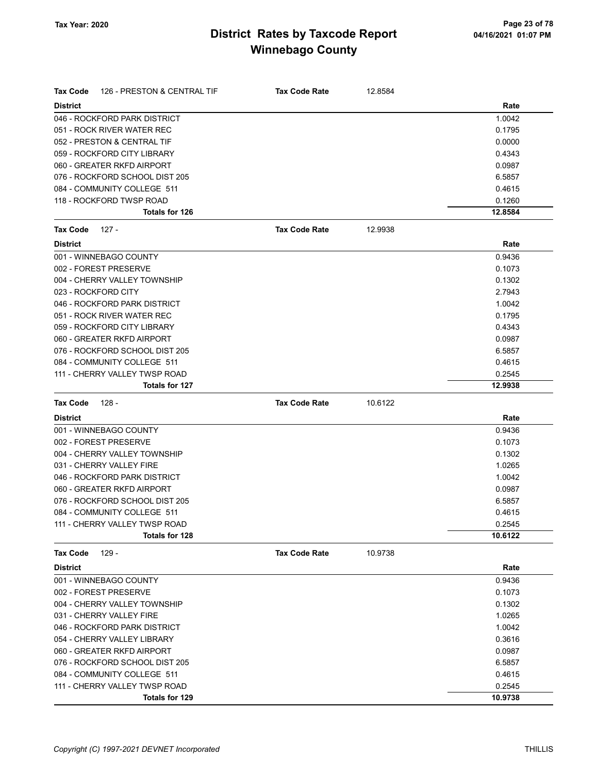| <b>Tax Code</b>     | 126 - PRESTON & CENTRAL TIF    | <b>Tax Code Rate</b> | 12.8584 |         |
|---------------------|--------------------------------|----------------------|---------|---------|
| <b>District</b>     |                                |                      |         | Rate    |
|                     | 046 - ROCKFORD PARK DISTRICT   |                      |         | 1.0042  |
|                     | 051 - ROCK RIVER WATER REC     |                      |         | 0.1795  |
|                     | 052 - PRESTON & CENTRAL TIF    |                      |         | 0.0000  |
|                     | 059 - ROCKFORD CITY LIBRARY    |                      |         | 0.4343  |
|                     | 060 - GREATER RKFD AIRPORT     |                      |         | 0.0987  |
|                     | 076 - ROCKFORD SCHOOL DIST 205 |                      |         | 6.5857  |
|                     | 084 - COMMUNITY COLLEGE 511    |                      |         | 0.4615  |
|                     | 118 - ROCKFORD TWSP ROAD       |                      |         | 0.1260  |
|                     | Totals for 126                 |                      |         | 12.8584 |
| <b>Tax Code</b>     | 127 -                          | <b>Tax Code Rate</b> | 12.9938 |         |
| <b>District</b>     |                                |                      |         | Rate    |
|                     | 001 - WINNEBAGO COUNTY         |                      |         | 0.9436  |
|                     | 002 - FOREST PRESERVE          |                      |         | 0.1073  |
|                     | 004 - CHERRY VALLEY TOWNSHIP   |                      |         | 0.1302  |
| 023 - ROCKFORD CITY |                                |                      |         | 2.7943  |
|                     | 046 - ROCKFORD PARK DISTRICT   |                      |         | 1.0042  |
|                     | 051 - ROCK RIVER WATER REC     |                      |         | 0.1795  |
|                     | 059 - ROCKFORD CITY LIBRARY    |                      |         | 0.4343  |
|                     | 060 - GREATER RKFD AIRPORT     |                      |         | 0.0987  |
|                     | 076 - ROCKFORD SCHOOL DIST 205 |                      |         | 6.5857  |
|                     | 084 - COMMUNITY COLLEGE 511    |                      |         | 0.4615  |
|                     | 111 - CHERRY VALLEY TWSP ROAD  |                      |         | 0.2545  |
|                     | Totals for 127                 |                      |         | 12.9938 |
|                     | 128 -                          | <b>Tax Code Rate</b> | 10.6122 |         |
| <b>Tax Code</b>     |                                |                      |         |         |
| <b>District</b>     |                                |                      |         | Rate    |
|                     | 001 - WINNEBAGO COUNTY         |                      |         | 0.9436  |
|                     | 002 - FOREST PRESERVE          |                      |         | 0.1073  |
|                     | 004 - CHERRY VALLEY TOWNSHIP   |                      |         | 0.1302  |
|                     | 031 - CHERRY VALLEY FIRE       |                      |         | 1.0265  |
|                     | 046 - ROCKFORD PARK DISTRICT   |                      |         | 1.0042  |
|                     | 060 - GREATER RKFD AIRPORT     |                      |         | 0.0987  |
|                     | 076 - ROCKFORD SCHOOL DIST 205 |                      |         | 6.5857  |
|                     | 084 - COMMUNITY COLLEGE 511    |                      |         | 0.4615  |
|                     | 111 - CHERRY VALLEY TWSP ROAD  |                      |         | 0.2545  |
|                     | Totals for 128                 |                      |         | 10.6122 |
| <b>Tax Code</b>     | $129 -$                        | <b>Tax Code Rate</b> | 10.9738 |         |
| <b>District</b>     |                                |                      |         | Rate    |
|                     | 001 - WINNEBAGO COUNTY         |                      |         | 0.9436  |
|                     | 002 - FOREST PRESERVE          |                      |         | 0.1073  |
|                     | 004 - CHERRY VALLEY TOWNSHIP   |                      |         | 0.1302  |
|                     | 031 - CHERRY VALLEY FIRE       |                      |         | 1.0265  |
|                     | 046 - ROCKFORD PARK DISTRICT   |                      |         | 1.0042  |
|                     | 054 - CHERRY VALLEY LIBRARY    |                      |         | 0.3616  |
|                     | 060 - GREATER RKFD AIRPORT     |                      |         | 0.0987  |
|                     | 076 - ROCKFORD SCHOOL DIST 205 |                      |         | 6.5857  |
|                     | 084 - COMMUNITY COLLEGE 511    |                      |         | 0.4615  |
|                     | 111 - CHERRY VALLEY TWSP ROAD  |                      |         | 0.2545  |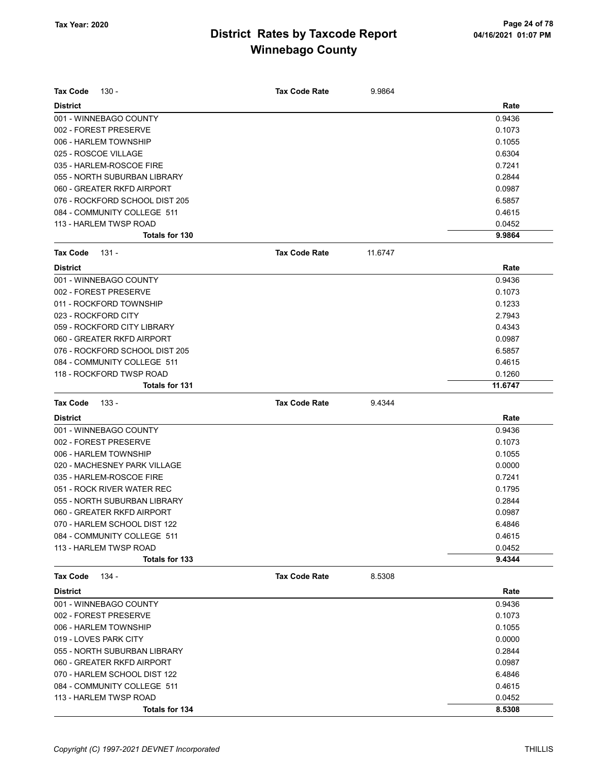| <b>Tax Code</b><br>130 -                 | <b>Tax Code Rate</b> | 9.9864  |                  |
|------------------------------------------|----------------------|---------|------------------|
| <b>District</b>                          |                      |         | Rate             |
| 001 - WINNEBAGO COUNTY                   |                      |         | 0.9436           |
| 002 - FOREST PRESERVE                    |                      |         | 0.1073           |
| 006 - HARLEM TOWNSHIP                    |                      |         | 0.1055           |
| 025 - ROSCOE VILLAGE                     |                      |         | 0.6304           |
| 035 - HARLEM-ROSCOE FIRE                 |                      |         | 0.7241           |
| 055 - NORTH SUBURBAN LIBRARY             |                      |         | 0.2844           |
| 060 - GREATER RKFD AIRPORT               |                      |         | 0.0987           |
| 076 - ROCKFORD SCHOOL DIST 205           |                      |         | 6.5857           |
| 084 - COMMUNITY COLLEGE 511              |                      |         | 0.4615           |
| 113 - HARLEM TWSP ROAD                   |                      |         | 0.0452           |
| Totals for 130                           |                      |         | 9.9864           |
| <b>Tax Code</b><br>131 -                 | <b>Tax Code Rate</b> | 11.6747 |                  |
| <b>District</b>                          |                      |         | Rate             |
| 001 - WINNEBAGO COUNTY                   |                      |         | 0.9436           |
| 002 - FOREST PRESERVE                    |                      |         | 0.1073           |
| 011 - ROCKFORD TOWNSHIP                  |                      |         | 0.1233           |
| 023 - ROCKFORD CITY                      |                      |         | 2.7943           |
| 059 - ROCKFORD CITY LIBRARY              |                      |         | 0.4343           |
| 060 - GREATER RKFD AIRPORT               |                      |         | 0.0987           |
| 076 - ROCKFORD SCHOOL DIST 205           |                      |         | 6.5857           |
| 084 - COMMUNITY COLLEGE 511              |                      |         | 0.4615           |
| 118 - ROCKFORD TWSP ROAD                 |                      |         | 0.1260           |
| Totals for 131                           |                      |         | 11.6747          |
| <b>Tax Code</b><br>$133 -$               | <b>Tax Code Rate</b> | 9.4344  |                  |
| <b>District</b>                          |                      |         | Rate             |
| 001 - WINNEBAGO COUNTY                   |                      |         | 0.9436           |
| 002 - FOREST PRESERVE                    |                      |         | 0.1073           |
| 006 - HARLEM TOWNSHIP                    |                      |         | 0.1055           |
| 020 - MACHESNEY PARK VILLAGE             |                      |         | 0.0000           |
| 035 - HARLEM-ROSCOE FIRE                 |                      |         | 0.7241           |
| 051 - ROCK RIVER WATER REC               |                      |         | 0.1795           |
| 055 - NORTH SUBURBAN LIBRARY             |                      |         | 0.2844           |
| 060 - GREATER RKFD AIRPORT               |                      |         | 0.0987           |
| 070 - HARLEM SCHOOL DIST 122             |                      |         | 6.4846           |
| 084 - COMMUNITY COLLEGE 511              |                      |         | 0.4615           |
| 113 - HARLEM TWSP ROAD                   |                      |         | 0.0452           |
| Totals for 133                           |                      |         | 9.4344           |
| <b>Tax Code</b><br>134 -                 | <b>Tax Code Rate</b> | 8.5308  |                  |
| <b>District</b>                          |                      |         | Rate             |
| 001 - WINNEBAGO COUNTY                   |                      |         | 0.9436           |
| 002 - FOREST PRESERVE                    |                      |         | 0.1073           |
| 006 - HARLEM TOWNSHIP                    |                      |         | 0.1055           |
| 019 - LOVES PARK CITY                    |                      |         |                  |
|                                          |                      |         | 0.0000           |
| 055 - NORTH SUBURBAN LIBRARY             |                      |         | 0.2844           |
| 060 - GREATER RKFD AIRPORT               |                      |         | 0.0987           |
| 070 - HARLEM SCHOOL DIST 122             |                      |         | 6.4846           |
| 084 - COMMUNITY COLLEGE 511              |                      |         | 0.4615           |
| 113 - HARLEM TWSP ROAD<br>Totals for 134 |                      |         | 0.0452<br>8.5308 |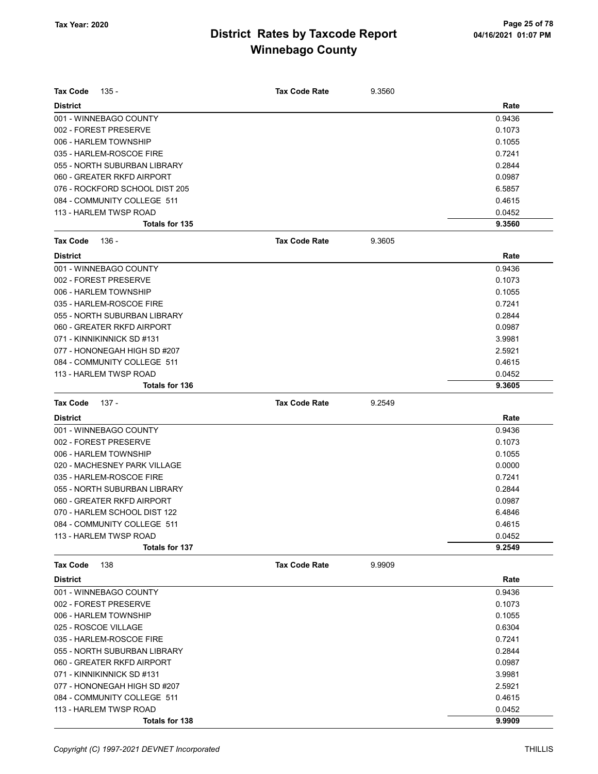| <b>Tax Code</b>      | 135 -                          | <b>Tax Code Rate</b> | 9.3560 |                  |
|----------------------|--------------------------------|----------------------|--------|------------------|
| <b>District</b>      |                                |                      |        | Rate             |
|                      | 001 - WINNEBAGO COUNTY         |                      |        | 0.9436           |
|                      | 002 - FOREST PRESERVE          |                      |        | 0.1073           |
|                      | 006 - HARLEM TOWNSHIP          |                      |        | 0.1055           |
|                      | 035 - HARLEM-ROSCOE FIRE       |                      |        | 0.7241           |
|                      | 055 - NORTH SUBURBAN LIBRARY   |                      |        | 0.2844           |
|                      | 060 - GREATER RKFD AIRPORT     |                      |        | 0.0987           |
|                      | 076 - ROCKFORD SCHOOL DIST 205 |                      |        | 6.5857           |
|                      | 084 - COMMUNITY COLLEGE 511    |                      |        | 0.4615           |
|                      | 113 - HARLEM TWSP ROAD         |                      |        | 0.0452           |
|                      | Totals for 135                 |                      |        | 9.3560           |
| Tax Code             | 136 -                          | <b>Tax Code Rate</b> | 9.3605 |                  |
| <b>District</b>      |                                |                      |        | Rate             |
|                      | 001 - WINNEBAGO COUNTY         |                      |        | 0.9436           |
|                      | 002 - FOREST PRESERVE          |                      |        | 0.1073           |
|                      | 006 - HARLEM TOWNSHIP          |                      |        | 0.1055           |
|                      | 035 - HARLEM-ROSCOE FIRE       |                      |        | 0.7241           |
|                      | 055 - NORTH SUBURBAN LIBRARY   |                      |        | 0.2844           |
|                      | 060 - GREATER RKFD AIRPORT     |                      |        | 0.0987           |
|                      | 071 - KINNIKINNICK SD #131     |                      |        | 3.9981           |
|                      | 077 - HONONEGAH HIGH SD #207   |                      |        | 2.5921           |
|                      | 084 - COMMUNITY COLLEGE 511    |                      |        | 0.4615           |
|                      | 113 - HARLEM TWSP ROAD         |                      |        | 0.0452           |
|                      | <b>Totals for 136</b>          |                      |        | 9.3605           |
| Tax Code             | 137 -                          | <b>Tax Code Rate</b> | 9.2549 |                  |
|                      |                                |                      |        |                  |
| <b>District</b>      |                                |                      |        | Rate             |
|                      | 001 - WINNEBAGO COUNTY         |                      |        | 0.9436           |
|                      | 002 - FOREST PRESERVE          |                      |        | 0.1073           |
|                      | 006 - HARLEM TOWNSHIP          |                      |        | 0.1055           |
|                      | 020 - MACHESNEY PARK VILLAGE   |                      |        | 0.0000           |
|                      | 035 - HARLEM-ROSCOE FIRE       |                      |        | 0.7241           |
|                      | 055 - NORTH SUBURBAN LIBRARY   |                      |        | 0.2844           |
|                      | 060 - GREATER RKFD AIRPORT     |                      |        | 0.0987           |
|                      | 070 - HARLEM SCHOOL DIST 122   |                      |        | 6.4846           |
|                      | 084 - COMMUNITY COLLEGE 511    |                      |        | 0.4615           |
|                      | 113 - HARLEM TWSP ROAD         |                      |        | 0.0452<br>9.2549 |
|                      | Totals for 137                 |                      |        |                  |
| <b>Tax Code</b>      | 138                            | <b>Tax Code Rate</b> | 9.9909 |                  |
| <b>District</b>      |                                |                      |        | Rate             |
|                      | 001 - WINNEBAGO COUNTY         |                      |        | 0.9436           |
|                      | 002 - FOREST PRESERVE          |                      |        | 0.1073           |
|                      | 006 - HARLEM TOWNSHIP          |                      |        | 0.1055           |
| 025 - ROSCOE VILLAGE |                                |                      |        | 0.6304           |
|                      | 035 - HARLEM-ROSCOE FIRE       |                      |        | 0.7241           |
|                      | 055 - NORTH SUBURBAN LIBRARY   |                      |        | 0.2844           |
|                      | 060 - GREATER RKFD AIRPORT     |                      |        | 0.0987           |
|                      | 071 - KINNIKINNICK SD #131     |                      |        | 3.9981           |
|                      | 077 - HONONEGAH HIGH SD #207   |                      |        | 2.5921           |
|                      | 084 - COMMUNITY COLLEGE 511    |                      |        | 0.4615           |
|                      | 113 - HARLEM TWSP ROAD         |                      |        | 0.0452           |
|                      | Totals for 138                 |                      |        | 9.9909           |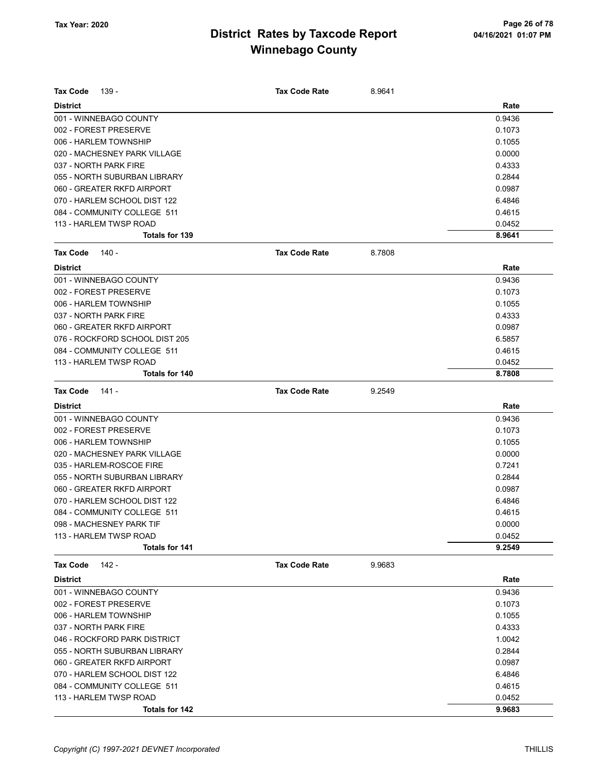| Rate<br><b>District</b><br>001 - WINNEBAGO COUNTY<br>0.9436<br>002 - FOREST PRESERVE<br>0.1073<br>006 - HARLEM TOWNSHIP<br>0.1055<br>020 - MACHESNEY PARK VILLAGE<br>0.0000<br>037 - NORTH PARK FIRE<br>0.4333<br>055 - NORTH SUBURBAN LIBRARY<br>0.2844<br>060 - GREATER RKFD AIRPORT<br>0.0987<br>6.4846<br>070 - HARLEM SCHOOL DIST 122<br>084 - COMMUNITY COLLEGE 511<br>0.4615<br>113 - HARLEM TWSP ROAD<br>0.0452<br><b>Totals for 139</b><br>8.9641<br><b>Tax Code</b><br>140 -<br><b>Tax Code Rate</b><br>8.7808<br><b>District</b><br>Rate<br>001 - WINNEBAGO COUNTY<br>0.9436<br>002 - FOREST PRESERVE<br>0.1073<br>006 - HARLEM TOWNSHIP<br>0.1055<br>037 - NORTH PARK FIRE<br>0.4333<br>060 - GREATER RKFD AIRPORT<br>0.0987<br>076 - ROCKFORD SCHOOL DIST 205<br>6.5857<br>084 - COMMUNITY COLLEGE 511<br>0.4615<br>113 - HARLEM TWSP ROAD<br>0.0452<br>Totals for 140<br>8.7808<br><b>Tax Code</b><br><b>Tax Code Rate</b><br>141 -<br>9.2549<br><b>District</b><br>Rate<br>001 - WINNEBAGO COUNTY<br>0.9436<br>002 - FOREST PRESERVE<br>0.1073<br>006 - HARLEM TOWNSHIP<br>0.1055<br>020 - MACHESNEY PARK VILLAGE<br>0.0000<br>035 - HARLEM-ROSCOE FIRE<br>0.7241<br>055 - NORTH SUBURBAN LIBRARY<br>0.2844<br>060 - GREATER RKFD AIRPORT<br>0.0987<br>070 - HARLEM SCHOOL DIST 122<br>6.4846<br>084 - COMMUNITY COLLEGE 511<br>0.4615<br>0.0000<br>098 - MACHESNEY PARK TIF<br>113 - HARLEM TWSP ROAD<br>0.0452<br>9.2549<br><b>Totals for 141</b><br><b>Tax Code Rate</b><br>9.9683<br><b>Tax Code</b><br>142 -<br>Rate<br><b>District</b><br>0.9436<br>001 - WINNEBAGO COUNTY<br>002 - FOREST PRESERVE<br>0.1073<br>006 - HARLEM TOWNSHIP<br>0.1055<br>037 - NORTH PARK FIRE<br>0.4333<br>046 - ROCKFORD PARK DISTRICT<br>1.0042<br>055 - NORTH SUBURBAN LIBRARY<br>0.2844<br>060 - GREATER RKFD AIRPORT<br>0.0987<br>6.4846<br>070 - HARLEM SCHOOL DIST 122<br>084 - COMMUNITY COLLEGE 511<br>0.4615<br>113 - HARLEM TWSP ROAD<br>0.0452<br><b>Totals for 142</b><br>9.9683 | <b>Tax Code</b><br>139 - | <b>Tax Code Rate</b> | 8.9641 |  |
|------------------------------------------------------------------------------------------------------------------------------------------------------------------------------------------------------------------------------------------------------------------------------------------------------------------------------------------------------------------------------------------------------------------------------------------------------------------------------------------------------------------------------------------------------------------------------------------------------------------------------------------------------------------------------------------------------------------------------------------------------------------------------------------------------------------------------------------------------------------------------------------------------------------------------------------------------------------------------------------------------------------------------------------------------------------------------------------------------------------------------------------------------------------------------------------------------------------------------------------------------------------------------------------------------------------------------------------------------------------------------------------------------------------------------------------------------------------------------------------------------------------------------------------------------------------------------------------------------------------------------------------------------------------------------------------------------------------------------------------------------------------------------------------------------------------------------------------------------------------------------------------------------------------------------------------------------------------------------------------------|--------------------------|----------------------|--------|--|
|                                                                                                                                                                                                                                                                                                                                                                                                                                                                                                                                                                                                                                                                                                                                                                                                                                                                                                                                                                                                                                                                                                                                                                                                                                                                                                                                                                                                                                                                                                                                                                                                                                                                                                                                                                                                                                                                                                                                                                                                |                          |                      |        |  |
|                                                                                                                                                                                                                                                                                                                                                                                                                                                                                                                                                                                                                                                                                                                                                                                                                                                                                                                                                                                                                                                                                                                                                                                                                                                                                                                                                                                                                                                                                                                                                                                                                                                                                                                                                                                                                                                                                                                                                                                                |                          |                      |        |  |
|                                                                                                                                                                                                                                                                                                                                                                                                                                                                                                                                                                                                                                                                                                                                                                                                                                                                                                                                                                                                                                                                                                                                                                                                                                                                                                                                                                                                                                                                                                                                                                                                                                                                                                                                                                                                                                                                                                                                                                                                |                          |                      |        |  |
|                                                                                                                                                                                                                                                                                                                                                                                                                                                                                                                                                                                                                                                                                                                                                                                                                                                                                                                                                                                                                                                                                                                                                                                                                                                                                                                                                                                                                                                                                                                                                                                                                                                                                                                                                                                                                                                                                                                                                                                                |                          |                      |        |  |
|                                                                                                                                                                                                                                                                                                                                                                                                                                                                                                                                                                                                                                                                                                                                                                                                                                                                                                                                                                                                                                                                                                                                                                                                                                                                                                                                                                                                                                                                                                                                                                                                                                                                                                                                                                                                                                                                                                                                                                                                |                          |                      |        |  |
|                                                                                                                                                                                                                                                                                                                                                                                                                                                                                                                                                                                                                                                                                                                                                                                                                                                                                                                                                                                                                                                                                                                                                                                                                                                                                                                                                                                                                                                                                                                                                                                                                                                                                                                                                                                                                                                                                                                                                                                                |                          |                      |        |  |
|                                                                                                                                                                                                                                                                                                                                                                                                                                                                                                                                                                                                                                                                                                                                                                                                                                                                                                                                                                                                                                                                                                                                                                                                                                                                                                                                                                                                                                                                                                                                                                                                                                                                                                                                                                                                                                                                                                                                                                                                |                          |                      |        |  |
|                                                                                                                                                                                                                                                                                                                                                                                                                                                                                                                                                                                                                                                                                                                                                                                                                                                                                                                                                                                                                                                                                                                                                                                                                                                                                                                                                                                                                                                                                                                                                                                                                                                                                                                                                                                                                                                                                                                                                                                                |                          |                      |        |  |
|                                                                                                                                                                                                                                                                                                                                                                                                                                                                                                                                                                                                                                                                                                                                                                                                                                                                                                                                                                                                                                                                                                                                                                                                                                                                                                                                                                                                                                                                                                                                                                                                                                                                                                                                                                                                                                                                                                                                                                                                |                          |                      |        |  |
|                                                                                                                                                                                                                                                                                                                                                                                                                                                                                                                                                                                                                                                                                                                                                                                                                                                                                                                                                                                                                                                                                                                                                                                                                                                                                                                                                                                                                                                                                                                                                                                                                                                                                                                                                                                                                                                                                                                                                                                                |                          |                      |        |  |
|                                                                                                                                                                                                                                                                                                                                                                                                                                                                                                                                                                                                                                                                                                                                                                                                                                                                                                                                                                                                                                                                                                                                                                                                                                                                                                                                                                                                                                                                                                                                                                                                                                                                                                                                                                                                                                                                                                                                                                                                |                          |                      |        |  |
|                                                                                                                                                                                                                                                                                                                                                                                                                                                                                                                                                                                                                                                                                                                                                                                                                                                                                                                                                                                                                                                                                                                                                                                                                                                                                                                                                                                                                                                                                                                                                                                                                                                                                                                                                                                                                                                                                                                                                                                                |                          |                      |        |  |
|                                                                                                                                                                                                                                                                                                                                                                                                                                                                                                                                                                                                                                                                                                                                                                                                                                                                                                                                                                                                                                                                                                                                                                                                                                                                                                                                                                                                                                                                                                                                                                                                                                                                                                                                                                                                                                                                                                                                                                                                |                          |                      |        |  |
|                                                                                                                                                                                                                                                                                                                                                                                                                                                                                                                                                                                                                                                                                                                                                                                                                                                                                                                                                                                                                                                                                                                                                                                                                                                                                                                                                                                                                                                                                                                                                                                                                                                                                                                                                                                                                                                                                                                                                                                                |                          |                      |        |  |
|                                                                                                                                                                                                                                                                                                                                                                                                                                                                                                                                                                                                                                                                                                                                                                                                                                                                                                                                                                                                                                                                                                                                                                                                                                                                                                                                                                                                                                                                                                                                                                                                                                                                                                                                                                                                                                                                                                                                                                                                |                          |                      |        |  |
|                                                                                                                                                                                                                                                                                                                                                                                                                                                                                                                                                                                                                                                                                                                                                                                                                                                                                                                                                                                                                                                                                                                                                                                                                                                                                                                                                                                                                                                                                                                                                                                                                                                                                                                                                                                                                                                                                                                                                                                                |                          |                      |        |  |
|                                                                                                                                                                                                                                                                                                                                                                                                                                                                                                                                                                                                                                                                                                                                                                                                                                                                                                                                                                                                                                                                                                                                                                                                                                                                                                                                                                                                                                                                                                                                                                                                                                                                                                                                                                                                                                                                                                                                                                                                |                          |                      |        |  |
|                                                                                                                                                                                                                                                                                                                                                                                                                                                                                                                                                                                                                                                                                                                                                                                                                                                                                                                                                                                                                                                                                                                                                                                                                                                                                                                                                                                                                                                                                                                                                                                                                                                                                                                                                                                                                                                                                                                                                                                                |                          |                      |        |  |
|                                                                                                                                                                                                                                                                                                                                                                                                                                                                                                                                                                                                                                                                                                                                                                                                                                                                                                                                                                                                                                                                                                                                                                                                                                                                                                                                                                                                                                                                                                                                                                                                                                                                                                                                                                                                                                                                                                                                                                                                |                          |                      |        |  |
|                                                                                                                                                                                                                                                                                                                                                                                                                                                                                                                                                                                                                                                                                                                                                                                                                                                                                                                                                                                                                                                                                                                                                                                                                                                                                                                                                                                                                                                                                                                                                                                                                                                                                                                                                                                                                                                                                                                                                                                                |                          |                      |        |  |
|                                                                                                                                                                                                                                                                                                                                                                                                                                                                                                                                                                                                                                                                                                                                                                                                                                                                                                                                                                                                                                                                                                                                                                                                                                                                                                                                                                                                                                                                                                                                                                                                                                                                                                                                                                                                                                                                                                                                                                                                |                          |                      |        |  |
|                                                                                                                                                                                                                                                                                                                                                                                                                                                                                                                                                                                                                                                                                                                                                                                                                                                                                                                                                                                                                                                                                                                                                                                                                                                                                                                                                                                                                                                                                                                                                                                                                                                                                                                                                                                                                                                                                                                                                                                                |                          |                      |        |  |
|                                                                                                                                                                                                                                                                                                                                                                                                                                                                                                                                                                                                                                                                                                                                                                                                                                                                                                                                                                                                                                                                                                                                                                                                                                                                                                                                                                                                                                                                                                                                                                                                                                                                                                                                                                                                                                                                                                                                                                                                |                          |                      |        |  |
|                                                                                                                                                                                                                                                                                                                                                                                                                                                                                                                                                                                                                                                                                                                                                                                                                                                                                                                                                                                                                                                                                                                                                                                                                                                                                                                                                                                                                                                                                                                                                                                                                                                                                                                                                                                                                                                                                                                                                                                                |                          |                      |        |  |
|                                                                                                                                                                                                                                                                                                                                                                                                                                                                                                                                                                                                                                                                                                                                                                                                                                                                                                                                                                                                                                                                                                                                                                                                                                                                                                                                                                                                                                                                                                                                                                                                                                                                                                                                                                                                                                                                                                                                                                                                |                          |                      |        |  |
|                                                                                                                                                                                                                                                                                                                                                                                                                                                                                                                                                                                                                                                                                                                                                                                                                                                                                                                                                                                                                                                                                                                                                                                                                                                                                                                                                                                                                                                                                                                                                                                                                                                                                                                                                                                                                                                                                                                                                                                                |                          |                      |        |  |
|                                                                                                                                                                                                                                                                                                                                                                                                                                                                                                                                                                                                                                                                                                                                                                                                                                                                                                                                                                                                                                                                                                                                                                                                                                                                                                                                                                                                                                                                                                                                                                                                                                                                                                                                                                                                                                                                                                                                                                                                |                          |                      |        |  |
|                                                                                                                                                                                                                                                                                                                                                                                                                                                                                                                                                                                                                                                                                                                                                                                                                                                                                                                                                                                                                                                                                                                                                                                                                                                                                                                                                                                                                                                                                                                                                                                                                                                                                                                                                                                                                                                                                                                                                                                                |                          |                      |        |  |
|                                                                                                                                                                                                                                                                                                                                                                                                                                                                                                                                                                                                                                                                                                                                                                                                                                                                                                                                                                                                                                                                                                                                                                                                                                                                                                                                                                                                                                                                                                                                                                                                                                                                                                                                                                                                                                                                                                                                                                                                |                          |                      |        |  |
|                                                                                                                                                                                                                                                                                                                                                                                                                                                                                                                                                                                                                                                                                                                                                                                                                                                                                                                                                                                                                                                                                                                                                                                                                                                                                                                                                                                                                                                                                                                                                                                                                                                                                                                                                                                                                                                                                                                                                                                                |                          |                      |        |  |
|                                                                                                                                                                                                                                                                                                                                                                                                                                                                                                                                                                                                                                                                                                                                                                                                                                                                                                                                                                                                                                                                                                                                                                                                                                                                                                                                                                                                                                                                                                                                                                                                                                                                                                                                                                                                                                                                                                                                                                                                |                          |                      |        |  |
|                                                                                                                                                                                                                                                                                                                                                                                                                                                                                                                                                                                                                                                                                                                                                                                                                                                                                                                                                                                                                                                                                                                                                                                                                                                                                                                                                                                                                                                                                                                                                                                                                                                                                                                                                                                                                                                                                                                                                                                                |                          |                      |        |  |
|                                                                                                                                                                                                                                                                                                                                                                                                                                                                                                                                                                                                                                                                                                                                                                                                                                                                                                                                                                                                                                                                                                                                                                                                                                                                                                                                                                                                                                                                                                                                                                                                                                                                                                                                                                                                                                                                                                                                                                                                |                          |                      |        |  |
|                                                                                                                                                                                                                                                                                                                                                                                                                                                                                                                                                                                                                                                                                                                                                                                                                                                                                                                                                                                                                                                                                                                                                                                                                                                                                                                                                                                                                                                                                                                                                                                                                                                                                                                                                                                                                                                                                                                                                                                                |                          |                      |        |  |
|                                                                                                                                                                                                                                                                                                                                                                                                                                                                                                                                                                                                                                                                                                                                                                                                                                                                                                                                                                                                                                                                                                                                                                                                                                                                                                                                                                                                                                                                                                                                                                                                                                                                                                                                                                                                                                                                                                                                                                                                |                          |                      |        |  |
|                                                                                                                                                                                                                                                                                                                                                                                                                                                                                                                                                                                                                                                                                                                                                                                                                                                                                                                                                                                                                                                                                                                                                                                                                                                                                                                                                                                                                                                                                                                                                                                                                                                                                                                                                                                                                                                                                                                                                                                                |                          |                      |        |  |
|                                                                                                                                                                                                                                                                                                                                                                                                                                                                                                                                                                                                                                                                                                                                                                                                                                                                                                                                                                                                                                                                                                                                                                                                                                                                                                                                                                                                                                                                                                                                                                                                                                                                                                                                                                                                                                                                                                                                                                                                |                          |                      |        |  |
|                                                                                                                                                                                                                                                                                                                                                                                                                                                                                                                                                                                                                                                                                                                                                                                                                                                                                                                                                                                                                                                                                                                                                                                                                                                                                                                                                                                                                                                                                                                                                                                                                                                                                                                                                                                                                                                                                                                                                                                                |                          |                      |        |  |
|                                                                                                                                                                                                                                                                                                                                                                                                                                                                                                                                                                                                                                                                                                                                                                                                                                                                                                                                                                                                                                                                                                                                                                                                                                                                                                                                                                                                                                                                                                                                                                                                                                                                                                                                                                                                                                                                                                                                                                                                |                          |                      |        |  |
|                                                                                                                                                                                                                                                                                                                                                                                                                                                                                                                                                                                                                                                                                                                                                                                                                                                                                                                                                                                                                                                                                                                                                                                                                                                                                                                                                                                                                                                                                                                                                                                                                                                                                                                                                                                                                                                                                                                                                                                                |                          |                      |        |  |
|                                                                                                                                                                                                                                                                                                                                                                                                                                                                                                                                                                                                                                                                                                                                                                                                                                                                                                                                                                                                                                                                                                                                                                                                                                                                                                                                                                                                                                                                                                                                                                                                                                                                                                                                                                                                                                                                                                                                                                                                |                          |                      |        |  |
|                                                                                                                                                                                                                                                                                                                                                                                                                                                                                                                                                                                                                                                                                                                                                                                                                                                                                                                                                                                                                                                                                                                                                                                                                                                                                                                                                                                                                                                                                                                                                                                                                                                                                                                                                                                                                                                                                                                                                                                                |                          |                      |        |  |
|                                                                                                                                                                                                                                                                                                                                                                                                                                                                                                                                                                                                                                                                                                                                                                                                                                                                                                                                                                                                                                                                                                                                                                                                                                                                                                                                                                                                                                                                                                                                                                                                                                                                                                                                                                                                                                                                                                                                                                                                |                          |                      |        |  |
|                                                                                                                                                                                                                                                                                                                                                                                                                                                                                                                                                                                                                                                                                                                                                                                                                                                                                                                                                                                                                                                                                                                                                                                                                                                                                                                                                                                                                                                                                                                                                                                                                                                                                                                                                                                                                                                                                                                                                                                                |                          |                      |        |  |
|                                                                                                                                                                                                                                                                                                                                                                                                                                                                                                                                                                                                                                                                                                                                                                                                                                                                                                                                                                                                                                                                                                                                                                                                                                                                                                                                                                                                                                                                                                                                                                                                                                                                                                                                                                                                                                                                                                                                                                                                |                          |                      |        |  |
|                                                                                                                                                                                                                                                                                                                                                                                                                                                                                                                                                                                                                                                                                                                                                                                                                                                                                                                                                                                                                                                                                                                                                                                                                                                                                                                                                                                                                                                                                                                                                                                                                                                                                                                                                                                                                                                                                                                                                                                                |                          |                      |        |  |
|                                                                                                                                                                                                                                                                                                                                                                                                                                                                                                                                                                                                                                                                                                                                                                                                                                                                                                                                                                                                                                                                                                                                                                                                                                                                                                                                                                                                                                                                                                                                                                                                                                                                                                                                                                                                                                                                                                                                                                                                |                          |                      |        |  |
|                                                                                                                                                                                                                                                                                                                                                                                                                                                                                                                                                                                                                                                                                                                                                                                                                                                                                                                                                                                                                                                                                                                                                                                                                                                                                                                                                                                                                                                                                                                                                                                                                                                                                                                                                                                                                                                                                                                                                                                                |                          |                      |        |  |
|                                                                                                                                                                                                                                                                                                                                                                                                                                                                                                                                                                                                                                                                                                                                                                                                                                                                                                                                                                                                                                                                                                                                                                                                                                                                                                                                                                                                                                                                                                                                                                                                                                                                                                                                                                                                                                                                                                                                                                                                |                          |                      |        |  |
|                                                                                                                                                                                                                                                                                                                                                                                                                                                                                                                                                                                                                                                                                                                                                                                                                                                                                                                                                                                                                                                                                                                                                                                                                                                                                                                                                                                                                                                                                                                                                                                                                                                                                                                                                                                                                                                                                                                                                                                                |                          |                      |        |  |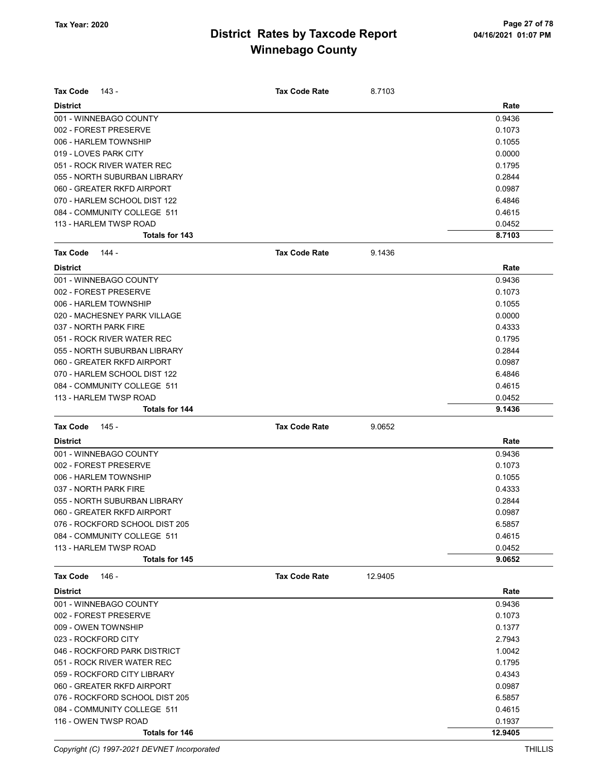| <b>Tax Code</b><br>143 -       | <b>Tax Code Rate</b> | 8.7103  |        |
|--------------------------------|----------------------|---------|--------|
| <b>District</b>                |                      |         | Rate   |
| 001 - WINNEBAGO COUNTY         |                      |         | 0.9436 |
| 002 - FOREST PRESERVE          |                      |         | 0.1073 |
| 006 - HARLEM TOWNSHIP          |                      |         | 0.1055 |
| 019 - LOVES PARK CITY          |                      |         | 0.0000 |
| 051 - ROCK RIVER WATER REC     |                      |         | 0.1795 |
| 055 - NORTH SUBURBAN LIBRARY   |                      |         | 0.2844 |
| 060 - GREATER RKFD AIRPORT     |                      |         | 0.0987 |
| 070 - HARLEM SCHOOL DIST 122   |                      |         | 6.4846 |
| 084 - COMMUNITY COLLEGE 511    |                      |         | 0.4615 |
| 113 - HARLEM TWSP ROAD         |                      |         | 0.0452 |
| Totals for 143                 |                      |         | 8.7103 |
| <b>Tax Code</b><br>144 -       | <b>Tax Code Rate</b> | 9.1436  |        |
| <b>District</b>                |                      |         | Rate   |
| 001 - WINNEBAGO COUNTY         |                      |         | 0.9436 |
| 002 - FOREST PRESERVE          |                      |         | 0.1073 |
| 006 - HARLEM TOWNSHIP          |                      |         | 0.1055 |
| 020 - MACHESNEY PARK VILLAGE   |                      |         | 0.0000 |
| 037 - NORTH PARK FIRE          |                      |         | 0.4333 |
| 051 - ROCK RIVER WATER REC     |                      |         | 0.1795 |
| 055 - NORTH SUBURBAN LIBRARY   |                      |         | 0.2844 |
| 060 - GREATER RKFD AIRPORT     |                      |         | 0.0987 |
| 070 - HARLEM SCHOOL DIST 122   |                      |         | 6.4846 |
| 084 - COMMUNITY COLLEGE 511    |                      |         | 0.4615 |
| 113 - HARLEM TWSP ROAD         |                      |         | 0.0452 |
| Totals for 144                 |                      |         | 9.1436 |
|                                |                      |         |        |
|                                |                      |         |        |
| <b>Tax Code</b><br>145 -       | <b>Tax Code Rate</b> | 9.0652  |        |
| <b>District</b>                |                      |         | Rate   |
| 001 - WINNEBAGO COUNTY         |                      |         | 0.9436 |
| 002 - FOREST PRESERVE          |                      |         | 0.1073 |
| 006 - HARLEM TOWNSHIP          |                      |         | 0.1055 |
| 037 - NORTH PARK FIRE          |                      |         | 0.4333 |
| 055 - NORTH SUBURBAN LIBRARY   |                      |         | 0.2844 |
| 060 - GREATER RKFD AIRPORT     |                      |         | 0.0987 |
| 076 - ROCKFORD SCHOOL DIST 205 |                      |         | 6.5857 |
| 084 - COMMUNITY COLLEGE 511    |                      |         | 0.4615 |
| 113 - HARLEM TWSP ROAD         |                      |         | 0.0452 |
| Totals for 145                 |                      |         | 9.0652 |
| <b>Tax Code</b><br>146 -       | <b>Tax Code Rate</b> | 12.9405 |        |
| <b>District</b>                |                      |         | Rate   |
| 001 - WINNEBAGO COUNTY         |                      |         | 0.9436 |
| 002 - FOREST PRESERVE          |                      |         | 0.1073 |
| 009 - OWEN TOWNSHIP            |                      |         | 0.1377 |
| 023 - ROCKFORD CITY            |                      |         | 2.7943 |
| 046 - ROCKFORD PARK DISTRICT   |                      |         | 1.0042 |
| 051 - ROCK RIVER WATER REC     |                      |         | 0.1795 |
| 059 - ROCKFORD CITY LIBRARY    |                      |         | 0.4343 |
| 060 - GREATER RKFD AIRPORT     |                      |         | 0.0987 |
| 076 - ROCKFORD SCHOOL DIST 205 |                      |         | 6.5857 |
| 084 - COMMUNITY COLLEGE 511    |                      |         | 0.4615 |
| 116 - OWEN TWSP ROAD           |                      |         | 0.1937 |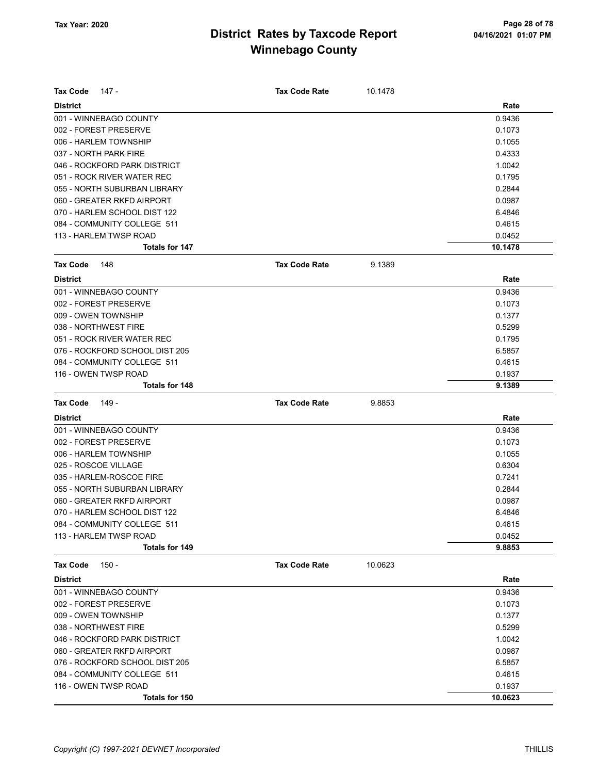| Tax Code             | 147 -                          | <b>Tax Code Rate</b> | 10.1478 |         |
|----------------------|--------------------------------|----------------------|---------|---------|
| <b>District</b>      |                                |                      |         | Rate    |
|                      | 001 - WINNEBAGO COUNTY         |                      |         | 0.9436  |
|                      | 002 - FOREST PRESERVE          |                      |         | 0.1073  |
|                      | 006 - HARLEM TOWNSHIP          |                      |         | 0.1055  |
|                      | 037 - NORTH PARK FIRE          |                      |         | 0.4333  |
|                      | 046 - ROCKFORD PARK DISTRICT   |                      |         | 1.0042  |
|                      | 051 - ROCK RIVER WATER REC     |                      |         | 0.1795  |
|                      | 055 - NORTH SUBURBAN LIBRARY   |                      |         | 0.2844  |
|                      | 060 - GREATER RKFD AIRPORT     |                      |         | 0.0987  |
|                      | 070 - HARLEM SCHOOL DIST 122   |                      |         | 6.4846  |
|                      | 084 - COMMUNITY COLLEGE 511    |                      |         | 0.4615  |
|                      | 113 - HARLEM TWSP ROAD         |                      |         | 0.0452  |
|                      | <b>Totals for 147</b>          |                      |         | 10.1478 |
| <b>Tax Code</b>      | 148                            | <b>Tax Code Rate</b> | 9.1389  |         |
| <b>District</b>      |                                |                      |         | Rate    |
|                      | 001 - WINNEBAGO COUNTY         |                      |         | 0.9436  |
|                      | 002 - FOREST PRESERVE          |                      |         | 0.1073  |
| 009 - OWEN TOWNSHIP  |                                |                      |         | 0.1377  |
|                      | 038 - NORTHWEST FIRE           |                      |         | 0.5299  |
|                      | 051 - ROCK RIVER WATER REC     |                      |         | 0.1795  |
|                      | 076 - ROCKFORD SCHOOL DIST 205 |                      |         | 6.5857  |
|                      | 084 - COMMUNITY COLLEGE 511    |                      |         | 0.4615  |
|                      | 116 - OWEN TWSP ROAD           |                      |         | 0.1937  |
|                      | <b>Totals for 148</b>          |                      |         | 9.1389  |
| <b>Tax Code</b>      | 149 -                          | <b>Tax Code Rate</b> | 9.8853  |         |
| <b>District</b>      |                                |                      |         | Rate    |
|                      | 001 - WINNEBAGO COUNTY         |                      |         | 0.9436  |
|                      | 002 - FOREST PRESERVE          |                      |         | 0.1073  |
|                      | 006 - HARLEM TOWNSHIP          |                      |         | 0.1055  |
| 025 - ROSCOE VILLAGE |                                |                      |         | 0.6304  |
|                      | 035 - HARLEM-ROSCOE FIRE       |                      |         | 0.7241  |
|                      | 055 - NORTH SUBURBAN LIBRARY   |                      |         | 0.2844  |
|                      | 060 - GREATER RKFD AIRPORT     |                      |         | 0.0987  |
|                      | 070 - HARLEM SCHOOL DIST 122   |                      |         | 6.4846  |
|                      | 084 - COMMUNITY COLLEGE 511    |                      |         | 0.4615  |
|                      | 113 - HARLEM TWSP ROAD         |                      |         | 0.0452  |
|                      | Totals for 149                 |                      |         | 9.8853  |
| Tax Code             | 150 -                          | <b>Tax Code Rate</b> | 10.0623 |         |
| <b>District</b>      |                                |                      |         | Rate    |
|                      | 001 - WINNEBAGO COUNTY         |                      |         | 0.9436  |
|                      | 002 - FOREST PRESERVE          |                      |         | 0.1073  |
| 009 - OWEN TOWNSHIP  |                                |                      |         | 0.1377  |
|                      | 038 - NORTHWEST FIRE           |                      |         | 0.5299  |
|                      | 046 - ROCKFORD PARK DISTRICT   |                      |         | 1.0042  |
|                      | 060 - GREATER RKFD AIRPORT     |                      |         | 0.0987  |
|                      | 076 - ROCKFORD SCHOOL DIST 205 |                      |         | 6.5857  |
|                      | 084 - COMMUNITY COLLEGE 511    |                      |         | 0.4615  |
|                      | 116 - OWEN TWSP ROAD           |                      |         | 0.1937  |
|                      | Totals for 150                 |                      |         | 10.0623 |
|                      |                                |                      |         |         |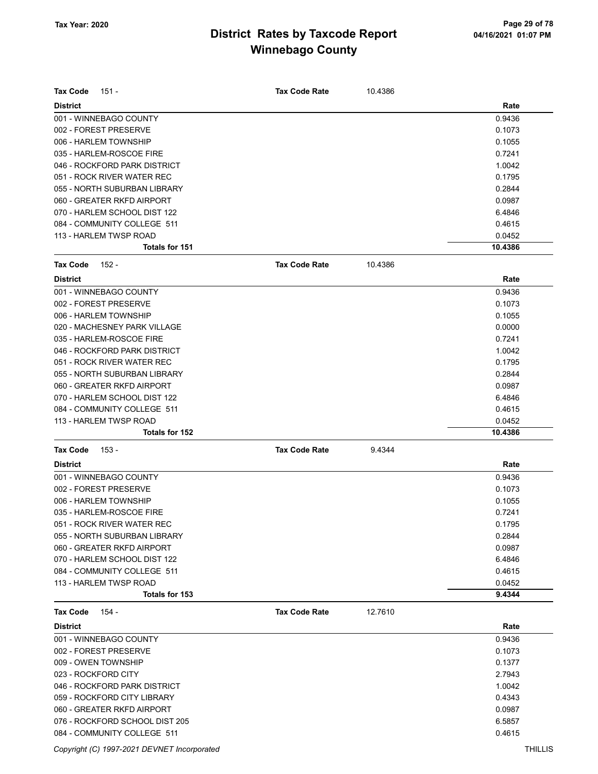| <b>Tax Code</b><br>151 -       | <b>Tax Code Rate</b> | 10.4386 |         |
|--------------------------------|----------------------|---------|---------|
| <b>District</b>                |                      |         | Rate    |
| 001 - WINNEBAGO COUNTY         |                      |         | 0.9436  |
| 002 - FOREST PRESERVE          |                      |         | 0.1073  |
| 006 - HARLEM TOWNSHIP          |                      |         | 0.1055  |
| 035 - HARLEM-ROSCOE FIRE       |                      |         | 0.7241  |
| 046 - ROCKFORD PARK DISTRICT   |                      |         | 1.0042  |
| 051 - ROCK RIVER WATER REC     |                      |         | 0.1795  |
| 055 - NORTH SUBURBAN LIBRARY   |                      |         | 0.2844  |
| 060 - GREATER RKFD AIRPORT     |                      |         | 0.0987  |
| 070 - HARLEM SCHOOL DIST 122   |                      |         | 6.4846  |
| 084 - COMMUNITY COLLEGE 511    |                      |         | 0.4615  |
| 113 - HARLEM TWSP ROAD         |                      |         | 0.0452  |
| Totals for 151                 |                      |         | 10.4386 |
| <b>Tax Code</b><br>152 -       | <b>Tax Code Rate</b> | 10.4386 |         |
| <b>District</b>                |                      |         | Rate    |
| 001 - WINNEBAGO COUNTY         |                      |         | 0.9436  |
| 002 - FOREST PRESERVE          |                      |         | 0.1073  |
| 006 - HARLEM TOWNSHIP          |                      |         | 0.1055  |
| 020 - MACHESNEY PARK VILLAGE   |                      |         | 0.0000  |
| 035 - HARLEM-ROSCOE FIRE       |                      |         | 0.7241  |
| 046 - ROCKFORD PARK DISTRICT   |                      |         | 1.0042  |
| 051 - ROCK RIVER WATER REC     |                      |         | 0.1795  |
| 055 - NORTH SUBURBAN LIBRARY   |                      |         | 0.2844  |
| 060 - GREATER RKFD AIRPORT     |                      |         | 0.0987  |
| 070 - HARLEM SCHOOL DIST 122   |                      |         | 6.4846  |
| 084 - COMMUNITY COLLEGE 511    |                      |         | 0.4615  |
| 113 - HARLEM TWSP ROAD         |                      |         | 0.0452  |
| Totals for 152                 |                      |         | 10.4386 |
| <b>Tax Code</b><br>153 -       | <b>Tax Code Rate</b> | 9.4344  |         |
| <b>District</b>                |                      |         | Rate    |
| 001 - WINNEBAGO COUNTY         |                      |         | 0.9436  |
| 002 - FOREST PRESERVE          |                      |         | 0.1073  |
| 006 - HARLEM TOWNSHIP          |                      |         | 0.1055  |
| 035 - HARLEM-ROSCOE FIRE       |                      |         | 0.7241  |
| 051 - ROCK RIVER WATER REC     |                      |         | 0.1795  |
| 055 - NORTH SUBURBAN LIBRARY   |                      |         | 0.2844  |
| 060 - GREATER RKFD AIRPORT     |                      |         | 0.0987  |
| 070 - HARLEM SCHOOL DIST 122   |                      |         | 6.4846  |
| 084 - COMMUNITY COLLEGE 511    |                      |         | 0.4615  |
| 113 - HARLEM TWSP ROAD         |                      |         | 0.0452  |
| Totals for 153                 |                      |         | 9.4344  |
| <b>Tax Code</b><br>154 -       | <b>Tax Code Rate</b> | 12.7610 |         |
| <b>District</b>                |                      |         | Rate    |
| 001 - WINNEBAGO COUNTY         |                      |         | 0.9436  |
| 002 - FOREST PRESERVE          |                      |         | 0.1073  |
| 009 - OWEN TOWNSHIP            |                      |         | 0.1377  |
| 023 - ROCKFORD CITY            |                      |         | 2.7943  |
| 046 - ROCKFORD PARK DISTRICT   |                      |         | 1.0042  |
| 059 - ROCKFORD CITY LIBRARY    |                      |         | 0.4343  |
| 060 - GREATER RKFD AIRPORT     |                      |         | 0.0987  |
| 076 - ROCKFORD SCHOOL DIST 205 |                      |         | 6.5857  |
| 084 - COMMUNITY COLLEGE 511    |                      |         | 0.4615  |

Copyright (C) 1997-2021 DEVNET Incorporated THILLIS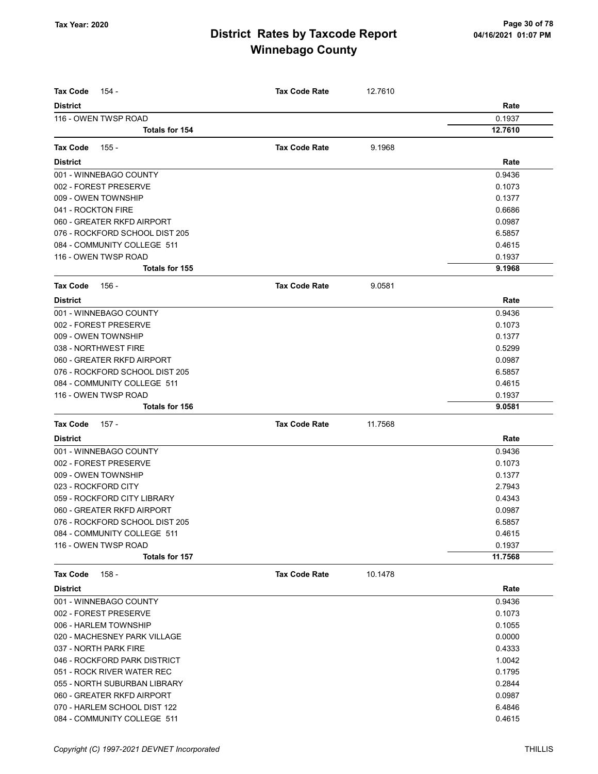| <b>Tax Code</b><br>154 -       | <b>Tax Code Rate</b> | 12.7610 |         |
|--------------------------------|----------------------|---------|---------|
| <b>District</b>                |                      |         | Rate    |
| 116 - OWEN TWSP ROAD           |                      |         | 0.1937  |
| Totals for 154                 |                      |         | 12.7610 |
| <b>Tax Code</b><br>155 -       | <b>Tax Code Rate</b> | 9.1968  |         |
| <b>District</b>                |                      |         | Rate    |
| 001 - WINNEBAGO COUNTY         |                      |         | 0.9436  |
| 002 - FOREST PRESERVE          |                      |         | 0.1073  |
| 009 - OWEN TOWNSHIP            |                      |         | 0.1377  |
| 041 - ROCKTON FIRE             |                      |         | 0.6686  |
| 060 - GREATER RKFD AIRPORT     |                      |         | 0.0987  |
| 076 - ROCKFORD SCHOOL DIST 205 |                      |         | 6.5857  |
| 084 - COMMUNITY COLLEGE 511    |                      |         | 0.4615  |
| 116 - OWEN TWSP ROAD           |                      |         | 0.1937  |
| <b>Totals for 155</b>          |                      |         | 9.1968  |
| Tax Code<br>156 -              | <b>Tax Code Rate</b> | 9.0581  |         |
| <b>District</b>                |                      |         | Rate    |
| 001 - WINNEBAGO COUNTY         |                      |         | 0.9436  |
| 002 - FOREST PRESERVE          |                      |         | 0.1073  |
| 009 - OWEN TOWNSHIP            |                      |         | 0.1377  |
| 038 - NORTHWEST FIRE           |                      |         | 0.5299  |
| 060 - GREATER RKFD AIRPORT     |                      |         | 0.0987  |
| 076 - ROCKFORD SCHOOL DIST 205 |                      |         | 6.5857  |
| 084 - COMMUNITY COLLEGE 511    |                      |         | 0.4615  |
| 116 - OWEN TWSP ROAD           |                      |         | 0.1937  |
| Totals for 156                 |                      |         | 9.0581  |
| <b>Tax Code</b><br>157 -       | <b>Tax Code Rate</b> | 11.7568 |         |
| <b>District</b>                |                      |         | Rate    |
| 001 - WINNEBAGO COUNTY         |                      |         | 0.9436  |
| 002 - FOREST PRESERVE          |                      |         | 0.1073  |
| 009 - OWEN TOWNSHIP            |                      |         | 0.1377  |
| 023 - ROCKFORD CITY            |                      |         | 2.7943  |
| 059 - ROCKFORD CITY LIBRARY    |                      |         | 0.4343  |
| 060 - GREATER RKFD AIRPORT     |                      |         | 0.0987  |
| 076 - ROCKFORD SCHOOL DIST 205 |                      |         | 6.5857  |
| 084 - COMMUNITY COLLEGE 511    |                      |         | 0.4615  |
| 116 - OWEN TWSP ROAD           |                      |         | 0.1937  |
| Totals for 157                 |                      |         | 11.7568 |
| Tax Code<br>158 -              | <b>Tax Code Rate</b> | 10.1478 |         |
| <b>District</b>                |                      |         | Rate    |
| 001 - WINNEBAGO COUNTY         |                      |         | 0.9436  |
| 002 - FOREST PRESERVE          |                      |         | 0.1073  |
| 006 - HARLEM TOWNSHIP          |                      |         | 0.1055  |
| 020 - MACHESNEY PARK VILLAGE   |                      |         | 0.0000  |
| 037 - NORTH PARK FIRE          |                      |         | 0.4333  |
| 046 - ROCKFORD PARK DISTRICT   |                      |         | 1.0042  |
| 051 - ROCK RIVER WATER REC     |                      |         | 0.1795  |
| 055 - NORTH SUBURBAN LIBRARY   |                      |         | 0.2844  |
| 060 - GREATER RKFD AIRPORT     |                      |         | 0.0987  |
| 070 - HARLEM SCHOOL DIST 122   |                      |         | 6.4846  |
| 084 - COMMUNITY COLLEGE 511    |                      |         | 0.4615  |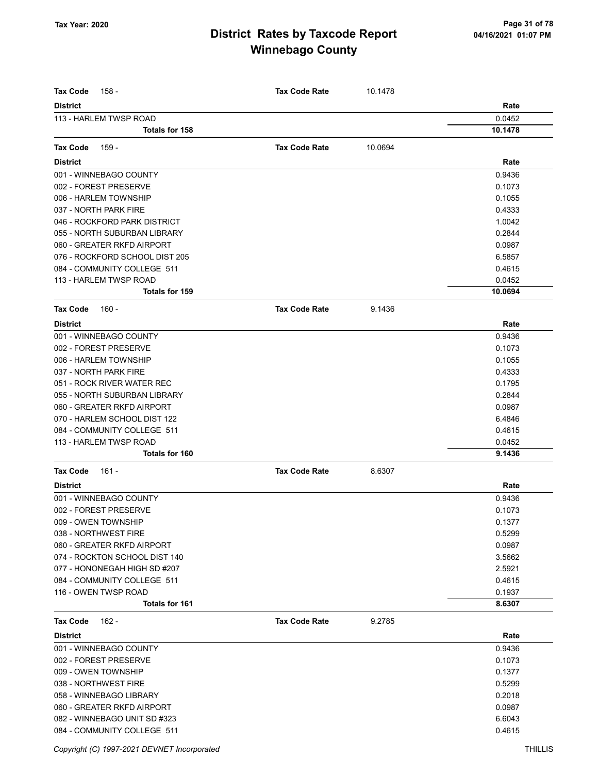| <b>Tax Code</b><br>158 -       | <b>Tax Code Rate</b> | 10.1478 |         |
|--------------------------------|----------------------|---------|---------|
| <b>District</b>                |                      |         | Rate    |
| 113 - HARLEM TWSP ROAD         |                      |         | 0.0452  |
| <b>Totals for 158</b>          |                      |         | 10.1478 |
| <b>Tax Code</b><br>159 -       | <b>Tax Code Rate</b> | 10.0694 |         |
|                                |                      |         |         |
| <b>District</b>                |                      |         | Rate    |
| 001 - WINNEBAGO COUNTY         |                      |         | 0.9436  |
| 002 - FOREST PRESERVE          |                      |         | 0.1073  |
| 006 - HARLEM TOWNSHIP          |                      |         | 0.1055  |
| 037 - NORTH PARK FIRE          |                      |         | 0.4333  |
| 046 - ROCKFORD PARK DISTRICT   |                      |         | 1.0042  |
| 055 - NORTH SUBURBAN LIBRARY   |                      |         | 0.2844  |
| 060 - GREATER RKFD AIRPORT     |                      |         | 0.0987  |
| 076 - ROCKFORD SCHOOL DIST 205 |                      |         | 6.5857  |
| 084 - COMMUNITY COLLEGE 511    |                      |         | 0.4615  |
| 113 - HARLEM TWSP ROAD         |                      |         | 0.0452  |
| <b>Totals for 159</b>          |                      |         | 10.0694 |
| $160 -$<br><b>Tax Code</b>     | <b>Tax Code Rate</b> | 9.1436  |         |
| <b>District</b>                |                      |         | Rate    |
| 001 - WINNEBAGO COUNTY         |                      |         | 0.9436  |
| 002 - FOREST PRESERVE          |                      |         | 0.1073  |
| 006 - HARLEM TOWNSHIP          |                      |         | 0.1055  |
| 037 - NORTH PARK FIRE          |                      |         | 0.4333  |
| 051 - ROCK RIVER WATER REC     |                      |         | 0.1795  |
| 055 - NORTH SUBURBAN LIBRARY   |                      |         | 0.2844  |
| 060 - GREATER RKFD AIRPORT     |                      |         | 0.0987  |
| 070 - HARLEM SCHOOL DIST 122   |                      |         | 6.4846  |
| 084 - COMMUNITY COLLEGE 511    |                      |         | 0.4615  |
| 113 - HARLEM TWSP ROAD         |                      |         | 0.0452  |
| Totals for 160                 |                      |         | 9.1436  |
| <b>Tax Code</b><br>161 -       | <b>Tax Code Rate</b> | 8.6307  |         |
| <b>District</b>                |                      |         | Rate    |
| 001 - WINNEBAGO COUNTY         |                      |         | 0.9436  |
| 002 - FOREST PRESERVE          |                      |         | 0.1073  |
| 009 - OWEN TOWNSHIP            |                      |         | 0.1377  |
| 038 - NORTHWEST FIRE           |                      |         | 0.5299  |
| 060 - GREATER RKFD AIRPORT     |                      |         | 0.0987  |
| 074 - ROCKTON SCHOOL DIST 140  |                      |         | 3.5662  |
| 077 - HONONEGAH HIGH SD #207   |                      |         | 2.5921  |
| 084 - COMMUNITY COLLEGE 511    |                      |         | 0.4615  |
| 116 - OWEN TWSP ROAD           |                      |         | 0.1937  |
| <b>Totals for 161</b>          |                      |         | 8.6307  |
| <b>Tax Code</b><br>162 -       | <b>Tax Code Rate</b> | 9.2785  |         |
| <b>District</b>                |                      |         | Rate    |
| 001 - WINNEBAGO COUNTY         |                      |         | 0.9436  |
| 002 - FOREST PRESERVE          |                      |         | 0.1073  |
| 009 - OWEN TOWNSHIP            |                      |         | 0.1377  |
| 038 - NORTHWEST FIRE           |                      |         | 0.5299  |
| 058 - WINNEBAGO LIBRARY        |                      |         | 0.2018  |
| 060 - GREATER RKFD AIRPORT     |                      |         | 0.0987  |
| 082 - WINNEBAGO UNIT SD #323   |                      |         | 6.6043  |
| 084 - COMMUNITY COLLEGE 511    |                      |         | 0.4615  |
|                                |                      |         |         |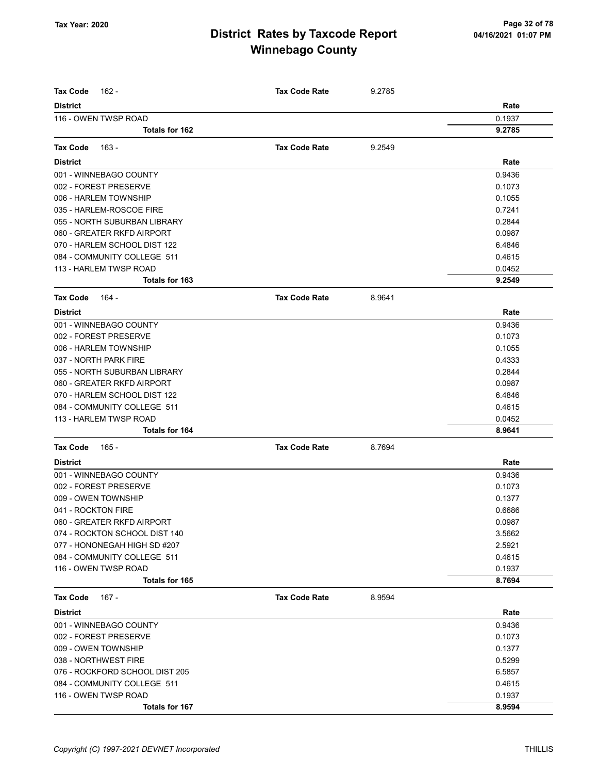| Tax Code<br>162 -                             | <b>Tax Code Rate</b> | 9.2785 |                  |
|-----------------------------------------------|----------------------|--------|------------------|
| <b>District</b>                               |                      |        | Rate             |
| 116 - OWEN TWSP ROAD                          |                      |        | 0.1937           |
| Totals for 162                                |                      |        | 9.2785           |
| $163 -$<br><b>Tax Code</b>                    | <b>Tax Code Rate</b> | 9.2549 |                  |
| <b>District</b>                               |                      |        | Rate             |
| 001 - WINNEBAGO COUNTY                        |                      |        | 0.9436           |
| 002 - FOREST PRESERVE                         |                      |        | 0.1073           |
| 006 - HARLEM TOWNSHIP                         |                      |        | 0.1055           |
| 035 - HARLEM-ROSCOE FIRE                      |                      |        | 0.7241           |
| 055 - NORTH SUBURBAN LIBRARY                  |                      |        | 0.2844           |
| 060 - GREATER RKFD AIRPORT                    |                      |        | 0.0987           |
| 070 - HARLEM SCHOOL DIST 122                  |                      |        | 6.4846           |
| 084 - COMMUNITY COLLEGE 511                   |                      |        | 0.4615           |
| 113 - HARLEM TWSP ROAD                        |                      |        | 0.0452           |
| Totals for 163                                |                      |        | 9.2549           |
|                                               | <b>Tax Code Rate</b> |        |                  |
| Tax Code<br>164 -                             |                      | 8.9641 |                  |
| <b>District</b>                               |                      |        | Rate             |
| 001 - WINNEBAGO COUNTY                        |                      |        | 0.9436           |
| 002 - FOREST PRESERVE                         |                      |        | 0.1073           |
| 006 - HARLEM TOWNSHIP                         |                      |        | 0.1055           |
| 037 - NORTH PARK FIRE                         |                      |        | 0.4333           |
| 055 - NORTH SUBURBAN LIBRARY                  |                      |        | 0.2844           |
| 060 - GREATER RKFD AIRPORT                    |                      |        | 0.0987           |
| 070 - HARLEM SCHOOL DIST 122                  |                      |        | 6.4846           |
| 084 - COMMUNITY COLLEGE 511                   |                      |        | 0.4615           |
| 113 - HARLEM TWSP ROAD<br>Totals for 164      |                      |        | 0.0452<br>8.9641 |
| <b>Tax Code</b>                               | <b>Tax Code Rate</b> |        |                  |
| 165 -                                         |                      | 8.7694 |                  |
| <b>District</b>                               |                      |        | Rate             |
| 001 - WINNEBAGO COUNTY                        |                      |        | 0.9436<br>0.1073 |
| 002 - FOREST PRESERVE                         |                      |        |                  |
| 009 - OWEN TOWNSHIP                           |                      |        | 0.1377           |
| 041 - ROCKTON FIRE                            |                      |        | 0.6686           |
| 060 - GREATER RKFD AIRPORT                    |                      |        | 0.0987           |
| 074 - ROCKTON SCHOOL DIST 140                 |                      |        | 3.5662           |
| 077 - HONONEGAH HIGH SD #207                  |                      |        | 2.5921           |
| 084 - COMMUNITY COLLEGE 511                   |                      |        | 0.4615           |
| 116 - OWEN TWSP ROAD<br><b>Totals for 165</b> |                      |        | 0.1937<br>8.7694 |
|                                               |                      |        |                  |
| $167 -$<br>Tax Code                           | <b>Tax Code Rate</b> | 8.9594 |                  |
| <b>District</b>                               |                      |        | Rate             |
| 001 - WINNEBAGO COUNTY                        |                      |        | 0.9436           |
| 002 - FOREST PRESERVE                         |                      |        | 0.1073           |
| 009 - OWEN TOWNSHIP                           |                      |        | 0.1377           |
| 038 - NORTHWEST FIRE                          |                      |        | 0.5299           |
| 076 - ROCKFORD SCHOOL DIST 205                |                      |        | 6.5857           |
| 084 - COMMUNITY COLLEGE 511                   |                      |        | 0.4615           |
| 116 - OWEN TWSP ROAD                          |                      |        | 0.1937           |
| Totals for 167                                |                      |        | 8.9594           |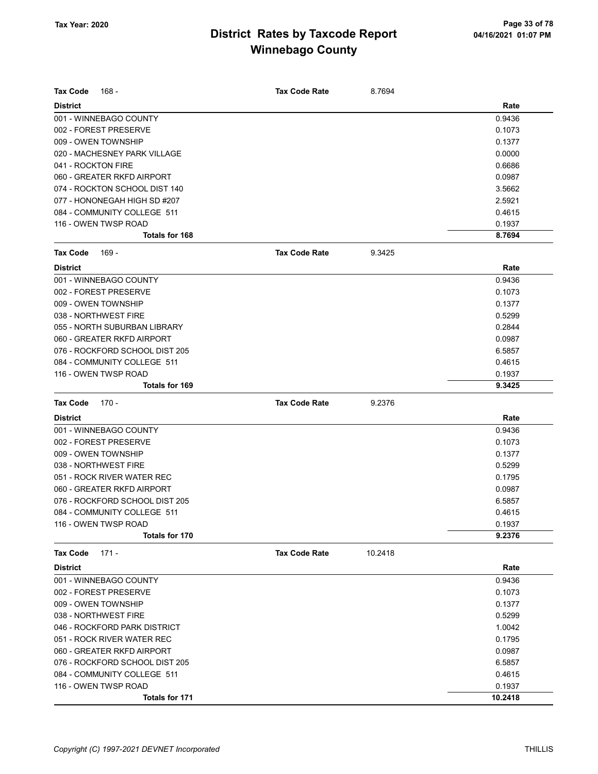|                    | 168 -                          | <b>Tax Code Rate</b> | 8.7694  |        |
|--------------------|--------------------------------|----------------------|---------|--------|
| <b>District</b>    |                                |                      |         | Rate   |
|                    | 001 - WINNEBAGO COUNTY         |                      |         | 0.9436 |
|                    | 002 - FOREST PRESERVE          |                      |         | 0.1073 |
|                    | 009 - OWEN TOWNSHIP            |                      |         | 0.1377 |
|                    | 020 - MACHESNEY PARK VILLAGE   |                      |         | 0.0000 |
| 041 - ROCKTON FIRE |                                |                      |         | 0.6686 |
|                    | 060 - GREATER RKFD AIRPORT     |                      |         | 0.0987 |
|                    | 074 - ROCKTON SCHOOL DIST 140  |                      |         | 3.5662 |
|                    | 077 - HONONEGAH HIGH SD #207   |                      |         | 2.5921 |
|                    | 084 - COMMUNITY COLLEGE 511    |                      |         | 0.4615 |
|                    | 116 - OWEN TWSP ROAD           |                      |         | 0.1937 |
|                    | <b>Totals for 168</b>          |                      |         | 8.7694 |
| <b>Tax Code</b>    | 169 -                          | <b>Tax Code Rate</b> | 9.3425  |        |
| <b>District</b>    |                                |                      |         | Rate   |
|                    | 001 - WINNEBAGO COUNTY         |                      |         | 0.9436 |
|                    | 002 - FOREST PRESERVE          |                      |         | 0.1073 |
|                    | 009 - OWEN TOWNSHIP            |                      |         | 0.1377 |
|                    | 038 - NORTHWEST FIRE           |                      |         | 0.5299 |
|                    | 055 - NORTH SUBURBAN LIBRARY   |                      |         | 0.2844 |
|                    | 060 - GREATER RKFD AIRPORT     |                      |         | 0.0987 |
|                    | 076 - ROCKFORD SCHOOL DIST 205 |                      |         | 6.5857 |
|                    | 084 - COMMUNITY COLLEGE 511    |                      |         | 0.4615 |
|                    | 116 - OWEN TWSP ROAD           |                      |         | 0.1937 |
|                    | Totals for 169                 |                      |         | 9.3425 |
| <b>Tax Code</b>    | 170 -                          | <b>Tax Code Rate</b> | 9.2376  |        |
|                    |                                |                      |         |        |
| <b>District</b>    |                                |                      |         | Rate   |
|                    | 001 - WINNEBAGO COUNTY         |                      |         | 0.9436 |
|                    | 002 - FOREST PRESERVE          |                      |         | 0.1073 |
|                    | 009 - OWEN TOWNSHIP            |                      |         | 0.1377 |
|                    | 038 - NORTHWEST FIRE           |                      |         | 0.5299 |
|                    | 051 - ROCK RIVER WATER REC     |                      |         | 0.1795 |
|                    | 060 - GREATER RKFD AIRPORT     |                      |         | 0.0987 |
|                    | 076 - ROCKFORD SCHOOL DIST 205 |                      |         | 6.5857 |
|                    | 084 - COMMUNITY COLLEGE 511    |                      |         | 0.4615 |
|                    | 116 - OWEN TWSP ROAD           |                      |         | 0.1937 |
|                    | Totals for 170                 |                      |         | 9.2376 |
| <b>Tax Code</b>    | $171 -$                        | <b>Tax Code Rate</b> | 10.2418 |        |
| <b>District</b>    |                                |                      |         | Rate   |
|                    | 001 - WINNEBAGO COUNTY         |                      |         | 0.9436 |
|                    | 002 - FOREST PRESERVE          |                      |         | 0.1073 |
|                    | 009 - OWEN TOWNSHIP            |                      |         | 0.1377 |
|                    | 038 - NORTHWEST FIRE           |                      |         | 0.5299 |
|                    | 046 - ROCKFORD PARK DISTRICT   |                      |         | 1.0042 |
|                    | 051 - ROCK RIVER WATER REC     |                      |         | 0.1795 |
|                    | 060 - GREATER RKFD AIRPORT     |                      |         | 0.0987 |
|                    | 076 - ROCKFORD SCHOOL DIST 205 |                      |         | 6.5857 |
|                    | 084 - COMMUNITY COLLEGE 511    |                      |         | 0.4615 |
|                    | 116 - OWEN TWSP ROAD           |                      |         | 0.1937 |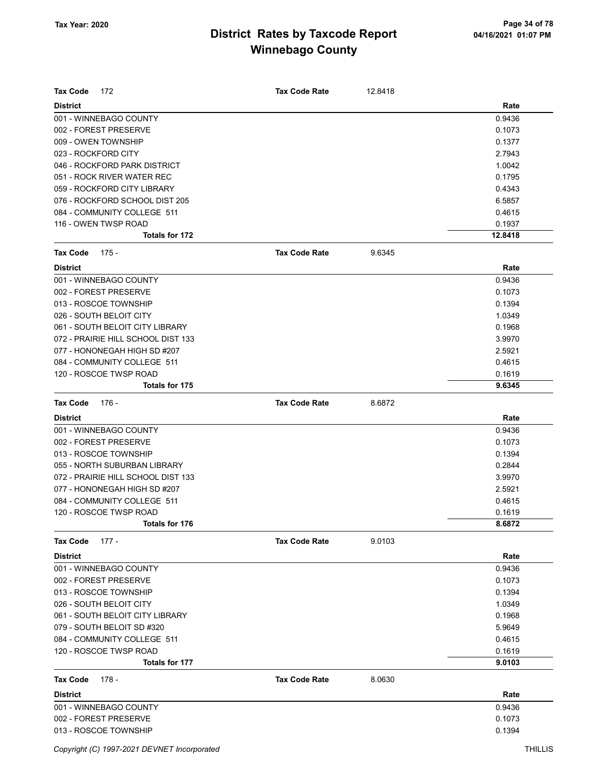| <b>Tax Code</b><br>172             | <b>Tax Code Rate</b> | 12.8418 |         |
|------------------------------------|----------------------|---------|---------|
| <b>District</b>                    |                      |         | Rate    |
| 001 - WINNEBAGO COUNTY             |                      |         | 0.9436  |
| 002 - FOREST PRESERVE              |                      |         | 0.1073  |
| 009 - OWEN TOWNSHIP                |                      |         | 0.1377  |
| 023 - ROCKFORD CITY                |                      |         | 2.7943  |
| 046 - ROCKFORD PARK DISTRICT       |                      |         | 1.0042  |
| 051 - ROCK RIVER WATER REC         |                      |         | 0.1795  |
| 059 - ROCKFORD CITY LIBRARY        |                      |         | 0.4343  |
| 076 - ROCKFORD SCHOOL DIST 205     |                      |         | 6.5857  |
| 084 - COMMUNITY COLLEGE 511        |                      |         | 0.4615  |
| 116 - OWEN TWSP ROAD               |                      |         | 0.1937  |
| Totals for 172                     |                      |         | 12.8418 |
| <b>Tax Code</b><br>175 -           | <b>Tax Code Rate</b> | 9.6345  |         |
| <b>District</b>                    |                      |         | Rate    |
| 001 - WINNEBAGO COUNTY             |                      |         | 0.9436  |
| 002 - FOREST PRESERVE              |                      |         | 0.1073  |
| 013 - ROSCOE TOWNSHIP              |                      |         | 0.1394  |
| 026 - SOUTH BELOIT CITY            |                      |         | 1.0349  |
| 061 - SOUTH BELOIT CITY LIBRARY    |                      |         | 0.1968  |
| 072 - PRAIRIE HILL SCHOOL DIST 133 |                      |         | 3.9970  |
| 077 - HONONEGAH HIGH SD #207       |                      |         | 2.5921  |
| 084 - COMMUNITY COLLEGE 511        |                      |         | 0.4615  |
| 120 - ROSCOE TWSP ROAD             |                      |         | 0.1619  |
| <b>Totals for 175</b>              |                      |         | 9.6345  |
| <b>Tax Code</b><br>176 -           | <b>Tax Code Rate</b> | 8.6872  |         |
|                                    |                      |         |         |
| <b>District</b>                    |                      |         | Rate    |
| 001 - WINNEBAGO COUNTY             |                      |         | 0.9436  |
| 002 - FOREST PRESERVE              |                      |         | 0.1073  |
| 013 - ROSCOE TOWNSHIP              |                      |         | 0.1394  |
| 055 - NORTH SUBURBAN LIBRARY       |                      |         | 0.2844  |
| 072 - PRAIRIE HILL SCHOOL DIST 133 |                      |         | 3.9970  |
| 077 - HONONEGAH HIGH SD #207       |                      |         | 2.5921  |
| 084 - COMMUNITY COLLEGE 511        |                      |         | 0.4615  |
| 120 - ROSCOE TWSP ROAD             |                      |         | 0.1619  |
| Totals for 176                     |                      |         | 8.6872  |
| <b>Tax Code</b><br>177 -           | <b>Tax Code Rate</b> | 9.0103  |         |
| <b>District</b>                    |                      |         | Rate    |
| 001 - WINNEBAGO COUNTY             |                      |         | 0.9436  |
| 002 - FOREST PRESERVE              |                      |         | 0.1073  |
| 013 - ROSCOE TOWNSHIP              |                      |         | 0.1394  |
| 026 - SOUTH BELOIT CITY            |                      |         | 1.0349  |
| 061 - SOUTH BELOIT CITY LIBRARY    |                      |         | 0.1968  |
| 079 - SOUTH BELOIT SD #320         |                      |         | 5.9649  |
| 084 - COMMUNITY COLLEGE 511        |                      |         | 0.4615  |
| 120 - ROSCOE TWSP ROAD             |                      |         | 0.1619  |
| Totals for 177                     |                      |         | 9.0103  |
| <b>Tax Code</b><br>178 -           | <b>Tax Code Rate</b> | 8.0630  |         |
| <b>District</b>                    |                      |         | Rate    |
| 001 - WINNEBAGO COUNTY             |                      |         | 0.9436  |
| 002 - FOREST PRESERVE              |                      |         | 0.1073  |
| 013 - ROSCOE TOWNSHIP              |                      |         | 0.1394  |
|                                    |                      |         |         |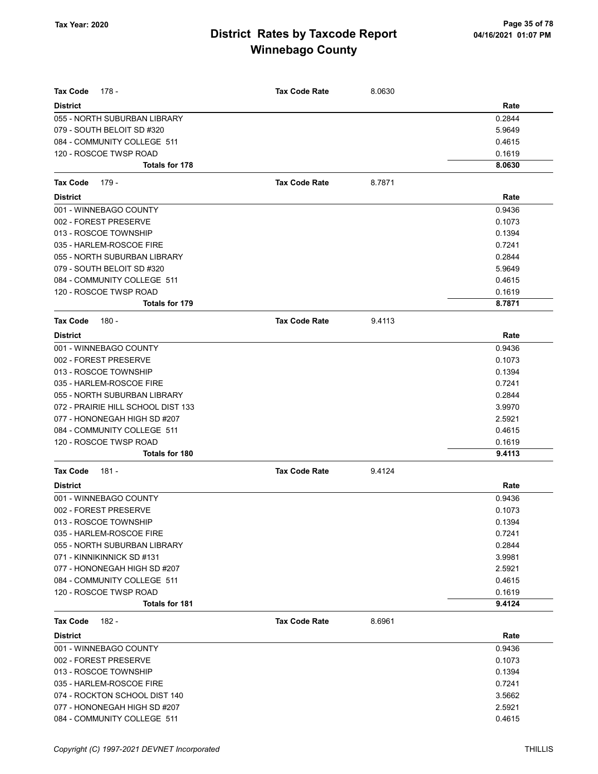| <b>Tax Code</b><br>178 -           | <b>Tax Code Rate</b> | 8.0630 |        |
|------------------------------------|----------------------|--------|--------|
| <b>District</b>                    |                      |        | Rate   |
| 055 - NORTH SUBURBAN LIBRARY       |                      |        | 0.2844 |
| 079 - SOUTH BELOIT SD #320         |                      |        | 5.9649 |
| 084 - COMMUNITY COLLEGE 511        |                      |        | 0.4615 |
| 120 - ROSCOE TWSP ROAD             |                      |        | 0.1619 |
| <b>Totals for 178</b>              |                      |        | 8.0630 |
| Tax Code<br>179 -                  | <b>Tax Code Rate</b> | 8.7871 |        |
| <b>District</b>                    |                      |        | Rate   |
| 001 - WINNEBAGO COUNTY             |                      |        | 0.9436 |
| 002 - FOREST PRESERVE              |                      |        | 0.1073 |
| 013 - ROSCOE TOWNSHIP              |                      |        | 0.1394 |
| 035 - HARLEM-ROSCOE FIRE           |                      |        | 0.7241 |
| 055 - NORTH SUBURBAN LIBRARY       |                      |        | 0.2844 |
| 079 - SOUTH BELOIT SD #320         |                      |        | 5.9649 |
| 084 - COMMUNITY COLLEGE 511        |                      |        | 0.4615 |
| 120 - ROSCOE TWSP ROAD             |                      |        | 0.1619 |
| Totals for 179                     |                      |        | 8.7871 |
| Tax Code<br>180 -                  | <b>Tax Code Rate</b> | 9.4113 |        |
| <b>District</b>                    |                      |        | Rate   |
| 001 - WINNEBAGO COUNTY             |                      |        | 0.9436 |
| 002 - FOREST PRESERVE              |                      |        | 0.1073 |
| 013 - ROSCOE TOWNSHIP              |                      |        | 0.1394 |
| 035 - HARLEM-ROSCOE FIRE           |                      |        | 0.7241 |
| 055 - NORTH SUBURBAN LIBRARY       |                      |        | 0.2844 |
| 072 - PRAIRIE HILL SCHOOL DIST 133 |                      |        | 3.9970 |
| 077 - HONONEGAH HIGH SD #207       |                      |        | 2.5921 |
| 084 - COMMUNITY COLLEGE 511        |                      |        | 0.4615 |
| 120 - ROSCOE TWSP ROAD             |                      |        | 0.1619 |
| <b>Totals for 180</b>              |                      |        | 9.4113 |
| <b>Tax Code</b><br>181 -           | <b>Tax Code Rate</b> | 9.4124 |        |
| <b>District</b>                    |                      |        | Rate   |
| 001 - WINNEBAGO COUNTY             |                      |        | 0.9436 |
| 002 - FOREST PRESERVE              |                      |        | 0.1073 |
| 013 - ROSCOE TOWNSHIP              |                      |        | 0.1394 |
| 035 - HARLEM-ROSCOE FIRE           |                      |        | 0.7241 |
| 055 - NORTH SUBURBAN LIBRARY       |                      |        | 0.2844 |
| 071 - KINNIKINNICK SD #131         |                      |        | 3.9981 |
| 077 - HONONEGAH HIGH SD #207       |                      |        | 2.5921 |
| 084 - COMMUNITY COLLEGE 511        |                      |        | 0.4615 |
| 120 - ROSCOE TWSP ROAD             |                      |        | 0.1619 |
| Totals for 181                     |                      |        | 9.4124 |
| <b>Tax Code</b><br>182 -           | <b>Tax Code Rate</b> | 8.6961 |        |
| <b>District</b>                    |                      |        | Rate   |
| 001 - WINNEBAGO COUNTY             |                      |        | 0.9436 |
| 002 - FOREST PRESERVE              |                      |        | 0.1073 |
| 013 - ROSCOE TOWNSHIP              |                      |        | 0.1394 |
| 035 - HARLEM-ROSCOE FIRE           |                      |        | 0.7241 |
| 074 - ROCKTON SCHOOL DIST 140      |                      |        | 3.5662 |
| 077 - HONONEGAH HIGH SD #207       |                      |        | 2.5921 |
| 084 - COMMUNITY COLLEGE 511        |                      |        | 0.4615 |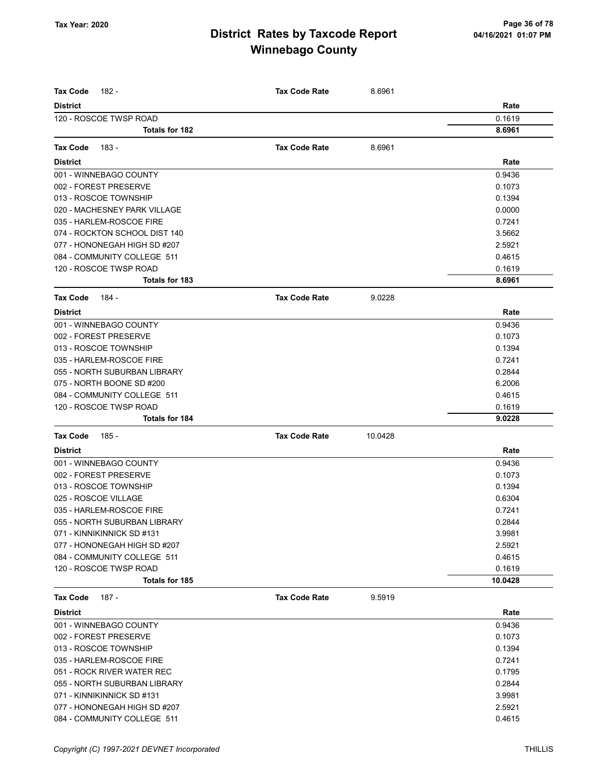| <b>Tax Code</b><br>182 -      | <b>Tax Code Rate</b> | 8.6961  |         |
|-------------------------------|----------------------|---------|---------|
| <b>District</b>               |                      |         | Rate    |
| 120 - ROSCOE TWSP ROAD        |                      |         | 0.1619  |
| <b>Totals for 182</b>         |                      |         | 8.6961  |
|                               |                      |         |         |
| <b>Tax Code</b><br>183 -      | <b>Tax Code Rate</b> | 8.6961  |         |
| <b>District</b>               |                      |         | Rate    |
| 001 - WINNEBAGO COUNTY        |                      |         | 0.9436  |
| 002 - FOREST PRESERVE         |                      |         | 0.1073  |
| 013 - ROSCOE TOWNSHIP         |                      |         | 0.1394  |
| 020 - MACHESNEY PARK VILLAGE  |                      |         | 0.0000  |
| 035 - HARLEM-ROSCOE FIRE      |                      |         | 0.7241  |
| 074 - ROCKTON SCHOOL DIST 140 |                      |         | 3.5662  |
| 077 - HONONEGAH HIGH SD #207  |                      |         | 2.5921  |
| 084 - COMMUNITY COLLEGE 511   |                      |         | 0.4615  |
| 120 - ROSCOE TWSP ROAD        |                      |         | 0.1619  |
| <b>Totals for 183</b>         |                      |         | 8.6961  |
| 184 -<br><b>Tax Code</b>      | <b>Tax Code Rate</b> | 9.0228  |         |
| <b>District</b>               |                      |         | Rate    |
| 001 - WINNEBAGO COUNTY        |                      |         | 0.9436  |
| 002 - FOREST PRESERVE         |                      |         | 0.1073  |
| 013 - ROSCOE TOWNSHIP         |                      |         | 0.1394  |
| 035 - HARLEM-ROSCOE FIRE      |                      |         | 0.7241  |
| 055 - NORTH SUBURBAN LIBRARY  |                      |         | 0.2844  |
| 075 - NORTH BOONE SD #200     |                      |         | 6.2006  |
| 084 - COMMUNITY COLLEGE 511   |                      |         | 0.4615  |
| 120 - ROSCOE TWSP ROAD        |                      |         | 0.1619  |
| Totals for 184                |                      |         | 9.0228  |
| <b>Tax Code</b><br>185 -      | <b>Tax Code Rate</b> | 10.0428 |         |
| <b>District</b>               |                      |         | Rate    |
| 001 - WINNEBAGO COUNTY        |                      |         | 0.9436  |
| 002 - FOREST PRESERVE         |                      |         | 0.1073  |
| 013 - ROSCOE TOWNSHIP         |                      |         | 0.1394  |
| 025 - ROSCOE VILLAGE          |                      |         | 0.6304  |
| 035 - HARLEM-ROSCOE FIRE      |                      |         | 0.7241  |
| 055 - NORTH SUBURBAN LIBRARY  |                      |         | 0.2844  |
| 071 - KINNIKINNICK SD #131    |                      |         | 3.9981  |
| 077 - HONONEGAH HIGH SD #207  |                      |         | 2.5921  |
| 084 - COMMUNITY COLLEGE 511   |                      |         | 0.4615  |
| 120 - ROSCOE TWSP ROAD        |                      |         | 0.1619  |
| Totals for 185                |                      |         | 10.0428 |
| Tax Code<br>187 -             | <b>Tax Code Rate</b> | 9.5919  |         |
| <b>District</b>               |                      |         | Rate    |
| 001 - WINNEBAGO COUNTY        |                      |         | 0.9436  |
| 002 - FOREST PRESERVE         |                      |         | 0.1073  |
| 013 - ROSCOE TOWNSHIP         |                      |         | 0.1394  |
| 035 - HARLEM-ROSCOE FIRE      |                      |         | 0.7241  |
| 051 - ROCK RIVER WATER REC    |                      |         | 0.1795  |
| 055 - NORTH SUBURBAN LIBRARY  |                      |         | 0.2844  |
| 071 - KINNIKINNICK SD #131    |                      |         | 3.9981  |
| 077 - HONONEGAH HIGH SD #207  |                      |         | 2.5921  |
| 084 - COMMUNITY COLLEGE 511   |                      |         | 0.4615  |
|                               |                      |         |         |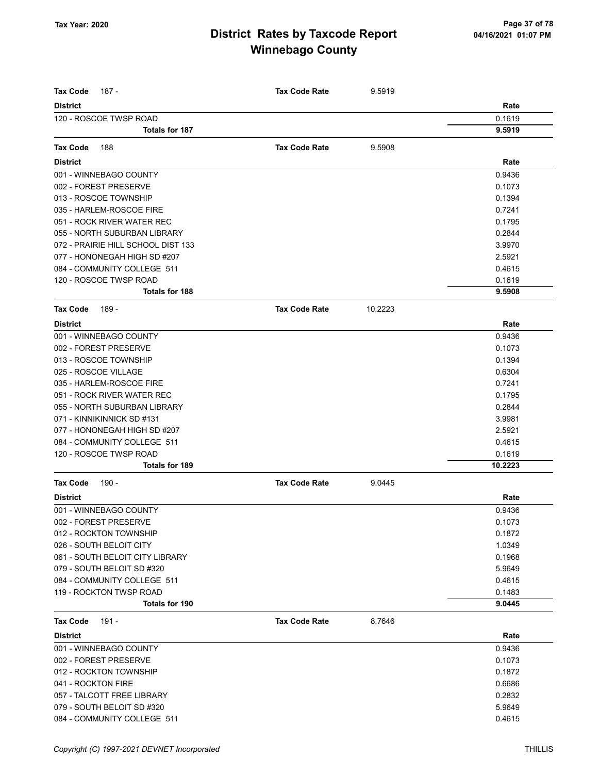| Rate<br><b>District</b><br>120 - ROSCOE TWSP ROAD<br>0.1619<br><b>Totals for 187</b><br>9.5919<br><b>Tax Code Rate</b><br>9.5908<br><b>Tax Code</b><br>188<br><b>District</b><br>Rate<br>001 - WINNEBAGO COUNTY<br>0.9436<br>002 - FOREST PRESERVE<br>0.1073<br>013 - ROSCOE TOWNSHIP<br>0.1394<br>035 - HARLEM-ROSCOE FIRE<br>0.7241<br>051 - ROCK RIVER WATER REC<br>0.1795<br>055 - NORTH SUBURBAN LIBRARY<br>0.2844<br>072 - PRAIRIE HILL SCHOOL DIST 133<br>3.9970<br>077 - HONONEGAH HIGH SD #207<br>2.5921<br>084 - COMMUNITY COLLEGE 511<br>0.4615<br>120 - ROSCOE TWSP ROAD<br>0.1619<br><b>Totals for 188</b><br>9.5908<br><b>Tax Code Rate</b><br>10.2223<br><b>Tax Code</b><br>189 -<br><b>District</b><br>Rate<br>001 - WINNEBAGO COUNTY<br>0.9436<br>002 - FOREST PRESERVE<br>0.1073<br>013 - ROSCOE TOWNSHIP<br>0.1394<br>025 - ROSCOE VILLAGE<br>0.6304<br>035 - HARLEM-ROSCOE FIRE<br>0.7241<br>051 - ROCK RIVER WATER REC<br>0.1795<br>055 - NORTH SUBURBAN LIBRARY<br>0.2844<br>071 - KINNIKINNICK SD #131<br>3.9981<br>077 - HONONEGAH HIGH SD #207<br>2.5921<br>084 - COMMUNITY COLLEGE 511<br>0.4615<br>120 - ROSCOE TWSP ROAD<br>0.1619<br><b>Totals for 189</b><br>10.2223<br><b>Tax Code Rate</b><br><b>Tax Code</b><br>190 -<br>9.0445<br><b>District</b><br>Rate<br>001 - WINNEBAGO COUNTY<br>0.9436<br>002 - FOREST PRESERVE<br>0.1073<br>012 - ROCKTON TOWNSHIP<br>0.1872<br>1.0349<br>026 - SOUTH BELOIT CITY<br>061 - SOUTH BELOIT CITY LIBRARY<br>0.1968<br>079 - SOUTH BELOIT SD #320<br>5.9649<br>084 - COMMUNITY COLLEGE 511<br>0.4615<br>119 - ROCKTON TWSP ROAD<br>0.1483<br><b>Totals for 190</b><br>9.0445<br>191 -<br><b>Tax Code Rate</b><br>8.7646<br><b>Tax Code</b><br>Rate<br><b>District</b><br>001 - WINNEBAGO COUNTY<br>0.9436<br>002 - FOREST PRESERVE<br>0.1073<br>012 - ROCKTON TOWNSHIP<br>0.1872<br>041 - ROCKTON FIRE<br>0.6686<br>057 - TALCOTT FREE LIBRARY<br>0.2832<br>079 - SOUTH BELOIT SD #320<br>5.9649<br>084 - COMMUNITY COLLEGE 511<br>0.4615 | Tax Code<br>187 - | <b>Tax Code Rate</b> | 9.5919 |  |
|----------------------------------------------------------------------------------------------------------------------------------------------------------------------------------------------------------------------------------------------------------------------------------------------------------------------------------------------------------------------------------------------------------------------------------------------------------------------------------------------------------------------------------------------------------------------------------------------------------------------------------------------------------------------------------------------------------------------------------------------------------------------------------------------------------------------------------------------------------------------------------------------------------------------------------------------------------------------------------------------------------------------------------------------------------------------------------------------------------------------------------------------------------------------------------------------------------------------------------------------------------------------------------------------------------------------------------------------------------------------------------------------------------------------------------------------------------------------------------------------------------------------------------------------------------------------------------------------------------------------------------------------------------------------------------------------------------------------------------------------------------------------------------------------------------------------------------------------------------------------------------------------------------------------------------------------------------------------------------------------------------------|-------------------|----------------------|--------|--|
|                                                                                                                                                                                                                                                                                                                                                                                                                                                                                                                                                                                                                                                                                                                                                                                                                                                                                                                                                                                                                                                                                                                                                                                                                                                                                                                                                                                                                                                                                                                                                                                                                                                                                                                                                                                                                                                                                                                                                                                                                |                   |                      |        |  |
|                                                                                                                                                                                                                                                                                                                                                                                                                                                                                                                                                                                                                                                                                                                                                                                                                                                                                                                                                                                                                                                                                                                                                                                                                                                                                                                                                                                                                                                                                                                                                                                                                                                                                                                                                                                                                                                                                                                                                                                                                |                   |                      |        |  |
|                                                                                                                                                                                                                                                                                                                                                                                                                                                                                                                                                                                                                                                                                                                                                                                                                                                                                                                                                                                                                                                                                                                                                                                                                                                                                                                                                                                                                                                                                                                                                                                                                                                                                                                                                                                                                                                                                                                                                                                                                |                   |                      |        |  |
|                                                                                                                                                                                                                                                                                                                                                                                                                                                                                                                                                                                                                                                                                                                                                                                                                                                                                                                                                                                                                                                                                                                                                                                                                                                                                                                                                                                                                                                                                                                                                                                                                                                                                                                                                                                                                                                                                                                                                                                                                |                   |                      |        |  |
|                                                                                                                                                                                                                                                                                                                                                                                                                                                                                                                                                                                                                                                                                                                                                                                                                                                                                                                                                                                                                                                                                                                                                                                                                                                                                                                                                                                                                                                                                                                                                                                                                                                                                                                                                                                                                                                                                                                                                                                                                |                   |                      |        |  |
|                                                                                                                                                                                                                                                                                                                                                                                                                                                                                                                                                                                                                                                                                                                                                                                                                                                                                                                                                                                                                                                                                                                                                                                                                                                                                                                                                                                                                                                                                                                                                                                                                                                                                                                                                                                                                                                                                                                                                                                                                |                   |                      |        |  |
|                                                                                                                                                                                                                                                                                                                                                                                                                                                                                                                                                                                                                                                                                                                                                                                                                                                                                                                                                                                                                                                                                                                                                                                                                                                                                                                                                                                                                                                                                                                                                                                                                                                                                                                                                                                                                                                                                                                                                                                                                |                   |                      |        |  |
|                                                                                                                                                                                                                                                                                                                                                                                                                                                                                                                                                                                                                                                                                                                                                                                                                                                                                                                                                                                                                                                                                                                                                                                                                                                                                                                                                                                                                                                                                                                                                                                                                                                                                                                                                                                                                                                                                                                                                                                                                |                   |                      |        |  |
|                                                                                                                                                                                                                                                                                                                                                                                                                                                                                                                                                                                                                                                                                                                                                                                                                                                                                                                                                                                                                                                                                                                                                                                                                                                                                                                                                                                                                                                                                                                                                                                                                                                                                                                                                                                                                                                                                                                                                                                                                |                   |                      |        |  |
|                                                                                                                                                                                                                                                                                                                                                                                                                                                                                                                                                                                                                                                                                                                                                                                                                                                                                                                                                                                                                                                                                                                                                                                                                                                                                                                                                                                                                                                                                                                                                                                                                                                                                                                                                                                                                                                                                                                                                                                                                |                   |                      |        |  |
|                                                                                                                                                                                                                                                                                                                                                                                                                                                                                                                                                                                                                                                                                                                                                                                                                                                                                                                                                                                                                                                                                                                                                                                                                                                                                                                                                                                                                                                                                                                                                                                                                                                                                                                                                                                                                                                                                                                                                                                                                |                   |                      |        |  |
|                                                                                                                                                                                                                                                                                                                                                                                                                                                                                                                                                                                                                                                                                                                                                                                                                                                                                                                                                                                                                                                                                                                                                                                                                                                                                                                                                                                                                                                                                                                                                                                                                                                                                                                                                                                                                                                                                                                                                                                                                |                   |                      |        |  |
|                                                                                                                                                                                                                                                                                                                                                                                                                                                                                                                                                                                                                                                                                                                                                                                                                                                                                                                                                                                                                                                                                                                                                                                                                                                                                                                                                                                                                                                                                                                                                                                                                                                                                                                                                                                                                                                                                                                                                                                                                |                   |                      |        |  |
|                                                                                                                                                                                                                                                                                                                                                                                                                                                                                                                                                                                                                                                                                                                                                                                                                                                                                                                                                                                                                                                                                                                                                                                                                                                                                                                                                                                                                                                                                                                                                                                                                                                                                                                                                                                                                                                                                                                                                                                                                |                   |                      |        |  |
|                                                                                                                                                                                                                                                                                                                                                                                                                                                                                                                                                                                                                                                                                                                                                                                                                                                                                                                                                                                                                                                                                                                                                                                                                                                                                                                                                                                                                                                                                                                                                                                                                                                                                                                                                                                                                                                                                                                                                                                                                |                   |                      |        |  |
|                                                                                                                                                                                                                                                                                                                                                                                                                                                                                                                                                                                                                                                                                                                                                                                                                                                                                                                                                                                                                                                                                                                                                                                                                                                                                                                                                                                                                                                                                                                                                                                                                                                                                                                                                                                                                                                                                                                                                                                                                |                   |                      |        |  |
|                                                                                                                                                                                                                                                                                                                                                                                                                                                                                                                                                                                                                                                                                                                                                                                                                                                                                                                                                                                                                                                                                                                                                                                                                                                                                                                                                                                                                                                                                                                                                                                                                                                                                                                                                                                                                                                                                                                                                                                                                |                   |                      |        |  |
|                                                                                                                                                                                                                                                                                                                                                                                                                                                                                                                                                                                                                                                                                                                                                                                                                                                                                                                                                                                                                                                                                                                                                                                                                                                                                                                                                                                                                                                                                                                                                                                                                                                                                                                                                                                                                                                                                                                                                                                                                |                   |                      |        |  |
|                                                                                                                                                                                                                                                                                                                                                                                                                                                                                                                                                                                                                                                                                                                                                                                                                                                                                                                                                                                                                                                                                                                                                                                                                                                                                                                                                                                                                                                                                                                                                                                                                                                                                                                                                                                                                                                                                                                                                                                                                |                   |                      |        |  |
|                                                                                                                                                                                                                                                                                                                                                                                                                                                                                                                                                                                                                                                                                                                                                                                                                                                                                                                                                                                                                                                                                                                                                                                                                                                                                                                                                                                                                                                                                                                                                                                                                                                                                                                                                                                                                                                                                                                                                                                                                |                   |                      |        |  |
|                                                                                                                                                                                                                                                                                                                                                                                                                                                                                                                                                                                                                                                                                                                                                                                                                                                                                                                                                                                                                                                                                                                                                                                                                                                                                                                                                                                                                                                                                                                                                                                                                                                                                                                                                                                                                                                                                                                                                                                                                |                   |                      |        |  |
|                                                                                                                                                                                                                                                                                                                                                                                                                                                                                                                                                                                                                                                                                                                                                                                                                                                                                                                                                                                                                                                                                                                                                                                                                                                                                                                                                                                                                                                                                                                                                                                                                                                                                                                                                                                                                                                                                                                                                                                                                |                   |                      |        |  |
|                                                                                                                                                                                                                                                                                                                                                                                                                                                                                                                                                                                                                                                                                                                                                                                                                                                                                                                                                                                                                                                                                                                                                                                                                                                                                                                                                                                                                                                                                                                                                                                                                                                                                                                                                                                                                                                                                                                                                                                                                |                   |                      |        |  |
|                                                                                                                                                                                                                                                                                                                                                                                                                                                                                                                                                                                                                                                                                                                                                                                                                                                                                                                                                                                                                                                                                                                                                                                                                                                                                                                                                                                                                                                                                                                                                                                                                                                                                                                                                                                                                                                                                                                                                                                                                |                   |                      |        |  |
|                                                                                                                                                                                                                                                                                                                                                                                                                                                                                                                                                                                                                                                                                                                                                                                                                                                                                                                                                                                                                                                                                                                                                                                                                                                                                                                                                                                                                                                                                                                                                                                                                                                                                                                                                                                                                                                                                                                                                                                                                |                   |                      |        |  |
|                                                                                                                                                                                                                                                                                                                                                                                                                                                                                                                                                                                                                                                                                                                                                                                                                                                                                                                                                                                                                                                                                                                                                                                                                                                                                                                                                                                                                                                                                                                                                                                                                                                                                                                                                                                                                                                                                                                                                                                                                |                   |                      |        |  |
|                                                                                                                                                                                                                                                                                                                                                                                                                                                                                                                                                                                                                                                                                                                                                                                                                                                                                                                                                                                                                                                                                                                                                                                                                                                                                                                                                                                                                                                                                                                                                                                                                                                                                                                                                                                                                                                                                                                                                                                                                |                   |                      |        |  |
|                                                                                                                                                                                                                                                                                                                                                                                                                                                                                                                                                                                                                                                                                                                                                                                                                                                                                                                                                                                                                                                                                                                                                                                                                                                                                                                                                                                                                                                                                                                                                                                                                                                                                                                                                                                                                                                                                                                                                                                                                |                   |                      |        |  |
|                                                                                                                                                                                                                                                                                                                                                                                                                                                                                                                                                                                                                                                                                                                                                                                                                                                                                                                                                                                                                                                                                                                                                                                                                                                                                                                                                                                                                                                                                                                                                                                                                                                                                                                                                                                                                                                                                                                                                                                                                |                   |                      |        |  |
|                                                                                                                                                                                                                                                                                                                                                                                                                                                                                                                                                                                                                                                                                                                                                                                                                                                                                                                                                                                                                                                                                                                                                                                                                                                                                                                                                                                                                                                                                                                                                                                                                                                                                                                                                                                                                                                                                                                                                                                                                |                   |                      |        |  |
|                                                                                                                                                                                                                                                                                                                                                                                                                                                                                                                                                                                                                                                                                                                                                                                                                                                                                                                                                                                                                                                                                                                                                                                                                                                                                                                                                                                                                                                                                                                                                                                                                                                                                                                                                                                                                                                                                                                                                                                                                |                   |                      |        |  |
|                                                                                                                                                                                                                                                                                                                                                                                                                                                                                                                                                                                                                                                                                                                                                                                                                                                                                                                                                                                                                                                                                                                                                                                                                                                                                                                                                                                                                                                                                                                                                                                                                                                                                                                                                                                                                                                                                                                                                                                                                |                   |                      |        |  |
|                                                                                                                                                                                                                                                                                                                                                                                                                                                                                                                                                                                                                                                                                                                                                                                                                                                                                                                                                                                                                                                                                                                                                                                                                                                                                                                                                                                                                                                                                                                                                                                                                                                                                                                                                                                                                                                                                                                                                                                                                |                   |                      |        |  |
|                                                                                                                                                                                                                                                                                                                                                                                                                                                                                                                                                                                                                                                                                                                                                                                                                                                                                                                                                                                                                                                                                                                                                                                                                                                                                                                                                                                                                                                                                                                                                                                                                                                                                                                                                                                                                                                                                                                                                                                                                |                   |                      |        |  |
|                                                                                                                                                                                                                                                                                                                                                                                                                                                                                                                                                                                                                                                                                                                                                                                                                                                                                                                                                                                                                                                                                                                                                                                                                                                                                                                                                                                                                                                                                                                                                                                                                                                                                                                                                                                                                                                                                                                                                                                                                |                   |                      |        |  |
|                                                                                                                                                                                                                                                                                                                                                                                                                                                                                                                                                                                                                                                                                                                                                                                                                                                                                                                                                                                                                                                                                                                                                                                                                                                                                                                                                                                                                                                                                                                                                                                                                                                                                                                                                                                                                                                                                                                                                                                                                |                   |                      |        |  |
|                                                                                                                                                                                                                                                                                                                                                                                                                                                                                                                                                                                                                                                                                                                                                                                                                                                                                                                                                                                                                                                                                                                                                                                                                                                                                                                                                                                                                                                                                                                                                                                                                                                                                                                                                                                                                                                                                                                                                                                                                |                   |                      |        |  |
|                                                                                                                                                                                                                                                                                                                                                                                                                                                                                                                                                                                                                                                                                                                                                                                                                                                                                                                                                                                                                                                                                                                                                                                                                                                                                                                                                                                                                                                                                                                                                                                                                                                                                                                                                                                                                                                                                                                                                                                                                |                   |                      |        |  |
|                                                                                                                                                                                                                                                                                                                                                                                                                                                                                                                                                                                                                                                                                                                                                                                                                                                                                                                                                                                                                                                                                                                                                                                                                                                                                                                                                                                                                                                                                                                                                                                                                                                                                                                                                                                                                                                                                                                                                                                                                |                   |                      |        |  |
|                                                                                                                                                                                                                                                                                                                                                                                                                                                                                                                                                                                                                                                                                                                                                                                                                                                                                                                                                                                                                                                                                                                                                                                                                                                                                                                                                                                                                                                                                                                                                                                                                                                                                                                                                                                                                                                                                                                                                                                                                |                   |                      |        |  |
|                                                                                                                                                                                                                                                                                                                                                                                                                                                                                                                                                                                                                                                                                                                                                                                                                                                                                                                                                                                                                                                                                                                                                                                                                                                                                                                                                                                                                                                                                                                                                                                                                                                                                                                                                                                                                                                                                                                                                                                                                |                   |                      |        |  |
|                                                                                                                                                                                                                                                                                                                                                                                                                                                                                                                                                                                                                                                                                                                                                                                                                                                                                                                                                                                                                                                                                                                                                                                                                                                                                                                                                                                                                                                                                                                                                                                                                                                                                                                                                                                                                                                                                                                                                                                                                |                   |                      |        |  |
|                                                                                                                                                                                                                                                                                                                                                                                                                                                                                                                                                                                                                                                                                                                                                                                                                                                                                                                                                                                                                                                                                                                                                                                                                                                                                                                                                                                                                                                                                                                                                                                                                                                                                                                                                                                                                                                                                                                                                                                                                |                   |                      |        |  |
|                                                                                                                                                                                                                                                                                                                                                                                                                                                                                                                                                                                                                                                                                                                                                                                                                                                                                                                                                                                                                                                                                                                                                                                                                                                                                                                                                                                                                                                                                                                                                                                                                                                                                                                                                                                                                                                                                                                                                                                                                |                   |                      |        |  |
|                                                                                                                                                                                                                                                                                                                                                                                                                                                                                                                                                                                                                                                                                                                                                                                                                                                                                                                                                                                                                                                                                                                                                                                                                                                                                                                                                                                                                                                                                                                                                                                                                                                                                                                                                                                                                                                                                                                                                                                                                |                   |                      |        |  |
|                                                                                                                                                                                                                                                                                                                                                                                                                                                                                                                                                                                                                                                                                                                                                                                                                                                                                                                                                                                                                                                                                                                                                                                                                                                                                                                                                                                                                                                                                                                                                                                                                                                                                                                                                                                                                                                                                                                                                                                                                |                   |                      |        |  |
|                                                                                                                                                                                                                                                                                                                                                                                                                                                                                                                                                                                                                                                                                                                                                                                                                                                                                                                                                                                                                                                                                                                                                                                                                                                                                                                                                                                                                                                                                                                                                                                                                                                                                                                                                                                                                                                                                                                                                                                                                |                   |                      |        |  |
|                                                                                                                                                                                                                                                                                                                                                                                                                                                                                                                                                                                                                                                                                                                                                                                                                                                                                                                                                                                                                                                                                                                                                                                                                                                                                                                                                                                                                                                                                                                                                                                                                                                                                                                                                                                                                                                                                                                                                                                                                |                   |                      |        |  |
|                                                                                                                                                                                                                                                                                                                                                                                                                                                                                                                                                                                                                                                                                                                                                                                                                                                                                                                                                                                                                                                                                                                                                                                                                                                                                                                                                                                                                                                                                                                                                                                                                                                                                                                                                                                                                                                                                                                                                                                                                |                   |                      |        |  |
|                                                                                                                                                                                                                                                                                                                                                                                                                                                                                                                                                                                                                                                                                                                                                                                                                                                                                                                                                                                                                                                                                                                                                                                                                                                                                                                                                                                                                                                                                                                                                                                                                                                                                                                                                                                                                                                                                                                                                                                                                |                   |                      |        |  |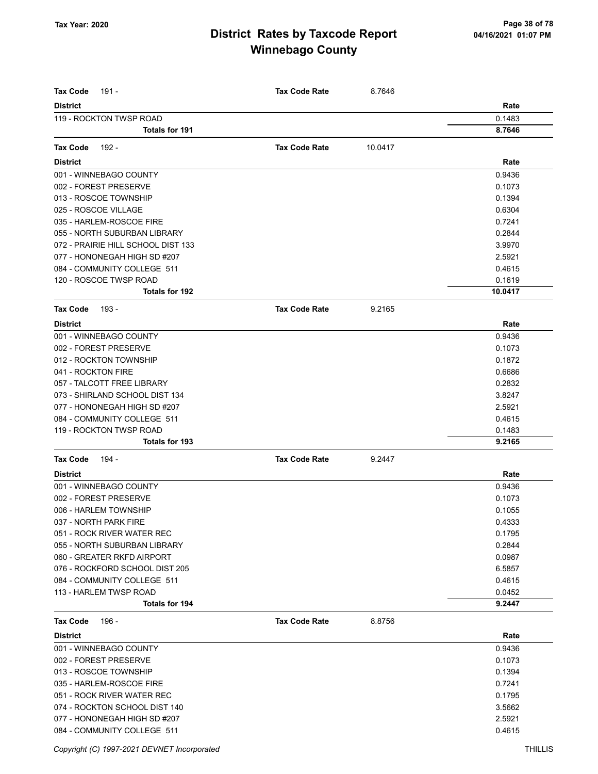| <b>Tax Code</b><br>191 -           | <b>Tax Code Rate</b> | 8.7646  |         |
|------------------------------------|----------------------|---------|---------|
| <b>District</b>                    |                      |         | Rate    |
| 119 - ROCKTON TWSP ROAD            |                      |         | 0.1483  |
| Totals for 191                     |                      |         | 8.7646  |
|                                    |                      |         |         |
| <b>Tax Code</b><br>192 -           | <b>Tax Code Rate</b> | 10.0417 |         |
| <b>District</b>                    |                      |         | Rate    |
| 001 - WINNEBAGO COUNTY             |                      |         | 0.9436  |
| 002 - FOREST PRESERVE              |                      |         | 0.1073  |
| 013 - ROSCOE TOWNSHIP              |                      |         | 0.1394  |
| 025 - ROSCOE VILLAGE               |                      |         | 0.6304  |
| 035 - HARLEM-ROSCOE FIRE           |                      |         | 0.7241  |
| 055 - NORTH SUBURBAN LIBRARY       |                      |         | 0.2844  |
| 072 - PRAIRIE HILL SCHOOL DIST 133 |                      |         | 3.9970  |
| 077 - HONONEGAH HIGH SD #207       |                      |         | 2.5921  |
| 084 - COMMUNITY COLLEGE 511        |                      |         | 0.4615  |
| 120 - ROSCOE TWSP ROAD             |                      |         | 0.1619  |
| <b>Totals for 192</b>              |                      |         | 10.0417 |
| <b>Tax Code</b><br>193 -           | <b>Tax Code Rate</b> | 9.2165  |         |
| <b>District</b>                    |                      |         | Rate    |
| 001 - WINNEBAGO COUNTY             |                      |         | 0.9436  |
| 002 - FOREST PRESERVE              |                      |         | 0.1073  |
| 012 - ROCKTON TOWNSHIP             |                      |         | 0.1872  |
| 041 - ROCKTON FIRE                 |                      |         | 0.6686  |
| 057 - TALCOTT FREE LIBRARY         |                      |         | 0.2832  |
| 073 - SHIRLAND SCHOOL DIST 134     |                      |         | 3.8247  |
| 077 - HONONEGAH HIGH SD #207       |                      |         | 2.5921  |
| 084 - COMMUNITY COLLEGE 511        |                      |         | 0.4615  |
| 119 - ROCKTON TWSP ROAD            |                      |         | 0.1483  |
| <b>Totals for 193</b>              |                      |         | 9.2165  |
| <b>Tax Code</b><br>194 -           | <b>Tax Code Rate</b> | 9.2447  |         |
| <b>District</b>                    |                      |         | Rate    |
| 001 - WINNEBAGO COUNTY             |                      |         | 0.9436  |
| 002 - FOREST PRESERVE              |                      |         | 0.1073  |
| 006 - HARLEM TOWNSHIP              |                      |         | 0.1055  |
| 037 - NORTH PARK FIRE              |                      |         | 0.4333  |
| 051 - ROCK RIVER WATER REC         |                      |         | 0.1795  |
| 055 - NORTH SUBURBAN LIBRARY       |                      |         | 0.2844  |
| 060 - GREATER RKFD AIRPORT         |                      |         | 0.0987  |
| 076 - ROCKFORD SCHOOL DIST 205     |                      |         | 6.5857  |
| 084 - COMMUNITY COLLEGE 511        |                      |         | 0.4615  |
| 113 - HARLEM TWSP ROAD             |                      |         | 0.0452  |
| <b>Totals for 194</b>              |                      |         | 9.2447  |
| <b>Tax Code</b><br>196 -           | <b>Tax Code Rate</b> | 8.8756  |         |
| <b>District</b>                    |                      |         | Rate    |
| 001 - WINNEBAGO COUNTY             |                      |         | 0.9436  |
| 002 - FOREST PRESERVE              |                      |         | 0.1073  |
| 013 - ROSCOE TOWNSHIP              |                      |         | 0.1394  |
| 035 - HARLEM-ROSCOE FIRE           |                      |         | 0.7241  |
| 051 - ROCK RIVER WATER REC         |                      |         | 0.1795  |
| 074 - ROCKTON SCHOOL DIST 140      |                      |         | 3.5662  |
| 077 - HONONEGAH HIGH SD #207       |                      |         | 2.5921  |
| 084 - COMMUNITY COLLEGE 511        |                      |         | 0.4615  |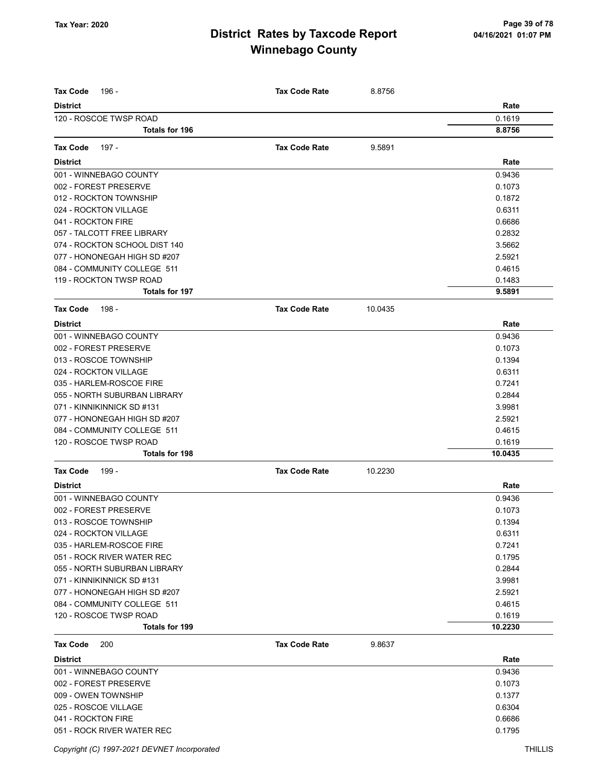| <b>Tax Code</b><br>196 -      | <b>Tax Code Rate</b> | 8.8756  |         |
|-------------------------------|----------------------|---------|---------|
| <b>District</b>               |                      |         | Rate    |
| 120 - ROSCOE TWSP ROAD        |                      |         | 0.1619  |
| <b>Totals for 196</b>         |                      |         | 8.8756  |
| <b>Tax Code</b><br>197 -      | <b>Tax Code Rate</b> | 9.5891  |         |
| <b>District</b>               |                      |         | Rate    |
| 001 - WINNEBAGO COUNTY        |                      |         | 0.9436  |
| 002 - FOREST PRESERVE         |                      |         | 0.1073  |
| 012 - ROCKTON TOWNSHIP        |                      |         | 0.1872  |
| 024 - ROCKTON VILLAGE         |                      |         | 0.6311  |
| 041 - ROCKTON FIRE            |                      |         | 0.6686  |
| 057 - TALCOTT FREE LIBRARY    |                      |         | 0.2832  |
| 074 - ROCKTON SCHOOL DIST 140 |                      |         | 3.5662  |
| 077 - HONONEGAH HIGH SD #207  |                      |         | 2.5921  |
| 084 - COMMUNITY COLLEGE 511   |                      |         | 0.4615  |
| 119 - ROCKTON TWSP ROAD       |                      |         | 0.1483  |
| <b>Totals for 197</b>         |                      |         | 9.5891  |
| 198 -<br><b>Tax Code</b>      | <b>Tax Code Rate</b> | 10.0435 |         |
| <b>District</b>               |                      |         | Rate    |
| 001 - WINNEBAGO COUNTY        |                      |         | 0.9436  |
| 002 - FOREST PRESERVE         |                      |         | 0.1073  |
| 013 - ROSCOE TOWNSHIP         |                      |         | 0.1394  |
| 024 - ROCKTON VILLAGE         |                      |         | 0.6311  |
| 035 - HARLEM-ROSCOE FIRE      |                      |         | 0.7241  |
| 055 - NORTH SUBURBAN LIBRARY  |                      |         | 0.2844  |
| 071 - KINNIKINNICK SD #131    |                      |         | 3.9981  |
| 077 - HONONEGAH HIGH SD #207  |                      |         | 2.5921  |
| 084 - COMMUNITY COLLEGE 511   |                      |         | 0.4615  |
| 120 - ROSCOE TWSP ROAD        |                      |         | 0.1619  |
| <b>Totals for 198</b>         |                      |         | 10.0435 |
| <b>Tax Code</b><br>199 -      | <b>Tax Code Rate</b> | 10.2230 |         |
| <b>District</b>               |                      |         | Rate    |
| 001 - WINNEBAGO COUNTY        |                      |         | 0.9436  |
| 002 - FOREST PRESERVE         |                      |         | 0.1073  |
| 013 - ROSCOE TOWNSHIP         |                      |         | 0.1394  |
| 024 - ROCKTON VILLAGE         |                      |         | 0.6311  |
| 035 - HARLEM-ROSCOE FIRE      |                      |         | 0.7241  |
| 051 - ROCK RIVER WATER REC    |                      |         | 0.1795  |
| 055 - NORTH SUBURBAN LIBRARY  |                      |         | 0.2844  |
| 071 - KINNIKINNICK SD #131    |                      |         | 3.9981  |
| 077 - HONONEGAH HIGH SD #207  |                      |         | 2.5921  |
| 084 - COMMUNITY COLLEGE 511   |                      |         | 0.4615  |
| 120 - ROSCOE TWSP ROAD        |                      |         | 0.1619  |
| Totals for 199                |                      |         | 10.2230 |
| <b>Tax Code</b><br>200        | <b>Tax Code Rate</b> | 9.8637  |         |
| <b>District</b>               |                      |         | Rate    |
| 001 - WINNEBAGO COUNTY        |                      |         | 0.9436  |
| 002 - FOREST PRESERVE         |                      |         | 0.1073  |
| 009 - OWEN TOWNSHIP           |                      |         | 0.1377  |
| 025 - ROSCOE VILLAGE          |                      |         | 0.6304  |
| 041 - ROCKTON FIRE            |                      |         | 0.6686  |
| 051 - ROCK RIVER WATER REC    |                      |         | 0.1795  |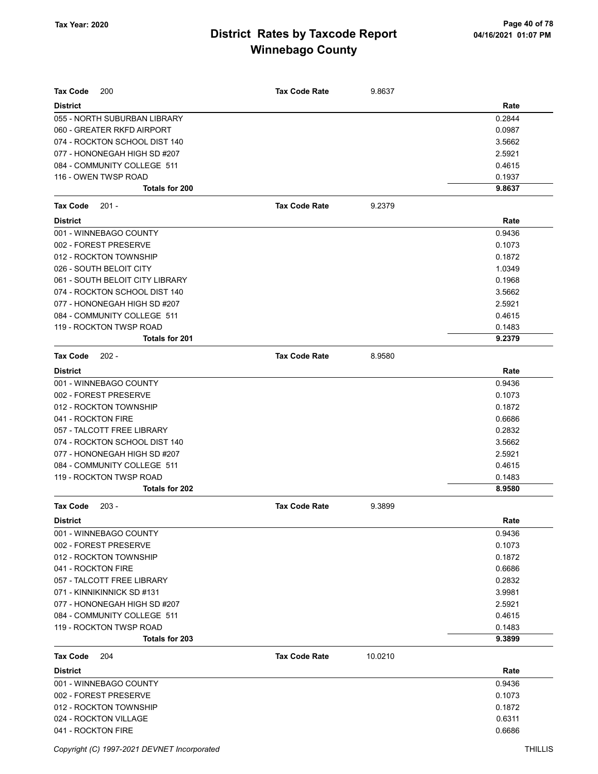| <b>Tax Code</b><br>200                          | <b>Tax Code Rate</b> | 9.8637  |                  |
|-------------------------------------------------|----------------------|---------|------------------|
|                                                 |                      |         |                  |
| <b>District</b>                                 |                      |         | Rate             |
| 055 - NORTH SUBURBAN LIBRARY                    |                      |         | 0.2844           |
| 060 - GREATER RKFD AIRPORT                      |                      |         | 0.0987           |
| 074 - ROCKTON SCHOOL DIST 140                   |                      |         | 3.5662           |
| 077 - HONONEGAH HIGH SD #207                    |                      |         | 2.5921           |
| 084 - COMMUNITY COLLEGE 511                     |                      |         | 0.4615           |
| 116 - OWEN TWSP ROAD<br><b>Totals for 200</b>   |                      |         | 0.1937<br>9.8637 |
|                                                 |                      |         |                  |
| <b>Tax Code</b><br>$201 -$                      | <b>Tax Code Rate</b> | 9.2379  |                  |
| <b>District</b>                                 |                      |         | Rate             |
| 001 - WINNEBAGO COUNTY                          |                      |         | 0.9436           |
| 002 - FOREST PRESERVE                           |                      |         | 0.1073           |
| 012 - ROCKTON TOWNSHIP                          |                      |         | 0.1872           |
| 026 - SOUTH BELOIT CITY                         |                      |         | 1.0349           |
| 061 - SOUTH BELOIT CITY LIBRARY                 |                      |         | 0.1968           |
| 074 - ROCKTON SCHOOL DIST 140                   |                      |         | 3.5662           |
| 077 - HONONEGAH HIGH SD #207                    |                      |         | 2.5921           |
| 084 - COMMUNITY COLLEGE 511                     |                      |         | 0.4615           |
| 119 - ROCKTON TWSP ROAD                         |                      |         | 0.1483           |
| Totals for 201                                  |                      |         | 9.2379           |
| <b>Tax Code</b><br>$202 -$                      | <b>Tax Code Rate</b> | 8.9580  |                  |
| <b>District</b>                                 |                      |         | Rate             |
| 001 - WINNEBAGO COUNTY                          |                      |         | 0.9436           |
| 002 - FOREST PRESERVE                           |                      |         | 0.1073           |
| 012 - ROCKTON TOWNSHIP                          |                      |         | 0.1872           |
| 041 - ROCKTON FIRE                              |                      |         | 0.6686           |
| 057 - TALCOTT FREE LIBRARY                      |                      |         | 0.2832           |
| 074 - ROCKTON SCHOOL DIST 140                   |                      |         | 3.5662           |
| 077 - HONONEGAH HIGH SD #207                    |                      |         | 2.5921           |
| 084 - COMMUNITY COLLEGE 511                     |                      |         | 0.4615           |
| 119 - ROCKTON TWSP ROAD                         |                      |         | 0.1483           |
| Totals for 202                                  |                      |         | 8.9580           |
| <b>Tax Code</b><br>$203 -$                      | <b>Tax Code Rate</b> | 9.3899  |                  |
| <b>District</b>                                 |                      |         | Rate             |
| 001 - WINNEBAGO COUNTY                          |                      |         | 0.9436           |
| 002 - FOREST PRESERVE                           |                      |         | 0.1073           |
| 012 - ROCKTON TOWNSHIP                          |                      |         | 0.1872           |
| 041 - ROCKTON FIRE                              |                      |         | 0.6686           |
| 057 - TALCOTT FREE LIBRARY                      |                      |         | 0.2832           |
| 071 - KINNIKINNICK SD #131                      |                      |         | 3.9981           |
| 077 - HONONEGAH HIGH SD #207                    |                      |         | 2.5921           |
| 084 - COMMUNITY COLLEGE 511                     |                      |         | 0.4615           |
| 119 - ROCKTON TWSP ROAD                         |                      |         | 0.1483           |
| Totals for 203                                  |                      |         | 9.3899           |
| <b>Tax Code</b><br>204                          | <b>Tax Code Rate</b> | 10.0210 |                  |
|                                                 |                      |         |                  |
| <b>District</b>                                 |                      |         | Rate             |
| 001 - WINNEBAGO COUNTY<br>002 - FOREST PRESERVE |                      |         | 0.9436<br>0.1073 |
| 012 - ROCKTON TOWNSHIP                          |                      |         | 0.1872           |
| 024 - ROCKTON VILLAGE                           |                      |         | 0.6311           |
| 041 - ROCKTON FIRE                              |                      |         | 0.6686           |
|                                                 |                      |         |                  |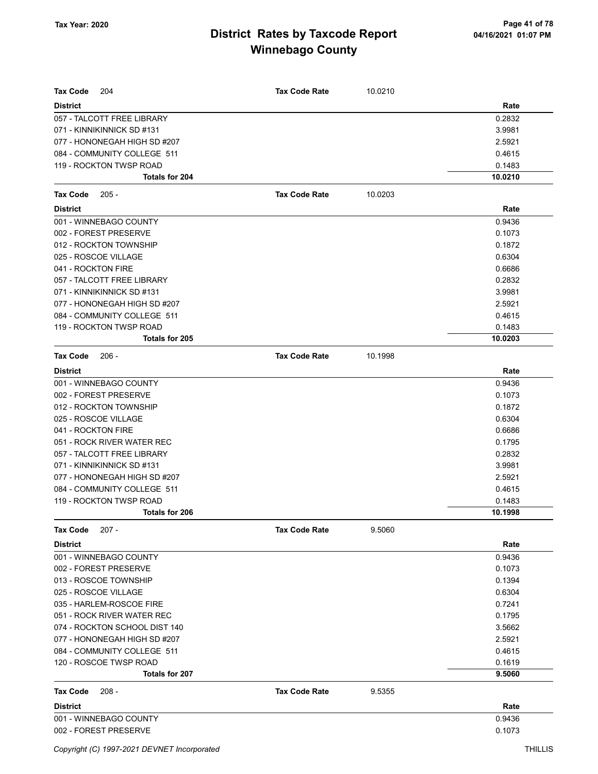| <b>Tax Code</b><br>204        | <b>Tax Code Rate</b> | 10.0210 |         |
|-------------------------------|----------------------|---------|---------|
| <b>District</b>               |                      |         | Rate    |
| 057 - TALCOTT FREE LIBRARY    |                      |         | 0.2832  |
| 071 - KINNIKINNICK SD #131    |                      |         | 3.9981  |
| 077 - HONONEGAH HIGH SD #207  |                      |         | 2.5921  |
| 084 - COMMUNITY COLLEGE 511   |                      |         | 0.4615  |
| 119 - ROCKTON TWSP ROAD       |                      |         | 0.1483  |
| Totals for 204                |                      |         | 10.0210 |
| <b>Tax Code</b><br>$205 -$    | <b>Tax Code Rate</b> | 10.0203 |         |
| <b>District</b>               |                      |         | Rate    |
| 001 - WINNEBAGO COUNTY        |                      |         | 0.9436  |
| 002 - FOREST PRESERVE         |                      |         | 0.1073  |
| 012 - ROCKTON TOWNSHIP        |                      |         | 0.1872  |
| 025 - ROSCOE VILLAGE          |                      |         | 0.6304  |
| 041 - ROCKTON FIRE            |                      |         | 0.6686  |
| 057 - TALCOTT FREE LIBRARY    |                      |         | 0.2832  |
| 071 - KINNIKINNICK SD #131    |                      |         | 3.9981  |
| 077 - HONONEGAH HIGH SD #207  |                      |         | 2.5921  |
| 084 - COMMUNITY COLLEGE 511   |                      |         | 0.4615  |
| 119 - ROCKTON TWSP ROAD       |                      |         | 0.1483  |
| Totals for 205                |                      |         | 10.0203 |
| <b>Tax Code</b><br>$206 -$    | <b>Tax Code Rate</b> | 10.1998 |         |
| <b>District</b>               |                      |         | Rate    |
| 001 - WINNEBAGO COUNTY        |                      |         | 0.9436  |
| 002 - FOREST PRESERVE         |                      |         | 0.1073  |
| 012 - ROCKTON TOWNSHIP        |                      |         | 0.1872  |
| 025 - ROSCOE VILLAGE          |                      |         | 0.6304  |
| 041 - ROCKTON FIRE            |                      |         | 0.6686  |
| 051 - ROCK RIVER WATER REC    |                      |         | 0.1795  |
| 057 - TALCOTT FREE LIBRARY    |                      |         | 0.2832  |
| 071 - KINNIKINNICK SD #131    |                      |         | 3.9981  |
| 077 - HONONEGAH HIGH SD #207  |                      |         | 2.5921  |
| 084 - COMMUNITY COLLEGE 511   |                      |         | 0.4615  |
| 119 - ROCKTON TWSP ROAD       |                      |         | 0.1483  |
| <b>Totals for 206</b>         |                      |         | 10.1998 |
| <b>Tax Code</b><br>207 -      | <b>Tax Code Rate</b> | 9.5060  |         |
| <b>District</b>               |                      |         | Rate    |
| 001 - WINNEBAGO COUNTY        |                      |         | 0.9436  |
| 002 - FOREST PRESERVE         |                      |         | 0.1073  |
| 013 - ROSCOE TOWNSHIP         |                      |         | 0.1394  |
| 025 - ROSCOE VILLAGE          |                      |         | 0.6304  |
| 035 - HARLEM-ROSCOE FIRE      |                      |         | 0.7241  |
| 051 - ROCK RIVER WATER REC    |                      |         | 0.1795  |
| 074 - ROCKTON SCHOOL DIST 140 |                      |         | 3.5662  |
| 077 - HONONEGAH HIGH SD #207  |                      |         | 2.5921  |
| 084 - COMMUNITY COLLEGE 511   |                      |         | 0.4615  |
| 120 - ROSCOE TWSP ROAD        |                      |         | 0.1619  |
| Totals for 207                |                      |         | 9.5060  |
| $208 -$<br><b>Tax Code</b>    | <b>Tax Code Rate</b> | 9.5355  |         |
| <b>District</b>               |                      |         | Rate    |
| 001 - WINNEBAGO COUNTY        |                      |         | 0.9436  |
| 002 - FOREST PRESERVE         |                      |         | 0.1073  |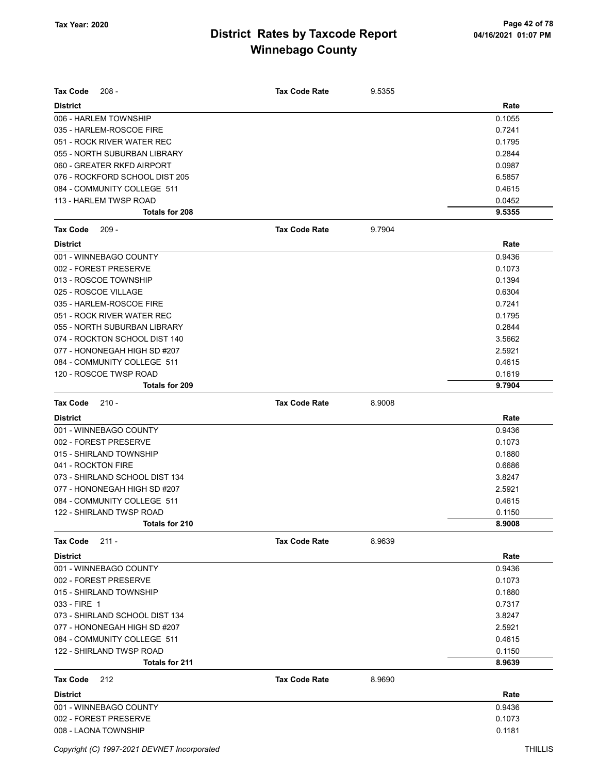| <b>Tax Code</b><br>$208 -$     | <b>Tax Code Rate</b> | 9.5355 |        |
|--------------------------------|----------------------|--------|--------|
| <b>District</b>                |                      |        | Rate   |
| 006 - HARLEM TOWNSHIP          |                      |        | 0.1055 |
| 035 - HARLEM-ROSCOE FIRE       |                      |        | 0.7241 |
| 051 - ROCK RIVER WATER REC     |                      |        | 0.1795 |
| 055 - NORTH SUBURBAN LIBRARY   |                      |        | 0.2844 |
| 060 - GREATER RKFD AIRPORT     |                      |        | 0.0987 |
| 076 - ROCKFORD SCHOOL DIST 205 |                      |        | 6.5857 |
| 084 - COMMUNITY COLLEGE 511    |                      |        | 0.4615 |
| 113 - HARLEM TWSP ROAD         |                      |        | 0.0452 |
| Totals for 208                 |                      |        | 9.5355 |
| <b>Tax Code</b><br>$209 -$     | <b>Tax Code Rate</b> | 9.7904 |        |
| <b>District</b>                |                      |        | Rate   |
| 001 - WINNEBAGO COUNTY         |                      |        | 0.9436 |
| 002 - FOREST PRESERVE          |                      |        | 0.1073 |
| 013 - ROSCOE TOWNSHIP          |                      |        | 0.1394 |
| 025 - ROSCOE VILLAGE           |                      |        | 0.6304 |
| 035 - HARLEM-ROSCOE FIRE       |                      |        | 0.7241 |
| 051 - ROCK RIVER WATER REC     |                      |        | 0.1795 |
| 055 - NORTH SUBURBAN LIBRARY   |                      |        | 0.2844 |
| 074 - ROCKTON SCHOOL DIST 140  |                      |        | 3.5662 |
| 077 - HONONEGAH HIGH SD #207   |                      |        | 2.5921 |
| 084 - COMMUNITY COLLEGE 511    |                      |        | 0.4615 |
| 120 - ROSCOE TWSP ROAD         |                      |        | 0.1619 |
| Totals for 209                 |                      |        | 9.7904 |
| $210 -$<br><b>Tax Code</b>     | <b>Tax Code Rate</b> | 8.9008 |        |
| <b>District</b>                |                      |        | Rate   |
| 001 - WINNEBAGO COUNTY         |                      |        | 0.9436 |
| 002 - FOREST PRESERVE          |                      |        | 0.1073 |
| 015 - SHIRLAND TOWNSHIP        |                      |        | 0.1880 |
| 041 - ROCKTON FIRE             |                      |        | 0.6686 |
| 073 - SHIRLAND SCHOOL DIST 134 |                      |        | 3.8247 |
| 077 - HONONEGAH HIGH SD #207   |                      |        | 2.5921 |
| 084 - COMMUNITY COLLEGE 511    |                      |        | 0.4615 |
| 122 - SHIRLAND TWSP ROAD       |                      |        | 0.1150 |
| Totals for 210                 |                      |        | 8.9008 |
| $211 -$<br>Tax Code            | <b>Tax Code Rate</b> | 8.9639 |        |
| <b>District</b>                |                      |        | Rate   |
| 001 - WINNEBAGO COUNTY         |                      |        | 0.9436 |
| 002 - FOREST PRESERVE          |                      |        | 0.1073 |
| 015 - SHIRLAND TOWNSHIP        |                      |        | 0.1880 |
| 033 - FIRE 1                   |                      |        | 0.7317 |
| 073 - SHIRLAND SCHOOL DIST 134 |                      |        | 3.8247 |
| 077 - HONONEGAH HIGH SD #207   |                      |        | 2.5921 |
| 084 - COMMUNITY COLLEGE 511    |                      |        | 0.4615 |
| 122 - SHIRLAND TWSP ROAD       |                      |        | 0.1150 |
| Totals for 211                 |                      |        | 8.9639 |
| <b>Tax Code</b><br>212         | <b>Tax Code Rate</b> | 8.9690 |        |
| <b>District</b>                |                      |        | Rate   |
|                                |                      |        |        |
| 001 - WINNEBAGO COUNTY         |                      |        | 0.9436 |
| 002 - FOREST PRESERVE          |                      |        | 0.1073 |
| 008 - LAONA TOWNSHIP           |                      |        | 0.1181 |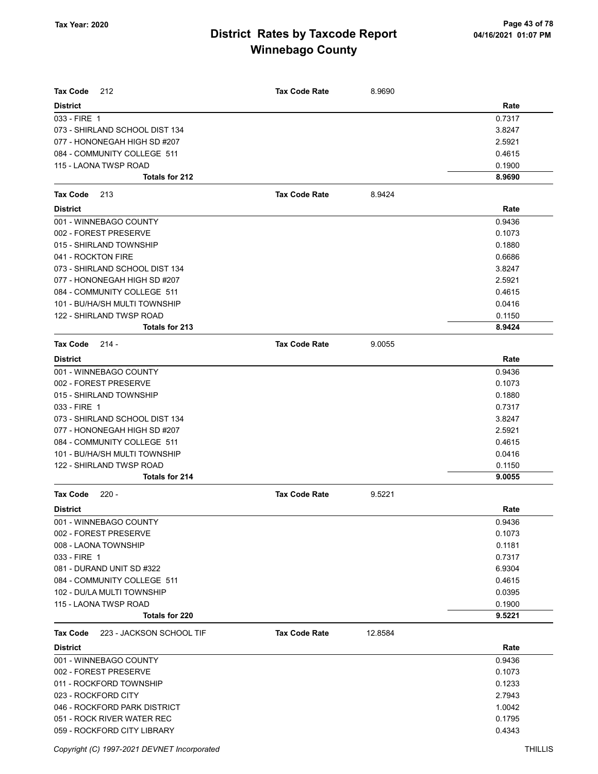| <b>Tax Code</b><br>212               | <b>Tax Code Rate</b> | 8.9690  |        |
|--------------------------------------|----------------------|---------|--------|
| <b>District</b>                      |                      |         | Rate   |
| 033 - FIRE 1                         |                      |         | 0.7317 |
| 073 - SHIRLAND SCHOOL DIST 134       |                      |         | 3.8247 |
| 077 - HONONEGAH HIGH SD #207         |                      |         | 2.5921 |
| 084 - COMMUNITY COLLEGE 511          |                      |         | 0.4615 |
| 115 - LAONA TWSP ROAD                |                      |         | 0.1900 |
| Totals for 212                       |                      |         | 8.9690 |
| <b>Tax Code</b><br>213               | <b>Tax Code Rate</b> | 8.9424  |        |
| <b>District</b>                      |                      |         | Rate   |
| 001 - WINNEBAGO COUNTY               |                      |         | 0.9436 |
| 002 - FOREST PRESERVE                |                      |         | 0.1073 |
| 015 - SHIRLAND TOWNSHIP              |                      |         | 0.1880 |
| 041 - ROCKTON FIRE                   |                      |         | 0.6686 |
| 073 - SHIRLAND SCHOOL DIST 134       |                      |         | 3.8247 |
| 077 - HONONEGAH HIGH SD #207         |                      |         | 2.5921 |
| 084 - COMMUNITY COLLEGE 511          |                      |         | 0.4615 |
| 101 - BU/HA/SH MULTI TOWNSHIP        |                      |         | 0.0416 |
| 122 - SHIRLAND TWSP ROAD             |                      |         | 0.1150 |
| Totals for 213                       |                      |         | 8.9424 |
| <b>Tax Code</b><br>$214 -$           | <b>Tax Code Rate</b> | 9.0055  |        |
| <b>District</b>                      |                      |         | Rate   |
| 001 - WINNEBAGO COUNTY               |                      |         | 0.9436 |
| 002 - FOREST PRESERVE                |                      |         | 0.1073 |
| 015 - SHIRLAND TOWNSHIP              |                      |         | 0.1880 |
| 033 - FIRE 1                         |                      |         | 0.7317 |
| 073 - SHIRLAND SCHOOL DIST 134       |                      |         | 3.8247 |
| 077 - HONONEGAH HIGH SD #207         |                      |         | 2.5921 |
| 084 - COMMUNITY COLLEGE 511          |                      |         | 0.4615 |
| 101 - BU/HA/SH MULTI TOWNSHIP        |                      |         | 0.0416 |
| 122 - SHIRLAND TWSP ROAD             |                      |         | 0.1150 |
| Totals for 214                       |                      |         | 9.0055 |
| <b>Tax Code</b><br>$220 -$           | <b>Tax Code Rate</b> | 9.5221  |        |
| <b>District</b>                      |                      |         | Rate   |
| 001 - WINNEBAGO COUNTY               |                      |         | 0.9436 |
| 002 - FOREST PRESERVE                |                      |         | 0.1073 |
| 008 - LAONA TOWNSHIP                 |                      |         | 0.1181 |
| 033 - FIRE 1                         |                      |         | 0.7317 |
| 081 - DURAND UNIT SD #322            |                      |         | 6.9304 |
| 084 - COMMUNITY COLLEGE 511          |                      |         | 0.4615 |
| 102 - DU/LA MULTI TOWNSHIP           |                      |         | 0.0395 |
| 115 - LAONA TWSP ROAD                |                      |         | 0.1900 |
| <b>Totals for 220</b>                |                      |         | 9.5221 |
| 223 - JACKSON SCHOOL TIF<br>Tax Code | <b>Tax Code Rate</b> | 12.8584 |        |
| <b>District</b>                      |                      |         | Rate   |
| 001 - WINNEBAGO COUNTY               |                      |         | 0.9436 |
| 002 - FOREST PRESERVE                |                      |         | 0.1073 |
| 011 - ROCKFORD TOWNSHIP              |                      |         | 0.1233 |
| 023 - ROCKFORD CITY                  |                      |         | 2.7943 |
| 046 - ROCKFORD PARK DISTRICT         |                      |         | 1.0042 |
| 051 - ROCK RIVER WATER REC           |                      |         | 0.1795 |
| 059 - ROCKFORD CITY LIBRARY          |                      |         | 0.4343 |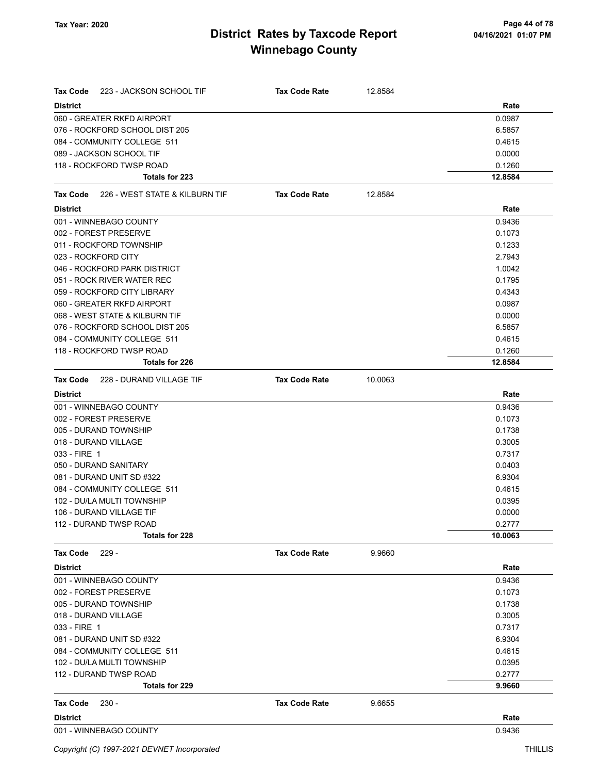| <b>Tax Code</b><br>223 - JACKSON SCHOOL TIF | <b>Tax Code Rate</b> | 12.8584 |         |
|---------------------------------------------|----------------------|---------|---------|
| <b>District</b>                             |                      |         | Rate    |
| 060 - GREATER RKFD AIRPORT                  |                      |         | 0.0987  |
| 076 - ROCKFORD SCHOOL DIST 205              |                      |         | 6.5857  |
| 084 - COMMUNITY COLLEGE 511                 |                      |         | 0.4615  |
| 089 - JACKSON SCHOOL TIF                    |                      |         | 0.0000  |
| 118 - ROCKFORD TWSP ROAD                    |                      |         | 0.1260  |
| Totals for 223                              |                      |         | 12.8584 |
| Tax Code<br>226 - WEST STATE & KILBURN TIF  | <b>Tax Code Rate</b> | 12.8584 |         |
| <b>District</b>                             |                      |         | Rate    |
| 001 - WINNEBAGO COUNTY                      |                      |         | 0.9436  |
| 002 - FOREST PRESERVE                       |                      |         | 0.1073  |
| 011 - ROCKFORD TOWNSHIP                     |                      |         | 0.1233  |
| 023 - ROCKFORD CITY                         |                      |         | 2.7943  |
| 046 - ROCKFORD PARK DISTRICT                |                      |         | 1.0042  |
| 051 - ROCK RIVER WATER REC                  |                      |         | 0.1795  |
| 059 - ROCKFORD CITY LIBRARY                 |                      |         | 0.4343  |
| 060 - GREATER RKFD AIRPORT                  |                      |         | 0.0987  |
| 068 - WEST STATE & KILBURN TIF              |                      |         | 0.0000  |
| 076 - ROCKFORD SCHOOL DIST 205              |                      |         | 6.5857  |
| 084 - COMMUNITY COLLEGE 511                 |                      |         | 0.4615  |
| 118 - ROCKFORD TWSP ROAD                    |                      |         | 0.1260  |
| Totals for 226                              |                      |         | 12.8584 |
| <b>Tax Code</b><br>228 - DURAND VILLAGE TIF | <b>Tax Code Rate</b> | 10.0063 |         |
| <b>District</b>                             |                      |         | Rate    |
| 001 - WINNEBAGO COUNTY                      |                      |         | 0.9436  |
| 002 - FOREST PRESERVE                       |                      |         | 0.1073  |
| 005 - DURAND TOWNSHIP                       |                      |         | 0.1738  |
| 018 - DURAND VILLAGE                        |                      |         | 0.3005  |
| 033 - FIRE 1                                |                      |         | 0.7317  |
| 050 - DURAND SANITARY                       |                      |         | 0.0403  |
| 081 - DURAND UNIT SD #322                   |                      |         | 6.9304  |
| 084 - COMMUNITY COLLEGE 511                 |                      |         | 0.4615  |
| 102 - DU/LA MULTI TOWNSHIP                  |                      |         | 0.0395  |
| 106 - DURAND VILLAGE TIF                    |                      |         | 0.0000  |
| 112 - DURAND TWSP ROAD                      |                      |         | 0.2777  |
| Totals for 228                              |                      |         | 10.0063 |
| Tax Code<br>$229 -$                         | <b>Tax Code Rate</b> | 9.9660  |         |
| <b>District</b>                             |                      |         | Rate    |
| 001 - WINNEBAGO COUNTY                      |                      |         | 0.9436  |
| 002 - FOREST PRESERVE                       |                      |         | 0.1073  |
| 005 - DURAND TOWNSHIP                       |                      |         | 0.1738  |
| 018 - DURAND VILLAGE                        |                      |         | 0.3005  |
| 033 - FIRE 1                                |                      |         | 0.7317  |
| 081 - DURAND UNIT SD #322                   |                      |         | 6.9304  |
| 084 - COMMUNITY COLLEGE 511                 |                      |         | 0.4615  |
| 102 - DU/LA MULTI TOWNSHIP                  |                      |         | 0.0395  |
| 112 - DURAND TWSP ROAD                      |                      |         | 0.2777  |
| <b>Totals for 229</b>                       |                      |         | 9.9660  |
| Tax Code<br>$230 -$                         | <b>Tax Code Rate</b> | 9.6655  |         |
| <b>District</b>                             |                      |         | Rate    |
| 001 - WINNEBAGO COUNTY                      |                      |         | 0.9436  |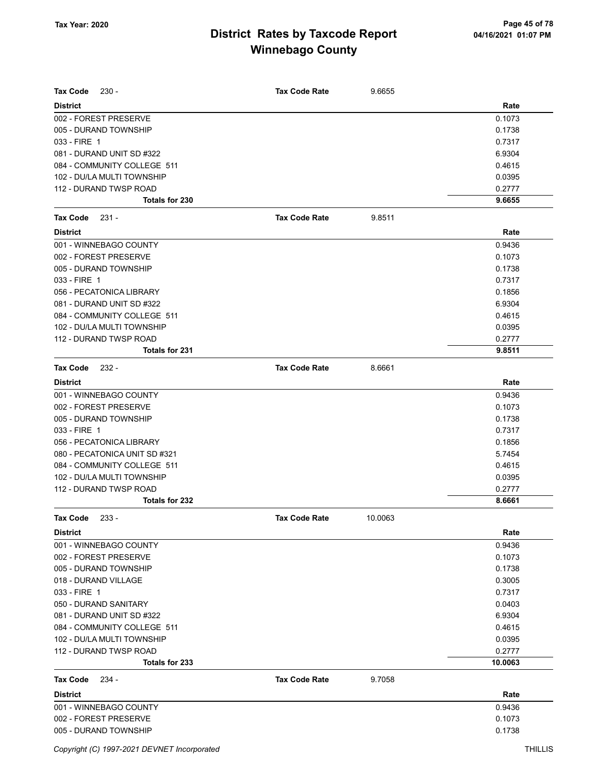| Tax Code<br>$230 -$           | <b>Tax Code Rate</b> | 9.6655  |         |
|-------------------------------|----------------------|---------|---------|
| <b>District</b>               |                      |         | Rate    |
| 002 - FOREST PRESERVE         |                      |         | 0.1073  |
| 005 - DURAND TOWNSHIP         |                      |         | 0.1738  |
| 033 - FIRE 1                  |                      |         | 0.7317  |
| 081 - DURAND UNIT SD #322     |                      |         | 6.9304  |
| 084 - COMMUNITY COLLEGE 511   |                      |         | 0.4615  |
| 102 - DU/LA MULTI TOWNSHIP    |                      |         | 0.0395  |
| 112 - DURAND TWSP ROAD        |                      |         | 0.2777  |
| Totals for 230                |                      |         | 9.6655  |
| <b>Tax Code</b><br>231 -      | <b>Tax Code Rate</b> | 9.8511  |         |
| <b>District</b>               |                      |         | Rate    |
| 001 - WINNEBAGO COUNTY        |                      |         | 0.9436  |
| 002 - FOREST PRESERVE         |                      |         | 0.1073  |
| 005 - DURAND TOWNSHIP         |                      |         | 0.1738  |
| 033 - FIRE 1                  |                      |         | 0.7317  |
| 056 - PECATONICA LIBRARY      |                      |         | 0.1856  |
| 081 - DURAND UNIT SD #322     |                      |         | 6.9304  |
| 084 - COMMUNITY COLLEGE 511   |                      |         | 0.4615  |
| 102 - DU/LA MULTI TOWNSHIP    |                      |         | 0.0395  |
| 112 - DURAND TWSP ROAD        |                      |         | 0.2777  |
| Totals for 231                |                      |         | 9.8511  |
| Tax Code<br>$232 -$           | <b>Tax Code Rate</b> | 8.6661  |         |
| <b>District</b>               |                      |         | Rate    |
| 001 - WINNEBAGO COUNTY        |                      |         | 0.9436  |
| 002 - FOREST PRESERVE         |                      |         | 0.1073  |
| 005 - DURAND TOWNSHIP         |                      |         | 0.1738  |
| 033 - FIRE 1                  |                      |         | 0.7317  |
| 056 - PECATONICA LIBRARY      |                      |         | 0.1856  |
| 080 - PECATONICA UNIT SD #321 |                      |         | 5.7454  |
| 084 - COMMUNITY COLLEGE 511   |                      |         | 0.4615  |
| 102 - DU/LA MULTI TOWNSHIP    |                      |         | 0.0395  |
| 112 - DURAND TWSP ROAD        |                      |         | 0.2777  |
| Totals for 232                |                      |         | 8.6661  |
| $233 -$<br>Tax Code           | <b>Tax Code Rate</b> | 10.0063 |         |
| <b>District</b>               |                      |         | Rate    |
| 001 - WINNEBAGO COUNTY        |                      |         | 0.9436  |
| 002 - FOREST PRESERVE         |                      |         | 0.1073  |
| 005 - DURAND TOWNSHIP         |                      |         | 0.1738  |
| 018 - DURAND VILLAGE          |                      |         | 0.3005  |
| 033 - FIRE 1                  |                      |         | 0.7317  |
| 050 - DURAND SANITARY         |                      |         | 0.0403  |
| 081 - DURAND UNIT SD #322     |                      |         | 6.9304  |
| 084 - COMMUNITY COLLEGE 511   |                      |         | 0.4615  |
| 102 - DU/LA MULTI TOWNSHIP    |                      |         | 0.0395  |
| 112 - DURAND TWSP ROAD        |                      |         | 0.2777  |
| Totals for 233                |                      |         | 10.0063 |
| <b>Tax Code</b><br>234 -      | <b>Tax Code Rate</b> | 9.7058  |         |
| <b>District</b>               |                      |         | Rate    |
| 001 - WINNEBAGO COUNTY        |                      |         | 0.9436  |
| 002 - FOREST PRESERVE         |                      |         | 0.1073  |
| 005 - DURAND TOWNSHIP         |                      |         | 0.1738  |
|                               |                      |         |         |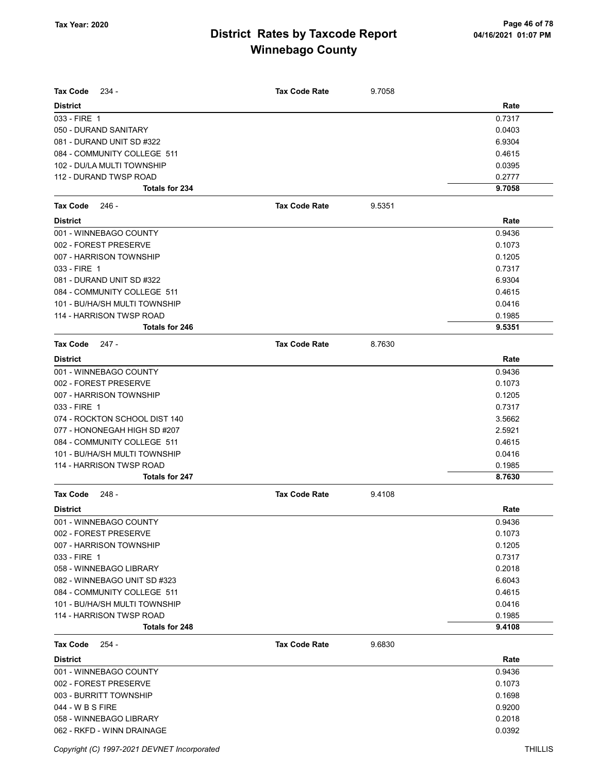| <b>Tax Code</b><br>$234 -$    | <b>Tax Code Rate</b> | 9.7058 |        |
|-------------------------------|----------------------|--------|--------|
| <b>District</b>               |                      |        | Rate   |
| 033 - FIRE 1                  |                      |        | 0.7317 |
| 050 - DURAND SANITARY         |                      |        | 0.0403 |
| 081 - DURAND UNIT SD #322     |                      |        | 6.9304 |
| 084 - COMMUNITY COLLEGE 511   |                      |        | 0.4615 |
| 102 - DU/LA MULTI TOWNSHIP    |                      |        | 0.0395 |
| 112 - DURAND TWSP ROAD        |                      |        | 0.2777 |
| Totals for 234                |                      |        | 9.7058 |
| <b>Tax Code</b><br>246 -      | <b>Tax Code Rate</b> | 9.5351 |        |
| <b>District</b>               |                      |        | Rate   |
| 001 - WINNEBAGO COUNTY        |                      |        | 0.9436 |
| 002 - FOREST PRESERVE         |                      |        | 0.1073 |
| 007 - HARRISON TOWNSHIP       |                      |        | 0.1205 |
| 033 - FIRE 1                  |                      |        | 0.7317 |
| 081 - DURAND UNIT SD #322     |                      |        | 6.9304 |
| 084 - COMMUNITY COLLEGE 511   |                      |        | 0.4615 |
| 101 - BU/HA/SH MULTI TOWNSHIP |                      |        | 0.0416 |
| 114 - HARRISON TWSP ROAD      |                      |        | 0.1985 |
| <b>Totals for 246</b>         |                      |        | 9.5351 |
| <b>Tax Code</b><br>247 -      | <b>Tax Code Rate</b> | 8.7630 |        |
| <b>District</b>               |                      |        | Rate   |
| 001 - WINNEBAGO COUNTY        |                      |        | 0.9436 |
| 002 - FOREST PRESERVE         |                      |        | 0.1073 |
| 007 - HARRISON TOWNSHIP       |                      |        | 0.1205 |
| 033 - FIRE 1                  |                      |        | 0.7317 |
| 074 - ROCKTON SCHOOL DIST 140 |                      |        | 3.5662 |
| 077 - HONONEGAH HIGH SD #207  |                      |        | 2.5921 |
| 084 - COMMUNITY COLLEGE 511   |                      |        | 0.4615 |
| 101 - BU/HA/SH MULTI TOWNSHIP |                      |        | 0.0416 |
| 114 - HARRISON TWSP ROAD      |                      |        | 0.1985 |
| <b>Totals for 247</b>         |                      |        | 8.7630 |
| <b>Tax Code</b><br>248 -      | <b>Tax Code Rate</b> | 9.4108 |        |
| <b>District</b>               |                      |        | Rate   |
| 001 - WINNEBAGO COUNTY        |                      |        | 0.9436 |
| 002 - FOREST PRESERVE         |                      |        | 0.1073 |
| 007 - HARRISON TOWNSHIP       |                      |        | 0.1205 |
| 033 - FIRE 1                  |                      |        | 0.7317 |
| 058 - WINNEBAGO LIBRARY       |                      |        | 0.2018 |
| 082 - WINNEBAGO UNIT SD #323  |                      |        | 6.6043 |
| 084 - COMMUNITY COLLEGE 511   |                      |        | 0.4615 |
| 101 - BU/HA/SH MULTI TOWNSHIP |                      |        | 0.0416 |
| 114 - HARRISON TWSP ROAD      |                      |        | 0.1985 |
| Totals for 248                |                      |        | 9.4108 |
| <b>Tax Code</b><br>254 -      | <b>Tax Code Rate</b> | 9.6830 |        |
| <b>District</b>               |                      |        | Rate   |
| 001 - WINNEBAGO COUNTY        |                      |        | 0.9436 |
| 002 - FOREST PRESERVE         |                      |        | 0.1073 |
| 003 - BURRITT TOWNSHIP        |                      |        | 0.1698 |
| 044 - W B S FIRE              |                      |        | 0.9200 |
| 058 - WINNEBAGO LIBRARY       |                      |        | 0.2018 |
| 062 - RKFD - WINN DRAINAGE    |                      |        | 0.0392 |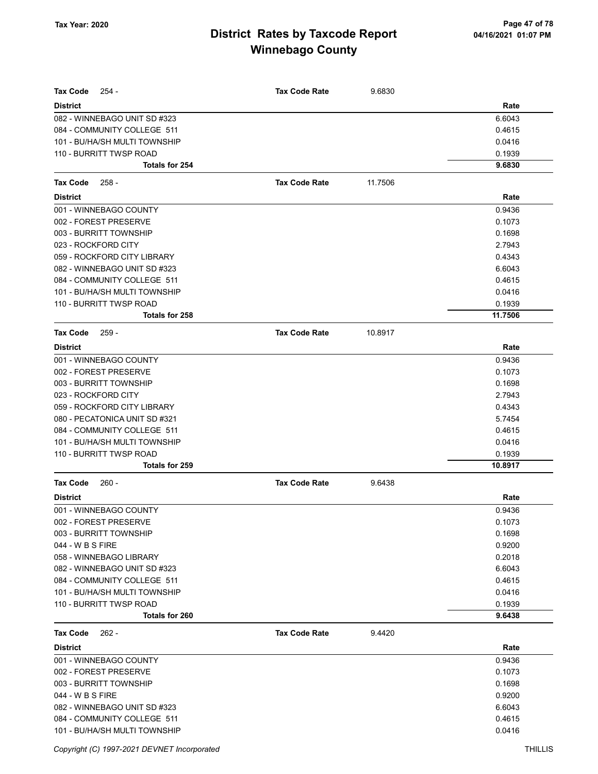| <b>Tax Code</b><br>254 -      | <b>Tax Code Rate</b> | 9.6830  |         |
|-------------------------------|----------------------|---------|---------|
| <b>District</b>               |                      |         | Rate    |
| 082 - WINNEBAGO UNIT SD #323  |                      |         | 6.6043  |
| 084 - COMMUNITY COLLEGE 511   |                      |         | 0.4615  |
| 101 - BU/HA/SH MULTI TOWNSHIP |                      |         | 0.0416  |
| 110 - BURRITT TWSP ROAD       |                      |         | 0.1939  |
| Totals for 254                |                      |         | 9.6830  |
| Tax Code<br>$258 -$           | <b>Tax Code Rate</b> | 11.7506 |         |
| <b>District</b>               |                      |         | Rate    |
| 001 - WINNEBAGO COUNTY        |                      |         | 0.9436  |
| 002 - FOREST PRESERVE         |                      |         | 0.1073  |
| 003 - BURRITT TOWNSHIP        |                      |         | 0.1698  |
| 023 - ROCKFORD CITY           |                      |         | 2.7943  |
| 059 - ROCKFORD CITY LIBRARY   |                      |         | 0.4343  |
| 082 - WINNEBAGO UNIT SD #323  |                      |         | 6.6043  |
| 084 - COMMUNITY COLLEGE 511   |                      |         | 0.4615  |
| 101 - BU/HA/SH MULTI TOWNSHIP |                      |         | 0.0416  |
| 110 - BURRITT TWSP ROAD       |                      |         | 0.1939  |
| <b>Totals for 258</b>         |                      |         | 11.7506 |
| Tax Code<br>$259 -$           | <b>Tax Code Rate</b> | 10.8917 |         |
| <b>District</b>               |                      |         | Rate    |
| 001 - WINNEBAGO COUNTY        |                      |         | 0.9436  |
| 002 - FOREST PRESERVE         |                      |         | 0.1073  |
| 003 - BURRITT TOWNSHIP        |                      |         | 0.1698  |
| 023 - ROCKFORD CITY           |                      |         | 2.7943  |
| 059 - ROCKFORD CITY LIBRARY   |                      |         | 0.4343  |
| 080 - PECATONICA UNIT SD #321 |                      |         | 5.7454  |
| 084 - COMMUNITY COLLEGE 511   |                      |         | 0.4615  |
| 101 - BU/HA/SH MULTI TOWNSHIP |                      |         | 0.0416  |
| 110 - BURRITT TWSP ROAD       |                      |         | 0.1939  |
| <b>Totals for 259</b>         |                      |         | 10.8917 |
| $260 -$<br><b>Tax Code</b>    | <b>Tax Code Rate</b> | 9.6438  |         |
| <b>District</b>               |                      |         | Rate    |
| 001 - WINNEBAGO COUNTY        |                      |         | 0.9436  |
| 002 - FOREST PRESERVE         |                      |         | 0.1073  |
| 003 - BURRITT TOWNSHIP        |                      |         | 0.1698  |
| 044 - W B S FIRE              |                      |         | 0.9200  |
| 058 - WINNEBAGO LIBRARY       |                      |         | 0.2018  |
| 082 - WINNEBAGO UNIT SD #323  |                      |         | 6.6043  |
| 084 - COMMUNITY COLLEGE 511   |                      |         | 0.4615  |
| 101 - BU/HA/SH MULTI TOWNSHIP |                      |         | 0.0416  |
| 110 - BURRITT TWSP ROAD       |                      |         | 0.1939  |
| Totals for 260                |                      |         | 9.6438  |
| Tax Code<br>$262 -$           | <b>Tax Code Rate</b> | 9.4420  |         |
| <b>District</b>               |                      |         | Rate    |
| 001 - WINNEBAGO COUNTY        |                      |         | 0.9436  |
| 002 - FOREST PRESERVE         |                      |         | 0.1073  |
| 003 - BURRITT TOWNSHIP        |                      |         | 0.1698  |
| 044 - W B S FIRE              |                      |         | 0.9200  |
| 082 - WINNEBAGO UNIT SD #323  |                      |         | 6.6043  |
| 084 - COMMUNITY COLLEGE 511   |                      |         | 0.4615  |
| 101 - BU/HA/SH MULTI TOWNSHIP |                      |         | 0.0416  |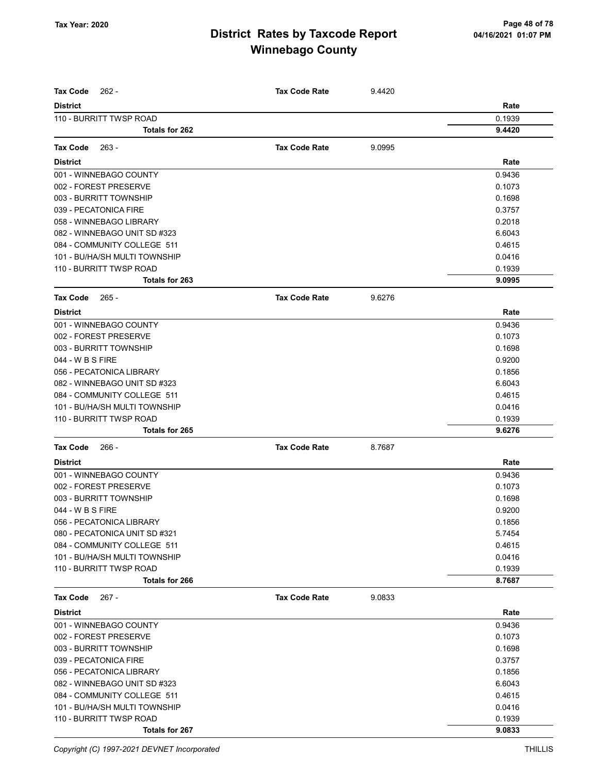| <b>Tax Code</b><br>$262 -$                | <b>Tax Code Rate</b> | 9.4420 |                  |
|-------------------------------------------|----------------------|--------|------------------|
| <b>District</b>                           |                      |        | Rate             |
| 110 - BURRITT TWSP ROAD                   |                      |        | 0.1939           |
| <b>Totals for 262</b>                     |                      |        | 9.4420           |
|                                           |                      |        |                  |
| <b>Tax Code</b><br>263 -                  | <b>Tax Code Rate</b> | 9.0995 |                  |
| <b>District</b>                           |                      |        | Rate             |
| 001 - WINNEBAGO COUNTY                    |                      |        | 0.9436           |
| 002 - FOREST PRESERVE                     |                      |        | 0.1073           |
| 003 - BURRITT TOWNSHIP                    |                      |        | 0.1698           |
| 039 - PECATONICA FIRE                     |                      |        | 0.3757           |
| 058 - WINNEBAGO LIBRARY                   |                      |        | 0.2018           |
| 082 - WINNEBAGO UNIT SD #323              |                      |        | 6.6043           |
| 084 - COMMUNITY COLLEGE 511               |                      |        | 0.4615           |
| 101 - BU/HA/SH MULTI TOWNSHIP             |                      |        | 0.0416           |
| 110 - BURRITT TWSP ROAD                   |                      |        | 0.1939           |
| Totals for 263                            |                      |        | 9.0995           |
| <b>Tax Code</b><br>265 -                  | <b>Tax Code Rate</b> | 9.6276 |                  |
| <b>District</b>                           |                      |        | Rate             |
| 001 - WINNEBAGO COUNTY                    |                      |        | 0.9436           |
| 002 - FOREST PRESERVE                     |                      |        | 0.1073           |
| 003 - BURRITT TOWNSHIP                    |                      |        | 0.1698           |
| 044 - W B S FIRE                          |                      |        | 0.9200           |
| 056 - PECATONICA LIBRARY                  |                      |        | 0.1856           |
| 082 - WINNEBAGO UNIT SD #323              |                      |        | 6.6043           |
| 084 - COMMUNITY COLLEGE 511               |                      |        | 0.4615           |
| 101 - BU/HA/SH MULTI TOWNSHIP             |                      |        | 0.0416           |
| 110 - BURRITT TWSP ROAD                   |                      |        | 0.1939           |
| Totals for 265                            |                      |        | 9.6276           |
| <b>Tax Code</b><br>- 266                  | <b>Tax Code Rate</b> | 8.7687 |                  |
| <b>District</b>                           |                      |        | Rate             |
| 001 - WINNEBAGO COUNTY                    |                      |        | 0.9436           |
| 002 - FOREST PRESERVE                     |                      |        | 0.1073           |
| 003 - BURRITT TOWNSHIP                    |                      |        | 0.1698           |
| 044 - W B S FIRE                          |                      |        | 0.9200           |
| 056 - PECATONICA LIBRARY                  |                      |        | 0.1856           |
| 080 - PECATONICA UNIT SD #321             |                      |        | 5.7454           |
| 084 - COMMUNITY COLLEGE 511               |                      |        | 0.4615           |
| 101 - BU/HA/SH MULTI TOWNSHIP             |                      |        | 0.0416           |
| 110 - BURRITT TWSP ROAD                   |                      |        | 0.1939           |
| Totals for 266                            |                      |        | 8.7687           |
| <b>Tax Code</b><br>$267 -$                | <b>Tax Code Rate</b> | 9.0833 |                  |
| <b>District</b>                           |                      |        | Rate             |
| 001 - WINNEBAGO COUNTY                    |                      |        | 0.9436           |
| 002 - FOREST PRESERVE                     |                      |        | 0.1073           |
| 003 - BURRITT TOWNSHIP                    |                      |        | 0.1698           |
| 039 - PECATONICA FIRE                     |                      |        | 0.3757           |
| 056 - PECATONICA LIBRARY                  |                      |        | 0.1856           |
| 082 - WINNEBAGO UNIT SD #323              |                      |        | 6.6043           |
| 084 - COMMUNITY COLLEGE 511               |                      |        | 0.4615           |
|                                           |                      |        |                  |
| 101 - BU/HA/SH MULTI TOWNSHIP             |                      |        | 0.0416           |
| 110 - BURRITT TWSP ROAD<br>Totals for 267 |                      |        | 0.1939<br>9.0833 |
|                                           |                      |        |                  |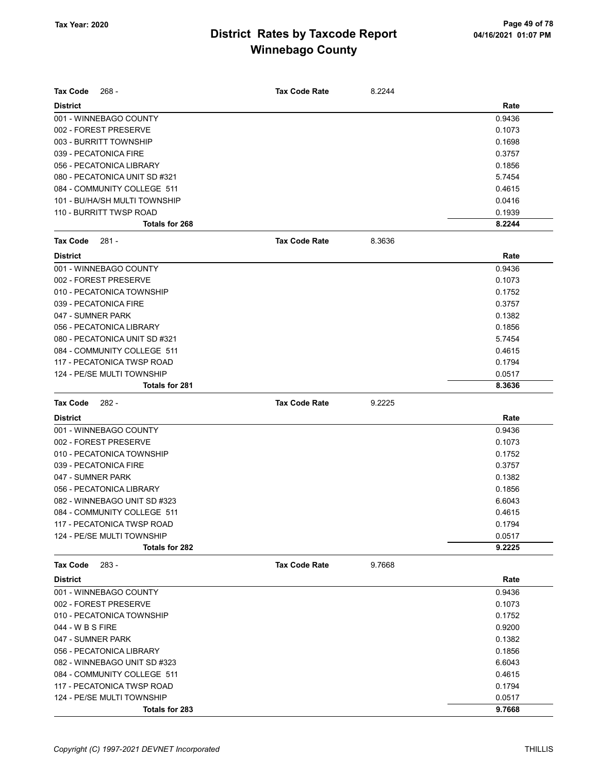| <b>Tax Code</b><br>268 -      | <b>Tax Code Rate</b> | 8.2244 |        |
|-------------------------------|----------------------|--------|--------|
| <b>District</b>               |                      |        | Rate   |
| 001 - WINNEBAGO COUNTY        |                      |        | 0.9436 |
| 002 - FOREST PRESERVE         |                      |        | 0.1073 |
| 003 - BURRITT TOWNSHIP        |                      |        | 0.1698 |
| 039 - PECATONICA FIRE         |                      |        | 0.3757 |
| 056 - PECATONICA LIBRARY      |                      |        | 0.1856 |
| 080 - PECATONICA UNIT SD #321 |                      |        | 5.7454 |
| 084 - COMMUNITY COLLEGE 511   |                      |        | 0.4615 |
| 101 - BU/HA/SH MULTI TOWNSHIP |                      |        | 0.0416 |
| 110 - BURRITT TWSP ROAD       |                      |        | 0.1939 |
| Totals for 268                |                      |        | 8.2244 |
| <b>Tax Code</b><br>281 -      | <b>Tax Code Rate</b> | 8.3636 |        |
| <b>District</b>               |                      |        | Rate   |
| 001 - WINNEBAGO COUNTY        |                      |        | 0.9436 |
| 002 - FOREST PRESERVE         |                      |        | 0.1073 |
| 010 - PECATONICA TOWNSHIP     |                      |        | 0.1752 |
| 039 - PECATONICA FIRE         |                      |        | 0.3757 |
| 047 - SUMNER PARK             |                      |        | 0.1382 |
| 056 - PECATONICA LIBRARY      |                      |        | 0.1856 |
| 080 - PECATONICA UNIT SD #321 |                      |        | 5.7454 |
| 084 - COMMUNITY COLLEGE 511   |                      |        | 0.4615 |
| 117 - PECATONICA TWSP ROAD    |                      |        | 0.1794 |
| 124 - PE/SE MULTI TOWNSHIP    |                      |        | 0.0517 |
| <b>Totals for 281</b>         |                      |        | 8.3636 |
| <b>Tax Code</b><br>282 -      | <b>Tax Code Rate</b> | 9.2225 |        |
| <b>District</b>               |                      |        | Rate   |
| 001 - WINNEBAGO COUNTY        |                      |        | 0.9436 |
| 002 - FOREST PRESERVE         |                      |        | 0.1073 |
| 010 - PECATONICA TOWNSHIP     |                      |        | 0.1752 |
| 039 - PECATONICA FIRE         |                      |        | 0.3757 |
| 047 - SUMNER PARK             |                      |        | 0.1382 |
| 056 - PECATONICA LIBRARY      |                      |        | 0.1856 |
| 082 - WINNEBAGO UNIT SD #323  |                      |        | 6.6043 |
| 084 - COMMUNITY COLLEGE 511   |                      |        | 0.4615 |
| 117 - PECATONICA TWSP ROAD    |                      |        | 0.1794 |
| 124 - PE/SE MULTI TOWNSHIP    |                      |        | 0.0517 |
| Totals for 282                |                      |        | 9.2225 |
| <b>Tax Code</b><br>283 -      | <b>Tax Code Rate</b> | 9.7668 |        |
| <b>District</b>               |                      |        | Rate   |
| 001 - WINNEBAGO COUNTY        |                      |        | 0.9436 |
| 002 - FOREST PRESERVE         |                      |        | 0.1073 |
| 010 - PECATONICA TOWNSHIP     |                      |        | 0.1752 |
| 044 - W B S FIRE              |                      |        | 0.9200 |
| 047 - SUMNER PARK             |                      |        | 0.1382 |
| 056 - PECATONICA LIBRARY      |                      |        | 0.1856 |
| 082 - WINNEBAGO UNIT SD #323  |                      |        | 6.6043 |
| 084 - COMMUNITY COLLEGE 511   |                      |        | 0.4615 |
| 117 - PECATONICA TWSP ROAD    |                      |        | 0.1794 |
| 124 - PE/SE MULTI TOWNSHIP    |                      |        | 0.0517 |
| Totals for 283                |                      |        | 9.7668 |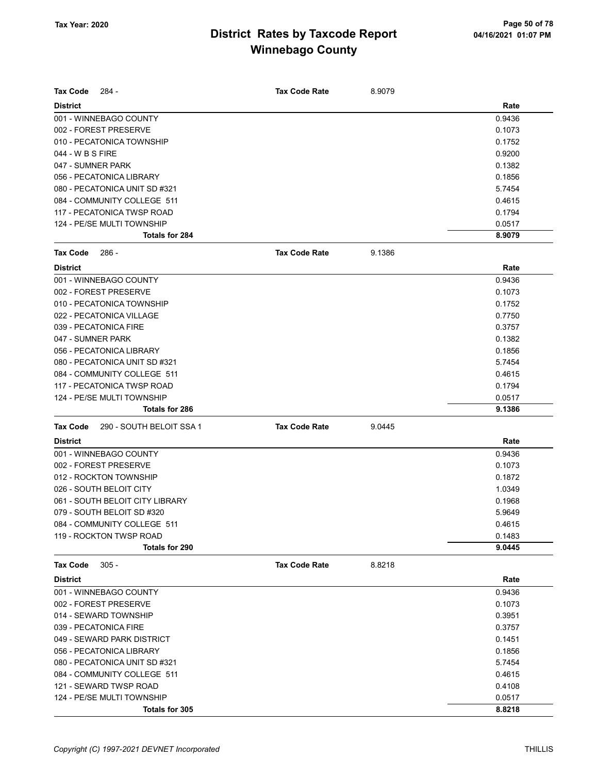| Tax Code          | $284 -$                         | <b>Tax Code Rate</b> | 8.9079 |        |
|-------------------|---------------------------------|----------------------|--------|--------|
|                   |                                 |                      |        |        |
| <b>District</b>   |                                 |                      |        | Rate   |
|                   | 001 - WINNEBAGO COUNTY          |                      |        | 0.9436 |
|                   | 002 - FOREST PRESERVE           |                      |        | 0.1073 |
|                   | 010 - PECATONICA TOWNSHIP       |                      |        | 0.1752 |
| 044 - W B S FIRE  |                                 |                      |        | 0.9200 |
| 047 - SUMNER PARK |                                 |                      |        | 0.1382 |
|                   | 056 - PECATONICA LIBRARY        |                      |        | 0.1856 |
|                   | 080 - PECATONICA UNIT SD #321   |                      |        | 5.7454 |
|                   | 084 - COMMUNITY COLLEGE 511     |                      |        | 0.4615 |
|                   | 117 - PECATONICA TWSP ROAD      |                      |        | 0.1794 |
|                   | 124 - PE/SE MULTI TOWNSHIP      |                      |        | 0.0517 |
|                   | <b>Totals for 284</b>           |                      |        | 8.9079 |
| <b>Tax Code</b>   | 286 -                           | <b>Tax Code Rate</b> | 9.1386 |        |
| <b>District</b>   |                                 |                      |        | Rate   |
|                   | 001 - WINNEBAGO COUNTY          |                      |        | 0.9436 |
|                   | 002 - FOREST PRESERVE           |                      |        | 0.1073 |
|                   | 010 - PECATONICA TOWNSHIP       |                      |        | 0.1752 |
|                   | 022 - PECATONICA VILLAGE        |                      |        | 0.7750 |
|                   | 039 - PECATONICA FIRE           |                      |        | 0.3757 |
| 047 - SUMNER PARK |                                 |                      |        | 0.1382 |
|                   | 056 - PECATONICA LIBRARY        |                      |        | 0.1856 |
|                   | 080 - PECATONICA UNIT SD #321   |                      |        | 5.7454 |
|                   | 084 - COMMUNITY COLLEGE 511     |                      |        | 0.4615 |
|                   | 117 - PECATONICA TWSP ROAD      |                      |        | 0.1794 |
|                   | 124 - PE/SE MULTI TOWNSHIP      |                      |        | 0.0517 |
|                   | <b>Totals for 286</b>           |                      |        | 9.1386 |
| <b>Tax Code</b>   | 290 - SOUTH BELOIT SSA 1        | <b>Tax Code Rate</b> | 9.0445 |        |
| <b>District</b>   |                                 |                      |        | Rate   |
|                   | 001 - WINNEBAGO COUNTY          |                      |        | 0.9436 |
|                   | 002 - FOREST PRESERVE           |                      |        | 0.1073 |
|                   | 012 - ROCKTON TOWNSHIP          |                      |        | 0.1872 |
|                   | 026 - SOUTH BELOIT CITY         |                      |        | 1.0349 |
|                   | 061 - SOUTH BELOIT CITY LIBRARY |                      |        | 0.1968 |
|                   | 079 - SOUTH BELOIT SD #320      |                      |        | 5.9649 |
|                   | 084 - COMMUNITY COLLEGE 511     |                      |        | 0.4615 |
|                   | 119 - ROCKTON TWSP ROAD         |                      |        | 0.1483 |
|                   | Totals for 290                  |                      |        | 9.0445 |
|                   |                                 |                      |        |        |
| <b>Tax Code</b>   | $305 -$                         | <b>Tax Code Rate</b> | 8.8218 |        |
| <b>District</b>   |                                 |                      |        | Rate   |
|                   | 001 - WINNEBAGO COUNTY          |                      |        | 0.9436 |
|                   | 002 - FOREST PRESERVE           |                      |        | 0.1073 |
|                   | 014 - SEWARD TOWNSHIP           |                      |        | 0.3951 |
|                   | 039 - PECATONICA FIRE           |                      |        | 0.3757 |
|                   | 049 - SEWARD PARK DISTRICT      |                      |        | 0.1451 |
|                   | 056 - PECATONICA LIBRARY        |                      |        | 0.1856 |
|                   | 080 - PECATONICA UNIT SD #321   |                      |        | 5.7454 |
|                   | 084 - COMMUNITY COLLEGE 511     |                      |        | 0.4615 |
|                   | 121 - SEWARD TWSP ROAD          |                      |        | 0.4108 |
|                   | 124 - PE/SE MULTI TOWNSHIP      |                      |        | 0.0517 |
|                   | Totals for 305                  |                      |        | 8.8218 |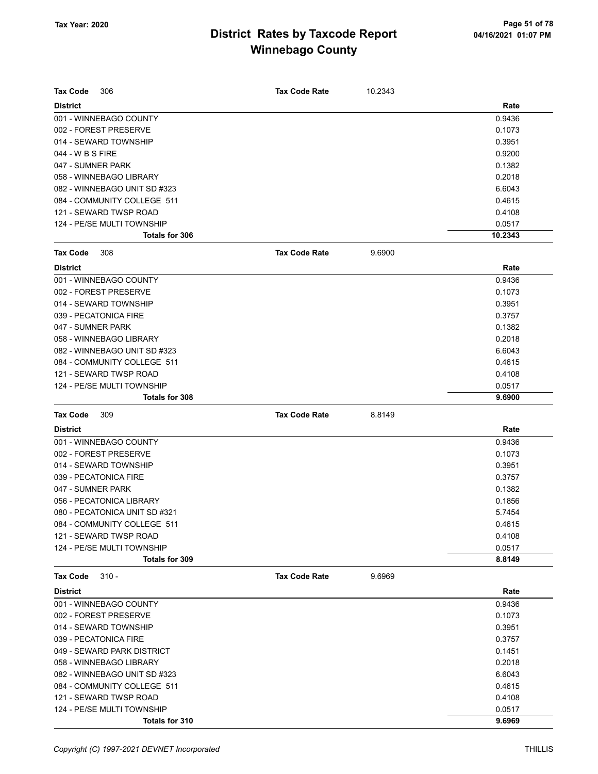| <b>Tax Code</b><br>306        | <b>Tax Code Rate</b> | 10.2343 |         |
|-------------------------------|----------------------|---------|---------|
| <b>District</b>               |                      |         | Rate    |
| 001 - WINNEBAGO COUNTY        |                      |         | 0.9436  |
| 002 - FOREST PRESERVE         |                      |         | 0.1073  |
| 014 - SEWARD TOWNSHIP         |                      |         | 0.3951  |
| 044 - W B S FIRE              |                      |         | 0.9200  |
| 047 - SUMNER PARK             |                      |         | 0.1382  |
| 058 - WINNEBAGO LIBRARY       |                      |         | 0.2018  |
| 082 - WINNEBAGO UNIT SD #323  |                      |         | 6.6043  |
| 084 - COMMUNITY COLLEGE 511   |                      |         | 0.4615  |
| 121 - SEWARD TWSP ROAD        |                      |         | 0.4108  |
| 124 - PE/SE MULTI TOWNSHIP    |                      |         | 0.0517  |
| <b>Totals for 306</b>         |                      |         | 10.2343 |
| <b>Tax Code</b><br>308        | <b>Tax Code Rate</b> | 9.6900  |         |
| <b>District</b>               |                      |         | Rate    |
| 001 - WINNEBAGO COUNTY        |                      |         | 0.9436  |
| 002 - FOREST PRESERVE         |                      |         | 0.1073  |
| 014 - SEWARD TOWNSHIP         |                      |         | 0.3951  |
| 039 - PECATONICA FIRE         |                      |         | 0.3757  |
| 047 - SUMNER PARK             |                      |         | 0.1382  |
| 058 - WINNEBAGO LIBRARY       |                      |         | 0.2018  |
| 082 - WINNEBAGO UNIT SD #323  |                      |         | 6.6043  |
| 084 - COMMUNITY COLLEGE 511   |                      |         | 0.4615  |
| 121 - SEWARD TWSP ROAD        |                      |         | 0.4108  |
| 124 - PE/SE MULTI TOWNSHIP    |                      |         | 0.0517  |
| Totals for 308                |                      |         | 9.6900  |
| <b>Tax Code</b><br>309        | <b>Tax Code Rate</b> | 8.8149  |         |
| <b>District</b>               |                      |         | Rate    |
| 001 - WINNEBAGO COUNTY        |                      |         | 0.9436  |
| 002 - FOREST PRESERVE         |                      |         | 0.1073  |
| 014 - SEWARD TOWNSHIP         |                      |         | 0.3951  |
| 039 - PECATONICA FIRE         |                      |         | 0.3757  |
| 047 - SUMNER PARK             |                      |         | 0.1382  |
| 056 - PECATONICA LIBRARY      |                      |         | 0.1856  |
| 080 - PECATONICA UNIT SD #321 |                      |         | 5.7454  |
| 084 - COMMUNITY COLLEGE 511   |                      |         | 0.4615  |
| 121 - SEWARD TWSP ROAD        |                      |         | 0.4108  |
| 124 - PE/SE MULTI TOWNSHIP    |                      |         | 0.0517  |
| <b>Totals for 309</b>         |                      |         | 8.8149  |
| <b>Tax Code</b><br>$310 -$    | <b>Tax Code Rate</b> | 9.6969  |         |
| <b>District</b>               |                      |         | Rate    |
| 001 - WINNEBAGO COUNTY        |                      |         | 0.9436  |
| 002 - FOREST PRESERVE         |                      |         | 0.1073  |
| 014 - SEWARD TOWNSHIP         |                      |         | 0.3951  |
| 039 - PECATONICA FIRE         |                      |         | 0.3757  |
| 049 - SEWARD PARK DISTRICT    |                      |         | 0.1451  |
| 058 - WINNEBAGO LIBRARY       |                      |         | 0.2018  |
| 082 - WINNEBAGO UNIT SD #323  |                      |         | 6.6043  |
| 084 - COMMUNITY COLLEGE 511   |                      |         | 0.4615  |
| 121 - SEWARD TWSP ROAD        |                      |         | 0.4108  |
| 124 - PE/SE MULTI TOWNSHIP    |                      |         | 0.0517  |
| Totals for 310                |                      |         | 9.6969  |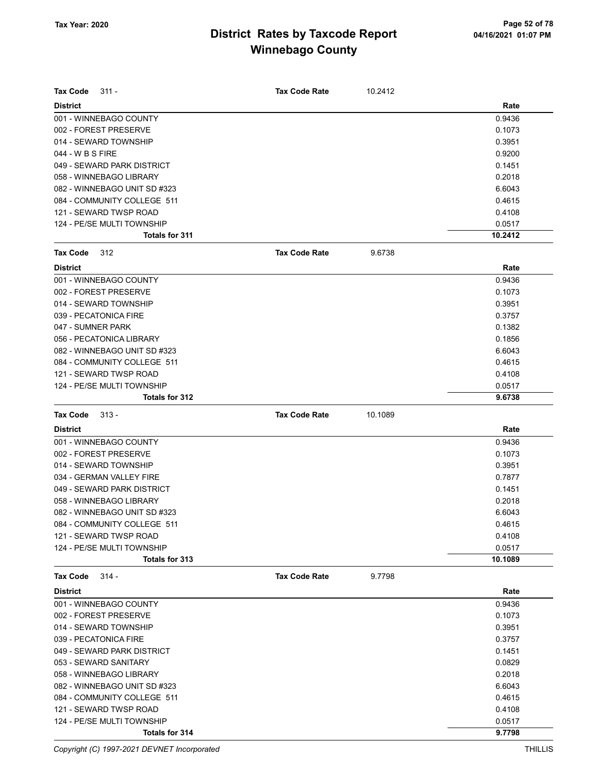| Tax Code<br>311 -                            | <b>Tax Code Rate</b> | 10.2412 | Rate              |
|----------------------------------------------|----------------------|---------|-------------------|
| <b>District</b>                              |                      |         |                   |
| 001 - WINNEBAGO COUNTY                       |                      |         | 0.9436            |
| 002 - FOREST PRESERVE                        |                      |         | 0.1073            |
| 014 - SEWARD TOWNSHIP                        |                      |         | 0.3951            |
| 044 - W B S FIRE                             |                      |         | 0.9200            |
| 049 - SEWARD PARK DISTRICT                   |                      |         | 0.1451            |
| 058 - WINNEBAGO LIBRARY                      |                      |         | 0.2018            |
| 082 - WINNEBAGO UNIT SD #323                 |                      |         | 6.6043            |
| 084 - COMMUNITY COLLEGE 511                  |                      |         | 0.4615            |
| 121 - SEWARD TWSP ROAD                       |                      |         | 0.4108            |
| 124 - PE/SE MULTI TOWNSHIP<br>Totals for 311 |                      |         | 0.0517<br>10.2412 |
|                                              |                      |         |                   |
| Tax Code<br>312                              | <b>Tax Code Rate</b> | 9.6738  |                   |
| <b>District</b>                              |                      |         | Rate              |
| 001 - WINNEBAGO COUNTY                       |                      |         | 0.9436            |
| 002 - FOREST PRESERVE                        |                      |         | 0.1073            |
| 014 - SEWARD TOWNSHIP                        |                      |         | 0.3951            |
| 039 - PECATONICA FIRE                        |                      |         | 0.3757            |
| 047 - SUMNER PARK                            |                      |         | 0.1382            |
| 056 - PECATONICA LIBRARY                     |                      |         | 0.1856            |
| 082 - WINNEBAGO UNIT SD #323                 |                      |         | 6.6043            |
| 084 - COMMUNITY COLLEGE 511                  |                      |         | 0.4615            |
| 121 - SEWARD TWSP ROAD                       |                      |         | 0.4108            |
| 124 - PE/SE MULTI TOWNSHIP                   |                      |         | 0.0517            |
| Totals for 312                               |                      |         | 9.6738            |
| Tax Code<br>$313 -$                          | <b>Tax Code Rate</b> | 10.1089 |                   |
| <b>District</b>                              |                      |         | Rate              |
| 001 - WINNEBAGO COUNTY                       |                      |         | 0.9436            |
| 002 - FOREST PRESERVE                        |                      |         | 0.1073            |
| 014 - SEWARD TOWNSHIP                        |                      |         | 0.3951            |
| 034 - GERMAN VALLEY FIRE                     |                      |         | 0.7877            |
| 049 - SEWARD PARK DISTRICT                   |                      |         | 0.1451            |
| 058 - WINNEBAGO LIBRARY                      |                      |         | 0.2018            |
| 082 - WINNEBAGO UNIT SD #323                 |                      |         | 6.6043            |
| 084 - COMMUNITY COLLEGE 511                  |                      |         | 0.4615            |
| 121 - SEWARD TWSP ROAD                       |                      |         | 0.4108            |
| 124 - PE/SE MULTI TOWNSHIP                   |                      |         | 0.0517            |
| Totals for 313                               |                      |         | 10.1089           |
| <b>Tax Code</b><br>$314 -$                   | <b>Tax Code Rate</b> | 9.7798  |                   |
| <b>District</b>                              |                      |         | Rate              |
| 001 - WINNEBAGO COUNTY                       |                      |         | 0.9436            |
| 002 - FOREST PRESERVE                        |                      |         | 0.1073            |
| 014 - SEWARD TOWNSHIP                        |                      |         | 0.3951            |
| 039 - PECATONICA FIRE                        |                      |         | 0.3757            |
| 049 - SEWARD PARK DISTRICT                   |                      |         | 0.1451            |
| 053 - SEWARD SANITARY                        |                      |         | 0.0829            |
| 058 - WINNEBAGO LIBRARY                      |                      |         | 0.2018            |
| 082 - WINNEBAGO UNIT SD #323                 |                      |         | 6.6043            |
| 084 - COMMUNITY COLLEGE 511                  |                      |         | 0.4615            |
| 121 - SEWARD TWSP ROAD                       |                      |         | 0.4108            |
| 124 - PE/SE MULTI TOWNSHIP                   |                      |         | 0.0517            |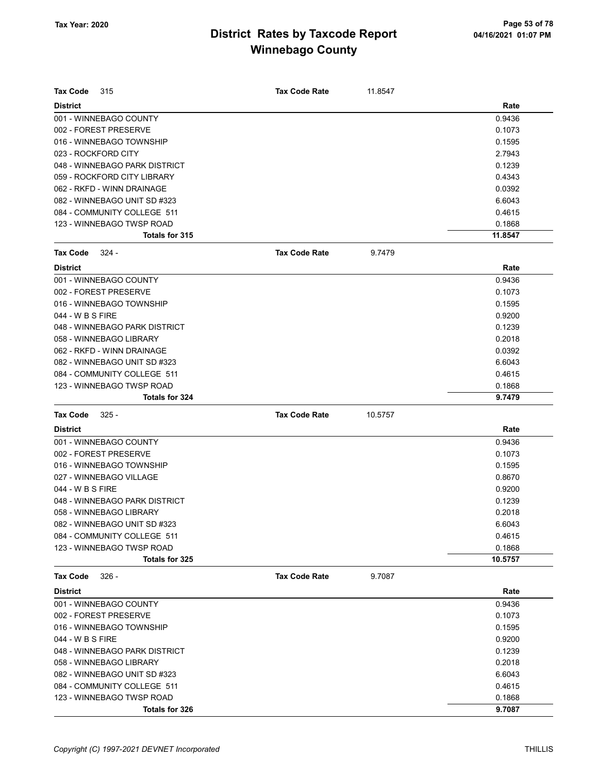| <b>Tax Code</b><br>315        | <b>Tax Code Rate</b> | 11.8547 |         |
|-------------------------------|----------------------|---------|---------|
| <b>District</b>               |                      |         | Rate    |
| 001 - WINNEBAGO COUNTY        |                      |         | 0.9436  |
| 002 - FOREST PRESERVE         |                      |         | 0.1073  |
| 016 - WINNEBAGO TOWNSHIP      |                      |         | 0.1595  |
| 023 - ROCKFORD CITY           |                      |         | 2.7943  |
| 048 - WINNEBAGO PARK DISTRICT |                      |         | 0.1239  |
| 059 - ROCKFORD CITY LIBRARY   |                      |         | 0.4343  |
| 062 - RKFD - WINN DRAINAGE    |                      |         | 0.0392  |
| 082 - WINNEBAGO UNIT SD #323  |                      |         | 6.6043  |
| 084 - COMMUNITY COLLEGE 511   |                      |         | 0.4615  |
| 123 - WINNEBAGO TWSP ROAD     |                      |         | 0.1868  |
| Totals for 315                |                      |         | 11.8547 |
| <b>Tax Code</b><br>324 -      | <b>Tax Code Rate</b> | 9.7479  |         |
| <b>District</b>               |                      |         | Rate    |
| 001 - WINNEBAGO COUNTY        |                      |         | 0.9436  |
| 002 - FOREST PRESERVE         |                      |         | 0.1073  |
| 016 - WINNEBAGO TOWNSHIP      |                      |         | 0.1595  |
| 044 - W B S FIRE              |                      |         | 0.9200  |
| 048 - WINNEBAGO PARK DISTRICT |                      |         | 0.1239  |
| 058 - WINNEBAGO LIBRARY       |                      |         | 0.2018  |
| 062 - RKFD - WINN DRAINAGE    |                      |         | 0.0392  |
| 082 - WINNEBAGO UNIT SD #323  |                      |         | 6.6043  |
| 084 - COMMUNITY COLLEGE 511   |                      |         | 0.4615  |
| 123 - WINNEBAGO TWSP ROAD     |                      |         | 0.1868  |
| <b>Totals for 324</b>         |                      |         | 9.7479  |
| <b>Tax Code</b><br>$325 -$    | <b>Tax Code Rate</b> | 10.5757 |         |
| <b>District</b>               |                      |         | Rate    |
| 001 - WINNEBAGO COUNTY        |                      |         | 0.9436  |
| 002 - FOREST PRESERVE         |                      |         | 0.1073  |
| 016 - WINNEBAGO TOWNSHIP      |                      |         | 0.1595  |
| 027 - WINNEBAGO VILLAGE       |                      |         | 0.8670  |
| 044 - W B S FIRE              |                      |         | 0.9200  |
| 048 - WINNEBAGO PARK DISTRICT |                      |         | 0.1239  |
| 058 - WINNEBAGO LIBRARY       |                      |         | 0.2018  |
| 082 - WINNEBAGO UNIT SD #323  |                      |         | 6.6043  |
| 084 - COMMUNITY COLLEGE 511   |                      |         | 0.4615  |
| 123 - WINNEBAGO TWSP ROAD     |                      |         | 0.1868  |
| Totals for 325                |                      |         | 10.5757 |
| <b>Tax Code</b><br>$326 -$    | <b>Tax Code Rate</b> | 9.7087  |         |
| <b>District</b>               |                      |         | Rate    |
| 001 - WINNEBAGO COUNTY        |                      |         | 0.9436  |
| 002 - FOREST PRESERVE         |                      |         | 0.1073  |
| 016 - WINNEBAGO TOWNSHIP      |                      |         | 0.1595  |
| 044 - W B S FIRE              |                      |         | 0.9200  |
| 048 - WINNEBAGO PARK DISTRICT |                      |         | 0.1239  |
| 058 - WINNEBAGO LIBRARY       |                      |         | 0.2018  |
| 082 - WINNEBAGO UNIT SD #323  |                      |         | 6.6043  |
| 084 - COMMUNITY COLLEGE 511   |                      |         | 0.4615  |
| 123 - WINNEBAGO TWSP ROAD     |                      |         | 0.1868  |
| Totals for 326                |                      |         | 9.7087  |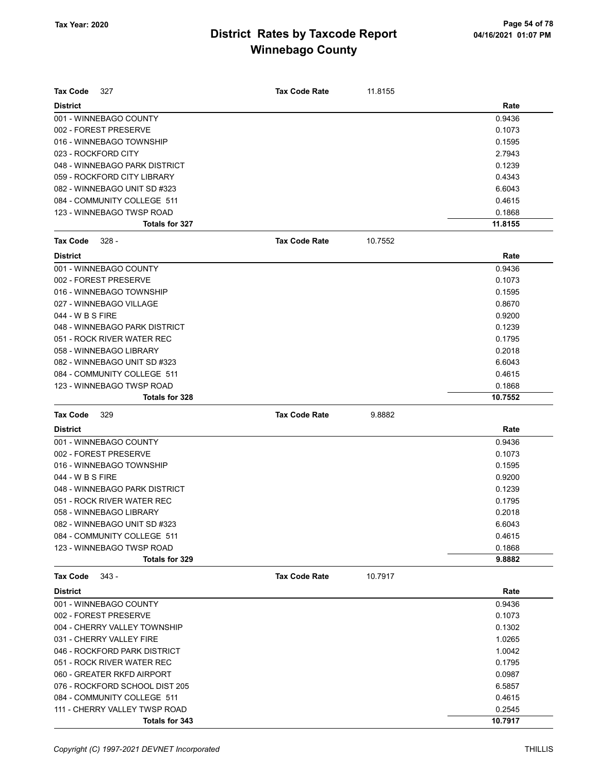| <b>Tax Code</b><br>327         | <b>Tax Code Rate</b> | 11.8155 |         |
|--------------------------------|----------------------|---------|---------|
| <b>District</b>                |                      |         | Rate    |
| 001 - WINNEBAGO COUNTY         |                      |         | 0.9436  |
| 002 - FOREST PRESERVE          |                      |         | 0.1073  |
| 016 - WINNEBAGO TOWNSHIP       |                      |         | 0.1595  |
| 023 - ROCKFORD CITY            |                      |         | 2.7943  |
| 048 - WINNEBAGO PARK DISTRICT  |                      |         | 0.1239  |
| 059 - ROCKFORD CITY LIBRARY    |                      |         | 0.4343  |
| 082 - WINNEBAGO UNIT SD #323   |                      |         | 6.6043  |
| 084 - COMMUNITY COLLEGE 511    |                      |         | 0.4615  |
| 123 - WINNEBAGO TWSP ROAD      |                      |         | 0.1868  |
| Totals for 327                 |                      |         | 11.8155 |
| <b>Tax Code</b><br>$328 -$     | <b>Tax Code Rate</b> | 10.7552 |         |
| <b>District</b>                |                      |         | Rate    |
| 001 - WINNEBAGO COUNTY         |                      |         | 0.9436  |
| 002 - FOREST PRESERVE          |                      |         | 0.1073  |
| 016 - WINNEBAGO TOWNSHIP       |                      |         | 0.1595  |
| 027 - WINNEBAGO VILLAGE        |                      |         | 0.8670  |
| 044 - W B S FIRE               |                      |         | 0.9200  |
| 048 - WINNEBAGO PARK DISTRICT  |                      |         | 0.1239  |
| 051 - ROCK RIVER WATER REC     |                      |         | 0.1795  |
| 058 - WINNEBAGO LIBRARY        |                      |         | 0.2018  |
| 082 - WINNEBAGO UNIT SD #323   |                      |         | 6.6043  |
| 084 - COMMUNITY COLLEGE 511    |                      |         | 0.4615  |
| 123 - WINNEBAGO TWSP ROAD      |                      |         | 0.1868  |
| Totals for 328                 |                      |         | 10.7552 |
|                                |                      |         |         |
| <b>Tax Code</b><br>329         | <b>Tax Code Rate</b> | 9.8882  |         |
| <b>District</b>                |                      |         | Rate    |
| 001 - WINNEBAGO COUNTY         |                      |         | 0.9436  |
| 002 - FOREST PRESERVE          |                      |         | 0.1073  |
| 016 - WINNEBAGO TOWNSHIP       |                      |         | 0.1595  |
| 044 - W B S FIRE               |                      |         | 0.9200  |
| 048 - WINNEBAGO PARK DISTRICT  |                      |         | 0.1239  |
| 051 - ROCK RIVER WATER REC     |                      |         | 0.1795  |
| 058 - WINNEBAGO LIBRARY        |                      |         | 0.2018  |
| 082 - WINNEBAGO UNIT SD #323   |                      |         | 6.6043  |
| 084 - COMMUNITY COLLEGE 511    |                      |         | 0.4615  |
| 123 - WINNEBAGO TWSP ROAD      |                      |         | 0.1868  |
| Totals for 329                 |                      |         | 9.8882  |
| $343 -$<br><b>Tax Code</b>     | <b>Tax Code Rate</b> | 10.7917 |         |
| <b>District</b>                |                      |         | Rate    |
| 001 - WINNEBAGO COUNTY         |                      |         | 0.9436  |
| 002 - FOREST PRESERVE          |                      |         | 0.1073  |
| 004 - CHERRY VALLEY TOWNSHIP   |                      |         | 0.1302  |
| 031 - CHERRY VALLEY FIRE       |                      |         | 1.0265  |
| 046 - ROCKFORD PARK DISTRICT   |                      |         | 1.0042  |
| 051 - ROCK RIVER WATER REC     |                      |         | 0.1795  |
| 060 - GREATER RKFD AIRPORT     |                      |         | 0.0987  |
| 076 - ROCKFORD SCHOOL DIST 205 |                      |         | 6.5857  |
| 084 - COMMUNITY COLLEGE 511    |                      |         | 0.4615  |
| 111 - CHERRY VALLEY TWSP ROAD  |                      |         | 0.2545  |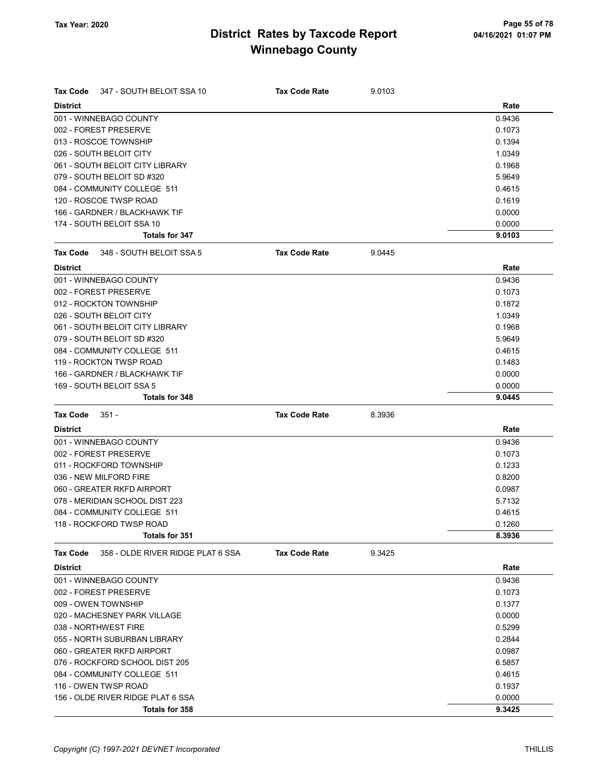| Tax Code        | 347 - SOUTH BELOIT SSA 10         | <b>Tax Code Rate</b> | 9.0103 |        |
|-----------------|-----------------------------------|----------------------|--------|--------|
| <b>District</b> |                                   |                      |        | Rate   |
|                 | 001 - WINNEBAGO COUNTY            |                      |        | 0.9436 |
|                 | 002 - FOREST PRESERVE             |                      |        | 0.1073 |
|                 | 013 - ROSCOE TOWNSHIP             |                      |        | 0.1394 |
|                 | 026 - SOUTH BELOIT CITY           |                      |        | 1.0349 |
|                 | 061 - SOUTH BELOIT CITY LIBRARY   |                      |        | 0.1968 |
|                 | 079 - SOUTH BELOIT SD #320        |                      |        | 5.9649 |
|                 | 084 - COMMUNITY COLLEGE 511       |                      |        | 0.4615 |
|                 | 120 - ROSCOE TWSP ROAD            |                      |        | 0.1619 |
|                 | 166 - GARDNER / BLACKHAWK TIF     |                      |        | 0.0000 |
|                 | 174 - SOUTH BELOIT SSA 10         |                      |        | 0.0000 |
|                 | Totals for 347                    |                      |        | 9.0103 |
| <b>Tax Code</b> | 348 - SOUTH BELOIT SSA 5          | <b>Tax Code Rate</b> | 9.0445 |        |
| <b>District</b> |                                   |                      |        | Rate   |
|                 | 001 - WINNEBAGO COUNTY            |                      |        | 0.9436 |
|                 | 002 - FOREST PRESERVE             |                      |        | 0.1073 |
|                 | 012 - ROCKTON TOWNSHIP            |                      |        | 0.1872 |
|                 | 026 - SOUTH BELOIT CITY           |                      |        | 1.0349 |
|                 | 061 - SOUTH BELOIT CITY LIBRARY   |                      |        | 0.1968 |
|                 | 079 - SOUTH BELOIT SD #320        |                      |        | 5.9649 |
|                 | 084 - COMMUNITY COLLEGE 511       |                      |        | 0.4615 |
|                 | 119 - ROCKTON TWSP ROAD           |                      |        | 0.1483 |
|                 | 166 - GARDNER / BLACKHAWK TIF     |                      |        | 0.0000 |
|                 | 169 - SOUTH BELOIT SSA 5          |                      |        | 0.0000 |
|                 | Totals for 348                    |                      |        | 9.0445 |
|                 |                                   |                      |        |        |
| Tax Code        | $351 -$                           | <b>Tax Code Rate</b> | 8.3936 |        |
| <b>District</b> |                                   |                      |        | Rate   |
|                 | 001 - WINNEBAGO COUNTY            |                      |        | 0.9436 |
|                 | 002 - FOREST PRESERVE             |                      |        | 0.1073 |
|                 | 011 - ROCKFORD TOWNSHIP           |                      |        | 0.1233 |
|                 | 036 - NEW MILFORD FIRE            |                      |        | 0.8200 |
|                 | 060 - GREATER RKFD AIRPORT        |                      |        | 0.0987 |
|                 | 078 - MERIDIAN SCHOOL DIST 223    |                      |        | 5.7132 |
|                 | 084 - COMMUNITY COLLEGE 511       |                      |        | 0.4615 |
|                 | 118 - ROCKFORD TWSP ROAD          |                      |        | 0.1260 |
|                 | Totals for 351                    |                      |        | 8.3936 |
| Tax Code        | 358 - OLDE RIVER RIDGE PLAT 6 SSA | <b>Tax Code Rate</b> | 9.3425 |        |
| <b>District</b> |                                   |                      |        | Rate   |
|                 | 001 - WINNEBAGO COUNTY            |                      |        | 0.9436 |
|                 | 002 - FOREST PRESERVE             |                      |        | 0.1073 |
|                 | 009 - OWEN TOWNSHIP               |                      |        | 0.1377 |
|                 | 020 - MACHESNEY PARK VILLAGE      |                      |        | 0.0000 |
|                 | 038 - NORTHWEST FIRE              |                      |        | 0.5299 |
|                 | 055 - NORTH SUBURBAN LIBRARY      |                      |        | 0.2844 |
|                 | 060 - GREATER RKFD AIRPORT        |                      |        | 0.0987 |
|                 | 076 - ROCKFORD SCHOOL DIST 205    |                      |        | 6.5857 |
|                 | 084 - COMMUNITY COLLEGE 511       |                      |        | 0.4615 |
|                 | 116 - OWEN TWSP ROAD              |                      |        | 0.1937 |
|                 | 156 - OLDE RIVER RIDGE PLAT 6 SSA |                      |        | 0.0000 |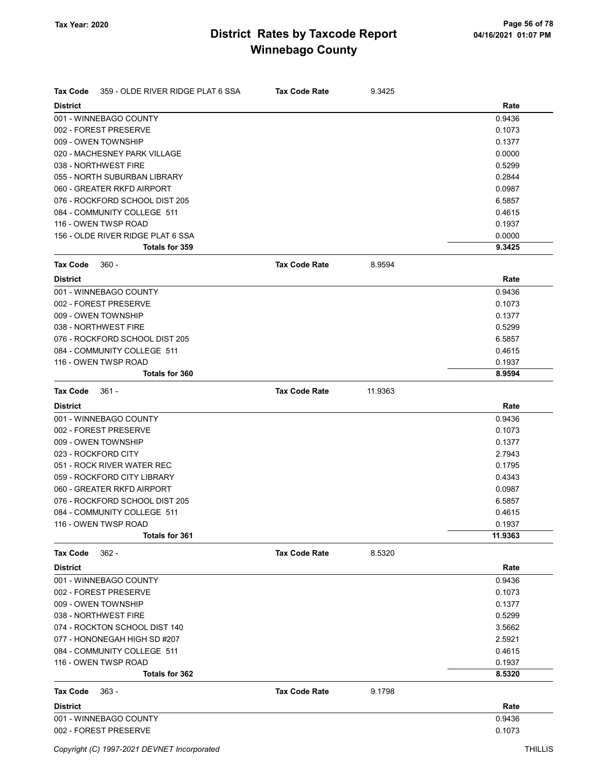| Tax Code        | 359 - OLDE RIVER RIDGE PLAT 6 SSA | <b>Tax Code Rate</b> | 9.3425  |         |
|-----------------|-----------------------------------|----------------------|---------|---------|
| <b>District</b> |                                   |                      |         | Rate    |
|                 | 001 - WINNEBAGO COUNTY            |                      |         | 0.9436  |
|                 | 002 - FOREST PRESERVE             |                      |         | 0.1073  |
|                 | 009 - OWEN TOWNSHIP               |                      |         | 0.1377  |
|                 | 020 - MACHESNEY PARK VILLAGE      |                      |         | 0.0000  |
|                 | 038 - NORTHWEST FIRE              |                      |         | 0.5299  |
|                 | 055 - NORTH SUBURBAN LIBRARY      |                      |         | 0.2844  |
|                 | 060 - GREATER RKFD AIRPORT        |                      |         | 0.0987  |
|                 | 076 - ROCKFORD SCHOOL DIST 205    |                      |         | 6.5857  |
|                 | 084 - COMMUNITY COLLEGE 511       |                      |         | 0.4615  |
|                 | 116 - OWEN TWSP ROAD              |                      |         | 0.1937  |
|                 | 156 - OLDE RIVER RIDGE PLAT 6 SSA |                      |         | 0.0000  |
|                 | Totals for 359                    |                      |         | 9.3425  |
| Tax Code        | $360 -$                           | <b>Tax Code Rate</b> | 8.9594  |         |
| <b>District</b> |                                   |                      |         | Rate    |
|                 | 001 - WINNEBAGO COUNTY            |                      |         | 0.9436  |
|                 | 002 - FOREST PRESERVE             |                      |         | 0.1073  |
|                 | 009 - OWEN TOWNSHIP               |                      |         | 0.1377  |
|                 | 038 - NORTHWEST FIRE              |                      |         | 0.5299  |
|                 | 076 - ROCKFORD SCHOOL DIST 205    |                      |         | 6.5857  |
|                 | 084 - COMMUNITY COLLEGE 511       |                      |         | 0.4615  |
|                 | 116 - OWEN TWSP ROAD              |                      |         | 0.1937  |
|                 | <b>Totals for 360</b>             |                      |         | 8.9594  |
| <b>Tax Code</b> | $361 -$                           | <b>Tax Code Rate</b> | 11.9363 |         |
| <b>District</b> |                                   |                      |         | Rate    |
|                 | 001 - WINNEBAGO COUNTY            |                      |         | 0.9436  |
|                 | 002 - FOREST PRESERVE             |                      |         | 0.1073  |
|                 | 009 - OWEN TOWNSHIP               |                      |         | 0.1377  |
|                 | 023 - ROCKFORD CITY               |                      |         | 2.7943  |
|                 | 051 - ROCK RIVER WATER REC        |                      |         | 0.1795  |
|                 | 059 - ROCKFORD CITY LIBRARY       |                      |         | 0.4343  |
|                 | 060 - GREATER RKFD AIRPORT        |                      |         | 0.0987  |
|                 | 076 - ROCKFORD SCHOOL DIST 205    |                      |         | 6.5857  |
|                 | 084 - COMMUNITY COLLEGE 511       |                      |         | 0.4615  |
|                 | 116 - OWEN TWSP ROAD              |                      |         | 0.1937  |
|                 | Totals for 361                    |                      |         | 11.9363 |
| <b>Tax Code</b> | $362 -$                           | <b>Tax Code Rate</b> | 8.5320  |         |
| <b>District</b> |                                   |                      |         | Rate    |
|                 | 001 - WINNEBAGO COUNTY            |                      |         | 0.9436  |
|                 | 002 - FOREST PRESERVE             |                      |         | 0.1073  |
|                 | 009 - OWEN TOWNSHIP               |                      |         | 0.1377  |
|                 | 038 - NORTHWEST FIRE              |                      |         | 0.5299  |
|                 | 074 - ROCKTON SCHOOL DIST 140     |                      |         | 3.5662  |
|                 | 077 - HONONEGAH HIGH SD #207      |                      |         | 2.5921  |
|                 | 084 - COMMUNITY COLLEGE 511       |                      |         | 0.4615  |
|                 | 116 - OWEN TWSP ROAD              |                      |         | 0.1937  |
|                 | Totals for 362                    |                      |         | 8.5320  |
| <b>Tax Code</b> | $363 -$                           | <b>Tax Code Rate</b> | 9.1798  |         |
| <b>District</b> |                                   |                      |         | Rate    |
|                 | 001 - WINNEBAGO COUNTY            |                      |         | 0.9436  |
|                 | 002 - FOREST PRESERVE             |                      |         | 0.1073  |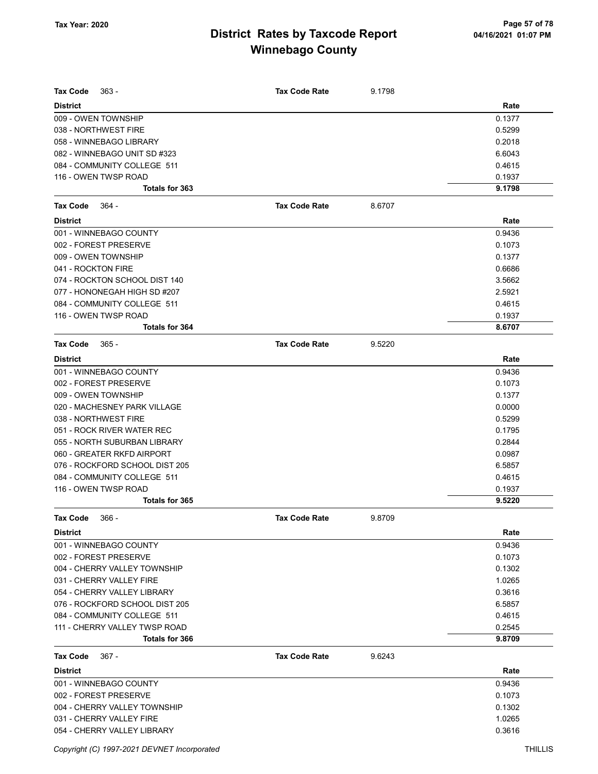| <b>Tax Code</b><br>$363 -$                              | <b>Tax Code Rate</b> | 9.1798 |                  |
|---------------------------------------------------------|----------------------|--------|------------------|
| <b>District</b>                                         |                      |        | Rate             |
| 009 - OWEN TOWNSHIP                                     |                      |        | 0.1377           |
| 038 - NORTHWEST FIRE                                    |                      |        | 0.5299           |
| 058 - WINNEBAGO LIBRARY<br>082 - WINNEBAGO UNIT SD #323 |                      |        | 0.2018<br>6.6043 |
| 084 - COMMUNITY COLLEGE 511                             |                      |        | 0.4615           |
| 116 - OWEN TWSP ROAD                                    |                      |        | 0.1937           |
| <b>Totals for 363</b>                                   |                      |        | 9.1798           |
|                                                         | <b>Tax Code Rate</b> |        |                  |
| <b>Tax Code</b><br>- 364                                |                      | 8.6707 |                  |
| <b>District</b>                                         |                      |        | Rate             |
| 001 - WINNEBAGO COUNTY                                  |                      |        | 0.9436           |
| 002 - FOREST PRESERVE                                   |                      |        | 0.1073           |
| 009 - OWEN TOWNSHIP                                     |                      |        | 0.1377           |
| 041 - ROCKTON FIRE                                      |                      |        | 0.6686           |
| 074 - ROCKTON SCHOOL DIST 140                           |                      |        | 3.5662           |
| 077 - HONONEGAH HIGH SD #207                            |                      |        | 2.5921           |
| 084 - COMMUNITY COLLEGE 511                             |                      |        | 0.4615           |
| 116 - OWEN TWSP ROAD<br>Totals for 364                  |                      |        | 0.1937<br>8.6707 |
|                                                         |                      |        |                  |
| <b>Tax Code</b><br>$365 -$                              | <b>Tax Code Rate</b> | 9.5220 |                  |
| <b>District</b>                                         |                      |        | Rate             |
| 001 - WINNEBAGO COUNTY                                  |                      |        | 0.9436           |
| 002 - FOREST PRESERVE                                   |                      |        | 0.1073           |
| 009 - OWEN TOWNSHIP                                     |                      |        | 0.1377           |
| 020 - MACHESNEY PARK VILLAGE                            |                      |        | 0.0000           |
| 038 - NORTHWEST FIRE                                    |                      |        | 0.5299           |
| 051 - ROCK RIVER WATER REC                              |                      |        | 0.1795           |
| 055 - NORTH SUBURBAN LIBRARY                            |                      |        | 0.2844           |
| 060 - GREATER RKFD AIRPORT                              |                      |        | 0.0987           |
| 076 - ROCKFORD SCHOOL DIST 205                          |                      |        | 6.5857           |
| 084 - COMMUNITY COLLEGE 511                             |                      |        | 0.4615           |
| 116 - OWEN TWSP ROAD<br>Totals for 365                  |                      |        | 0.1937<br>9.5220 |
|                                                         |                      |        |                  |
| Tax Code<br>366 -                                       | Tax Code Rate        | 9.8709 |                  |
| <b>District</b>                                         |                      |        | Rate             |
| 001 - WINNEBAGO COUNTY                                  |                      |        | 0.9436           |
| 002 - FOREST PRESERVE                                   |                      |        | 0.1073           |
| 004 - CHERRY VALLEY TOWNSHIP                            |                      |        | 0.1302           |
| 031 - CHERRY VALLEY FIRE                                |                      |        | 1.0265           |
| 054 - CHERRY VALLEY LIBRARY                             |                      |        | 0.3616           |
| 076 - ROCKFORD SCHOOL DIST 205                          |                      |        | 6.5857           |
| 084 - COMMUNITY COLLEGE 511                             |                      |        | 0.4615           |
| 111 - CHERRY VALLEY TWSP ROAD<br>Totals for 366         |                      |        | 0.2545<br>9.8709 |
|                                                         |                      |        |                  |
| <b>Tax Code</b><br>$367 -$                              | <b>Tax Code Rate</b> | 9.6243 |                  |
| <b>District</b>                                         |                      |        | Rate             |
| 001 - WINNEBAGO COUNTY                                  |                      |        | 0.9436           |
| 002 - FOREST PRESERVE                                   |                      |        | 0.1073           |
| 004 - CHERRY VALLEY TOWNSHIP                            |                      |        | 0.1302           |
| 031 - CHERRY VALLEY FIRE<br>054 - CHERRY VALLEY LIBRARY |                      |        | 1.0265<br>0.3616 |
|                                                         |                      |        |                  |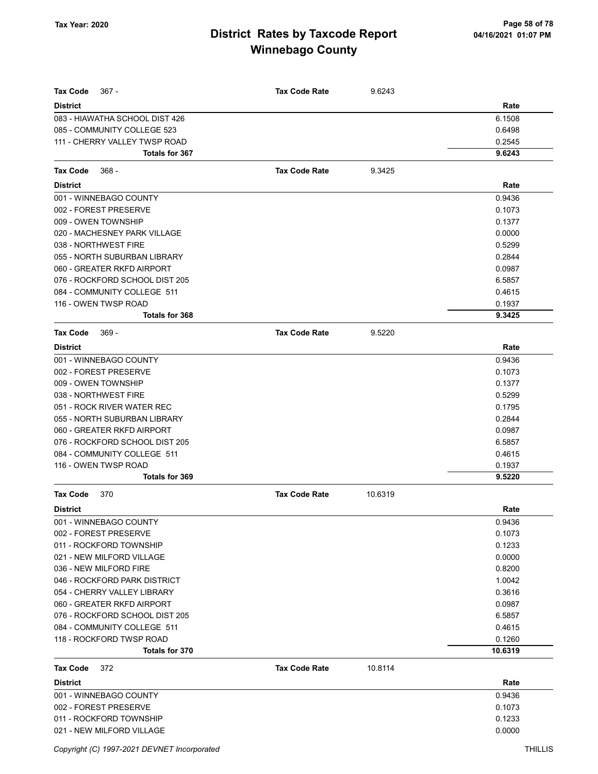| <b>Tax Code</b><br>$367 -$     | <b>Tax Code Rate</b> | 9.6243  |         |
|--------------------------------|----------------------|---------|---------|
| <b>District</b>                |                      |         | Rate    |
| 083 - HIAWATHA SCHOOL DIST 426 |                      |         | 6.1508  |
| 085 - COMMUNITY COLLEGE 523    |                      |         | 0.6498  |
| 111 - CHERRY VALLEY TWSP ROAD  |                      |         | 0.2545  |
| Totals for 367                 |                      |         | 9.6243  |
| Tax Code<br>$368 -$            | <b>Tax Code Rate</b> | 9.3425  |         |
| <b>District</b>                |                      |         | Rate    |
| 001 - WINNEBAGO COUNTY         |                      |         | 0.9436  |
| 002 - FOREST PRESERVE          |                      |         | 0.1073  |
| 009 - OWEN TOWNSHIP            |                      |         | 0.1377  |
| 020 - MACHESNEY PARK VILLAGE   |                      |         | 0.0000  |
| 038 - NORTHWEST FIRE           |                      |         | 0.5299  |
| 055 - NORTH SUBURBAN LIBRARY   |                      |         | 0.2844  |
| 060 - GREATER RKFD AIRPORT     |                      |         | 0.0987  |
| 076 - ROCKFORD SCHOOL DIST 205 |                      |         | 6.5857  |
| 084 - COMMUNITY COLLEGE 511    |                      |         | 0.4615  |
| 116 - OWEN TWSP ROAD           |                      |         | 0.1937  |
| Totals for 368                 |                      |         | 9.3425  |
| <b>Tax Code</b><br>$369 -$     | <b>Tax Code Rate</b> | 9.5220  |         |
| <b>District</b>                |                      |         | Rate    |
| 001 - WINNEBAGO COUNTY         |                      |         | 0.9436  |
| 002 - FOREST PRESERVE          |                      |         | 0.1073  |
| 009 - OWEN TOWNSHIP            |                      |         | 0.1377  |
| 038 - NORTHWEST FIRE           |                      |         | 0.5299  |
| 051 - ROCK RIVER WATER REC     |                      |         | 0.1795  |
| 055 - NORTH SUBURBAN LIBRARY   |                      |         | 0.2844  |
| 060 - GREATER RKFD AIRPORT     |                      |         | 0.0987  |
| 076 - ROCKFORD SCHOOL DIST 205 |                      |         | 6.5857  |
| 084 - COMMUNITY COLLEGE 511    |                      |         | 0.4615  |
| 116 - OWEN TWSP ROAD           |                      |         | 0.1937  |
| Totals for 369                 |                      |         | 9.5220  |
| <b>Tax Code</b><br>370         | <b>Tax Code Rate</b> | 10.6319 |         |
| <b>District</b>                |                      |         | Rate    |
| 001 - WINNEBAGO COUNTY         |                      |         | 0.9436  |
| 002 - FOREST PRESERVE          |                      |         | 0.1073  |
| 011 - ROCKFORD TOWNSHIP        |                      |         | 0.1233  |
| 021 - NEW MILFORD VILLAGE      |                      |         | 0.0000  |
| 036 - NEW MILFORD FIRE         |                      |         | 0.8200  |
| 046 - ROCKFORD PARK DISTRICT   |                      |         | 1.0042  |
| 054 - CHERRY VALLEY LIBRARY    |                      |         | 0.3616  |
| 060 - GREATER RKFD AIRPORT     |                      |         | 0.0987  |
| 076 - ROCKFORD SCHOOL DIST 205 |                      |         | 6.5857  |
| 084 - COMMUNITY COLLEGE 511    |                      |         | 0.4615  |
| 118 - ROCKFORD TWSP ROAD       |                      |         | 0.1260  |
| Totals for 370                 |                      |         | 10.6319 |
| <b>Tax Code</b><br>372         | <b>Tax Code Rate</b> | 10.8114 |         |
| <b>District</b>                |                      |         | Rate    |
| 001 - WINNEBAGO COUNTY         |                      |         | 0.9436  |
| 002 - FOREST PRESERVE          |                      |         | 0.1073  |
| 011 - ROCKFORD TOWNSHIP        |                      |         | 0.1233  |
| 021 - NEW MILFORD VILLAGE      |                      |         | 0.0000  |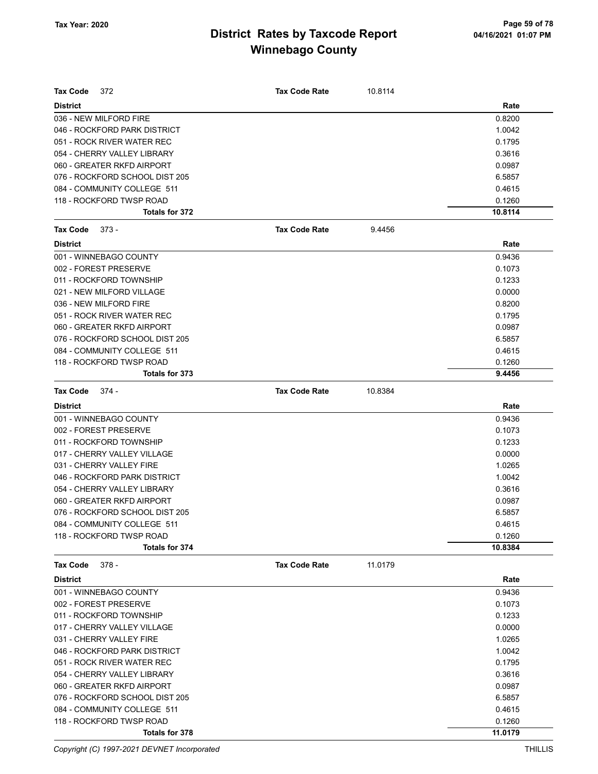| <b>Tax Code</b><br>372         | <b>Tax Code Rate</b> | 10.8114 |                  |
|--------------------------------|----------------------|---------|------------------|
| <b>District</b>                |                      |         | Rate             |
| 036 - NEW MILFORD FIRE         |                      |         | 0.8200           |
| 046 - ROCKFORD PARK DISTRICT   |                      |         | 1.0042           |
| 051 - ROCK RIVER WATER REC     |                      |         | 0.1795           |
| 054 - CHERRY VALLEY LIBRARY    |                      |         | 0.3616           |
| 060 - GREATER RKFD AIRPORT     |                      |         | 0.0987           |
| 076 - ROCKFORD SCHOOL DIST 205 |                      |         | 6.5857           |
| 084 - COMMUNITY COLLEGE 511    |                      |         | 0.4615           |
| 118 - ROCKFORD TWSP ROAD       |                      |         | 0.1260           |
| Totals for 372                 |                      |         | 10.8114          |
| <b>Tax Code</b><br>373 -       | <b>Tax Code Rate</b> | 9.4456  |                  |
| <b>District</b>                |                      |         | Rate             |
| 001 - WINNEBAGO COUNTY         |                      |         | 0.9436           |
| 002 - FOREST PRESERVE          |                      |         | 0.1073           |
| 011 - ROCKFORD TOWNSHIP        |                      |         | 0.1233           |
| 021 - NEW MILFORD VILLAGE      |                      |         | 0.0000           |
| 036 - NEW MILFORD FIRE         |                      |         | 0.8200           |
| 051 - ROCK RIVER WATER REC     |                      |         | 0.1795           |
| 060 - GREATER RKFD AIRPORT     |                      |         | 0.0987           |
| 076 - ROCKFORD SCHOOL DIST 205 |                      |         | 6.5857           |
| 084 - COMMUNITY COLLEGE 511    |                      |         | 0.4615           |
| 118 - ROCKFORD TWSP ROAD       |                      |         | 0.1260           |
| Totals for 373                 |                      |         | 9.4456           |
| Tax Code<br>374 -              | <b>Tax Code Rate</b> | 10.8384 |                  |
| <b>District</b>                |                      |         | Rate             |
| 001 - WINNEBAGO COUNTY         |                      |         | 0.9436           |
| 002 - FOREST PRESERVE          |                      |         | 0.1073           |
| 011 - ROCKFORD TOWNSHIP        |                      |         | 0.1233           |
| 017 - CHERRY VALLEY VILLAGE    |                      |         | 0.0000           |
| 031 - CHERRY VALLEY FIRE       |                      |         | 1.0265           |
| 046 - ROCKFORD PARK DISTRICT   |                      |         | 1.0042           |
| 054 - CHERRY VALLEY LIBRARY    |                      |         | 0.3616           |
| 060 - GREATER RKFD AIRPORT     |                      |         | 0.0987           |
| 076 - ROCKFORD SCHOOL DIST 205 |                      |         | 6.5857           |
| 084 - COMMUNITY COLLEGE 511    |                      |         |                  |
| 118 - ROCKFORD TWSP ROAD       |                      |         | 0.4615<br>0.1260 |
| Totals for 374                 |                      |         | 10.8384          |
| Tax Code<br>378 -              | <b>Tax Code Rate</b> | 11.0179 |                  |
| <b>District</b>                |                      |         |                  |
|                                |                      |         | Rate             |
| 001 - WINNEBAGO COUNTY         |                      |         | 0.9436           |
| 002 - FOREST PRESERVE          |                      |         | 0.1073           |
| 011 - ROCKFORD TOWNSHIP        |                      |         | 0.1233           |
| 017 - CHERRY VALLEY VILLAGE    |                      |         | 0.0000           |
| 031 - CHERRY VALLEY FIRE       |                      |         | 1.0265           |
| 046 - ROCKFORD PARK DISTRICT   |                      |         | 1.0042           |
| 051 - ROCK RIVER WATER REC     |                      |         | 0.1795           |
| 054 - CHERRY VALLEY LIBRARY    |                      |         | 0.3616           |
| 060 - GREATER RKFD AIRPORT     |                      |         | 0.0987           |
| 076 - ROCKFORD SCHOOL DIST 205 |                      |         | 6.5857           |
| 084 - COMMUNITY COLLEGE 511    |                      |         | 0.4615           |
| 118 - ROCKFORD TWSP ROAD       |                      |         | 0.1260           |
| Totals for 378                 |                      |         | 11.0179          |

Copyright (C) 1997-2021 DEVNET Incorporated THILLIS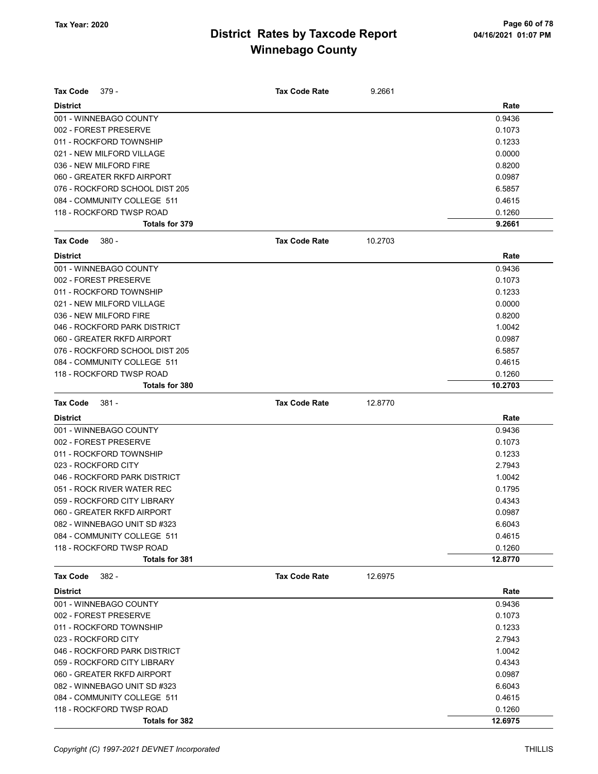| Tax Code<br>379 -              | <b>Tax Code Rate</b> | 9.2661  |         |
|--------------------------------|----------------------|---------|---------|
| <b>District</b>                |                      |         | Rate    |
| 001 - WINNEBAGO COUNTY         |                      |         | 0.9436  |
| 002 - FOREST PRESERVE          |                      |         | 0.1073  |
| 011 - ROCKFORD TOWNSHIP        |                      |         | 0.1233  |
| 021 - NEW MILFORD VILLAGE      |                      |         | 0.0000  |
| 036 - NEW MILFORD FIRE         |                      |         | 0.8200  |
| 060 - GREATER RKFD AIRPORT     |                      |         | 0.0987  |
| 076 - ROCKFORD SCHOOL DIST 205 |                      |         | 6.5857  |
| 084 - COMMUNITY COLLEGE 511    |                      |         | 0.4615  |
| 118 - ROCKFORD TWSP ROAD       |                      |         | 0.1260  |
| <b>Totals for 379</b>          |                      |         | 9.2661  |
| $380 -$<br>Tax Code            | <b>Tax Code Rate</b> | 10.2703 |         |
| <b>District</b>                |                      |         | Rate    |
| 001 - WINNEBAGO COUNTY         |                      |         | 0.9436  |
| 002 - FOREST PRESERVE          |                      |         | 0.1073  |
| 011 - ROCKFORD TOWNSHIP        |                      |         | 0.1233  |
| 021 - NEW MILFORD VILLAGE      |                      |         | 0.0000  |
| 036 - NEW MILFORD FIRE         |                      |         | 0.8200  |
| 046 - ROCKFORD PARK DISTRICT   |                      |         | 1.0042  |
| 060 - GREATER RKFD AIRPORT     |                      |         | 0.0987  |
| 076 - ROCKFORD SCHOOL DIST 205 |                      |         | 6.5857  |
| 084 - COMMUNITY COLLEGE 511    |                      |         | 0.4615  |
| 118 - ROCKFORD TWSP ROAD       |                      |         | 0.1260  |
| Totals for 380                 |                      |         | 10.2703 |
| Tax Code<br>381 -              | <b>Tax Code Rate</b> | 12.8770 |         |
| <b>District</b>                |                      |         | Rate    |
| 001 - WINNEBAGO COUNTY         |                      |         | 0.9436  |
| 002 - FOREST PRESERVE          |                      |         | 0.1073  |
| 011 - ROCKFORD TOWNSHIP        |                      |         | 0.1233  |
| 023 - ROCKFORD CITY            |                      |         | 2.7943  |
| 046 - ROCKFORD PARK DISTRICT   |                      |         | 1.0042  |
| 051 - ROCK RIVER WATER REC     |                      |         | 0.1795  |
| 059 - ROCKFORD CITY LIBRARY    |                      |         | 0.4343  |
| 060 - GREATER RKFD AIRPORT     |                      |         | 0.0987  |
| 082 - WINNEBAGO UNIT SD #323   |                      |         | 6.6043  |
| 084 - COMMUNITY COLLEGE 511    |                      |         | 0.4615  |
| 118 - ROCKFORD TWSP ROAD       |                      |         | 0.1260  |
| Totals for 381                 |                      |         | 12.8770 |
| <b>Tax Code</b><br>382 -       | <b>Tax Code Rate</b> | 12.6975 |         |
| <b>District</b>                |                      |         | Rate    |
| 001 - WINNEBAGO COUNTY         |                      |         | 0.9436  |
| 002 - FOREST PRESERVE          |                      |         | 0.1073  |
| 011 - ROCKFORD TOWNSHIP        |                      |         | 0.1233  |
| 023 - ROCKFORD CITY            |                      |         | 2.7943  |
| 046 - ROCKFORD PARK DISTRICT   |                      |         | 1.0042  |
| 059 - ROCKFORD CITY LIBRARY    |                      |         | 0.4343  |
| 060 - GREATER RKFD AIRPORT     |                      |         | 0.0987  |
| 082 - WINNEBAGO UNIT SD #323   |                      |         | 6.6043  |
| 084 - COMMUNITY COLLEGE 511    |                      |         | 0.4615  |
| 118 - ROCKFORD TWSP ROAD       |                      |         | 0.1260  |
| <b>Totals for 382</b>          |                      |         | 12.6975 |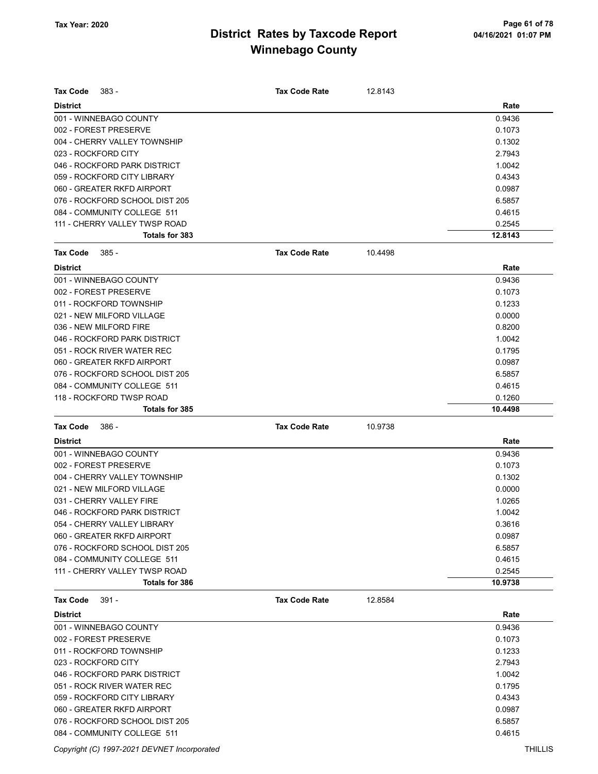| <b>Tax Code</b>     | $383 -$                                                       | <b>Tax Code Rate</b> | 12.8143 |                  |
|---------------------|---------------------------------------------------------------|----------------------|---------|------------------|
| <b>District</b>     |                                                               |                      |         | Rate             |
|                     | 001 - WINNEBAGO COUNTY                                        |                      |         | 0.9436           |
|                     | 002 - FOREST PRESERVE                                         |                      |         | 0.1073           |
|                     | 004 - CHERRY VALLEY TOWNSHIP                                  |                      |         | 0.1302           |
| 023 - ROCKFORD CITY |                                                               |                      |         | 2.7943           |
|                     | 046 - ROCKFORD PARK DISTRICT                                  |                      |         | 1.0042           |
|                     | 059 - ROCKFORD CITY LIBRARY                                   |                      |         | 0.4343           |
|                     | 060 - GREATER RKFD AIRPORT                                    |                      |         | 0.0987           |
|                     | 076 - ROCKFORD SCHOOL DIST 205                                |                      |         | 6.5857           |
|                     | 084 - COMMUNITY COLLEGE 511                                   |                      |         | 0.4615           |
|                     | 111 - CHERRY VALLEY TWSP ROAD                                 |                      |         | 0.2545           |
|                     | Totals for 383                                                |                      |         | 12.8143          |
| <b>Tax Code</b>     | $385 -$                                                       | <b>Tax Code Rate</b> | 10.4498 |                  |
| <b>District</b>     |                                                               |                      |         | Rate             |
|                     | 001 - WINNEBAGO COUNTY                                        |                      |         | 0.9436           |
|                     | 002 - FOREST PRESERVE                                         |                      |         | 0.1073           |
|                     | 011 - ROCKFORD TOWNSHIP                                       |                      |         | 0.1233           |
|                     | 021 - NEW MILFORD VILLAGE                                     |                      |         | 0.0000           |
|                     | 036 - NEW MILFORD FIRE                                        |                      |         | 0.8200           |
|                     | 046 - ROCKFORD PARK DISTRICT                                  |                      |         | 1.0042           |
|                     | 051 - ROCK RIVER WATER REC                                    |                      |         | 0.1795           |
|                     | 060 - GREATER RKFD AIRPORT                                    |                      |         | 0.0987           |
|                     | 076 - ROCKFORD SCHOOL DIST 205                                |                      |         | 6.5857           |
|                     | 084 - COMMUNITY COLLEGE 511                                   |                      |         | 0.4615           |
|                     | 118 - ROCKFORD TWSP ROAD                                      |                      |         | 0.1260           |
|                     | Totals for 385                                                |                      |         | 10.4498          |
|                     |                                                               |                      |         |                  |
|                     |                                                               |                      |         |                  |
| <b>Tax Code</b>     | - 386                                                         | <b>Tax Code Rate</b> | 10.9738 |                  |
| <b>District</b>     |                                                               |                      |         | Rate             |
|                     | 001 - WINNEBAGO COUNTY                                        |                      |         | 0.9436           |
|                     | 002 - FOREST PRESERVE                                         |                      |         | 0.1073           |
|                     | 004 - CHERRY VALLEY TOWNSHIP                                  |                      |         | 0.1302           |
|                     | 021 - NEW MILFORD VILLAGE                                     |                      |         | 0.0000           |
|                     | 031 - CHERRY VALLEY FIRE                                      |                      |         | 1.0265           |
|                     | 046 - ROCKFORD PARK DISTRICT                                  |                      |         | 1.0042           |
|                     | 054 - CHERRY VALLEY LIBRARY                                   |                      |         | 0.3616           |
|                     | 060 - GREATER RKFD AIRPORT                                    |                      |         | 0.0987           |
|                     | 076 - ROCKFORD SCHOOL DIST 205                                |                      |         | 6.5857           |
|                     | 084 - COMMUNITY COLLEGE 511                                   |                      |         | 0.4615           |
|                     | 111 - CHERRY VALLEY TWSP ROAD                                 |                      |         | 0.2545           |
|                     | Totals for 386                                                |                      |         | 10.9738          |
| <b>Tax Code</b>     | 391 -                                                         | <b>Tax Code Rate</b> | 12.8584 |                  |
| <b>District</b>     |                                                               |                      |         | Rate             |
|                     | 001 - WINNEBAGO COUNTY                                        |                      |         | 0.9436           |
|                     | 002 - FOREST PRESERVE                                         |                      |         | 0.1073           |
|                     | 011 - ROCKFORD TOWNSHIP                                       |                      |         | 0.1233           |
| 023 - ROCKFORD CITY |                                                               |                      |         | 2.7943           |
|                     | 046 - ROCKFORD PARK DISTRICT                                  |                      |         | 1.0042           |
|                     | 051 - ROCK RIVER WATER REC                                    |                      |         | 0.1795           |
|                     | 059 - ROCKFORD CITY LIBRARY                                   |                      |         | 0.4343           |
|                     | 060 - GREATER RKFD AIRPORT                                    |                      |         | 0.0987           |
|                     | 076 - ROCKFORD SCHOOL DIST 205<br>084 - COMMUNITY COLLEGE 511 |                      |         | 6.5857<br>0.4615 |

Copyright (C) 1997-2021 DEVNET Incorporated THILLIS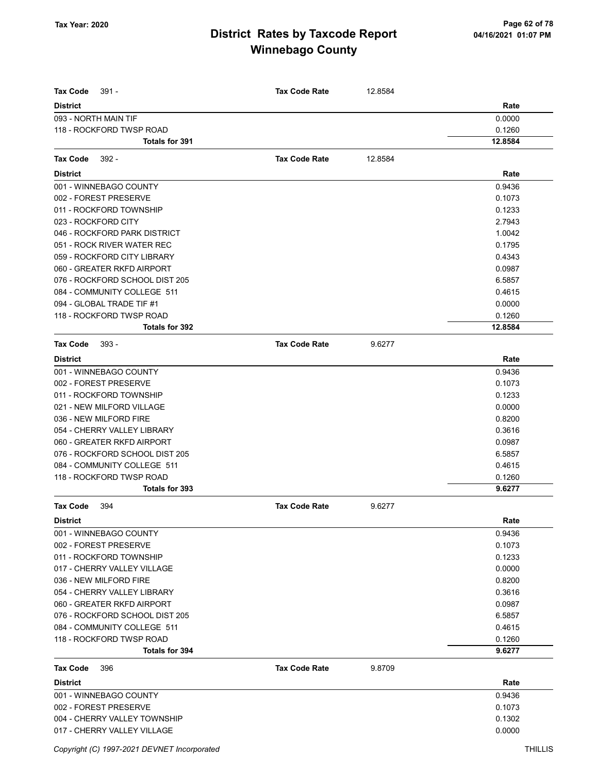| <b>Tax Code</b><br>$391 -$                                   | <b>Tax Code Rate</b> | 12.8584 |                  |
|--------------------------------------------------------------|----------------------|---------|------------------|
|                                                              |                      |         | Rate             |
| <b>District</b><br>093 - NORTH MAIN TIF                      |                      |         | 0.0000           |
| 118 - ROCKFORD TWSP ROAD                                     |                      |         | 0.1260           |
| <b>Totals for 391</b>                                        |                      |         | 12.8584          |
|                                                              |                      |         |                  |
| <b>Tax Code</b><br>$392 -$                                   | <b>Tax Code Rate</b> | 12.8584 |                  |
| <b>District</b>                                              |                      |         | Rate             |
| 001 - WINNEBAGO COUNTY                                       |                      |         | 0.9436           |
| 002 - FOREST PRESERVE                                        |                      |         | 0.1073           |
| 011 - ROCKFORD TOWNSHIP                                      |                      |         | 0.1233           |
| 023 - ROCKFORD CITY                                          |                      |         | 2.7943           |
| 046 - ROCKFORD PARK DISTRICT                                 |                      |         | 1.0042           |
| 051 - ROCK RIVER WATER REC                                   |                      |         | 0.1795           |
| 059 - ROCKFORD CITY LIBRARY                                  |                      |         | 0.4343           |
| 060 - GREATER RKFD AIRPORT<br>076 - ROCKFORD SCHOOL DIST 205 |                      |         | 0.0987           |
|                                                              |                      |         | 6.5857           |
| 084 - COMMUNITY COLLEGE 511                                  |                      |         | 0.4615           |
| 094 - GLOBAL TRADE TIF #1<br>118 - ROCKFORD TWSP ROAD        |                      |         | 0.0000<br>0.1260 |
| <b>Totals for 392</b>                                        |                      |         | 12.8584          |
| <b>Tax Code</b><br>$393 -$                                   | <b>Tax Code Rate</b> | 9.6277  |                  |
| <b>District</b>                                              |                      |         | Rate             |
| 001 - WINNEBAGO COUNTY                                       |                      |         | 0.9436           |
| 002 - FOREST PRESERVE                                        |                      |         | 0.1073           |
| 011 - ROCKFORD TOWNSHIP                                      |                      |         | 0.1233           |
| 021 - NEW MILFORD VILLAGE                                    |                      |         | 0.0000           |
| 036 - NEW MILFORD FIRE                                       |                      |         | 0.8200           |
| 054 - CHERRY VALLEY LIBRARY                                  |                      |         | 0.3616           |
| 060 - GREATER RKFD AIRPORT                                   |                      |         | 0.0987           |
| 076 - ROCKFORD SCHOOL DIST 205                               |                      |         | 6.5857           |
| 084 - COMMUNITY COLLEGE 511                                  |                      |         | 0.4615           |
| 118 - ROCKFORD TWSP ROAD                                     |                      |         | 0.1260           |
| <b>Totals for 393</b>                                        |                      |         | 9.6277           |
| <b>Tax Code</b><br>394                                       | <b>Tax Code Rate</b> | 9.6277  |                  |
| <b>District</b>                                              |                      |         | Rate             |
| 001 - WINNEBAGO COUNTY                                       |                      |         | 0.9436           |
| 002 - FOREST PRESERVE                                        |                      |         | 0.1073           |
| 011 - ROCKFORD TOWNSHIP                                      |                      |         | 0.1233           |
| 017 - CHERRY VALLEY VILLAGE                                  |                      |         | 0.0000           |
| 036 - NEW MILFORD FIRE                                       |                      |         | 0.8200           |
| 054 - CHERRY VALLEY LIBRARY                                  |                      |         | 0.3616           |
| 060 - GREATER RKFD AIRPORT                                   |                      |         | 0.0987           |
| 076 - ROCKFORD SCHOOL DIST 205                               |                      |         | 6.5857           |
| 084 - COMMUNITY COLLEGE 511                                  |                      |         | 0.4615           |
| 118 - ROCKFORD TWSP ROAD                                     |                      |         | 0.1260           |
| Totals for 394                                               |                      |         | 9.6277           |
| <b>Tax Code</b><br>396                                       | <b>Tax Code Rate</b> | 9.8709  |                  |
| <b>District</b>                                              |                      |         | Rate             |
| 001 - WINNEBAGO COUNTY                                       |                      |         | 0.9436           |
| 002 - FOREST PRESERVE                                        |                      |         | 0.1073           |
| 004 - CHERRY VALLEY TOWNSHIP                                 |                      |         | 0.1302           |
| 017 - CHERRY VALLEY VILLAGE                                  |                      |         | 0.0000           |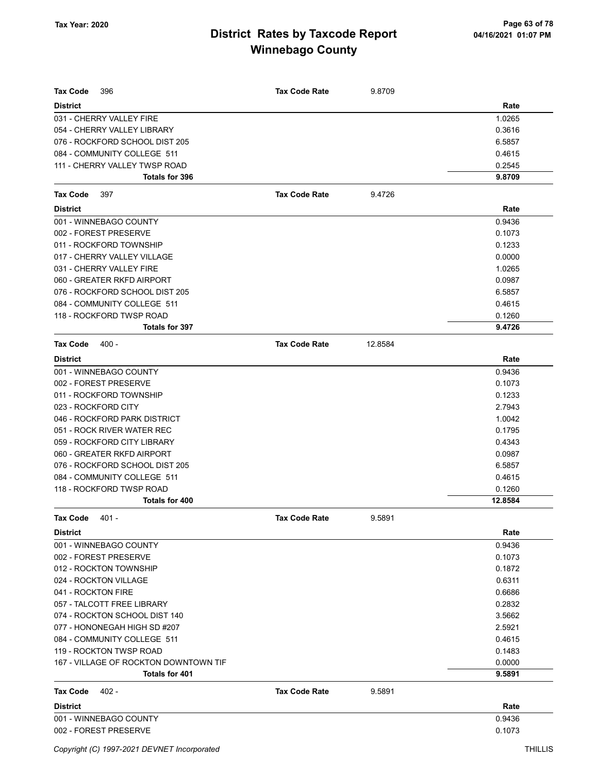| Tax Code<br>396                       | Tax Code Rate        | 9.8709  |         |
|---------------------------------------|----------------------|---------|---------|
| <b>District</b>                       |                      |         | Rate    |
| 031 - CHERRY VALLEY FIRE              |                      |         | 1.0265  |
| 054 - CHERRY VALLEY LIBRARY           |                      |         | 0.3616  |
| 076 - ROCKFORD SCHOOL DIST 205        |                      |         | 6.5857  |
| 084 - COMMUNITY COLLEGE 511           |                      |         | 0.4615  |
| 111 - CHERRY VALLEY TWSP ROAD         |                      |         | 0.2545  |
| Totals for 396                        |                      |         | 9.8709  |
| <b>Tax Code</b><br>397                | <b>Tax Code Rate</b> | 9.4726  |         |
| <b>District</b>                       |                      |         | Rate    |
| 001 - WINNEBAGO COUNTY                |                      |         | 0.9436  |
| 002 - FOREST PRESERVE                 |                      |         | 0.1073  |
| 011 - ROCKFORD TOWNSHIP               |                      |         | 0.1233  |
| 017 - CHERRY VALLEY VILLAGE           |                      |         | 0.0000  |
| 031 - CHERRY VALLEY FIRE              |                      |         | 1.0265  |
| 060 - GREATER RKFD AIRPORT            |                      |         | 0.0987  |
| 076 - ROCKFORD SCHOOL DIST 205        |                      |         | 6.5857  |
| 084 - COMMUNITY COLLEGE 511           |                      |         | 0.4615  |
| 118 - ROCKFORD TWSP ROAD              |                      |         | 0.1260  |
| <b>Totals for 397</b>                 |                      |         | 9.4726  |
| <b>Tax Code</b><br>$400 -$            | <b>Tax Code Rate</b> | 12.8584 |         |
| <b>District</b>                       |                      |         | Rate    |
| 001 - WINNEBAGO COUNTY                |                      |         | 0.9436  |
| 002 - FOREST PRESERVE                 |                      |         | 0.1073  |
| 011 - ROCKFORD TOWNSHIP               |                      |         | 0.1233  |
| 023 - ROCKFORD CITY                   |                      |         | 2.7943  |
| 046 - ROCKFORD PARK DISTRICT          |                      |         | 1.0042  |
| 051 - ROCK RIVER WATER REC            |                      |         | 0.1795  |
| 059 - ROCKFORD CITY LIBRARY           |                      |         | 0.4343  |
| 060 - GREATER RKFD AIRPORT            |                      |         | 0.0987  |
| 076 - ROCKFORD SCHOOL DIST 205        |                      |         | 6.5857  |
| 084 - COMMUNITY COLLEGE 511           |                      |         | 0.4615  |
| 118 - ROCKFORD TWSP ROAD              |                      |         | 0.1260  |
| <b>Totals for 400</b>                 |                      |         | 12.8584 |
| Tax Code<br>401 -                     | Tax Code Rate        | 9.5891  |         |
| <b>District</b>                       |                      |         | Rate    |
| 001 - WINNEBAGO COUNTY                |                      |         | 0.9436  |
| 002 - FOREST PRESERVE                 |                      |         | 0.1073  |
| 012 - ROCKTON TOWNSHIP                |                      |         | 0.1872  |
| 024 - ROCKTON VILLAGE                 |                      |         | 0.6311  |
| 041 - ROCKTON FIRE                    |                      |         | 0.6686  |
| 057 - TALCOTT FREE LIBRARY            |                      |         | 0.2832  |
| 074 - ROCKTON SCHOOL DIST 140         |                      |         | 3.5662  |
| 077 - HONONEGAH HIGH SD #207          |                      |         | 2.5921  |
| 084 - COMMUNITY COLLEGE 511           |                      |         | 0.4615  |
| 119 - ROCKTON TWSP ROAD               |                      |         | 0.1483  |
| 167 - VILLAGE OF ROCKTON DOWNTOWN TIF |                      |         | 0.0000  |
| Totals for 401                        |                      |         | 9.5891  |
| $402 -$<br>Tax Code                   | <b>Tax Code Rate</b> | 9.5891  |         |
| <b>District</b>                       |                      |         | Rate    |
| 001 - WINNEBAGO COUNTY                |                      |         | 0.9436  |
| 002 - FOREST PRESERVE                 |                      |         | 0.1073  |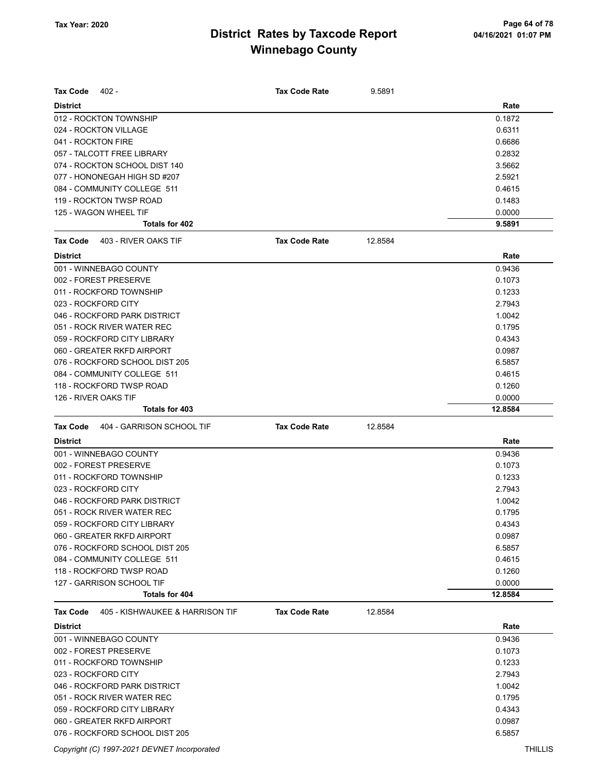| Tax Code<br>402 -                                   | <b>Tax Code Rate</b> | 9.5891  |                   |
|-----------------------------------------------------|----------------------|---------|-------------------|
|                                                     |                      |         |                   |
| <b>District</b>                                     |                      |         | Rate              |
| 012 - ROCKTON TOWNSHIP<br>024 - ROCKTON VILLAGE     |                      |         | 0.1872            |
| 041 - ROCKTON FIRE                                  |                      |         | 0.6311            |
| 057 - TALCOTT FREE LIBRARY                          |                      |         | 0.6686<br>0.2832  |
| 074 - ROCKTON SCHOOL DIST 140                       |                      |         | 3.5662            |
| 077 - HONONEGAH HIGH SD #207                        |                      |         | 2.5921            |
| 084 - COMMUNITY COLLEGE 511                         |                      |         | 0.4615            |
| 119 - ROCKTON TWSP ROAD                             |                      |         | 0.1483            |
| 125 - WAGON WHEEL TIF                               |                      |         | 0.0000            |
| Totals for 402                                      |                      |         | 9.5891            |
| <b>Tax Code</b><br>403 - RIVER OAKS TIF             | <b>Tax Code Rate</b> | 12.8584 |                   |
| <b>District</b>                                     |                      |         | Rate              |
| 001 - WINNEBAGO COUNTY                              |                      |         |                   |
|                                                     |                      |         | 0.9436            |
| 002 - FOREST PRESERVE                               |                      |         | 0.1073            |
| 011 - ROCKFORD TOWNSHIP                             |                      |         | 0.1233            |
| 023 - ROCKFORD CITY<br>046 - ROCKFORD PARK DISTRICT |                      |         | 2.7943            |
|                                                     |                      |         | 1.0042            |
| 051 - ROCK RIVER WATER REC                          |                      |         | 0.1795            |
| 059 - ROCKFORD CITY LIBRARY                         |                      |         | 0.4343            |
| 060 - GREATER RKFD AIRPORT                          |                      |         | 0.0987            |
| 076 - ROCKFORD SCHOOL DIST 205                      |                      |         | 6.5857            |
| 084 - COMMUNITY COLLEGE 511                         |                      |         | 0.4615            |
| 118 - ROCKFORD TWSP ROAD                            |                      |         | 0.1260            |
| 126 - RIVER OAKS TIF<br>Totals for 403              |                      |         | 0.0000<br>12.8584 |
|                                                     |                      |         |                   |
| 404 - GARRISON SCHOOL TIF<br><b>Tax Code</b>        | <b>Tax Code Rate</b> | 12.8584 |                   |
| <b>District</b>                                     |                      |         | Rate              |
| 001 - WINNEBAGO COUNTY                              |                      |         | 0.9436            |
| 002 - FOREST PRESERVE                               |                      |         | 0.1073            |
| 011 - ROCKFORD TOWNSHIP                             |                      |         | 0.1233            |
| 023 - ROCKFORD CITY                                 |                      |         | 2.7943            |
| 046 - ROCKFORD PARK DISTRICT                        |                      |         | 1.0042            |
| 051 - ROCK RIVER WATER REC                          |                      |         | 0.1795            |
| 059 - ROCKFORD CITY LIBRARY                         |                      |         | 0.4343            |
| 060 - GREATER RKFD AIRPORT                          |                      |         | 0.0987            |
| 076 - ROCKFORD SCHOOL DIST 205                      |                      |         | 6.5857            |
| 084 - COMMUNITY COLLEGE 511                         |                      |         | 0.4615            |
| 118 - ROCKFORD TWSP ROAD                            |                      |         | 0.1260            |
| 127 - GARRISON SCHOOL TIF                           |                      |         | 0.0000            |
| Totals for 404                                      |                      |         | 12.8584           |
| Tax Code<br>405 - KISHWAUKEE & HARRISON TIF         | <b>Tax Code Rate</b> | 12.8584 |                   |
| <b>District</b>                                     |                      |         | Rate              |
| 001 - WINNEBAGO COUNTY                              |                      |         | 0.9436            |
| 002 - FOREST PRESERVE                               |                      |         | 0.1073            |
| 011 - ROCKFORD TOWNSHIP                             |                      |         | 0.1233            |
| 023 - ROCKFORD CITY                                 |                      |         | 2.7943            |
| 046 - ROCKFORD PARK DISTRICT                        |                      |         | 1.0042            |
| 051 - ROCK RIVER WATER REC                          |                      |         | 0.1795            |
| 059 - ROCKFORD CITY LIBRARY                         |                      |         |                   |
|                                                     |                      |         | 0.4343            |
| 060 - GREATER RKFD AIRPORT                          |                      |         | 0.0987            |

Copyright (C) 1997-2021 DEVNET Incorporated THILLIS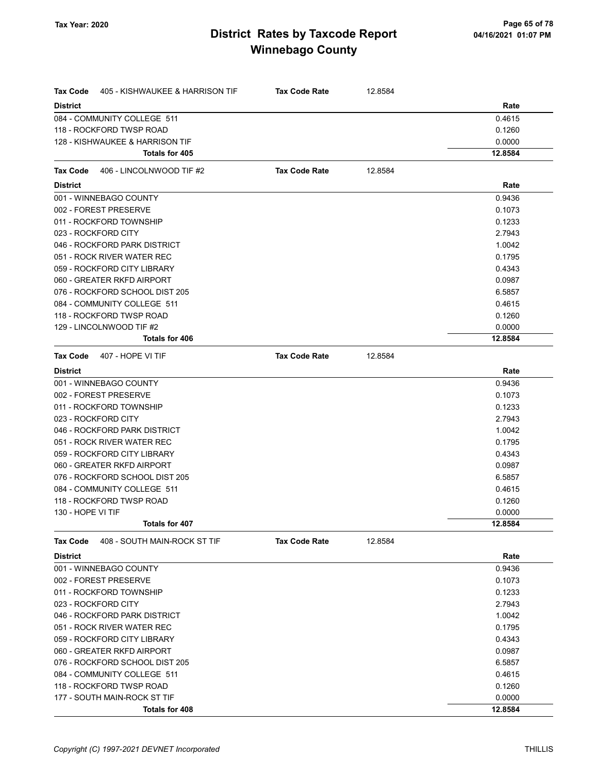| <b>Tax Code</b>   | 405 - KISHWAUKEE & HARRISON TIF | <b>Tax Code Rate</b> | 12.8584 |         |
|-------------------|---------------------------------|----------------------|---------|---------|
| <b>District</b>   |                                 |                      |         | Rate    |
|                   | 084 - COMMUNITY COLLEGE 511     |                      |         | 0.4615  |
|                   | 118 - ROCKFORD TWSP ROAD        |                      |         | 0.1260  |
|                   | 128 - KISHWAUKEE & HARRISON TIF |                      |         | 0.0000  |
|                   | Totals for 405                  |                      |         | 12.8584 |
| <b>Tax Code</b>   | 406 - LINCOLNWOOD TIF #2        | <b>Tax Code Rate</b> | 12.8584 |         |
| <b>District</b>   |                                 |                      |         | Rate    |
|                   | 001 - WINNEBAGO COUNTY          |                      |         | 0.9436  |
|                   | 002 - FOREST PRESERVE           |                      |         | 0.1073  |
|                   | 011 - ROCKFORD TOWNSHIP         |                      |         | 0.1233  |
|                   | 023 - ROCKFORD CITY             |                      |         | 2.7943  |
|                   | 046 - ROCKFORD PARK DISTRICT    |                      |         | 1.0042  |
|                   | 051 - ROCK RIVER WATER REC      |                      |         | 0.1795  |
|                   | 059 - ROCKFORD CITY LIBRARY     |                      |         | 0.4343  |
|                   | 060 - GREATER RKFD AIRPORT      |                      |         | 0.0987  |
|                   | 076 - ROCKFORD SCHOOL DIST 205  |                      |         | 6.5857  |
|                   | 084 - COMMUNITY COLLEGE 511     |                      |         | 0.4615  |
|                   | 118 - ROCKFORD TWSP ROAD        |                      |         | 0.1260  |
|                   | 129 - LINCOLNWOOD TIF #2        |                      |         | 0.0000  |
|                   | <b>Totals for 406</b>           |                      |         | 12.8584 |
| Tax Code          | 407 - HOPE VI TIF               | <b>Tax Code Rate</b> | 12.8584 |         |
| <b>District</b>   |                                 |                      |         | Rate    |
|                   | 001 - WINNEBAGO COUNTY          |                      |         | 0.9436  |
|                   | 002 - FOREST PRESERVE           |                      |         | 0.1073  |
|                   | 011 - ROCKFORD TOWNSHIP         |                      |         | 0.1233  |
|                   | 023 - ROCKFORD CITY             |                      |         | 2.7943  |
|                   | 046 - ROCKFORD PARK DISTRICT    |                      |         | 1.0042  |
|                   | 051 - ROCK RIVER WATER REC      |                      |         | 0.1795  |
|                   | 059 - ROCKFORD CITY LIBRARY     |                      |         | 0.4343  |
|                   | 060 - GREATER RKFD AIRPORT      |                      |         | 0.0987  |
|                   | 076 - ROCKFORD SCHOOL DIST 205  |                      |         | 6.5857  |
|                   | 084 - COMMUNITY COLLEGE 511     |                      |         | 0.4615  |
|                   | 118 - ROCKFORD TWSP ROAD        |                      |         | 0.1260  |
| 130 - HOPE VI TIF |                                 |                      |         | 0.0000  |
|                   | Totals for 407                  |                      |         | 12.8584 |
| <b>Tax Code</b>   | 408 - SOUTH MAIN-ROCK ST TIF    | <b>Tax Code Rate</b> | 12.8584 |         |
| <b>District</b>   |                                 |                      |         | Rate    |
|                   | 001 - WINNEBAGO COUNTY          |                      |         | 0.9436  |
|                   | 002 - FOREST PRESERVE           |                      |         | 0.1073  |
|                   | 011 - ROCKFORD TOWNSHIP         |                      |         | 0.1233  |
|                   | 023 - ROCKFORD CITY             |                      |         | 2.7943  |
|                   | 046 - ROCKFORD PARK DISTRICT    |                      |         | 1.0042  |
|                   | 051 - ROCK RIVER WATER REC      |                      |         | 0.1795  |
|                   | 059 - ROCKFORD CITY LIBRARY     |                      |         | 0.4343  |
|                   | 060 - GREATER RKFD AIRPORT      |                      |         | 0.0987  |
|                   | 076 - ROCKFORD SCHOOL DIST 205  |                      |         | 6.5857  |
|                   | 084 - COMMUNITY COLLEGE 511     |                      |         | 0.4615  |
|                   | 118 - ROCKFORD TWSP ROAD        |                      |         | 0.1260  |
|                   | 177 - SOUTH MAIN-ROCK ST TIF    |                      |         | 0.0000  |
|                   | Totals for 408                  |                      |         | 12.8584 |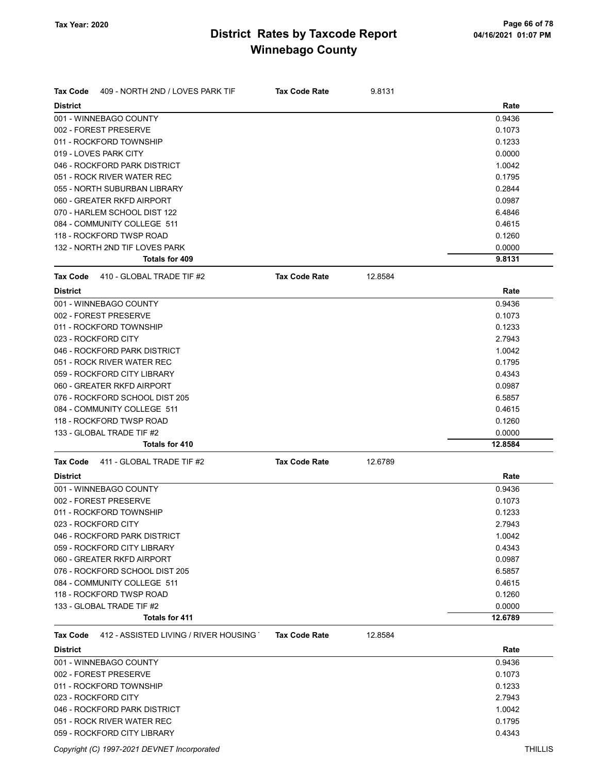| <b>Tax Code</b> | 409 - NORTH 2ND / LOVES PARK TIF      | <b>Tax Code Rate</b> | 9.8131  |                   |
|-----------------|---------------------------------------|----------------------|---------|-------------------|
| <b>District</b> |                                       |                      |         | Rate              |
|                 | 001 - WINNEBAGO COUNTY                |                      |         | 0.9436            |
|                 | 002 - FOREST PRESERVE                 |                      |         | 0.1073            |
|                 | 011 - ROCKFORD TOWNSHIP               |                      |         | 0.1233            |
|                 | 019 - LOVES PARK CITY                 |                      |         | 0.0000            |
|                 | 046 - ROCKFORD PARK DISTRICT          |                      |         | 1.0042            |
|                 | 051 - ROCK RIVER WATER REC            |                      |         | 0.1795            |
|                 | 055 - NORTH SUBURBAN LIBRARY          |                      |         | 0.2844            |
|                 | 060 - GREATER RKFD AIRPORT            |                      |         | 0.0987            |
|                 | 070 - HARLEM SCHOOL DIST 122          |                      |         | 6.4846            |
|                 | 084 - COMMUNITY COLLEGE 511           |                      |         | 0.4615            |
|                 | 118 - ROCKFORD TWSP ROAD              |                      |         | 0.1260            |
|                 | 132 - NORTH 2ND TIF LOVES PARK        |                      |         | 0.0000            |
|                 | <b>Totals for 409</b>                 |                      |         | 9.8131            |
| <b>Tax Code</b> | 410 - GLOBAL TRADE TIF #2             | <b>Tax Code Rate</b> | 12.8584 |                   |
| <b>District</b> |                                       |                      |         | Rate              |
|                 | 001 - WINNEBAGO COUNTY                |                      |         | 0.9436            |
|                 | 002 - FOREST PRESERVE                 |                      |         | 0.1073            |
|                 | 011 - ROCKFORD TOWNSHIP               |                      |         | 0.1233            |
|                 | 023 - ROCKFORD CITY                   |                      |         | 2.7943            |
|                 | 046 - ROCKFORD PARK DISTRICT          |                      |         | 1.0042            |
|                 | 051 - ROCK RIVER WATER REC            |                      |         | 0.1795            |
|                 | 059 - ROCKFORD CITY LIBRARY           |                      |         | 0.4343            |
|                 | 060 - GREATER RKFD AIRPORT            |                      |         | 0.0987            |
|                 | 076 - ROCKFORD SCHOOL DIST 205        |                      |         | 6.5857            |
|                 | 084 - COMMUNITY COLLEGE 511           |                      |         | 0.4615            |
|                 | 118 - ROCKFORD TWSP ROAD              |                      |         | 0.1260            |
|                 | 133 - GLOBAL TRADE TIF #2             |                      |         |                   |
|                 | <b>Totals for 410</b>                 |                      |         | 0.0000<br>12.8584 |
| <b>Tax Code</b> | 411 - GLOBAL TRADE TIF #2             | <b>Tax Code Rate</b> | 12.6789 |                   |
| <b>District</b> |                                       |                      |         | Rate              |
|                 |                                       |                      |         |                   |
|                 | 001 - WINNEBAGO COUNTY                |                      |         | 0.9436            |
|                 | 002 - FOREST PRESERVE                 |                      |         | 0.1073            |
|                 | 011 - ROCKFORD TOWNSHIP               |                      |         | 0.1233            |
|                 | 023 - ROCKFORD CITY                   |                      |         | 2.7943            |
|                 | 046 - ROCKFORD PARK DISTRICT          |                      |         | 1.0042            |
|                 | 059 - ROCKFORD CITY LIBRARY           |                      |         | 0.4343            |
|                 | 060 - GREATER RKFD AIRPORT            |                      |         | 0.0987            |
|                 | 076 - ROCKFORD SCHOOL DIST 205        |                      |         | 6.5857            |
|                 | 084 - COMMUNITY COLLEGE 511           |                      |         | 0.4615            |
|                 | 118 - ROCKFORD TWSP ROAD              |                      |         | 0.1260            |
|                 | 133 - GLOBAL TRADE TIF #2             |                      |         | 0.0000            |
|                 | Totals for 411                        |                      |         | 12.6789           |
| <b>Tax Code</b> | 412 - ASSISTED LIVING / RIVER HOUSING | <b>Tax Code Rate</b> | 12.8584 |                   |
| <b>District</b> |                                       |                      |         | Rate              |
|                 | 001 - WINNEBAGO COUNTY                |                      |         | 0.9436            |
|                 | 002 - FOREST PRESERVE                 |                      |         | 0.1073            |
|                 | 011 - ROCKFORD TOWNSHIP               |                      |         | 0.1233            |
|                 | 023 - ROCKFORD CITY                   |                      |         | 2.7943            |
|                 | 046 - ROCKFORD PARK DISTRICT          |                      |         | 1.0042            |
|                 | 051 - ROCK RIVER WATER REC            |                      |         | 0.1795            |
|                 | 059 - ROCKFORD CITY LIBRARY           |                      |         | 0.4343            |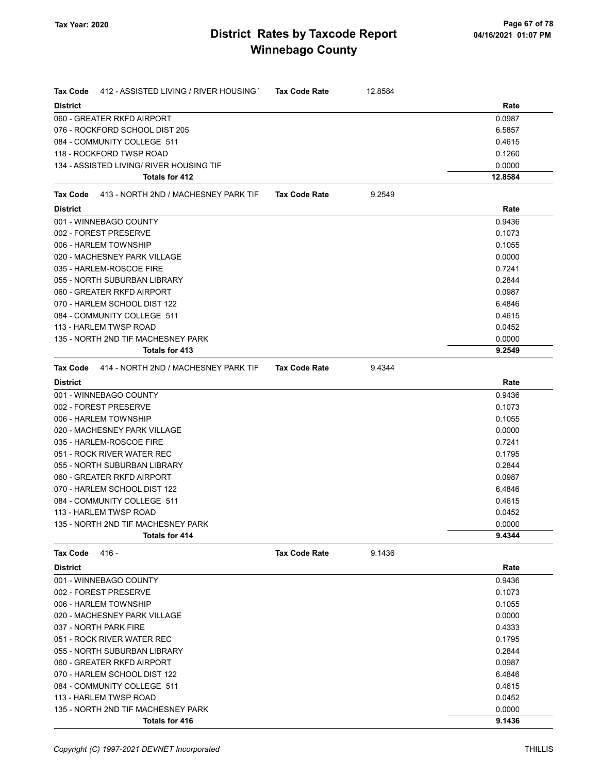| 412 - ASSISTED LIVING / RIVER HOUSING<br>Tax Code    | <b>Tax Code Rate</b> | 12.8584 |                  |
|------------------------------------------------------|----------------------|---------|------------------|
| <b>District</b>                                      |                      |         | Rate             |
| 060 - GREATER RKFD AIRPORT                           |                      |         | 0.0987           |
| 076 - ROCKFORD SCHOOL DIST 205                       |                      |         | 6.5857           |
| 084 - COMMUNITY COLLEGE 511                          |                      |         | 0.4615           |
| 118 - ROCKFORD TWSP ROAD                             |                      |         | 0.1260           |
| 134 - ASSISTED LIVING/ RIVER HOUSING TIF             |                      |         | 0.0000           |
| Totals for 412                                       |                      |         | 12.8584          |
| Tax Code<br>413 - NORTH 2ND / MACHESNEY PARK TIF     | <b>Tax Code Rate</b> | 9.2549  |                  |
| <b>District</b>                                      |                      |         | Rate             |
| 001 - WINNEBAGO COUNTY                               |                      |         | 0.9436           |
| 002 - FOREST PRESERVE                                |                      |         | 0.1073           |
| 006 - HARLEM TOWNSHIP                                |                      |         | 0.1055           |
| 020 - MACHESNEY PARK VILLAGE                         |                      |         | 0.0000           |
| 035 - HARLEM-ROSCOE FIRE                             |                      |         | 0.7241           |
| 055 - NORTH SUBURBAN LIBRARY                         |                      |         | 0.2844           |
| 060 - GREATER RKFD AIRPORT                           |                      |         | 0.0987           |
| 070 - HARLEM SCHOOL DIST 122                         |                      |         | 6.4846           |
| 084 - COMMUNITY COLLEGE 511                          |                      |         | 0.4615           |
| 113 - HARLEM TWSP ROAD                               |                      |         | 0.0452           |
| 135 - NORTH 2ND TIF MACHESNEY PARK                   |                      |         | 0.0000           |
| Totals for 413                                       |                      |         | 9.2549           |
| 414 - NORTH 2ND / MACHESNEY PARK TIF<br>Tax Code     | <b>Tax Code Rate</b> | 9.4344  |                  |
| <b>District</b>                                      |                      |         | Rate             |
| 001 - WINNEBAGO COUNTY                               |                      |         | 0.9436           |
| 002 - FOREST PRESERVE                                |                      |         | 0.1073           |
| 006 - HARLEM TOWNSHIP                                |                      |         | 0.1055           |
| 020 - MACHESNEY PARK VILLAGE                         |                      |         | 0.0000           |
| 035 - HARLEM-ROSCOE FIRE                             |                      |         | 0.7241           |
| 051 - ROCK RIVER WATER REC                           |                      |         | 0.1795           |
| 055 - NORTH SUBURBAN LIBRARY                         |                      |         | 0.2844           |
| 060 - GREATER RKFD AIRPORT                           |                      |         | 0.0987           |
| 070 - HARLEM SCHOOL DIST 122                         |                      |         | 6.4846           |
| 084 - COMMUNITY COLLEGE 511                          |                      |         | 0.4615           |
| 113 - HARLEM TWSP ROAD                               |                      |         | 0.0452           |
| 135 - NORTH 2ND TIF MACHESNEY PARK                   |                      |         | 0.0000           |
| Totals for 414                                       |                      |         | 9.4344           |
| Tax Code<br>416 -                                    | <b>Tax Code Rate</b> | 9.1436  |                  |
| <b>District</b>                                      |                      |         | Rate             |
| 001 - WINNEBAGO COUNTY                               |                      |         | 0.9436           |
| 002 - FOREST PRESERVE                                |                      |         | 0.1073           |
| 006 - HARLEM TOWNSHIP                                |                      |         | 0.1055           |
| 020 - MACHESNEY PARK VILLAGE                         |                      |         | 0.0000           |
| 037 - NORTH PARK FIRE                                |                      |         | 0.4333           |
| 051 - ROCK RIVER WATER REC                           |                      |         | 0.1795           |
| 055 - NORTH SUBURBAN LIBRARY                         |                      |         | 0.2844           |
| 060 - GREATER RKFD AIRPORT                           |                      |         | 0.0987           |
| 070 - HARLEM SCHOOL DIST 122                         |                      |         | 6.4846           |
| 084 - COMMUNITY COLLEGE 511                          |                      |         | 0.4615           |
| 113 - HARLEM TWSP ROAD                               |                      |         | 0.0452           |
| 135 - NORTH 2ND TIF MACHESNEY PARK<br>Totals for 416 |                      |         | 0.0000<br>9.1436 |
|                                                      |                      |         |                  |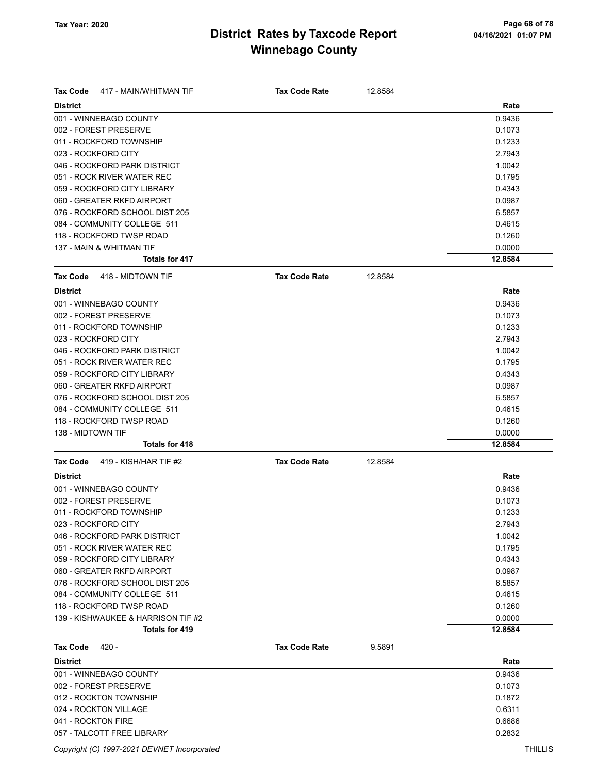| <b>Tax Code</b><br>417 - MAIN/WHITMAN TIF | <b>Tax Code Rate</b> | 12.8584 |         |
|-------------------------------------------|----------------------|---------|---------|
| <b>District</b>                           |                      |         | Rate    |
| 001 - WINNEBAGO COUNTY                    |                      |         | 0.9436  |
| 002 - FOREST PRESERVE                     |                      |         | 0.1073  |
| 011 - ROCKFORD TOWNSHIP                   |                      |         | 0.1233  |
| 023 - ROCKFORD CITY                       |                      |         | 2.7943  |
| 046 - ROCKFORD PARK DISTRICT              |                      |         | 1.0042  |
| 051 - ROCK RIVER WATER REC                |                      |         | 0.1795  |
| 059 - ROCKFORD CITY LIBRARY               |                      |         | 0.4343  |
| 060 - GREATER RKFD AIRPORT                |                      |         | 0.0987  |
| 076 - ROCKFORD SCHOOL DIST 205            |                      |         | 6.5857  |
| 084 - COMMUNITY COLLEGE 511               |                      |         | 0.4615  |
| 118 - ROCKFORD TWSP ROAD                  |                      |         | 0.1260  |
| 137 - MAIN & WHITMAN TIF                  |                      |         | 0.0000  |
| Totals for 417                            |                      |         | 12.8584 |
| <b>Tax Code</b><br>418 - MIDTOWN TIF      | <b>Tax Code Rate</b> | 12.8584 |         |
| <b>District</b>                           |                      |         | Rate    |
| 001 - WINNEBAGO COUNTY                    |                      |         | 0.9436  |
| 002 - FOREST PRESERVE                     |                      |         | 0.1073  |
| 011 - ROCKFORD TOWNSHIP                   |                      |         | 0.1233  |
| 023 - ROCKFORD CITY                       |                      |         | 2.7943  |
| 046 - ROCKFORD PARK DISTRICT              |                      |         | 1.0042  |
| 051 - ROCK RIVER WATER REC                |                      |         | 0.1795  |
| 059 - ROCKFORD CITY LIBRARY               |                      |         | 0.4343  |
| 060 - GREATER RKFD AIRPORT                |                      |         | 0.0987  |
| 076 - ROCKFORD SCHOOL DIST 205            |                      |         | 6.5857  |
| 084 - COMMUNITY COLLEGE 511               |                      |         | 0.4615  |
| 118 - ROCKFORD TWSP ROAD                  |                      |         | 0.1260  |
| 138 - MIDTOWN TIF                         |                      |         | 0.0000  |
| <b>Totals for 418</b>                     |                      |         | 12.8584 |
| 419 - KISH/HAR TIF #2<br><b>Tax Code</b>  | <b>Tax Code Rate</b> | 12.8584 |         |
| <b>District</b>                           |                      |         | Rate    |
| 001 - WINNEBAGO COUNTY                    |                      |         | 0.9436  |
| 002 - FOREST PRESERVE                     |                      |         | 0.1073  |
| 011 - ROCKFORD TOWNSHIP                   |                      |         | 0.1233  |
| 023 - ROCKFORD CITY                       |                      |         | 2.7943  |
| 046 - ROCKFORD PARK DISTRICT              |                      |         | 1.0042  |
| 051 - ROCK RIVER WATER REC                |                      |         | 0.1795  |
| 059 - ROCKFORD CITY LIBRARY               |                      |         | 0.4343  |
| 060 - GREATER RKFD AIRPORT                |                      |         | 0.0987  |
| 076 - ROCKFORD SCHOOL DIST 205            |                      |         | 6.5857  |
| 084 - COMMUNITY COLLEGE 511               |                      |         | 0.4615  |
| 118 - ROCKFORD TWSP ROAD                  |                      |         | 0.1260  |
| 139 - KISHWAUKEE & HARRISON TIF #2        |                      |         | 0.0000  |
| Totals for 419                            |                      |         | 12.8584 |
| $420 -$<br><b>Tax Code</b>                | <b>Tax Code Rate</b> | 9.5891  |         |
| <b>District</b>                           |                      |         | Rate    |
| 001 - WINNEBAGO COUNTY                    |                      |         | 0.9436  |
| 002 - FOREST PRESERVE                     |                      |         | 0.1073  |
| 012 - ROCKTON TOWNSHIP                    |                      |         | 0.1872  |
| 024 - ROCKTON VILLAGE                     |                      |         | 0.6311  |
| 041 - ROCKTON FIRE                        |                      |         | 0.6686  |

057 - TALCOTT FREE LIBRARY 0.2832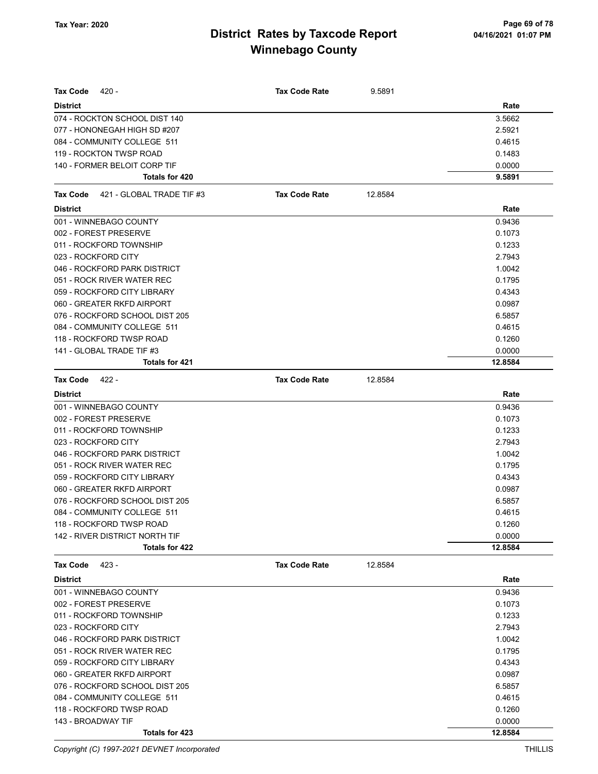| $420 -$<br>Tax Code                   | <b>Tax Code Rate</b> | 9.5891  |         |
|---------------------------------------|----------------------|---------|---------|
| <b>District</b>                       |                      |         | Rate    |
| 074 - ROCKTON SCHOOL DIST 140         |                      |         | 3.5662  |
| 077 - HONONEGAH HIGH SD #207          |                      |         | 2.5921  |
| 084 - COMMUNITY COLLEGE 511           |                      |         | 0.4615  |
| 119 - ROCKTON TWSP ROAD               |                      |         | 0.1483  |
| 140 - FORMER BELOIT CORP TIF          |                      |         | 0.0000  |
| Totals for 420                        |                      |         | 9.5891  |
| Tax Code<br>421 - GLOBAL TRADE TIF #3 | <b>Tax Code Rate</b> | 12.8584 |         |
| <b>District</b>                       |                      |         | Rate    |
| 001 - WINNEBAGO COUNTY                |                      |         | 0.9436  |
| 002 - FOREST PRESERVE                 |                      |         | 0.1073  |
| 011 - ROCKFORD TOWNSHIP               |                      |         | 0.1233  |
| 023 - ROCKFORD CITY                   |                      |         | 2.7943  |
| 046 - ROCKFORD PARK DISTRICT          |                      |         | 1.0042  |
| 051 - ROCK RIVER WATER REC            |                      |         | 0.1795  |
| 059 - ROCKFORD CITY LIBRARY           |                      |         | 0.4343  |
| 060 - GREATER RKFD AIRPORT            |                      |         | 0.0987  |
| 076 - ROCKFORD SCHOOL DIST 205        |                      |         | 6.5857  |
| 084 - COMMUNITY COLLEGE 511           |                      |         | 0.4615  |
| 118 - ROCKFORD TWSP ROAD              |                      |         | 0.1260  |
| 141 - GLOBAL TRADE TIF #3             |                      |         | 0.0000  |
| Totals for 421                        |                      |         | 12.8584 |
| <b>Tax Code</b><br>$422 -$            | <b>Tax Code Rate</b> | 12.8584 |         |
| <b>District</b>                       |                      |         | Rate    |
| 001 - WINNEBAGO COUNTY                |                      |         | 0.9436  |
| 002 - FOREST PRESERVE                 |                      |         | 0.1073  |
| 011 - ROCKFORD TOWNSHIP               |                      |         | 0.1233  |
| 023 - ROCKFORD CITY                   |                      |         | 2.7943  |
| 046 - ROCKFORD PARK DISTRICT          |                      |         | 1.0042  |
| 051 - ROCK RIVER WATER REC            |                      |         | 0.1795  |
| 059 - ROCKFORD CITY LIBRARY           |                      |         | 0.4343  |
| 060 - GREATER RKFD AIRPORT            |                      |         | 0.0987  |
| 076 - ROCKFORD SCHOOL DIST 205        |                      |         | 6.5857  |
| 084 - COMMUNITY COLLEGE 511           |                      |         | 0.4615  |
| 118 - ROCKFORD TWSP ROAD              |                      |         | 0.1260  |
| 142 - RIVER DISTRICT NORTH TIF        |                      |         | 0.0000  |
| Totals for 422                        |                      |         | 12.8584 |
| <b>Tax Code</b><br>423 -              | <b>Tax Code Rate</b> | 12.8584 |         |
| <b>District</b>                       |                      |         | Rate    |
| 001 - WINNEBAGO COUNTY                |                      |         | 0.9436  |
| 002 - FOREST PRESERVE                 |                      |         | 0.1073  |
| 011 - ROCKFORD TOWNSHIP               |                      |         | 0.1233  |
| 023 - ROCKFORD CITY                   |                      |         | 2.7943  |
| 046 - ROCKFORD PARK DISTRICT          |                      |         | 1.0042  |
| 051 - ROCK RIVER WATER REC            |                      |         | 0.1795  |
| 059 - ROCKFORD CITY LIBRARY           |                      |         | 0.4343  |
| 060 - GREATER RKFD AIRPORT            |                      |         | 0.0987  |
| 076 - ROCKFORD SCHOOL DIST 205        |                      |         | 6.5857  |
| 084 - COMMUNITY COLLEGE 511           |                      |         | 0.4615  |
| 118 - ROCKFORD TWSP ROAD              |                      |         | 0.1260  |
| 143 - BROADWAY TIF                    |                      |         | 0.0000  |
| Totals for 423                        |                      |         | 12.8584 |

Copyright (C) 1997-2021 DEVNET Incorporated THILLIS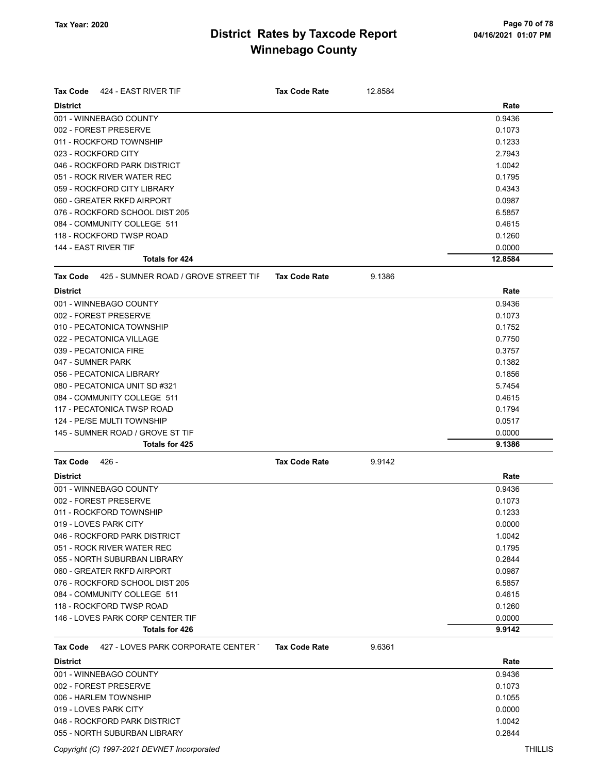| <b>Tax Code</b>                  | 424 - EAST RIVER TIF                 | <b>Tax Code Rate</b> | 12.8584 |         |
|----------------------------------|--------------------------------------|----------------------|---------|---------|
| <b>District</b>                  |                                      |                      |         | Rate    |
| 001 - WINNEBAGO COUNTY           |                                      |                      |         | 0.9436  |
| 002 - FOREST PRESERVE            |                                      |                      |         | 0.1073  |
| 011 - ROCKFORD TOWNSHIP          |                                      |                      |         | 0.1233  |
| 023 - ROCKFORD CITY              |                                      |                      |         | 2.7943  |
| 046 - ROCKFORD PARK DISTRICT     |                                      |                      |         | 1.0042  |
| 051 - ROCK RIVER WATER REC       |                                      |                      |         | 0.1795  |
| 059 - ROCKFORD CITY LIBRARY      |                                      |                      |         | 0.4343  |
| 060 - GREATER RKFD AIRPORT       |                                      |                      |         | 0.0987  |
| 076 - ROCKFORD SCHOOL DIST 205   |                                      |                      |         | 6.5857  |
| 084 - COMMUNITY COLLEGE 511      |                                      |                      |         | 0.4615  |
| 118 - ROCKFORD TWSP ROAD         |                                      |                      |         | 0.1260  |
| 144 - EAST RIVER TIF             |                                      |                      |         | 0.0000  |
|                                  | Totals for 424                       |                      |         | 12.8584 |
| <b>Tax Code</b>                  | 425 - SUMNER ROAD / GROVE STREET TIF | <b>Tax Code Rate</b> | 9.1386  |         |
| <b>District</b>                  |                                      |                      |         | Rate    |
| 001 - WINNEBAGO COUNTY           |                                      |                      |         | 0.9436  |
| 002 - FOREST PRESERVE            |                                      |                      |         | 0.1073  |
| 010 - PECATONICA TOWNSHIP        |                                      |                      |         | 0.1752  |
| 022 - PECATONICA VILLAGE         |                                      |                      |         | 0.7750  |
| 039 - PECATONICA FIRE            |                                      |                      |         | 0.3757  |
| 047 - SUMNER PARK                |                                      |                      |         | 0.1382  |
| 056 - PECATONICA LIBRARY         |                                      |                      |         | 0.1856  |
| 080 - PECATONICA UNIT SD #321    |                                      |                      |         | 5.7454  |
| 084 - COMMUNITY COLLEGE 511      |                                      |                      |         | 0.4615  |
| 117 - PECATONICA TWSP ROAD       |                                      |                      |         | 0.1794  |
| 124 - PE/SE MULTI TOWNSHIP       |                                      |                      |         | 0.0517  |
| 145 - SUMNER ROAD / GROVE ST TIF |                                      |                      |         | 0.0000  |
|                                  | <b>Totals for 425</b>                |                      |         | 9.1386  |
| <b>Tax Code</b><br>- 426         |                                      | <b>Tax Code Rate</b> | 9.9142  |         |
| <b>District</b>                  |                                      |                      |         | Rate    |
| 001 - WINNEBAGO COUNTY           |                                      |                      |         | 0.9436  |
| 002 - FOREST PRESERVE            |                                      |                      |         | 0.1073  |
| 011 - ROCKFORD TOWNSHIP          |                                      |                      |         | 0.1233  |
| 019 - LOVES PARK CITY            |                                      |                      |         | 0.0000  |
| 046 - ROCKFORD PARK DISTRICT     |                                      |                      |         | 1.0042  |
| 051 - ROCK RIVER WATER REC       |                                      |                      |         | 0.1795  |
| 055 - NORTH SUBURBAN LIBRARY     |                                      |                      |         | 0.2844  |
| 060 - GREATER RKFD AIRPORT       |                                      |                      |         | 0.0987  |
| 076 - ROCKFORD SCHOOL DIST 205   |                                      |                      |         | 6.5857  |
| 084 - COMMUNITY COLLEGE 511      |                                      |                      |         | 0.4615  |
| 118 - ROCKFORD TWSP ROAD         |                                      |                      |         | 0.1260  |
|                                  | 146 - LOVES PARK CORP CENTER TIF     |                      |         | 0.0000  |
|                                  | Totals for 426                       |                      |         | 9.9142  |
| <b>Tax Code</b>                  | 427 - LOVES PARK CORPORATE CENTER T  | <b>Tax Code Rate</b> | 9.6361  |         |
| <b>District</b>                  |                                      |                      |         | Rate    |
| 001 - WINNEBAGO COUNTY           |                                      |                      |         | 0.9436  |
| 002 - FOREST PRESERVE            |                                      |                      |         | 0.1073  |
| 006 - HARLEM TOWNSHIP            |                                      |                      |         | 0.1055  |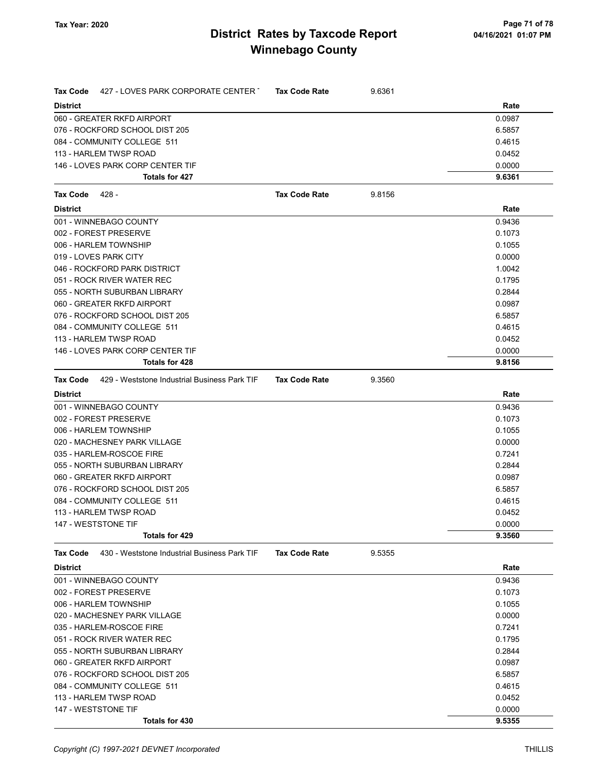| <b>Tax Code</b><br>427 - LOVES PARK CORPORATE CENTER T          | <b>Tax Code Rate</b> | 9.6361 |        |
|-----------------------------------------------------------------|----------------------|--------|--------|
| <b>District</b>                                                 |                      |        | Rate   |
| 060 - GREATER RKFD AIRPORT                                      |                      |        | 0.0987 |
| 076 - ROCKFORD SCHOOL DIST 205                                  |                      |        | 6.5857 |
| 084 - COMMUNITY COLLEGE 511                                     |                      |        | 0.4615 |
| 113 - HARLEM TWSP ROAD                                          |                      |        | 0.0452 |
| 146 - LOVES PARK CORP CENTER TIF                                |                      |        | 0.0000 |
| <b>Totals for 427</b>                                           |                      |        | 9.6361 |
| <b>Tax Code</b><br>428 -                                        | <b>Tax Code Rate</b> | 9.8156 |        |
| <b>District</b>                                                 |                      |        | Rate   |
| 001 - WINNEBAGO COUNTY                                          |                      |        | 0.9436 |
| 002 - FOREST PRESERVE                                           |                      |        | 0.1073 |
| 006 - HARLEM TOWNSHIP                                           |                      |        | 0.1055 |
| 019 - LOVES PARK CITY                                           |                      |        | 0.0000 |
| 046 - ROCKFORD PARK DISTRICT                                    |                      |        | 1.0042 |
| 051 - ROCK RIVER WATER REC                                      |                      |        | 0.1795 |
| 055 - NORTH SUBURBAN LIBRARY                                    |                      |        | 0.2844 |
| 060 - GREATER RKFD AIRPORT                                      |                      |        | 0.0987 |
| 076 - ROCKFORD SCHOOL DIST 205                                  |                      |        | 6.5857 |
| 084 - COMMUNITY COLLEGE 511                                     |                      |        | 0.4615 |
| 113 - HARLEM TWSP ROAD                                          |                      |        | 0.0452 |
| 146 - LOVES PARK CORP CENTER TIF                                |                      |        | 0.0000 |
| Totals for 428                                                  |                      |        | 9.8156 |
| 429 - Weststone Industrial Business Park TIF<br><b>Tax Code</b> | <b>Tax Code Rate</b> | 9.3560 |        |
| <b>District</b>                                                 |                      |        | Rate   |
| 001 - WINNEBAGO COUNTY                                          |                      |        | 0.9436 |
| 002 - FOREST PRESERVE                                           |                      |        | 0.1073 |
| 006 - HARLEM TOWNSHIP                                           |                      |        | 0.1055 |
| 020 - MACHESNEY PARK VILLAGE                                    |                      |        | 0.0000 |
| 035 - HARLEM-ROSCOE FIRE                                        |                      |        | 0.7241 |
| 055 - NORTH SUBURBAN LIBRARY                                    |                      |        | 0.2844 |
| 060 - GREATER RKFD AIRPORT                                      |                      |        | 0.0987 |
| 076 - ROCKFORD SCHOOL DIST 205                                  |                      |        | 6.5857 |
| 084 - COMMUNITY COLLEGE 511                                     |                      |        | 0.4615 |
| 113 - HARLEM TWSP ROAD                                          |                      |        | 0.0452 |
| 147 - WESTSTONE TIF                                             |                      |        | 0.0000 |
| Totals for 429                                                  |                      |        | 9.3560 |
| 430 - Weststone Industrial Business Park TIF<br><b>Tax Code</b> | <b>Tax Code Rate</b> | 9.5355 |        |
| <b>District</b>                                                 |                      |        | Rate   |
| 001 - WINNEBAGO COUNTY                                          |                      |        | 0.9436 |
| 002 - FOREST PRESERVE                                           |                      |        | 0.1073 |
| 006 - HARLEM TOWNSHIP                                           |                      |        | 0.1055 |
| 020 - MACHESNEY PARK VILLAGE                                    |                      |        | 0.0000 |
| 035 - HARLEM-ROSCOE FIRE                                        |                      |        | 0.7241 |
| 051 - ROCK RIVER WATER REC                                      |                      |        | 0.1795 |
| 055 - NORTH SUBURBAN LIBRARY                                    |                      |        | 0.2844 |
| 060 - GREATER RKFD AIRPORT                                      |                      |        | 0.0987 |
| 076 - ROCKFORD SCHOOL DIST 205                                  |                      |        | 6.5857 |
| 084 - COMMUNITY COLLEGE 511                                     |                      |        | 0.4615 |
| 113 - HARLEM TWSP ROAD                                          |                      |        | 0.0452 |
| 147 - WESTSTONE TIF                                             |                      |        | 0.0000 |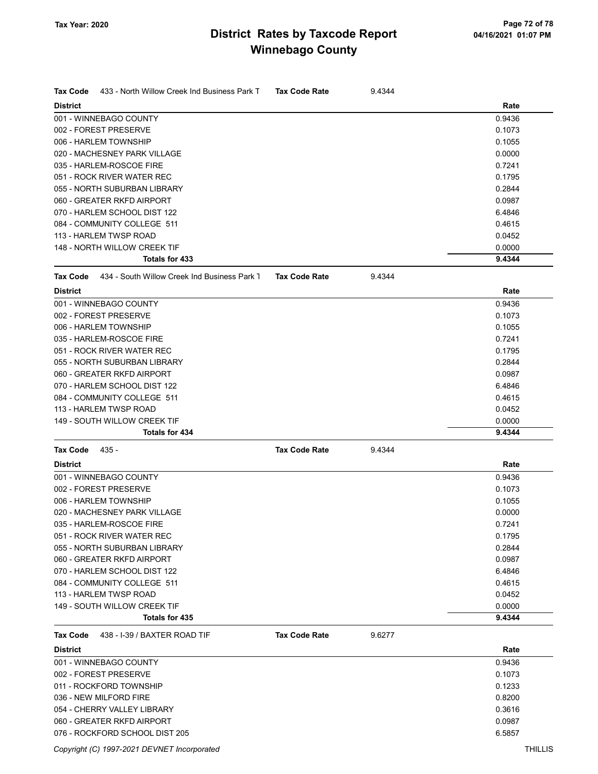| Tax Code<br>433 - North Willow Creek Ind Business Park T | <b>Tax Code Rate</b> | 9.4344 |        |
|----------------------------------------------------------|----------------------|--------|--------|
| <b>District</b>                                          |                      |        | Rate   |
| 001 - WINNEBAGO COUNTY                                   |                      |        | 0.9436 |
| 002 - FOREST PRESERVE                                    |                      |        | 0.1073 |
| 006 - HARLEM TOWNSHIP                                    |                      |        | 0.1055 |
| 020 - MACHESNEY PARK VILLAGE                             |                      |        | 0.0000 |
| 035 - HARLEM-ROSCOE FIRE                                 |                      |        | 0.7241 |
| 051 - ROCK RIVER WATER REC                               |                      |        | 0.1795 |
| 055 - NORTH SUBURBAN LIBRARY                             |                      |        | 0.2844 |
| 060 - GREATER RKFD AIRPORT                               |                      |        | 0.0987 |
| 070 - HARLEM SCHOOL DIST 122                             |                      |        | 6.4846 |
| 084 - COMMUNITY COLLEGE 511                              |                      |        | 0.4615 |
| 113 - HARLEM TWSP ROAD                                   |                      |        | 0.0452 |
| 148 - NORTH WILLOW CREEK TIF                             |                      |        | 0.0000 |
| <b>Totals for 433</b>                                    |                      |        | 9.4344 |
| 434 - South Willow Creek Ind Business Park 1<br>Tax Code | <b>Tax Code Rate</b> | 9.4344 |        |
| <b>District</b>                                          |                      |        | Rate   |
| 001 - WINNEBAGO COUNTY                                   |                      |        | 0.9436 |
| 002 - FOREST PRESERVE                                    |                      |        | 0.1073 |
| 006 - HARLEM TOWNSHIP                                    |                      |        | 0.1055 |
| 035 - HARLEM-ROSCOE FIRE                                 |                      |        | 0.7241 |
| 051 - ROCK RIVER WATER REC                               |                      |        | 0.1795 |
| 055 - NORTH SUBURBAN LIBRARY                             |                      |        | 0.2844 |
| 060 - GREATER RKFD AIRPORT                               |                      |        | 0.0987 |
| 070 - HARLEM SCHOOL DIST 122                             |                      |        | 6.4846 |
| 084 - COMMUNITY COLLEGE 511                              |                      |        | 0.4615 |
| 113 - HARLEM TWSP ROAD                                   |                      |        | 0.0452 |
| 149 - SOUTH WILLOW CREEK TIF                             |                      |        | 0.0000 |
| <b>Totals for 434</b>                                    |                      |        | 9.4344 |
| Tax Code<br>435 -                                        | <b>Tax Code Rate</b> | 9.4344 |        |
| <b>District</b>                                          |                      |        | Rate   |
| 001 - WINNEBAGO COUNTY                                   |                      |        | 0.9436 |
| 002 - FOREST PRESERVE                                    |                      |        | 0.1073 |
| 006 - HARLEM TOWNSHIP                                    |                      |        | 0.1055 |
| 020 - MACHESNEY PARK VILLAGE                             |                      |        | 0.0000 |
|                                                          |                      |        |        |
| 035 - HARLEM-ROSCOE FIRE<br>051 - ROCK RIVER WATER REC   |                      |        | 0.7241 |
|                                                          |                      |        | 0.1795 |
| 055 - NORTH SUBURBAN LIBRARY                             |                      |        | 0.2844 |
| 060 - GREATER RKFD AIRPORT                               |                      |        | 0.0987 |
| 070 - HARLEM SCHOOL DIST 122                             |                      |        | 6.4846 |
| 084 - COMMUNITY COLLEGE 511                              |                      |        | 0.4615 |
| 113 - HARLEM TWSP ROAD                                   |                      |        | 0.0452 |
| 149 - SOUTH WILLOW CREEK TIF                             |                      |        | 0.0000 |
| Totals for 435                                           |                      |        | 9.4344 |
| 438 - I-39 / BAXTER ROAD TIF<br>Tax Code                 | <b>Tax Code Rate</b> | 9.6277 |        |
| <b>District</b>                                          |                      |        | Rate   |
| 001 - WINNEBAGO COUNTY                                   |                      |        | 0.9436 |
| 002 - FOREST PRESERVE                                    |                      |        | 0.1073 |
| 011 - ROCKFORD TOWNSHIP                                  |                      |        | 0.1233 |
| 036 - NEW MILFORD FIRE                                   |                      |        | 0.8200 |
| 054 - CHERRY VALLEY LIBRARY                              |                      |        | 0.3616 |
| 060 - GREATER RKFD AIRPORT                               |                      |        | 0.0987 |
| 076 - ROCKFORD SCHOOL DIST 205                           |                      |        | 6.5857 |
|                                                          |                      |        |        |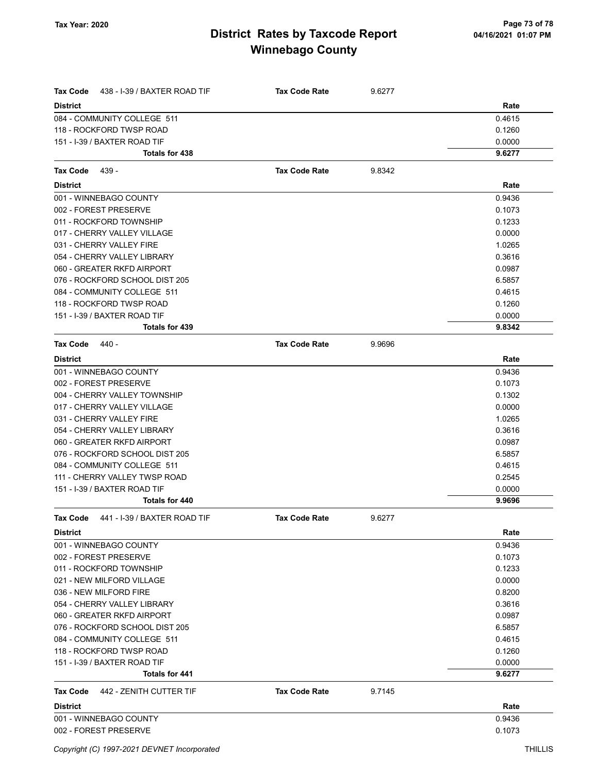| <b>Tax Code</b><br>438 - I-39 / BAXTER ROAD TIF       | <b>Tax Code Rate</b> | 9.6277 |                  |
|-------------------------------------------------------|----------------------|--------|------------------|
| <b>District</b>                                       |                      |        | Rate             |
| 084 - COMMUNITY COLLEGE 511                           |                      |        | 0.4615           |
| 118 - ROCKFORD TWSP ROAD                              |                      |        | 0.1260           |
| 151 - I-39 / BAXTER ROAD TIF                          |                      |        | 0.0000           |
| <b>Totals for 438</b>                                 |                      |        | 9.6277           |
| Tax Code<br>439 -                                     | <b>Tax Code Rate</b> | 9.8342 |                  |
| <b>District</b>                                       |                      |        | Rate             |
| 001 - WINNEBAGO COUNTY                                |                      |        | 0.9436           |
| 002 - FOREST PRESERVE                                 |                      |        | 0.1073           |
| 011 - ROCKFORD TOWNSHIP                               |                      |        | 0.1233           |
| 017 - CHERRY VALLEY VILLAGE                           |                      |        | 0.0000           |
| 031 - CHERRY VALLEY FIRE                              |                      |        | 1.0265           |
| 054 - CHERRY VALLEY LIBRARY                           |                      |        | 0.3616           |
| 060 - GREATER RKFD AIRPORT                            |                      |        | 0.0987           |
| 076 - ROCKFORD SCHOOL DIST 205                        |                      |        | 6.5857           |
| 084 - COMMUNITY COLLEGE 511                           |                      |        | 0.4615           |
| 118 - ROCKFORD TWSP ROAD                              |                      |        | 0.1260           |
| 151 - I-39 / BAXTER ROAD TIF                          |                      |        | 0.0000           |
| Totals for 439                                        |                      |        | 9.8342           |
| <b>Tax Code</b><br>440 -                              | <b>Tax Code Rate</b> | 9.9696 |                  |
| <b>District</b>                                       |                      |        | Rate             |
| 001 - WINNEBAGO COUNTY                                |                      |        | 0.9436           |
| 002 - FOREST PRESERVE                                 |                      |        | 0.1073           |
| 004 - CHERRY VALLEY TOWNSHIP                          |                      |        | 0.1302           |
| 017 - CHERRY VALLEY VILLAGE                           |                      |        | 0.0000           |
| 031 - CHERRY VALLEY FIRE                              |                      |        | 1.0265           |
| 054 - CHERRY VALLEY LIBRARY                           |                      |        | 0.3616           |
| 060 - GREATER RKFD AIRPORT                            |                      |        | 0.0987           |
| 076 - ROCKFORD SCHOOL DIST 205                        |                      |        | 6.5857           |
| 084 - COMMUNITY COLLEGE 511                           |                      |        | 0.4615           |
| 111 - CHERRY VALLEY TWSP ROAD                         |                      |        | 0.2545           |
| 151 - I-39 / BAXTER ROAD TIF                          |                      |        | 0.0000           |
| Totals for 440                                        |                      |        | 9.9696           |
| <b>Tax Code</b><br>441 - I-39 / BAXTER ROAD TIF       | <b>Tax Code Rate</b> | 9.6277 |                  |
| <b>District</b>                                       |                      |        | Rate             |
| 001 - WINNEBAGO COUNTY                                |                      |        | 0.9436           |
| 002 - FOREST PRESERVE                                 |                      |        | 0.1073           |
| 011 - ROCKFORD TOWNSHIP                               |                      |        | 0.1233           |
| 021 - NEW MILFORD VILLAGE                             |                      |        | 0.0000           |
| 036 - NEW MILFORD FIRE                                |                      |        | 0.8200           |
| 054 - CHERRY VALLEY LIBRARY                           |                      |        | 0.3616           |
| 060 - GREATER RKFD AIRPORT                            |                      |        | 0.0987           |
| 076 - ROCKFORD SCHOOL DIST 205                        |                      |        | 6.5857           |
| 084 - COMMUNITY COLLEGE 511                           |                      |        | 0.4615           |
| 118 - ROCKFORD TWSP ROAD                              |                      |        | 0.1260           |
| 151 - I-39 / BAXTER ROAD TIF<br><b>Totals for 441</b> |                      |        | 0.0000<br>9.6277 |
|                                                       |                      |        |                  |
| <b>Tax Code</b><br>442 - ZENITH CUTTER TIF            | <b>Tax Code Rate</b> | 9.7145 |                  |
| <b>District</b>                                       |                      |        | Rate             |
| 001 - WINNEBAGO COUNTY                                |                      |        | 0.9436           |
| 002 - FOREST PRESERVE                                 |                      |        | 0.1073           |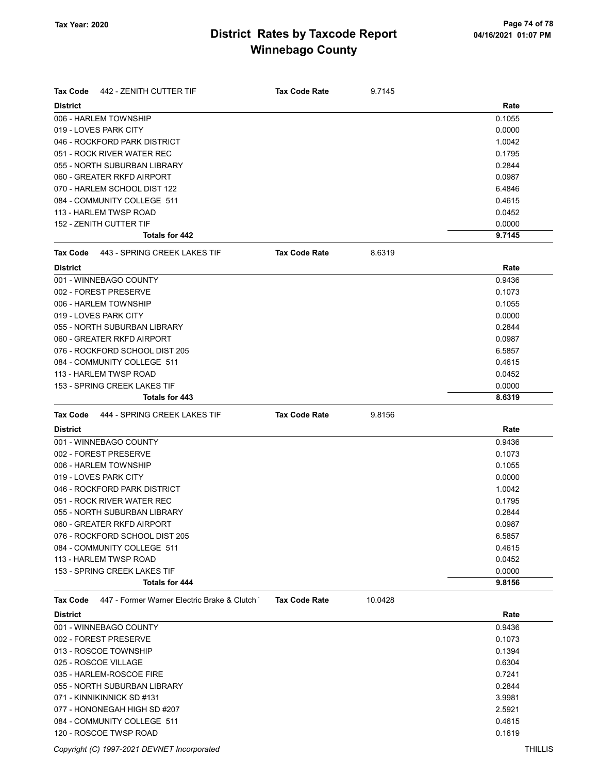| Tax Code<br>442 - ZENITH CUTTER TIF                            | <b>Tax Code Rate</b> | 9.7145  |        |
|----------------------------------------------------------------|----------------------|---------|--------|
| <b>District</b>                                                |                      |         | Rate   |
| 006 - HARLEM TOWNSHIP                                          |                      |         | 0.1055 |
| 019 - LOVES PARK CITY                                          | 0.0000               |         |        |
| 046 - ROCKFORD PARK DISTRICT                                   | 1.0042               |         |        |
| 051 - ROCK RIVER WATER REC                                     |                      |         | 0.1795 |
| 055 - NORTH SUBURBAN LIBRARY                                   |                      |         | 0.2844 |
| 060 - GREATER RKFD AIRPORT                                     |                      |         | 0.0987 |
| 070 - HARLEM SCHOOL DIST 122                                   |                      |         | 6.4846 |
| 084 - COMMUNITY COLLEGE 511                                    |                      |         | 0.4615 |
| 113 - HARLEM TWSP ROAD                                         |                      |         | 0.0452 |
| 152 - ZENITH CUTTER TIF                                        |                      |         | 0.0000 |
| Totals for 442                                                 |                      |         | 9.7145 |
| 443 - SPRING CREEK LAKES TIF<br>Tax Code                       | <b>Tax Code Rate</b> | 8.6319  |        |
| <b>District</b>                                                |                      |         | Rate   |
| 001 - WINNEBAGO COUNTY                                         |                      |         | 0.9436 |
| 002 - FOREST PRESERVE                                          |                      |         | 0.1073 |
| 006 - HARLEM TOWNSHIP                                          |                      |         | 0.1055 |
| 019 - LOVES PARK CITY                                          |                      |         | 0.0000 |
| 055 - NORTH SUBURBAN LIBRARY                                   |                      |         | 0.2844 |
| 060 - GREATER RKFD AIRPORT                                     |                      |         | 0.0987 |
| 076 - ROCKFORD SCHOOL DIST 205                                 |                      |         | 6.5857 |
| 084 - COMMUNITY COLLEGE 511                                    |                      |         | 0.4615 |
| 113 - HARLEM TWSP ROAD                                         |                      |         | 0.0452 |
| 153 - SPRING CREEK LAKES TIF                                   |                      |         | 0.0000 |
| Totals for 443                                                 |                      |         | 8.6319 |
| 444 - SPRING CREEK LAKES TIF<br><b>Tax Code</b>                | <b>Tax Code Rate</b> | 9.8156  |        |
| <b>District</b>                                                |                      |         | Rate   |
| 001 - WINNEBAGO COUNTY                                         |                      |         | 0.9436 |
| 002 - FOREST PRESERVE                                          |                      |         | 0.1073 |
| 006 - HARLEM TOWNSHIP                                          |                      |         | 0.1055 |
| 019 - LOVES PARK CITY                                          |                      |         | 0.0000 |
| 046 - ROCKFORD PARK DISTRICT                                   |                      |         | 1.0042 |
| 051 - ROCK RIVER WATER REC                                     |                      |         | 0.1795 |
| 055 - NORTH SUBURBAN LIBRARY                                   |                      |         | 0.2844 |
| 060 - GREATER RKFD AIRPORT                                     |                      |         | 0.0987 |
| 076 - ROCKFORD SCHOOL DIST 205                                 |                      |         | 6.5857 |
| 084 - COMMUNITY COLLEGE 511                                    |                      |         | 0.4615 |
| 113 - HARLEM TWSP ROAD                                         |                      |         | 0.0452 |
| 153 - SPRING CREEK LAKES TIF                                   |                      |         | 0.0000 |
| Totals for 444                                                 |                      |         | 9.8156 |
| 447 - Former Warner Electric Brake & Clutch<br><b>Tax Code</b> | <b>Tax Code Rate</b> | 10.0428 |        |
| <b>District</b>                                                |                      |         | Rate   |
| 001 - WINNEBAGO COUNTY                                         |                      |         | 0.9436 |
| 002 - FOREST PRESERVE                                          |                      |         | 0.1073 |
| 013 - ROSCOE TOWNSHIP                                          |                      |         | 0.1394 |
| 025 - ROSCOE VILLAGE                                           |                      |         | 0.6304 |
| 035 - HARLEM-ROSCOE FIRE                                       |                      |         | 0.7241 |
| 055 - NORTH SUBURBAN LIBRARY                                   |                      |         | 0.2844 |
| 071 - KINNIKINNICK SD #131                                     |                      |         | 3.9981 |
| 077 - HONONEGAH HIGH SD #207                                   |                      |         | 2.5921 |
| 084 - COMMUNITY COLLEGE 511                                    |                      |         | 0.4615 |

120 - ROSCOE TWSP ROAD **0.1619** 0.1619

Copyright (C) 1997-2021 DEVNET Incorporated THILLIS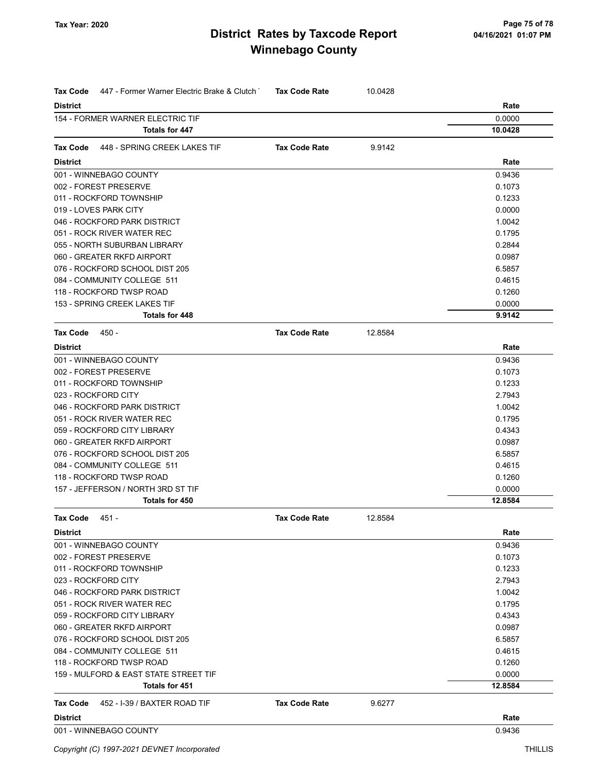| Tax Code            | 447 - Former Warner Electric Brake & Clutch | <b>Tax Code Rate</b> | 10.0428 |         |
|---------------------|---------------------------------------------|----------------------|---------|---------|
| <b>District</b>     |                                             |                      |         | Rate    |
|                     | 154 - FORMER WARNER ELECTRIC TIF            |                      |         | 0.0000  |
|                     | Totals for 447                              |                      |         | 10.0428 |
| Tax Code            | 448 - SPRING CREEK LAKES TIF                | <b>Tax Code Rate</b> | 9.9142  |         |
| <b>District</b>     |                                             |                      |         | Rate    |
|                     | 001 - WINNEBAGO COUNTY                      |                      |         | 0.9436  |
|                     | 002 - FOREST PRESERVE                       |                      |         | 0.1073  |
|                     | 011 - ROCKFORD TOWNSHIP                     |                      |         | 0.1233  |
|                     | 019 - LOVES PARK CITY                       |                      |         | 0.0000  |
|                     | 046 - ROCKFORD PARK DISTRICT                |                      |         | 1.0042  |
|                     | 051 - ROCK RIVER WATER REC                  |                      |         | 0.1795  |
|                     | 055 - NORTH SUBURBAN LIBRARY                |                      |         | 0.2844  |
|                     | 060 - GREATER RKFD AIRPORT                  |                      |         | 0.0987  |
|                     | 076 - ROCKFORD SCHOOL DIST 205              |                      |         | 6.5857  |
|                     | 084 - COMMUNITY COLLEGE 511                 |                      |         | 0.4615  |
|                     | 118 - ROCKFORD TWSP ROAD                    |                      |         | 0.1260  |
|                     | 153 - SPRING CREEK LAKES TIF                |                      |         | 0.0000  |
|                     | Totals for 448                              |                      |         | 9.9142  |
| <b>Tax Code</b>     | 450 -                                       | <b>Tax Code Rate</b> | 12.8584 |         |
| <b>District</b>     |                                             |                      |         | Rate    |
|                     | 001 - WINNEBAGO COUNTY                      |                      |         | 0.9436  |
|                     | 002 - FOREST PRESERVE                       |                      |         | 0.1073  |
|                     | 011 - ROCKFORD TOWNSHIP                     |                      |         | 0.1233  |
| 023 - ROCKFORD CITY |                                             |                      |         | 2.7943  |
|                     | 046 - ROCKFORD PARK DISTRICT                |                      |         | 1.0042  |
|                     | 051 - ROCK RIVER WATER REC                  |                      |         | 0.1795  |
|                     | 059 - ROCKFORD CITY LIBRARY                 |                      |         | 0.4343  |
|                     | 060 - GREATER RKFD AIRPORT                  |                      |         | 0.0987  |
|                     | 076 - ROCKFORD SCHOOL DIST 205              |                      |         | 6.5857  |
|                     | 084 - COMMUNITY COLLEGE 511                 |                      |         | 0.4615  |
|                     | 118 - ROCKFORD TWSP ROAD                    |                      |         | 0.1260  |
|                     | 157 - JEFFERSON / NORTH 3RD ST TIF          |                      |         | 0.0000  |
|                     | Totals for 450                              |                      |         | 12.8584 |
| Tax Code            | 451 -                                       | Tax Code Rate        | 12.8584 |         |
| <b>District</b>     |                                             |                      |         | Rate    |
|                     | 001 - WINNEBAGO COUNTY                      |                      |         | 0.9436  |
|                     | 002 - FOREST PRESERVE                       |                      |         | 0.1073  |
|                     | 011 - ROCKFORD TOWNSHIP                     |                      |         | 0.1233  |
| 023 - ROCKFORD CITY |                                             |                      |         | 2.7943  |
|                     | 046 - ROCKFORD PARK DISTRICT                |                      |         | 1.0042  |
|                     | 051 - ROCK RIVER WATER REC                  |                      |         | 0.1795  |
|                     | 059 - ROCKFORD CITY LIBRARY                 |                      |         | 0.4343  |
|                     | 060 - GREATER RKFD AIRPORT                  |                      |         | 0.0987  |
|                     | 076 - ROCKFORD SCHOOL DIST 205              |                      |         | 6.5857  |
|                     | 084 - COMMUNITY COLLEGE 511                 |                      |         | 0.4615  |
|                     | 118 - ROCKFORD TWSP ROAD                    |                      |         | 0.1260  |
|                     | 159 - MULFORD & EAST STATE STREET TIF       |                      |         | 0.0000  |
|                     | Totals for 451                              |                      |         | 12.8584 |
| Tax Code            | 452 - I-39 / BAXTER ROAD TIF                | <b>Tax Code Rate</b> | 9.6277  |         |
| <b>District</b>     |                                             |                      |         | Rate    |
|                     | 001 - WINNEBAGO COUNTY                      |                      |         | 0.9436  |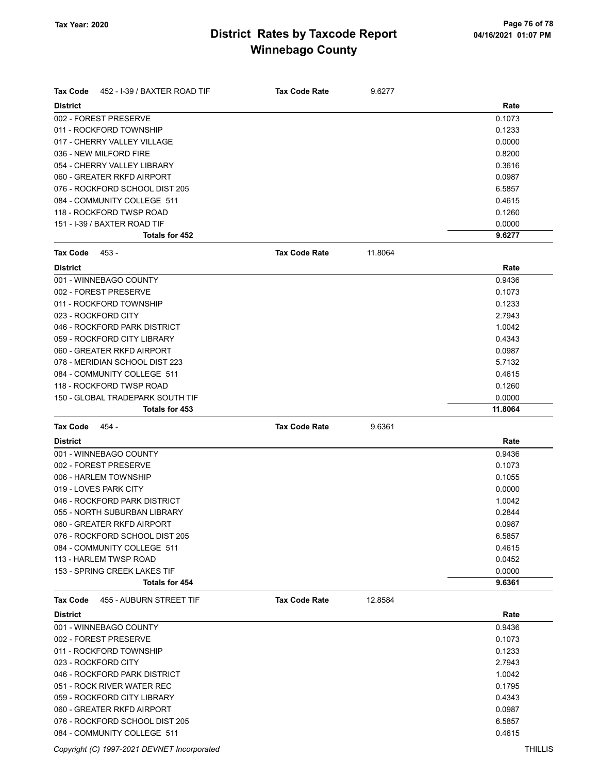| <b>Tax Code</b> | 452 - I-39 / BAXTER ROAD TIF     | <b>Tax Code Rate</b> | 9.6277  |         |
|-----------------|----------------------------------|----------------------|---------|---------|
| <b>District</b> |                                  |                      |         | Rate    |
|                 | 002 - FOREST PRESERVE            |                      |         | 0.1073  |
|                 | 011 - ROCKFORD TOWNSHIP          |                      |         | 0.1233  |
|                 | 017 - CHERRY VALLEY VILLAGE      |                      |         | 0.0000  |
|                 | 036 - NEW MILFORD FIRE           |                      |         | 0.8200  |
|                 | 054 - CHERRY VALLEY LIBRARY      |                      |         | 0.3616  |
|                 | 060 - GREATER RKFD AIRPORT       |                      |         | 0.0987  |
|                 | 076 - ROCKFORD SCHOOL DIST 205   |                      |         | 6.5857  |
|                 | 084 - COMMUNITY COLLEGE 511      |                      |         | 0.4615  |
|                 | 118 - ROCKFORD TWSP ROAD         |                      |         | 0.1260  |
|                 | 151 - I-39 / BAXTER ROAD TIF     |                      |         | 0.0000  |
|                 | Totals for 452                   |                      |         | 9.6277  |
| Tax Code        | 453 -                            | <b>Tax Code Rate</b> | 11.8064 |         |
| <b>District</b> |                                  |                      |         | Rate    |
|                 | 001 - WINNEBAGO COUNTY           |                      |         | 0.9436  |
|                 | 002 - FOREST PRESERVE            |                      |         | 0.1073  |
|                 | 011 - ROCKFORD TOWNSHIP          |                      |         | 0.1233  |
|                 | 023 - ROCKFORD CITY              |                      |         | 2.7943  |
|                 | 046 - ROCKFORD PARK DISTRICT     |                      |         | 1.0042  |
|                 | 059 - ROCKFORD CITY LIBRARY      |                      |         | 0.4343  |
|                 | 060 - GREATER RKFD AIRPORT       |                      |         | 0.0987  |
|                 | 078 - MERIDIAN SCHOOL DIST 223   |                      |         | 5.7132  |
|                 | 084 - COMMUNITY COLLEGE 511      |                      |         | 0.4615  |
|                 | 118 - ROCKFORD TWSP ROAD         |                      |         | 0.1260  |
|                 | 150 - GLOBAL TRADEPARK SOUTH TIF |                      |         | 0.0000  |
|                 | Totals for 453                   |                      |         | 11.8064 |
|                 |                                  |                      |         |         |
| Tax Code        | 454 -                            | <b>Tax Code Rate</b> | 9.6361  |         |
| <b>District</b> |                                  |                      |         | Rate    |
|                 | 001 - WINNEBAGO COUNTY           |                      |         | 0.9436  |
|                 | 002 - FOREST PRESERVE            |                      |         | 0.1073  |
|                 | 006 - HARLEM TOWNSHIP            |                      |         | 0.1055  |
|                 | 019 - LOVES PARK CITY            |                      |         | 0.0000  |
|                 | 046 - ROCKFORD PARK DISTRICT     |                      |         | 1.0042  |
|                 | 055 - NORTH SUBURBAN LIBRARY     |                      |         | 0.2844  |
|                 | 060 - GREATER RKFD AIRPORT       |                      |         | 0.0987  |
|                 | 076 - ROCKFORD SCHOOL DIST 205   |                      |         | 6.5857  |
|                 | 084 - COMMUNITY COLLEGE 511      |                      |         | 0.4615  |
|                 | 113 - HARLEM TWSP ROAD           |                      |         | 0.0452  |
|                 | 153 - SPRING CREEK LAKES TIF     |                      |         | 0.0000  |
|                 | Totals for 454                   |                      |         | 9.6361  |
| Tax Code        | 455 - AUBURN STREET TIF          | <b>Tax Code Rate</b> | 12.8584 |         |
| <b>District</b> |                                  |                      |         | Rate    |
|                 | 001 - WINNEBAGO COUNTY           |                      |         | 0.9436  |
|                 | 002 - FOREST PRESERVE            |                      |         | 0.1073  |
|                 | 011 - ROCKFORD TOWNSHIP          |                      |         | 0.1233  |
|                 | 023 - ROCKFORD CITY              |                      |         | 2.7943  |
|                 | 046 - ROCKFORD PARK DISTRICT     |                      |         | 1.0042  |
|                 | 051 - ROCK RIVER WATER REC       |                      |         | 0.1795  |
|                 | 059 - ROCKFORD CITY LIBRARY      |                      |         | 0.4343  |
|                 | 060 - GREATER RKFD AIRPORT       |                      |         | 0.0987  |
|                 | 076 - ROCKFORD SCHOOL DIST 205   |                      |         | 6.5857  |

Copyright (C) 1997-2021 DEVNET Incorporated THILLIS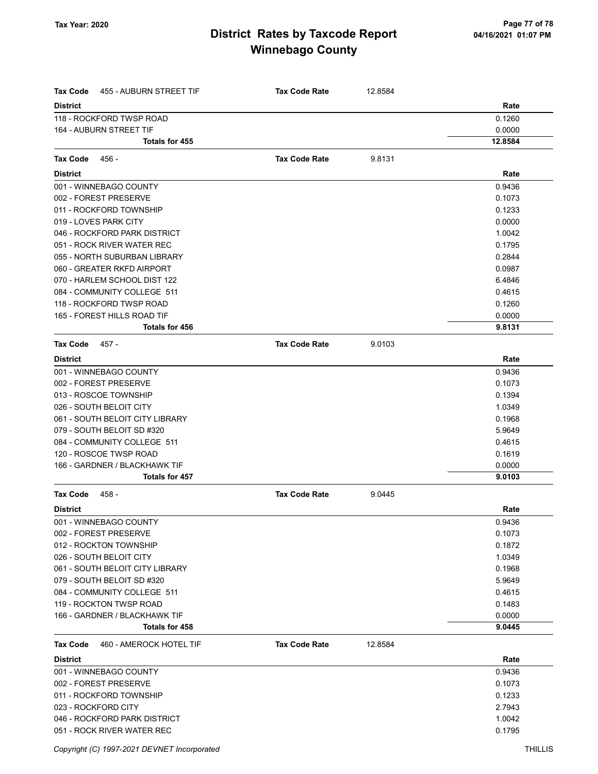| Tax Code<br>455 - AUBURN STREET TIF        | <b>Tax Code Rate</b> | 12.8584 |         |
|--------------------------------------------|----------------------|---------|---------|
| <b>District</b>                            |                      |         | Rate    |
| 118 - ROCKFORD TWSP ROAD                   |                      |         | 0.1260  |
| 164 - AUBURN STREET TIF                    |                      |         | 0.0000  |
| <b>Totals for 455</b>                      |                      |         | 12.8584 |
| 456 -<br>Tax Code                          | <b>Tax Code Rate</b> | 9.8131  |         |
| <b>District</b>                            |                      |         | Rate    |
| 001 - WINNEBAGO COUNTY                     |                      |         | 0.9436  |
| 002 - FOREST PRESERVE                      |                      |         | 0.1073  |
| 011 - ROCKFORD TOWNSHIP                    |                      |         | 0.1233  |
| 019 - LOVES PARK CITY                      |                      |         | 0.0000  |
| 046 - ROCKFORD PARK DISTRICT               |                      |         | 1.0042  |
| 051 - ROCK RIVER WATER REC                 |                      |         | 0.1795  |
| 055 - NORTH SUBURBAN LIBRARY               |                      |         | 0.2844  |
| 060 - GREATER RKFD AIRPORT                 |                      |         | 0.0987  |
| 070 - HARLEM SCHOOL DIST 122               |                      |         | 6.4846  |
| 084 - COMMUNITY COLLEGE 511                |                      |         | 0.4615  |
| 118 - ROCKFORD TWSP ROAD                   |                      |         | 0.1260  |
| 165 - FOREST HILLS ROAD TIF                |                      |         | 0.0000  |
| Totals for 456                             |                      |         | 9.8131  |
| Tax Code<br>457 -                          | <b>Tax Code Rate</b> | 9.0103  |         |
| <b>District</b>                            |                      |         | Rate    |
| 001 - WINNEBAGO COUNTY                     |                      |         | 0.9436  |
| 002 - FOREST PRESERVE                      |                      |         | 0.1073  |
| 013 - ROSCOE TOWNSHIP                      |                      |         | 0.1394  |
| 026 - SOUTH BELOIT CITY                    |                      |         | 1.0349  |
| 061 - SOUTH BELOIT CITY LIBRARY            |                      |         | 0.1968  |
| 079 - SOUTH BELOIT SD #320                 |                      |         | 5.9649  |
| 084 - COMMUNITY COLLEGE 511                |                      |         | 0.4615  |
| 120 - ROSCOE TWSP ROAD                     |                      |         | 0.1619  |
| 166 - GARDNER / BLACKHAWK TIF              |                      |         | 0.0000  |
| <b>Totals for 457</b>                      |                      |         | 9.0103  |
| <b>Tax Code</b><br>458 -                   | <b>Tax Code Rate</b> | 9.0445  |         |
| <b>District</b>                            |                      |         | Rate    |
| 001 - WINNEBAGO COUNTY                     |                      |         | 0.9436  |
| 002 - FOREST PRESERVE                      |                      |         | 0.1073  |
| 012 - ROCKTON TOWNSHIP                     |                      |         | 0.1872  |
| 026 - SOUTH BELOIT CITY                    |                      |         | 1.0349  |
| 061 - SOUTH BELOIT CITY LIBRARY            |                      |         | 0.1968  |
| 079 - SOUTH BELOIT SD #320                 |                      |         | 5.9649  |
| 084 - COMMUNITY COLLEGE 511                |                      |         | 0.4615  |
| 119 - ROCKTON TWSP ROAD                    |                      |         | 0.1483  |
| 166 - GARDNER / BLACKHAWK TIF              |                      |         | 0.0000  |
| Totals for 458                             |                      |         | 9.0445  |
| 460 - AMEROCK HOTEL TIF<br><b>Tax Code</b> | <b>Tax Code Rate</b> | 12.8584 |         |
| <b>District</b>                            |                      |         | Rate    |
| 001 - WINNEBAGO COUNTY                     |                      |         | 0.9436  |
| 002 - FOREST PRESERVE                      |                      |         | 0.1073  |
| 011 - ROCKFORD TOWNSHIP                    |                      |         | 0.1233  |
| 023 - ROCKFORD CITY                        |                      |         | 2.7943  |
| 046 - ROCKFORD PARK DISTRICT               |                      |         | 1.0042  |
| 051 - ROCK RIVER WATER REC                 |                      |         | 0.1795  |